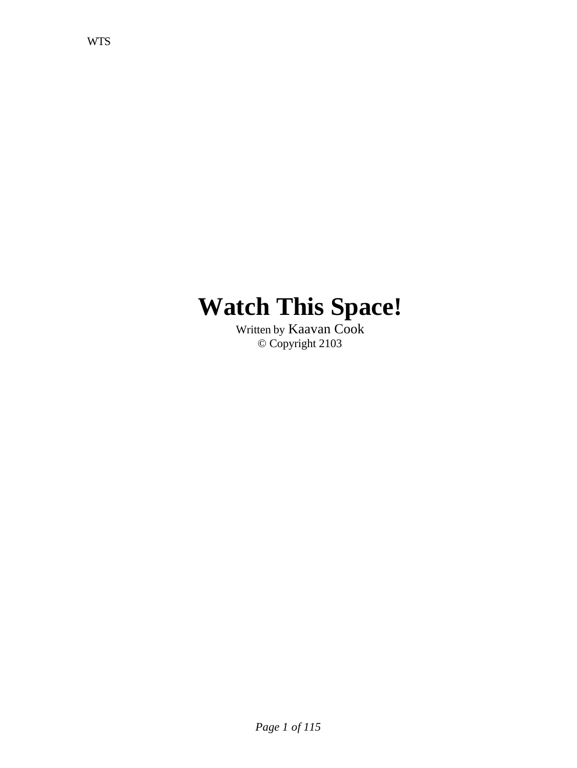# **Watch This Space!**

Written by Kaavan Cook © Copyright 2103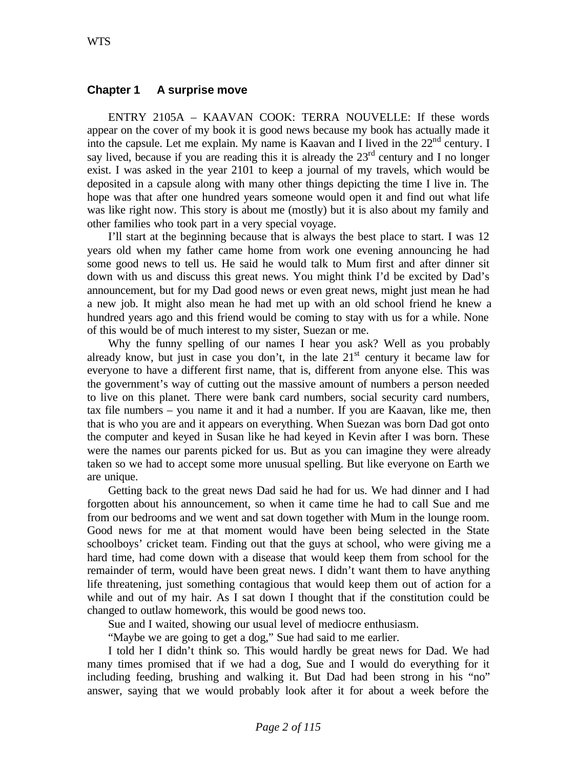## **Chapter 1 A surprise move**

ENTRY 2105A – KAAVAN COOK: TERRA NOUVELLE: If these words appear on the cover of my book it is good news because my book has actually made it into the capsule. Let me explain. My name is Kaavan and I lived in the 22<sup>nd</sup> century. I say lived, because if you are reading this it is already the  $23<sup>rd</sup>$  century and I no longer exist. I was asked in the year 2101 to keep a journal of my travels, which would be deposited in a capsule along with many other things depicting the time I live in. The hope was that after one hundred years someone would open it and find out what life was like right now. This story is about me (mostly) but it is also about my family and other families who took part in a very special voyage.

I'll start at the beginning because that is always the best place to start. I was 12 years old when my father came home from work one evening announcing he had some good news to tell us. He said he would talk to Mum first and after dinner sit down with us and discuss this great news. You might think I'd be excited by Dad's announcement, but for my Dad good news or even great news, might just mean he had a new job. It might also mean he had met up with an old school friend he knew a hundred years ago and this friend would be coming to stay with us for a while. None of this would be of much interest to my sister, Suezan or me.

Why the funny spelling of our names I hear you ask? Well as you probably already know, but just in case you don't, in the late  $21<sup>st</sup>$  century it became law for everyone to have a different first name, that is, different from anyone else. This was the government's way of cutting out the massive amount of numbers a person needed to live on this planet. There were bank card numbers, social security card numbers, tax file numbers – you name it and it had a number. If you are Kaavan, like me, then that is who you are and it appears on everything. When Suezan was born Dad got onto the computer and keyed in Susan like he had keyed in Kevin after I was born. These were the names our parents picked for us. But as you can imagine they were already taken so we had to accept some more unusual spelling. But like everyone on Earth we are unique.

Getting back to the great news Dad said he had for us. We had dinner and I had forgotten about his announcement, so when it came time he had to call Sue and me from our bedrooms and we went and sat down together with Mum in the lounge room. Good news for me at that moment would have been being selected in the State schoolboys' cricket team. Finding out that the guys at school, who were giving me a hard time, had come down with a disease that would keep them from school for the remainder of term, would have been great news. I didn't want them to have anything life threatening, just something contagious that would keep them out of action for a while and out of my hair. As I sat down I thought that if the constitution could be changed to outlaw homework, this would be good news too.

Sue and I waited, showing our usual level of mediocre enthusiasm.

"Maybe we are going to get a dog," Sue had said to me earlier.

I told her I didn't think so. This would hardly be great news for Dad. We had many times promised that if we had a dog, Sue and I would do everything for it including feeding, brushing and walking it. But Dad had been strong in his "no" answer, saying that we would probably look after it for about a week before the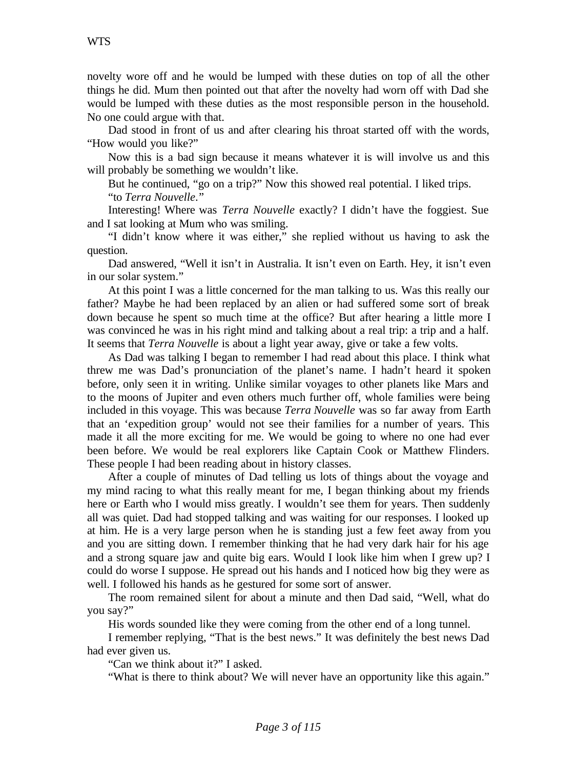novelty wore off and he would be lumped with these duties on top of all the other things he did. Mum then pointed out that after the novelty had worn off with Dad she would be lumped with these duties as the most responsible person in the household. No one could argue with that.

Dad stood in front of us and after clearing his throat started off with the words, "How would you like?"

Now this is a bad sign because it means whatever it is will involve us and this will probably be something we wouldn't like.

But he continued, "go on a trip?" Now this showed real potential. I liked trips. "to *Terra Nouvelle*."

Interesting! Where was *Terra Nouvelle* exactly? I didn't have the foggiest. Sue and I sat looking at Mum who was smiling.

"I didn't know where it was either," she replied without us having to ask the question.

Dad answered, "Well it isn't in Australia. It isn't even on Earth. Hey, it isn't even in our solar system."

At this point I was a little concerned for the man talking to us. Was this really our father? Maybe he had been replaced by an alien or had suffered some sort of break down because he spent so much time at the office? But after hearing a little more I was convinced he was in his right mind and talking about a real trip: a trip and a half. It seems that *Terra Nouvelle* is about a light year away, give or take a few volts.

As Dad was talking I began to remember I had read about this place. I think what threw me was Dad's pronunciation of the planet's name. I hadn't heard it spoken before, only seen it in writing. Unlike similar voyages to other planets like Mars and to the moons of Jupiter and even others much further off, whole families were being included in this voyage. This was because *Terra Nouvelle* was so far away from Earth that an 'expedition group' would not see their families for a number of years. This made it all the more exciting for me. We would be going to where no one had ever been before. We would be real explorers like Captain Cook or Matthew Flinders. These people I had been reading about in history classes.

After a couple of minutes of Dad telling us lots of things about the voyage and my mind racing to what this really meant for me, I began thinking about my friends here or Earth who I would miss greatly. I wouldn't see them for years. Then suddenly all was quiet. Dad had stopped talking and was waiting for our responses. I looked up at him. He is a very large person when he is standing just a few feet away from you and you are sitting down. I remember thinking that he had very dark hair for his age and a strong square jaw and quite big ears. Would I look like him when I grew up? I could do worse I suppose. He spread out his hands and I noticed how big they were as well. I followed his hands as he gestured for some sort of answer.

The room remained silent for about a minute and then Dad said, "Well, what do you say?"

His words sounded like they were coming from the other end of a long tunnel.

I remember replying, "That is the best news." It was definitely the best news Dad had ever given us.

"Can we think about it?" I asked.

"What is there to think about? We will never have an opportunity like this again."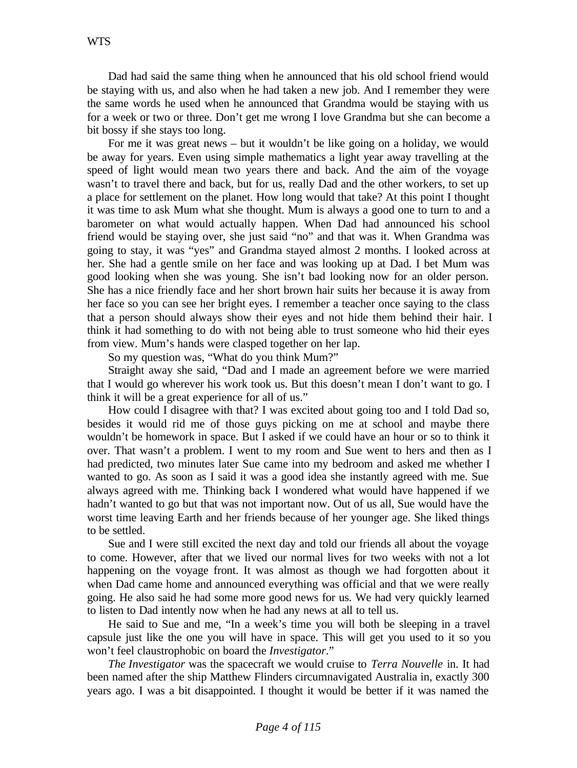Dad had said the same thing when he announced that his old school friend would be staying with us, and also when he had taken a new job. And I remember they were the same words he used when he announced that Grandma would be staying with us for a week or two or three. Don't get me wrong I love Grandma but she can become a bit bossy if she stays too long.

For me it was great news – but it wouldn't be like going on a holiday, we would be away for years. Even using simple mathematics a light year away travelling at the speed of light would mean two years there and back. And the aim of the voyage wasn't to travel there and back, but for us, really Dad and the other workers, to set up a place for settlement on the planet. How long would that take? At this point I thought it was time to ask Mum what she thought. Mum is always a good one to turn to and a barometer on what would actually happen. When Dad had announced his school friend would be staying over, she just said "no" and that was it. When Grandma was going to stay, it was "yes" and Grandma stayed almost 2 months. I looked across at her. She had a gentle smile on her face and was looking up at Dad. I bet Mum was good looking when she was young. She isn't bad looking now for an older person. She has a nice friendly face and her short brown hair suits her because it is away from her face so you can see her bright eyes. I remember a teacher once saying to the class that a person should always show their eyes and not hide them behind their hair. I think it had something to do with not being able to trust someone who hid their eyes from view. Mum's hands were clasped together on her lap.

So my question was, "What do you think Mum?"

Straight away she said, "Dad and I made an agreement before we were married that I would go wherever his work took us. But this doesn't mean I don't want to go. I think it will be a great experience for all of us."

How could I disagree with that? I was excited about going too and I told Dad so, besides it would rid me of those guys picking on me at school and maybe there wouldn't be homework in space. But I asked if we could have an hour or so to think it over. That wasn't a problem. I went to my room and Sue went to hers and then as I had predicted, two minutes later Sue came into my bedroom and asked me whether I wanted to go. As soon as I said it was a good idea she instantly agreed with me. Sue always agreed with me. Thinking back I wondered what would have happened if we hadn't wanted to go but that was not important now. Out of us all, Sue would have the worst time leaving Earth and her friends because of her younger age. She liked things to be settled.

Sue and I were still excited the next day and told our friends all about the voyage to come. However, after that we lived our normal lives for two weeks with not a lot happening on the voyage front. It was almost as though we had forgotten about it when Dad came home and announced everything was official and that we were really going. He also said he had some more good news for us. We had very quickly learned to listen to Dad intently now when he had any news at all to tell us.

He said to Sue and me, "In a week's time you will both be sleeping in a travel capsule just like the one you will have in space. This will get you used to it so you won't feel claustrophobic on board the *Investigator*."

*The Investigator* was the spacecraft we would cruise to *Terra Nouvelle* in. It had been named after the ship Matthew Flinders circumnavigated Australia in, exactly 300 years ago. I was a bit disappointed. I thought it would be better if it was named the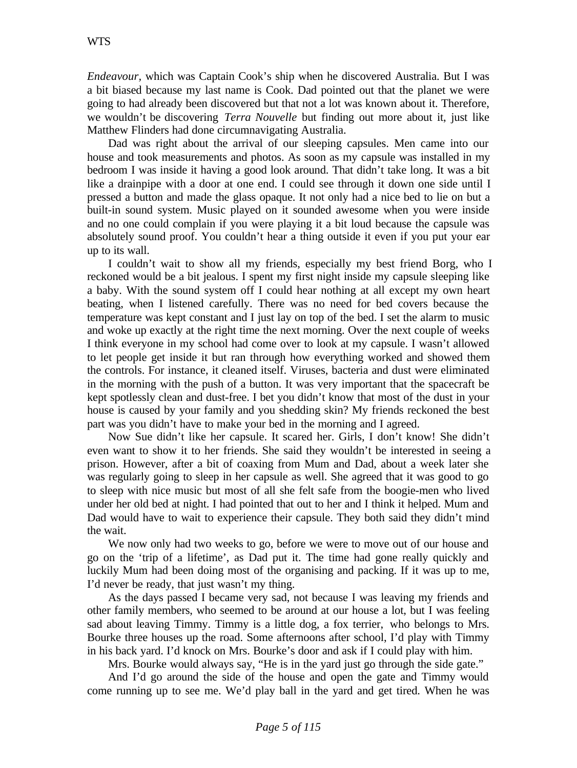*Endeavour,* which was Captain Cook's ship when he discovered Australia. But I was a bit biased because my last name is Cook. Dad pointed out that the planet we were going to had already been discovered but that not a lot was known about it. Therefore, we wouldn't be discovering *Terra Nouvelle* but finding out more about it, just like Matthew Flinders had done circumnavigating Australia.

Dad was right about the arrival of our sleeping capsules. Men came into our house and took measurements and photos. As soon as my capsule was installed in my bedroom I was inside it having a good look around. That didn't take long. It was a bit like a drainpipe with a door at one end. I could see through it down one side until I pressed a button and made the glass opaque. It not only had a nice bed to lie on but a built-in sound system. Music played on it sounded awesome when you were inside and no one could complain if you were playing it a bit loud because the capsule was absolutely sound proof. You couldn't hear a thing outside it even if you put your ear up to its wall.

I couldn't wait to show all my friends, especially my best friend Borg, who I reckoned would be a bit jealous. I spent my first night inside my capsule sleeping like a baby. With the sound system off I could hear nothing at all except my own heart beating, when I listened carefully. There was no need for bed covers because the temperature was kept constant and I just lay on top of the bed. I set the alarm to music and woke up exactly at the right time the next morning. Over the next couple of weeks I think everyone in my school had come over to look at my capsule. I wasn't allowed to let people get inside it but ran through how everything worked and showed them the controls. For instance, it cleaned itself. Viruses, bacteria and dust were eliminated in the morning with the push of a button. It was very important that the spacecraft be kept spotlessly clean and dust-free. I bet you didn't know that most of the dust in your house is caused by your family and you shedding skin? My friends reckoned the best part was you didn't have to make your bed in the morning and I agreed.

Now Sue didn't like her capsule. It scared her. Girls, I don't know! She didn't even want to show it to her friends. She said they wouldn't be interested in seeing a prison. However, after a bit of coaxing from Mum and Dad, about a week later she was regularly going to sleep in her capsule as well. She agreed that it was good to go to sleep with nice music but most of all she felt safe from the boogie-men who lived under her old bed at night. I had pointed that out to her and I think it helped. Mum and Dad would have to wait to experience their capsule. They both said they didn't mind the wait.

We now only had two weeks to go, before we were to move out of our house and go on the 'trip of a lifetime', as Dad put it. The time had gone really quickly and luckily Mum had been doing most of the organising and packing. If it was up to me, I'd never be ready, that just wasn't my thing.

As the days passed I became very sad, not because I was leaving my friends and other family members, who seemed to be around at our house a lot, but I was feeling sad about leaving Timmy. Timmy is a little dog, a fox terrier, who belongs to Mrs. Bourke three houses up the road. Some afternoons after school, I'd play with Timmy in his back yard. I'd knock on Mrs. Bourke's door and ask if I could play with him.

Mrs. Bourke would always say, "He is in the yard just go through the side gate."

And I'd go around the side of the house and open the gate and Timmy would come running up to see me. We'd play ball in the yard and get tired. When he was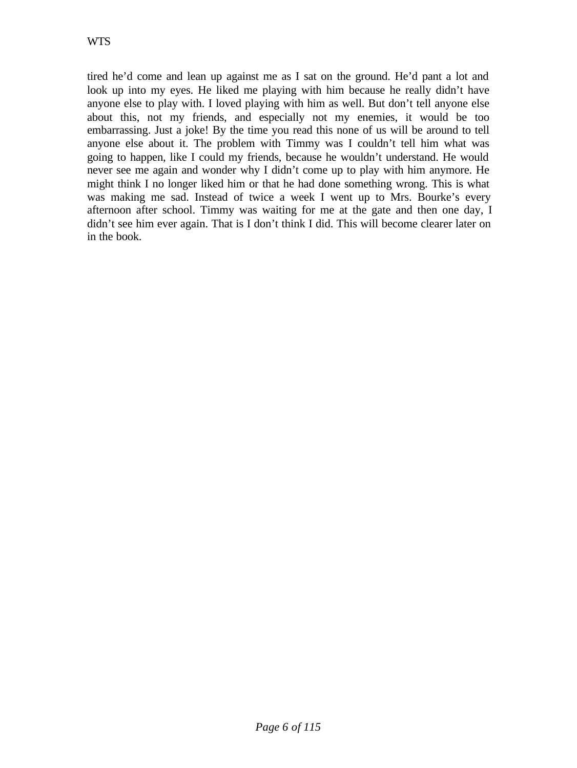tired he'd come and lean up against me as I sat on the ground. He'd pant a lot and look up into my eyes. He liked me playing with him because he really didn't have anyone else to play with. I loved playing with him as well. But don't tell anyone else about this, not my friends, and especially not my enemies, it would be too embarrassing. Just a joke! By the time you read this none of us will be around to tell anyone else about it. The problem with Timmy was I couldn't tell him what was going to happen, like I could my friends, because he wouldn't understand. He would never see me again and wonder why I didn't come up to play with him anymore. He might think I no longer liked him or that he had done something wrong. This is what was making me sad. Instead of twice a week I went up to Mrs. Bourke's every afternoon after school. Timmy was waiting for me at the gate and then one day, I didn't see him ever again. That is I don't think I did. This will become clearer later on in the book.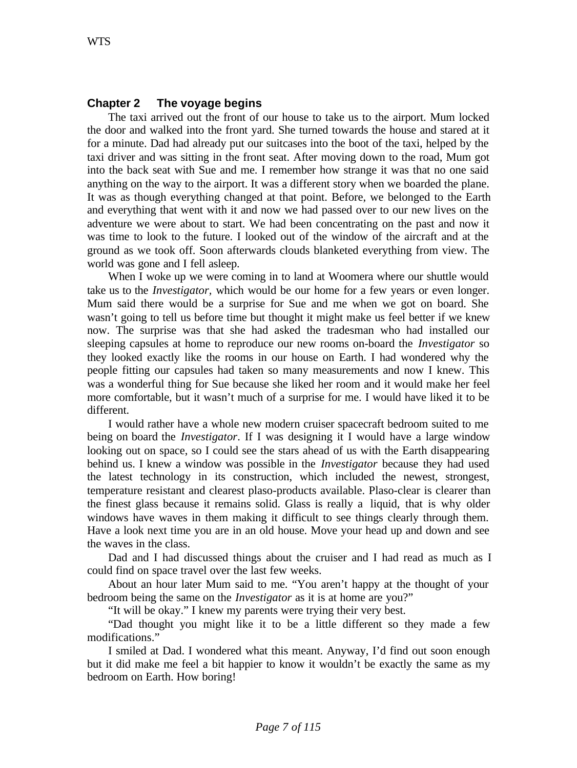### **Chapter 2 The voyage begins**

The taxi arrived out the front of our house to take us to the airport. Mum locked the door and walked into the front yard. She turned towards the house and stared at it for a minute. Dad had already put our suitcases into the boot of the taxi, helped by the taxi driver and was sitting in the front seat. After moving down to the road, Mum got into the back seat with Sue and me. I remember how strange it was that no one said anything on the way to the airport. It was a different story when we boarded the plane. It was as though everything changed at that point. Before, we belonged to the Earth and everything that went with it and now we had passed over to our new lives on the adventure we were about to start. We had been concentrating on the past and now it was time to look to the future. I looked out of the window of the aircraft and at the ground as we took off. Soon afterwards clouds blanketed everything from view. The world was gone and I fell asleep.

When I woke up we were coming in to land at Woomera where our shuttle would take us to the *Investigator,* which would be our home for a few years or even longer. Mum said there would be a surprise for Sue and me when we got on board. She wasn't going to tell us before time but thought it might make us feel better if we knew now. The surprise was that she had asked the tradesman who had installed our sleeping capsules at home to reproduce our new rooms on-board the *Investigator* so they looked exactly like the rooms in our house on Earth. I had wondered why the people fitting our capsules had taken so many measurements and now I knew. This was a wonderful thing for Sue because she liked her room and it would make her feel more comfortable, but it wasn't much of a surprise for me. I would have liked it to be different.

I would rather have a whole new modern cruiser spacecraft bedroom suited to me being on board the *Investigator*. If I was designing it I would have a large window looking out on space, so I could see the stars ahead of us with the Earth disappearing behind us. I knew a window was possible in the *Investigator* because they had used the latest technology in its construction, which included the newest, strongest, temperature resistant and clearest plaso-products available. Plaso-clear is clearer than the finest glass because it remains solid. Glass is really a liquid, that is why older windows have waves in them making it difficult to see things clearly through them. Have a look next time you are in an old house. Move your head up and down and see the waves in the class.

Dad and I had discussed things about the cruiser and I had read as much as I could find on space travel over the last few weeks.

About an hour later Mum said to me. "You aren't happy at the thought of your bedroom being the same on the *Investigator* as it is at home are you?"

"It will be okay." I knew my parents were trying their very best.

"Dad thought you might like it to be a little different so they made a few modifications."

I smiled at Dad. I wondered what this meant. Anyway, I'd find out soon enough but it did make me feel a bit happier to know it wouldn't be exactly the same as my bedroom on Earth. How boring!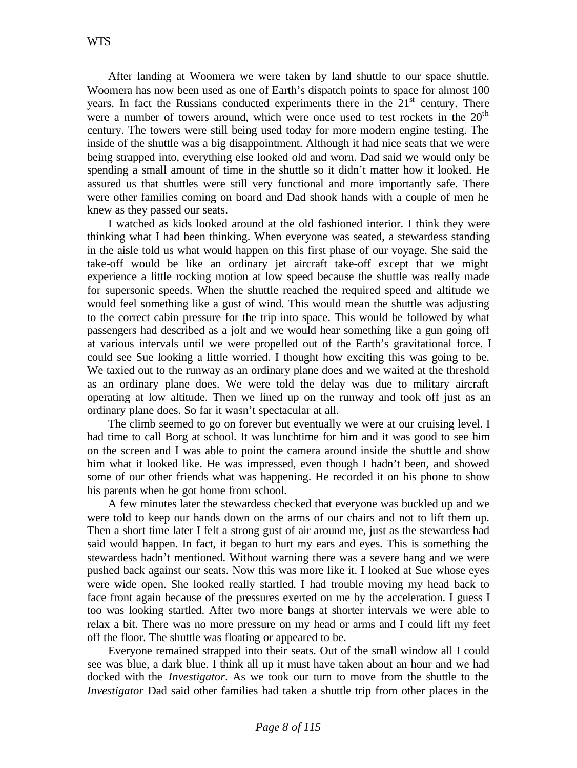After landing at Woomera we were taken by land shuttle to our space shuttle. Woomera has now been used as one of Earth's dispatch points to space for almost 100 years. In fact the Russians conducted experiments there in the  $21<sup>st</sup>$  century. There were a number of towers around, which were once used to test rockets in the  $20<sup>th</sup>$ century. The towers were still being used today for more modern engine testing. The inside of the shuttle was a big disappointment. Although it had nice seats that we were being strapped into, everything else looked old and worn. Dad said we would only be spending a small amount of time in the shuttle so it didn't matter how it looked. He assured us that shuttles were still very functional and more importantly safe. There were other families coming on board and Dad shook hands with a couple of men he knew as they passed our seats.

I watched as kids looked around at the old fashioned interior. I think they were thinking what I had been thinking. When everyone was seated, a stewardess standing in the aisle told us what would happen on this first phase of our voyage. She said the take-off would be like an ordinary jet aircraft take-off except that we might experience a little rocking motion at low speed because the shuttle was really made for supersonic speeds. When the shuttle reached the required speed and altitude we would feel something like a gust of wind. This would mean the shuttle was adjusting to the correct cabin pressure for the trip into space. This would be followed by what passengers had described as a jolt and we would hear something like a gun going off at various intervals until we were propelled out of the Earth's gravitational force. I could see Sue looking a little worried. I thought how exciting this was going to be. We taxied out to the runway as an ordinary plane does and we waited at the threshold as an ordinary plane does. We were told the delay was due to military aircraft operating at low altitude. Then we lined up on the runway and took off just as an ordinary plane does. So far it wasn't spectacular at all.

The climb seemed to go on forever but eventually we were at our cruising level. I had time to call Borg at school. It was lunchtime for him and it was good to see him on the screen and I was able to point the camera around inside the shuttle and show him what it looked like. He was impressed, even though I hadn't been, and showed some of our other friends what was happening. He recorded it on his phone to show his parents when he got home from school.

A few minutes later the stewardess checked that everyone was buckled up and we were told to keep our hands down on the arms of our chairs and not to lift them up. Then a short time later I felt a strong gust of air around me, just as the stewardess had said would happen. In fact, it began to hurt my ears and eyes. This is something the stewardess hadn't mentioned. Without warning there was a severe bang and we were pushed back against our seats. Now this was more like it. I looked at Sue whose eyes were wide open. She looked really startled. I had trouble moving my head back to face front again because of the pressures exerted on me by the acceleration. I guess I too was looking startled. After two more bangs at shorter intervals we were able to relax a bit. There was no more pressure on my head or arms and I could lift my feet off the floor. The shuttle was floating or appeared to be.

Everyone remained strapped into their seats. Out of the small window all I could see was blue, a dark blue. I think all up it must have taken about an hour and we had docked with the *Investigator*. As we took our turn to move from the shuttle to the *Investigator* Dad said other families had taken a shuttle trip from other places in the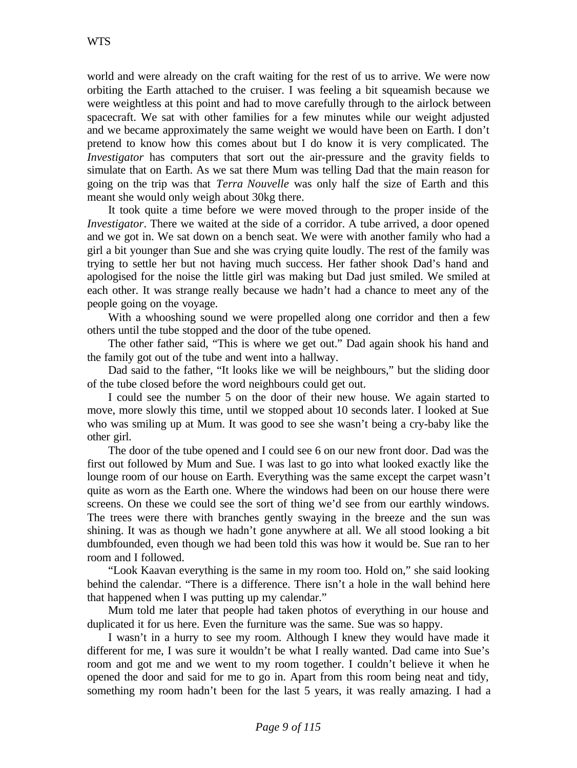world and were already on the craft waiting for the rest of us to arrive. We were now orbiting the Earth attached to the cruiser. I was feeling a bit squeamish because we were weightless at this point and had to move carefully through to the airlock between spacecraft. We sat with other families for a few minutes while our weight adjusted and we became approximately the same weight we would have been on Earth. I don't pretend to know how this comes about but I do know it is very complicated. The *Investigator* has computers that sort out the air-pressure and the gravity fields to simulate that on Earth. As we sat there Mum was telling Dad that the main reason for going on the trip was that *Terra Nouvelle* was only half the size of Earth and this meant she would only weigh about 30kg there.

It took quite a time before we were moved through to the proper inside of the *Investigator*. There we waited at the side of a corridor. A tube arrived, a door opened and we got in. We sat down on a bench seat. We were with another family who had a girl a bit younger than Sue and she was crying quite loudly. The rest of the family was trying to settle her but not having much success. Her father shook Dad's hand and apologised for the noise the little girl was making but Dad just smiled. We smiled at each other. It was strange really because we hadn't had a chance to meet any of the people going on the voyage.

With a whooshing sound we were propelled along one corridor and then a few others until the tube stopped and the door of the tube opened.

The other father said, "This is where we get out." Dad again shook his hand and the family got out of the tube and went into a hallway.

Dad said to the father, "It looks like we will be neighbours," but the sliding door of the tube closed before the word neighbours could get out.

I could see the number 5 on the door of their new house. We again started to move, more slowly this time, until we stopped about 10 seconds later. I looked at Sue who was smiling up at Mum. It was good to see she wasn't being a cry-baby like the other girl.

The door of the tube opened and I could see 6 on our new front door. Dad was the first out followed by Mum and Sue. I was last to go into what looked exactly like the lounge room of our house on Earth. Everything was the same except the carpet wasn't quite as worn as the Earth one. Where the windows had been on our house there were screens. On these we could see the sort of thing we'd see from our earthly windows. The trees were there with branches gently swaying in the breeze and the sun was shining. It was as though we hadn't gone anywhere at all. We all stood looking a bit dumbfounded, even though we had been told this was how it would be. Sue ran to her room and I followed.

"Look Kaavan everything is the same in my room too. Hold on," she said looking behind the calendar. "There is a difference. There isn't a hole in the wall behind here that happened when I was putting up my calendar."

Mum told me later that people had taken photos of everything in our house and duplicated it for us here. Even the furniture was the same. Sue was so happy.

I wasn't in a hurry to see my room. Although I knew they would have made it different for me, I was sure it wouldn't be what I really wanted. Dad came into Sue's room and got me and we went to my room together. I couldn't believe it when he opened the door and said for me to go in. Apart from this room being neat and tidy, something my room hadn't been for the last 5 years, it was really amazing. I had a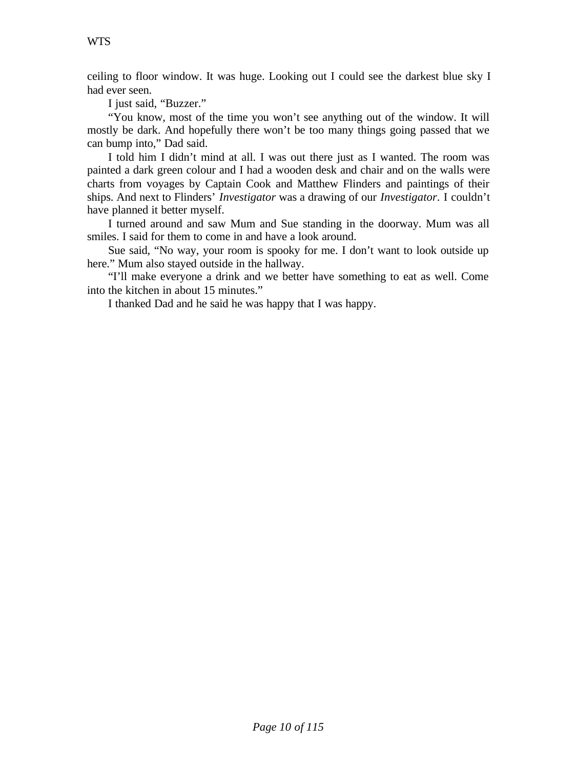ceiling to floor window. It was huge. Looking out I could see the darkest blue sky I had ever seen.

I just said, "Buzzer."

"You know, most of the time you won't see anything out of the window. It will mostly be dark. And hopefully there won't be too many things going passed that we can bump into," Dad said.

I told him I didn't mind at all. I was out there just as I wanted. The room was painted a dark green colour and I had a wooden desk and chair and on the walls were charts from voyages by Captain Cook and Matthew Flinders and paintings of their ships. And next to Flinders' *Investigator* was a drawing of our *Investigator*. I couldn't have planned it better myself.

I turned around and saw Mum and Sue standing in the doorway. Mum was all smiles. I said for them to come in and have a look around.

Sue said, "No way, your room is spooky for me. I don't want to look outside up here." Mum also stayed outside in the hallway.

"I'll make everyone a drink and we better have something to eat as well. Come into the kitchen in about 15 minutes."

I thanked Dad and he said he was happy that I was happy.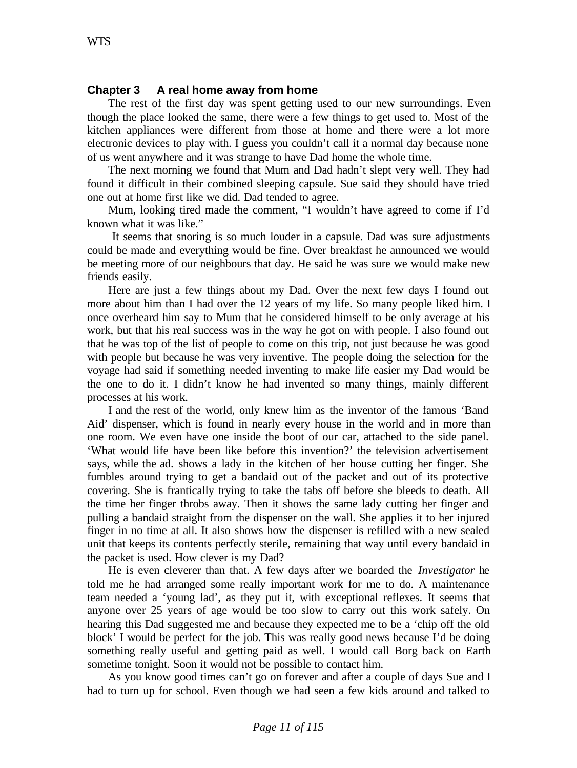# **Chapter 3 A real home away from home**

The rest of the first day was spent getting used to our new surroundings. Even though the place looked the same, there were a few things to get used to. Most of the kitchen appliances were different from those at home and there were a lot more electronic devices to play with. I guess you couldn't call it a normal day because none of us went anywhere and it was strange to have Dad home the whole time.

The next morning we found that Mum and Dad hadn't slept very well. They had found it difficult in their combined sleeping capsule. Sue said they should have tried one out at home first like we did. Dad tended to agree.

Mum, looking tired made the comment, "I wouldn't have agreed to come if I'd known what it was like."

 It seems that snoring is so much louder in a capsule. Dad was sure adjustments could be made and everything would be fine. Over breakfast he announced we would be meeting more of our neighbours that day. He said he was sure we would make new friends easily.

Here are just a few things about my Dad. Over the next few days I found out more about him than I had over the 12 years of my life. So many people liked him. I once overheard him say to Mum that he considered himself to be only average at his work, but that his real success was in the way he got on with people. I also found out that he was top of the list of people to come on this trip, not just because he was good with people but because he was very inventive. The people doing the selection for the voyage had said if something needed inventing to make life easier my Dad would be the one to do it. I didn't know he had invented so many things, mainly different processes at his work.

I and the rest of the world, only knew him as the inventor of the famous 'Band Aid' dispenser, which is found in nearly every house in the world and in more than one room. We even have one inside the boot of our car, attached to the side panel. 'What would life have been like before this invention?' the television advertisement says, while the ad. shows a lady in the kitchen of her house cutting her finger. She fumbles around trying to get a bandaid out of the packet and out of its protective covering. She is frantically trying to take the tabs off before she bleeds to death. All the time her finger throbs away. Then it shows the same lady cutting her finger and pulling a bandaid straight from the dispenser on the wall. She applies it to her injured finger in no time at all. It also shows how the dispenser is refilled with a new sealed unit that keeps its contents perfectly sterile, remaining that way until every bandaid in the packet is used. How clever is my Dad?

He is even cleverer than that. A few days after we boarded the *Investigator* he told me he had arranged some really important work for me to do. A maintenance team needed a 'young lad', as they put it, with exceptional reflexes. It seems that anyone over 25 years of age would be too slow to carry out this work safely. On hearing this Dad suggested me and because they expected me to be a 'chip off the old block' I would be perfect for the job. This was really good news because I'd be doing something really useful and getting paid as well. I would call Borg back on Earth sometime tonight. Soon it would not be possible to contact him.

As you know good times can't go on forever and after a couple of days Sue and I had to turn up for school. Even though we had seen a few kids around and talked to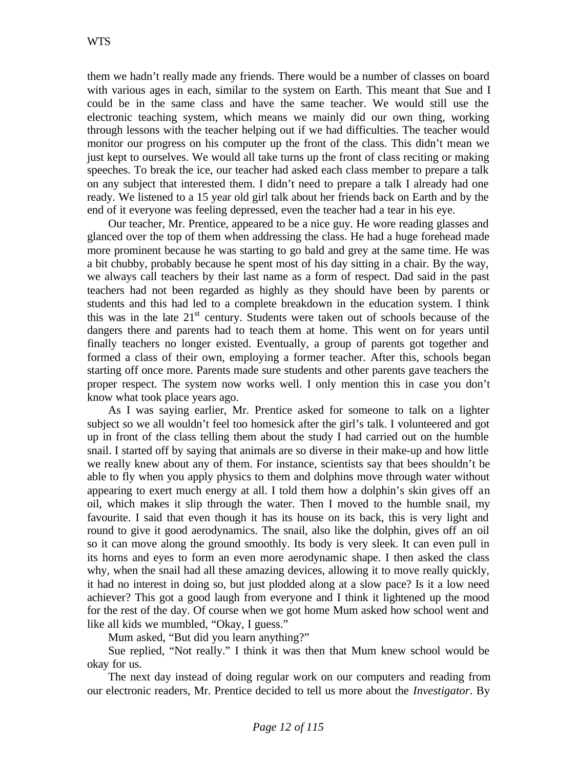them we hadn't really made any friends. There would be a number of classes on board with various ages in each, similar to the system on Earth. This meant that Sue and I could be in the same class and have the same teacher. We would still use the electronic teaching system, which means we mainly did our own thing, working through lessons with the teacher helping out if we had difficulties. The teacher would monitor our progress on his computer up the front of the class. This didn't mean we just kept to ourselves. We would all take turns up the front of class reciting or making speeches. To break the ice, our teacher had asked each class member to prepare a talk on any subject that interested them. I didn't need to prepare a talk I already had one ready. We listened to a 15 year old girl talk about her friends back on Earth and by the end of it everyone was feeling depressed, even the teacher had a tear in his eye.

Our teacher, Mr. Prentice, appeared to be a nice guy. He wore reading glasses and glanced over the top of them when addressing the class. He had a huge forehead made more prominent because he was starting to go bald and grey at the same time. He was a bit chubby, probably because he spent most of his day sitting in a chair. By the way, we always call teachers by their last name as a form of respect. Dad said in the past teachers had not been regarded as highly as they should have been by parents or students and this had led to a complete breakdown in the education system. I think this was in the late  $21<sup>st</sup>$  century. Students were taken out of schools because of the dangers there and parents had to teach them at home. This went on for years until finally teachers no longer existed. Eventually, a group of parents got together and formed a class of their own, employing a former teacher. After this, schools began starting off once more. Parents made sure students and other parents gave teachers the proper respect. The system now works well. I only mention this in case you don't know what took place years ago.

As I was saying earlier, Mr. Prentice asked for someone to talk on a lighter subject so we all wouldn't feel too homesick after the girl's talk. I volunteered and got up in front of the class telling them about the study I had carried out on the humble snail. I started off by saying that animals are so diverse in their make-up and how little we really knew about any of them. For instance, scientists say that bees shouldn't be able to fly when you apply physics to them and dolphins move through water without appearing to exert much energy at all. I told them how a dolphin's skin gives off an oil, which makes it slip through the water. Then I moved to the humble snail, my favourite. I said that even though it has its house on its back, this is very light and round to give it good aerodynamics. The snail, also like the dolphin, gives off an oil so it can move along the ground smoothly. Its body is very sleek. It can even pull in its horns and eyes to form an even more aerodynamic shape. I then asked the class why, when the snail had all these amazing devices, allowing it to move really quickly, it had no interest in doing so, but just plodded along at a slow pace? Is it a low need achiever? This got a good laugh from everyone and I think it lightened up the mood for the rest of the day. Of course when we got home Mum asked how school went and like all kids we mumbled, "Okay, I guess."

Mum asked, "But did you learn anything?"

Sue replied, "Not really." I think it was then that Mum knew school would be okay for us.

The next day instead of doing regular work on our computers and reading from our electronic readers, Mr. Prentice decided to tell us more about the *Investigator*. By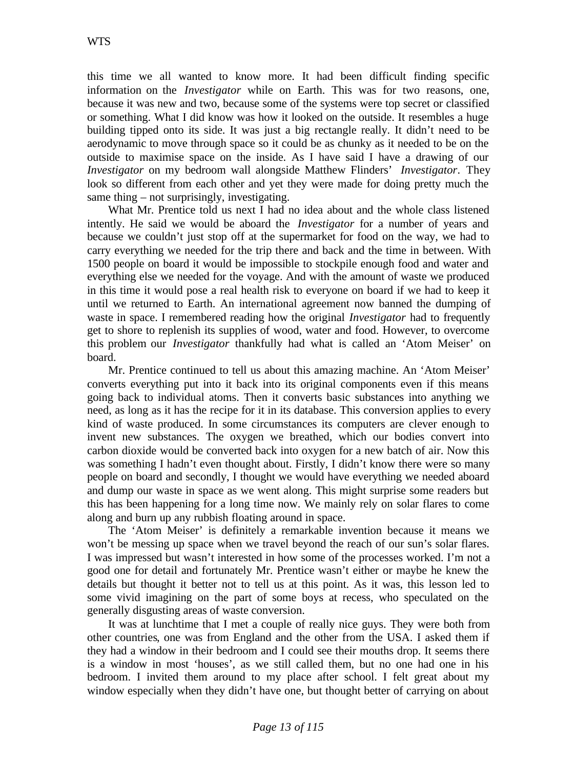this time we all wanted to know more. It had been difficult finding specific information on the *Investigator* while on Earth. This was for two reasons, one, because it was new and two, because some of the systems were top secret or classified or something. What I did know was how it looked on the outside. It resembles a huge building tipped onto its side. It was just a big rectangle really. It didn't need to be aerodynamic to move through space so it could be as chunky as it needed to be on the outside to maximise space on the inside. As I have said I have a drawing of our *Investigator* on my bedroom wall alongside Matthew Flinders' *Investigator*. They look so different from each other and yet they were made for doing pretty much the same thing – not surprisingly, investigating.

What Mr. Prentice told us next I had no idea about and the whole class listened intently. He said we would be aboard the *Investigator* for a number of years and because we couldn't just stop off at the supermarket for food on the way, we had to carry everything we needed for the trip there and back and the time in between. With 1500 people on board it would be impossible to stockpile enough food and water and everything else we needed for the voyage. And with the amount of waste we produced in this time it would pose a real health risk to everyone on board if we had to keep it until we returned to Earth. An international agreement now banned the dumping of waste in space. I remembered reading how the original *Investigator* had to frequently get to shore to replenish its supplies of wood, water and food. However, to overcome this problem our *Investigator* thankfully had what is called an 'Atom Meiser' on board.

Mr. Prentice continued to tell us about this amazing machine. An 'Atom Meiser' converts everything put into it back into its original components even if this means going back to individual atoms. Then it converts basic substances into anything we need, as long as it has the recipe for it in its database. This conversion applies to every kind of waste produced. In some circumstances its computers are clever enough to invent new substances. The oxygen we breathed, which our bodies convert into carbon dioxide would be converted back into oxygen for a new batch of air. Now this was something I hadn't even thought about. Firstly, I didn't know there were so many people on board and secondly, I thought we would have everything we needed aboard and dump our waste in space as we went along. This might surprise some readers but this has been happening for a long time now. We mainly rely on solar flares to come along and burn up any rubbish floating around in space.

The 'Atom Meiser' is definitely a remarkable invention because it means we won't be messing up space when we travel beyond the reach of our sun's solar flares. I was impressed but wasn't interested in how some of the processes worked. I'm not a good one for detail and fortunately Mr. Prentice wasn't either or maybe he knew the details but thought it better not to tell us at this point. As it was, this lesson led to some vivid imagining on the part of some boys at recess, who speculated on the generally disgusting areas of waste conversion.

It was at lunchtime that I met a couple of really nice guys. They were both from other countries, one was from England and the other from the USA. I asked them if they had a window in their bedroom and I could see their mouths drop. It seems there is a window in most 'houses', as we still called them, but no one had one in his bedroom. I invited them around to my place after school. I felt great about my window especially when they didn't have one, but thought better of carrying on about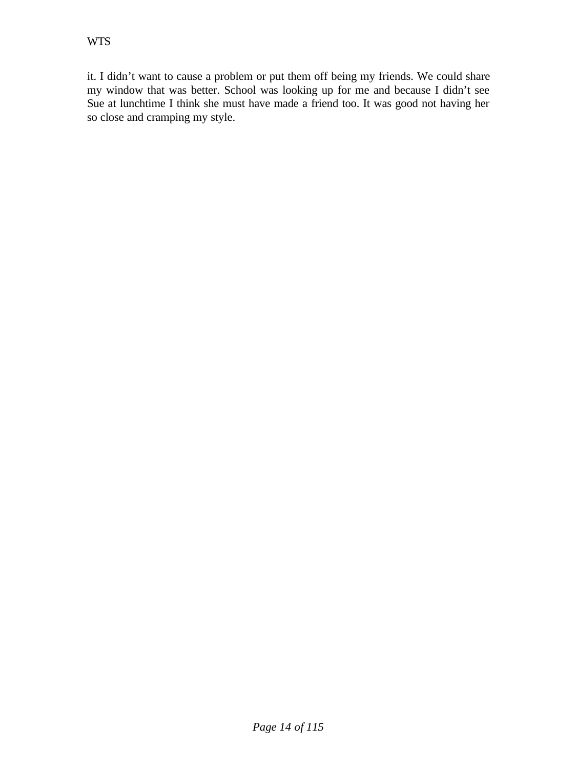it. I didn't want to cause a problem or put them off being my friends. We could share my window that was better. School was looking up for me and because I didn't see Sue at lunchtime I think she must have made a friend too. It was good not having her so close and cramping my style.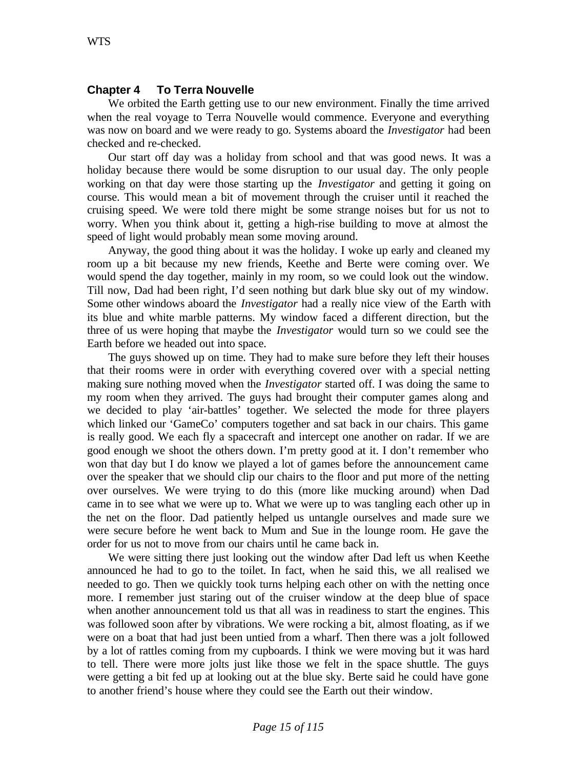#### **Chapter 4 To Terra Nouvelle**

We orbited the Earth getting use to our new environment. Finally the time arrived when the real voyage to Terra Nouvelle would commence. Everyone and everything was now on board and we were ready to go. Systems aboard the *Investigator* had been checked and re-checked.

Our start off day was a holiday from school and that was good news. It was a holiday because there would be some disruption to our usual day. The only people working on that day were those starting up the *Investigator* and getting it going on course. This would mean a bit of movement through the cruiser until it reached the cruising speed. We were told there might be some strange noises but for us not to worry. When you think about it, getting a high-rise building to move at almost the speed of light would probably mean some moving around.

Anyway, the good thing about it was the holiday. I woke up early and cleaned my room up a bit because my new friends, Keethe and Berte were coming over. We would spend the day together, mainly in my room, so we could look out the window. Till now, Dad had been right, I'd seen nothing but dark blue sky out of my window. Some other windows aboard the *Investigator* had a really nice view of the Earth with its blue and white marble patterns. My window faced a different direction, but the three of us were hoping that maybe the *Investigator* would turn so we could see the Earth before we headed out into space.

The guys showed up on time. They had to make sure before they left their houses that their rooms were in order with everything covered over with a special netting making sure nothing moved when the *Investigator* started off. I was doing the same to my room when they arrived. The guys had brought their computer games along and we decided to play 'air-battles' together. We selected the mode for three players which linked our 'GameCo' computers together and sat back in our chairs. This game is really good. We each fly a spacecraft and intercept one another on radar. If we are good enough we shoot the others down. I'm pretty good at it. I don't remember who won that day but I do know we played a lot of games before the announcement came over the speaker that we should clip our chairs to the floor and put more of the netting over ourselves. We were trying to do this (more like mucking around) when Dad came in to see what we were up to. What we were up to was tangling each other up in the net on the floor. Dad patiently helped us untangle ourselves and made sure we were secure before he went back to Mum and Sue in the lounge room. He gave the order for us not to move from our chairs until he came back in.

We were sitting there just looking out the window after Dad left us when Keethe announced he had to go to the toilet. In fact, when he said this, we all realised we needed to go. Then we quickly took turns helping each other on with the netting once more. I remember just staring out of the cruiser window at the deep blue of space when another announcement told us that all was in readiness to start the engines. This was followed soon after by vibrations. We were rocking a bit, almost floating, as if we were on a boat that had just been untied from a wharf. Then there was a jolt followed by a lot of rattles coming from my cupboards. I think we were moving but it was hard to tell. There were more jolts just like those we felt in the space shuttle. The guys were getting a bit fed up at looking out at the blue sky. Berte said he could have gone to another friend's house where they could see the Earth out their window.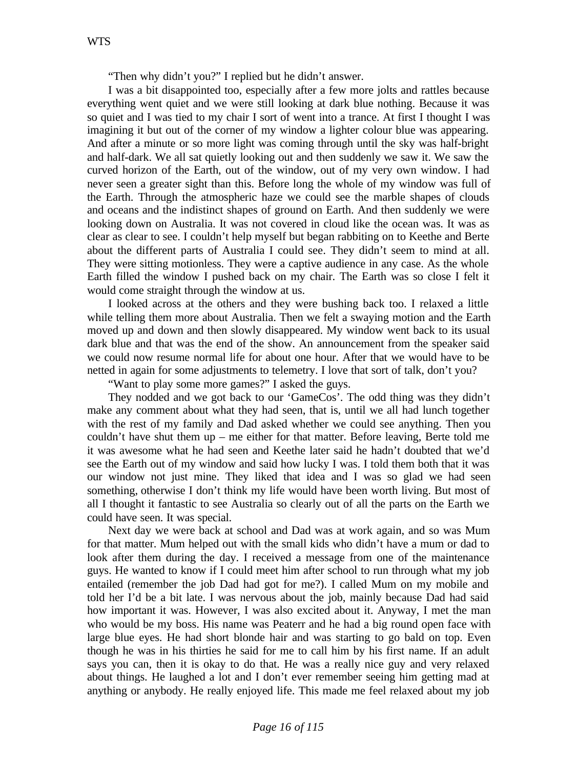"Then why didn't you?" I replied but he didn't answer.

I was a bit disappointed too, especially after a few more jolts and rattles because everything went quiet and we were still looking at dark blue nothing. Because it was so quiet and I was tied to my chair I sort of went into a trance. At first I thought I was imagining it but out of the corner of my window a lighter colour blue was appearing. And after a minute or so more light was coming through until the sky was half-bright and half-dark. We all sat quietly looking out and then suddenly we saw it. We saw the curved horizon of the Earth, out of the window, out of my very own window. I had never seen a greater sight than this. Before long the whole of my window was full of the Earth. Through the atmospheric haze we could see the marble shapes of clouds and oceans and the indistinct shapes of ground on Earth. And then suddenly we were looking down on Australia. It was not covered in cloud like the ocean was. It was as clear as clear to see. I couldn't help myself but began rabbiting on to Keethe and Berte about the different parts of Australia I could see. They didn't seem to mind at all. They were sitting motionless. They were a captive audience in any case. As the whole Earth filled the window I pushed back on my chair. The Earth was so close I felt it would come straight through the window at us.

I looked across at the others and they were bushing back too. I relaxed a little while telling them more about Australia. Then we felt a swaying motion and the Earth moved up and down and then slowly disappeared. My window went back to its usual dark blue and that was the end of the show. An announcement from the speaker said we could now resume normal life for about one hour. After that we would have to be netted in again for some adjustments to telemetry. I love that sort of talk, don't you?

"Want to play some more games?" I asked the guys.

They nodded and we got back to our 'GameCos'. The odd thing was they didn't make any comment about what they had seen, that is, until we all had lunch together with the rest of my family and Dad asked whether we could see anything. Then you couldn't have shut them up – me either for that matter. Before leaving, Berte told me it was awesome what he had seen and Keethe later said he hadn't doubted that we'd see the Earth out of my window and said how lucky I was. I told them both that it was our window not just mine. They liked that idea and I was so glad we had seen something, otherwise I don't think my life would have been worth living. But most of all I thought it fantastic to see Australia so clearly out of all the parts on the Earth we could have seen. It was special.

Next day we were back at school and Dad was at work again, and so was Mum for that matter. Mum helped out with the small kids who didn't have a mum or dad to look after them during the day. I received a message from one of the maintenance guys. He wanted to know if I could meet him after school to run through what my job entailed (remember the job Dad had got for me?). I called Mum on my mobile and told her I'd be a bit late. I was nervous about the job, mainly because Dad had said how important it was. However, I was also excited about it. Anyway, I met the man who would be my boss. His name was Peaterr and he had a big round open face with large blue eyes. He had short blonde hair and was starting to go bald on top. Even though he was in his thirties he said for me to call him by his first name. If an adult says you can, then it is okay to do that. He was a really nice guy and very relaxed about things. He laughed a lot and I don't ever remember seeing him getting mad at anything or anybody. He really enjoyed life. This made me feel relaxed about my job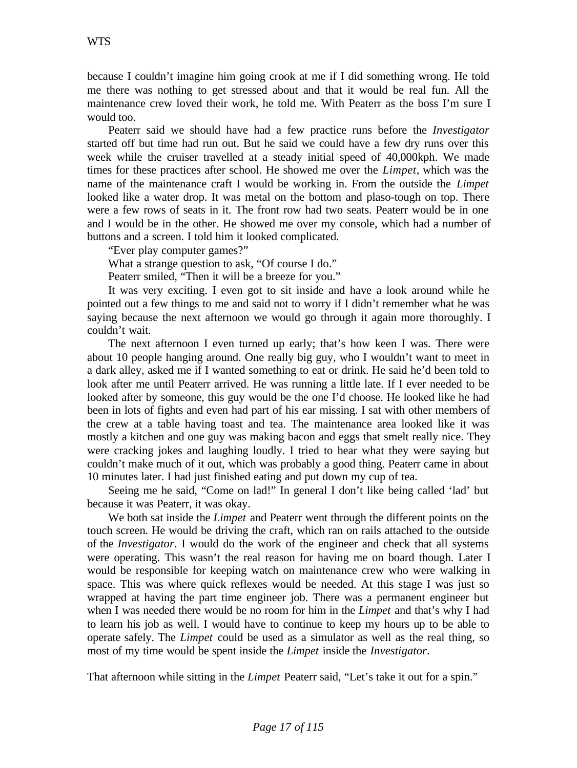because I couldn't imagine him going crook at me if I did something wrong. He told me there was nothing to get stressed about and that it would be real fun. All the maintenance crew loved their work, he told me. With Peaterr as the boss I'm sure I would too.

Peaterr said we should have had a few practice runs before the *Investigator* started off but time had run out. But he said we could have a few dry runs over this week while the cruiser travelled at a steady initial speed of 40,000kph. We made times for these practices after school. He showed me over the *Limpet,* which was the name of the maintenance craft I would be working in. From the outside the *Limpet* looked like a water drop. It was metal on the bottom and plaso-tough on top. There were a few rows of seats in it. The front row had two seats. Peaterr would be in one and I would be in the other. He showed me over my console, which had a number of buttons and a screen. I told him it looked complicated.

"Ever play computer games?"

What a strange question to ask, "Of course I do."

Peaterr smiled, "Then it will be a breeze for you."

It was very exciting. I even got to sit inside and have a look around while he pointed out a few things to me and said not to worry if I didn't remember what he was saying because the next afternoon we would go through it again more thoroughly. I couldn't wait.

The next afternoon I even turned up early; that's how keen I was. There were about 10 people hanging around. One really big guy, who I wouldn't want to meet in a dark alley, asked me if I wanted something to eat or drink. He said he'd been told to look after me until Peaterr arrived. He was running a little late. If I ever needed to be looked after by someone, this guy would be the one I'd choose. He looked like he had been in lots of fights and even had part of his ear missing. I sat with other members of the crew at a table having toast and tea. The maintenance area looked like it was mostly a kitchen and one guy was making bacon and eggs that smelt really nice. They were cracking jokes and laughing loudly. I tried to hear what they were saying but couldn't make much of it out, which was probably a good thing. Peaterr came in about 10 minutes later. I had just finished eating and put down my cup of tea.

Seeing me he said, "Come on lad!" In general I don't like being called 'lad' but because it was Peaterr, it was okay.

We both sat inside the *Limpet* and Peaterr went through the different points on the touch screen. He would be driving the craft, which ran on rails attached to the outside of the *Investigator*. I would do the work of the engineer and check that all systems were operating. This wasn't the real reason for having me on board though. Later I would be responsible for keeping watch on maintenance crew who were walking in space. This was where quick reflexes would be needed. At this stage I was just so wrapped at having the part time engineer job. There was a permanent engineer but when I was needed there would be no room for him in the *Limpet* and that's why I had to learn his job as well. I would have to continue to keep my hours up to be able to operate safely. The *Limpet* could be used as a simulator as well as the real thing, so most of my time would be spent inside the *Limpet* inside the *Investigator*.

That afternoon while sitting in the *Limpet* Peaterr said, "Let's take it out for a spin."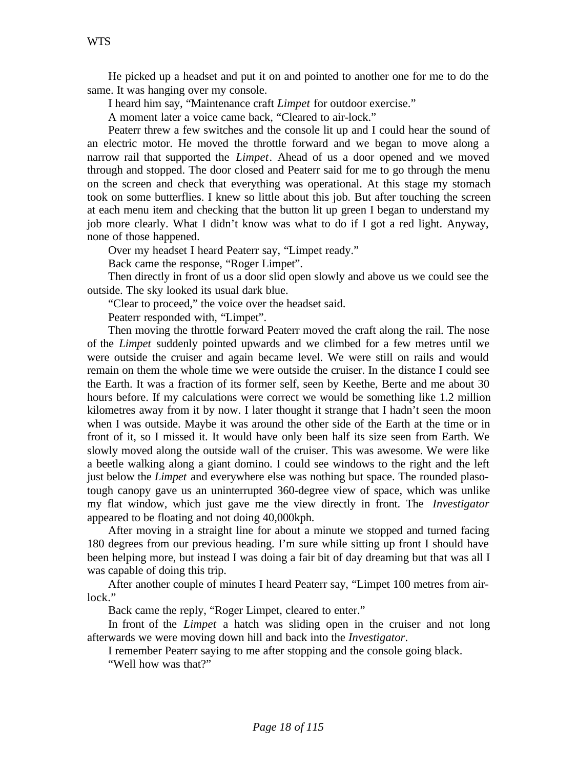He picked up a headset and put it on and pointed to another one for me to do the same. It was hanging over my console.

I heard him say, "Maintenance craft *Limpet* for outdoor exercise."

A moment later a voice came back, "Cleared to air-lock."

Peaterr threw a few switches and the console lit up and I could hear the sound of an electric motor. He moved the throttle forward and we began to move along a narrow rail that supported the *Limpet*. Ahead of us a door opened and we moved through and stopped. The door closed and Peaterr said for me to go through the menu on the screen and check that everything was operational. At this stage my stomach took on some butterflies. I knew so little about this job. But after touching the screen at each menu item and checking that the button lit up green I began to understand my job more clearly. What I didn't know was what to do if I got a red light. Anyway, none of those happened.

Over my headset I heard Peaterr say, "Limpet ready."

Back came the response, "Roger Limpet".

Then directly in front of us a door slid open slowly and above us we could see the outside. The sky looked its usual dark blue.

"Clear to proceed," the voice over the headset said.

Peaterr responded with, "Limpet".

Then moving the throttle forward Peaterr moved the craft along the rail. The nose of the *Limpet* suddenly pointed upwards and we climbed for a few metres until we were outside the cruiser and again became level. We were still on rails and would remain on them the whole time we were outside the cruiser. In the distance I could see the Earth. It was a fraction of its former self, seen by Keethe, Berte and me about 30 hours before. If my calculations were correct we would be something like 1.2 million kilometres away from it by now. I later thought it strange that I hadn't seen the moon when I was outside. Maybe it was around the other side of the Earth at the time or in front of it, so I missed it. It would have only been half its size seen from Earth. We slowly moved along the outside wall of the cruiser. This was awesome. We were like a beetle walking along a giant domino. I could see windows to the right and the left just below the *Limpet* and everywhere else was nothing but space. The rounded plasotough canopy gave us an uninterrupted 360-degree view of space, which was unlike my flat window, which just gave me the view directly in front. The *Investigator* appeared to be floating and not doing 40,000kph.

After moving in a straight line for about a minute we stopped and turned facing 180 degrees from our previous heading. I'm sure while sitting up front I should have been helping more, but instead I was doing a fair bit of day dreaming but that was all I was capable of doing this trip.

After another couple of minutes I heard Peaterr say, "Limpet 100 metres from airlock."

Back came the reply, "Roger Limpet, cleared to enter."

In front of the *Limpet* a hatch was sliding open in the cruiser and not long afterwards we were moving down hill and back into the *Investigator*.

I remember Peaterr saying to me after stopping and the console going black.

"Well how was that?"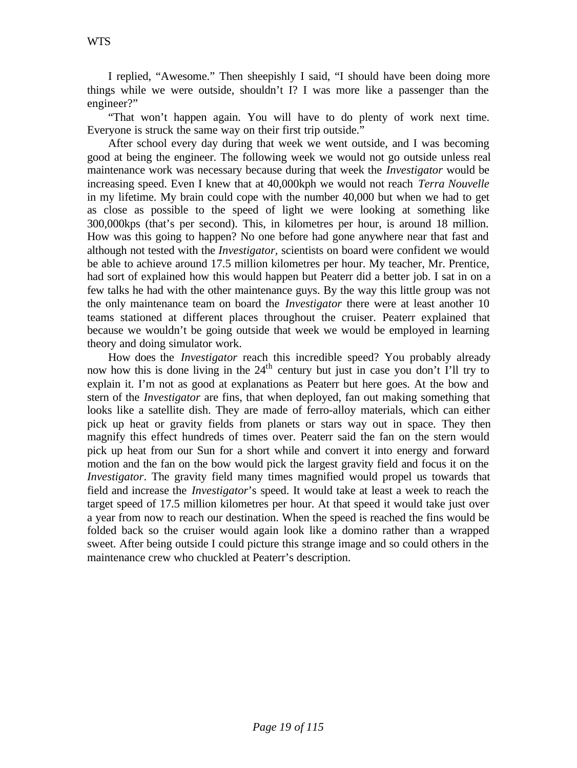I replied, "Awesome." Then sheepishly I said, "I should have been doing more things while we were outside, shouldn't I? I was more like a passenger than the engineer?"

"That won't happen again. You will have to do plenty of work next time. Everyone is struck the same way on their first trip outside."

After school every day during that week we went outside, and I was becoming good at being the engineer. The following week we would not go outside unless real maintenance work was necessary because during that week the *Investigator* would be increasing speed. Even I knew that at 40,000kph we would not reach *Terra Nouvelle* in my lifetime. My brain could cope with the number 40,000 but when we had to get as close as possible to the speed of light we were looking at something like 300,000kps (that's per second). This, in kilometres per hour, is around 18 million. How was this going to happen? No one before had gone anywhere near that fast and although not tested with the *Investigator,* scientists on board were confident we would be able to achieve around 17.5 million kilometres per hour. My teacher, Mr. Prentice, had sort of explained how this would happen but Peaterr did a better job. I sat in on a few talks he had with the other maintenance guys. By the way this little group was not the only maintenance team on board the *Investigator* there were at least another 10 teams stationed at different places throughout the cruiser. Peaterr explained that because we wouldn't be going outside that week we would be employed in learning theory and doing simulator work.

How does the *Investigator* reach this incredible speed? You probably already now how this is done living in the  $24<sup>th</sup>$  century but just in case you don't I'll try to explain it. I'm not as good at explanations as Peaterr but here goes. At the bow and stern of the *Investigator* are fins, that when deployed, fan out making something that looks like a satellite dish. They are made of ferro-alloy materials, which can either pick up heat or gravity fields from planets or stars way out in space. They then magnify this effect hundreds of times over. Peaterr said the fan on the stern would pick up heat from our Sun for a short while and convert it into energy and forward motion and the fan on the bow would pick the largest gravity field and focus it on the *Investigator*. The gravity field many times magnified would propel us towards that field and increase the *Investigator*'s speed. It would take at least a week to reach the target speed of 17.5 million kilometres per hour. At that speed it would take just over a year from now to reach our destination. When the speed is reached the fins would be folded back so the cruiser would again look like a domino rather than a wrapped sweet. After being outside I could picture this strange image and so could others in the maintenance crew who chuckled at Peaterr's description.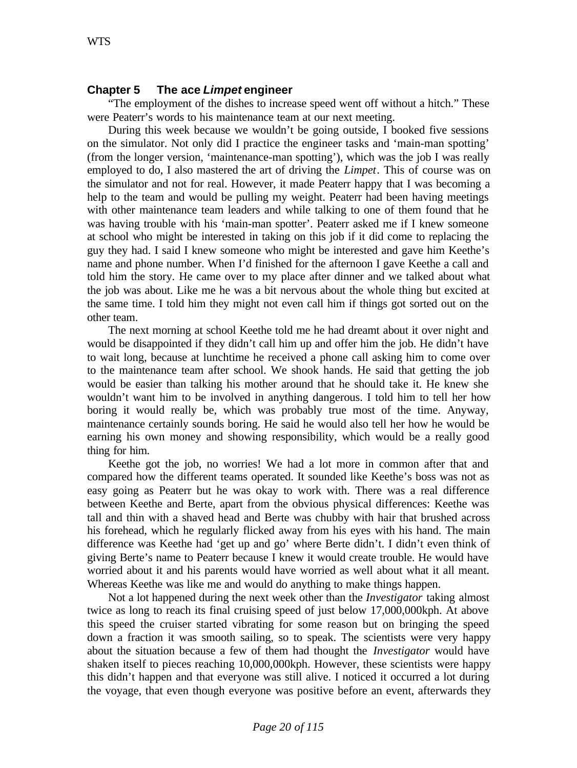### **Chapter 5 The ace** *Limpet* **engineer**

"The employment of the dishes to increase speed went off without a hitch." These were Peaterr's words to his maintenance team at our next meeting.

During this week because we wouldn't be going outside, I booked five sessions on the simulator. Not only did I practice the engineer tasks and 'main-man spotting' (from the longer version, 'maintenance-man spotting'), which was the job I was really employed to do, I also mastered the art of driving the *Limpet*. This of course was on the simulator and not for real. However, it made Peaterr happy that I was becoming a help to the team and would be pulling my weight. Peaterr had been having meetings with other maintenance team leaders and while talking to one of them found that he was having trouble with his 'main-man spotter'. Peaterr asked me if I knew someone at school who might be interested in taking on this job if it did come to replacing the guy they had. I said I knew someone who might be interested and gave him Keethe's name and phone number. When I'd finished for the afternoon I gave Keethe a call and told him the story. He came over to my place after dinner and we talked about what the job was about. Like me he was a bit nervous about the whole thing but excited at the same time. I told him they might not even call him if things got sorted out on the other team.

The next morning at school Keethe told me he had dreamt about it over night and would be disappointed if they didn't call him up and offer him the job. He didn't have to wait long, because at lunchtime he received a phone call asking him to come over to the maintenance team after school. We shook hands. He said that getting the job would be easier than talking his mother around that he should take it. He knew she wouldn't want him to be involved in anything dangerous. I told him to tell her how boring it would really be, which was probably true most of the time. Anyway, maintenance certainly sounds boring. He said he would also tell her how he would be earning his own money and showing responsibility, which would be a really good thing for him.

Keethe got the job, no worries! We had a lot more in common after that and compared how the different teams operated. It sounded like Keethe's boss was not as easy going as Peaterr but he was okay to work with. There was a real difference between Keethe and Berte, apart from the obvious physical differences: Keethe was tall and thin with a shaved head and Berte was chubby with hair that brushed across his forehead, which he regularly flicked away from his eyes with his hand. The main difference was Keethe had 'get up and go' where Berte didn't. I didn't even think of giving Berte's name to Peaterr because I knew it would create trouble. He would have worried about it and his parents would have worried as well about what it all meant. Whereas Keethe was like me and would do anything to make things happen.

Not a lot happened during the next week other than the *Investigator* taking almost twice as long to reach its final cruising speed of just below 17,000,000kph. At above this speed the cruiser started vibrating for some reason but on bringing the speed down a fraction it was smooth sailing, so to speak. The scientists were very happy about the situation because a few of them had thought the *Investigator* would have shaken itself to pieces reaching 10,000,000kph. However, these scientists were happy this didn't happen and that everyone was still alive. I noticed it occurred a lot during the voyage, that even though everyone was positive before an event, afterwards they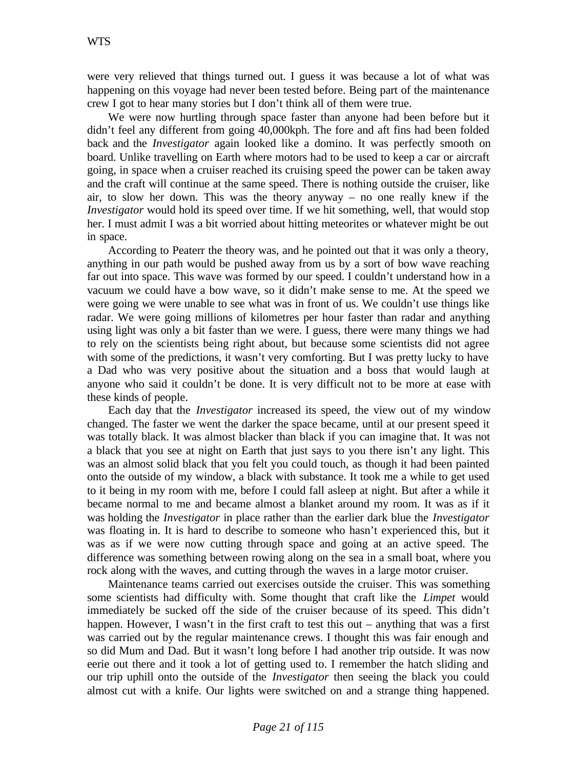were very relieved that things turned out. I guess it was because a lot of what was happening on this voyage had never been tested before. Being part of the maintenance crew I got to hear many stories but I don't think all of them were true.

We were now hurtling through space faster than anyone had been before but it didn't feel any different from going 40,000kph. The fore and aft fins had been folded back and the *Investigator* again looked like a domino. It was perfectly smooth on board. Unlike travelling on Earth where motors had to be used to keep a car or aircraft going, in space when a cruiser reached its cruising speed the power can be taken away and the craft will continue at the same speed. There is nothing outside the cruiser, like air, to slow her down. This was the theory anyway – no one really knew if the *Investigator* would hold its speed over time. If we hit something, well, that would stop her. I must admit I was a bit worried about hitting meteorites or whatever might be out in space.

According to Peaterr the theory was, and he pointed out that it was only a theory, anything in our path would be pushed away from us by a sort of bow wave reaching far out into space. This wave was formed by our speed. I couldn't understand how in a vacuum we could have a bow wave, so it didn't make sense to me. At the speed we were going we were unable to see what was in front of us. We couldn't use things like radar. We were going millions of kilometres per hour faster than radar and anything using light was only a bit faster than we were. I guess, there were many things we had to rely on the scientists being right about, but because some scientists did not agree with some of the predictions, it wasn't very comforting. But I was pretty lucky to have a Dad who was very positive about the situation and a boss that would laugh at anyone who said it couldn't be done. It is very difficult not to be more at ease with these kinds of people.

Each day that the *Investigator* increased its speed, the view out of my window changed. The faster we went the darker the space became, until at our present speed it was totally black. It was almost blacker than black if you can imagine that. It was not a black that you see at night on Earth that just says to you there isn't any light. This was an almost solid black that you felt you could touch, as though it had been painted onto the outside of my window, a black with substance. It took me a while to get used to it being in my room with me, before I could fall asleep at night. But after a while it became normal to me and became almost a blanket around my room. It was as if it was holding the *Investigator* in place rather than the earlier dark blue the *Investigator* was floating in. It is hard to describe to someone who hasn't experienced this, but it was as if we were now cutting through space and going at an active speed. The difference was something between rowing along on the sea in a small boat, where you rock along with the waves, and cutting through the waves in a large motor cruiser.

Maintenance teams carried out exercises outside the cruiser. This was something some scientists had difficulty with. Some thought that craft like the *Limpet* would immediately be sucked off the side of the cruiser because of its speed. This didn't happen. However, I wasn't in the first craft to test this out – anything that was a first was carried out by the regular maintenance crews. I thought this was fair enough and so did Mum and Dad. But it wasn't long before I had another trip outside. It was now eerie out there and it took a lot of getting used to. I remember the hatch sliding and our trip uphill onto the outside of the *Investigator* then seeing the black you could almost cut with a knife. Our lights were switched on and a strange thing happened.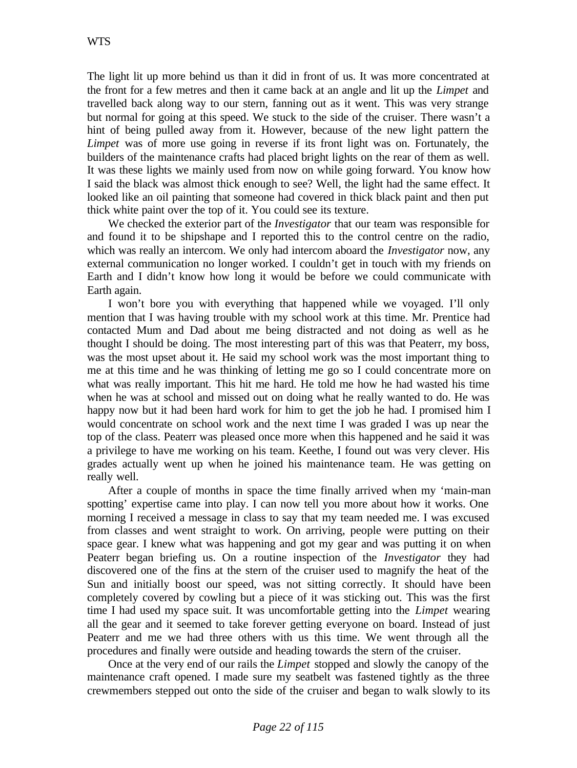The light lit up more behind us than it did in front of us. It was more concentrated at the front for a few metres and then it came back at an angle and lit up the *Limpet* and travelled back along way to our stern, fanning out as it went. This was very strange but normal for going at this speed. We stuck to the side of the cruiser. There wasn't a hint of being pulled away from it. However, because of the new light pattern the *Limpet* was of more use going in reverse if its front light was on. Fortunately, the builders of the maintenance crafts had placed bright lights on the rear of them as well. It was these lights we mainly used from now on while going forward. You know how I said the black was almost thick enough to see? Well, the light had the same effect. It looked like an oil painting that someone had covered in thick black paint and then put thick white paint over the top of it. You could see its texture.

We checked the exterior part of the *Investigator* that our team was responsible for and found it to be shipshape and I reported this to the control centre on the radio, which was really an intercom. We only had intercom aboard the *Investigator* now, any external communication no longer worked. I couldn't get in touch with my friends on Earth and I didn't know how long it would be before we could communicate with Earth again.

I won't bore you with everything that happened while we voyaged. I'll only mention that I was having trouble with my school work at this time. Mr. Prentice had contacted Mum and Dad about me being distracted and not doing as well as he thought I should be doing. The most interesting part of this was that Peaterr, my boss, was the most upset about it. He said my school work was the most important thing to me at this time and he was thinking of letting me go so I could concentrate more on what was really important. This hit me hard. He told me how he had wasted his time when he was at school and missed out on doing what he really wanted to do. He was happy now but it had been hard work for him to get the job he had. I promised him I would concentrate on school work and the next time I was graded I was up near the top of the class. Peaterr was pleased once more when this happened and he said it was a privilege to have me working on his team. Keethe, I found out was very clever. His grades actually went up when he joined his maintenance team. He was getting on really well.

After a couple of months in space the time finally arrived when my 'main-man spotting' expertise came into play. I can now tell you more about how it works. One morning I received a message in class to say that my team needed me. I was excused from classes and went straight to work. On arriving, people were putting on their space gear. I knew what was happening and got my gear and was putting it on when Peaterr began briefing us. On a routine inspection of the *Investigator* they had discovered one of the fins at the stern of the cruiser used to magnify the heat of the Sun and initially boost our speed, was not sitting correctly. It should have been completely covered by cowling but a piece of it was sticking out. This was the first time I had used my space suit. It was uncomfortable getting into the *Limpet* wearing all the gear and it seemed to take forever getting everyone on board. Instead of just Peaterr and me we had three others with us this time. We went through all the procedures and finally were outside and heading towards the stern of the cruiser.

Once at the very end of our rails the *Limpet* stopped and slowly the canopy of the maintenance craft opened. I made sure my seatbelt was fastened tightly as the three crewmembers stepped out onto the side of the cruiser and began to walk slowly to its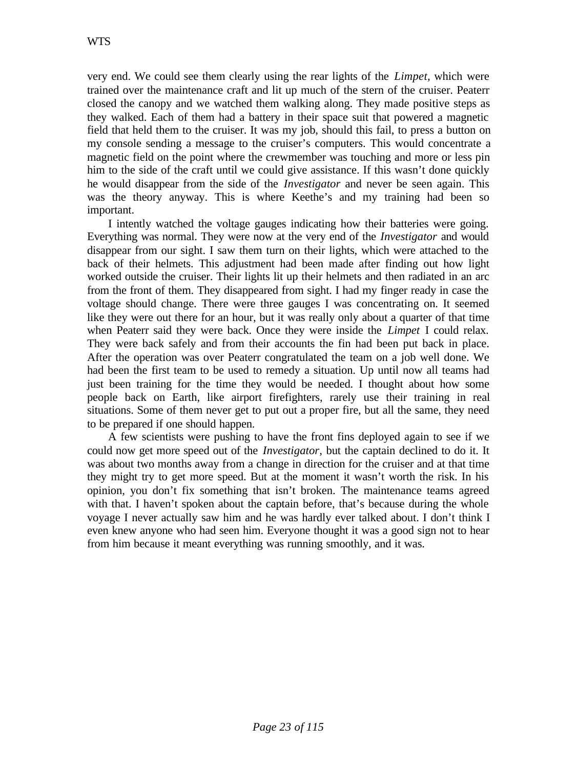very end. We could see them clearly using the rear lights of the *Limpet,* which were trained over the maintenance craft and lit up much of the stern of the cruiser. Peaterr closed the canopy and we watched them walking along. They made positive steps as they walked. Each of them had a battery in their space suit that powered a magnetic field that held them to the cruiser. It was my job, should this fail, to press a button on my console sending a message to the cruiser's computers. This would concentrate a magnetic field on the point where the crewmember was touching and more or less pin him to the side of the craft until we could give assistance. If this wasn't done quickly he would disappear from the side of the *Investigator* and never be seen again. This was the theory anyway. This is where Keethe's and my training had been so important.

I intently watched the voltage gauges indicating how their batteries were going. Everything was normal. They were now at the very end of the *Investigator* and would disappear from our sight. I saw them turn on their lights, which were attached to the back of their helmets. This adjustment had been made after finding out how light worked outside the cruiser. Their lights lit up their helmets and then radiated in an arc from the front of them. They disappeared from sight. I had my finger ready in case the voltage should change. There were three gauges I was concentrating on. It seemed like they were out there for an hour, but it was really only about a quarter of that time when Peaterr said they were back. Once they were inside the *Limpet* I could relax. They were back safely and from their accounts the fin had been put back in place. After the operation was over Peaterr congratulated the team on a job well done. We had been the first team to be used to remedy a situation. Up until now all teams had just been training for the time they would be needed. I thought about how some people back on Earth, like airport firefighters, rarely use their training in real situations. Some of them never get to put out a proper fire, but all the same, they need to be prepared if one should happen.

A few scientists were pushing to have the front fins deployed again to see if we could now get more speed out of the *Investigator,* but the captain declined to do it. It was about two months away from a change in direction for the cruiser and at that time they might try to get more speed. But at the moment it wasn't worth the risk. In his opinion, you don't fix something that isn't broken. The maintenance teams agreed with that. I haven't spoken about the captain before, that's because during the whole voyage I never actually saw him and he was hardly ever talked about. I don't think I even knew anyone who had seen him. Everyone thought it was a good sign not to hear from him because it meant everything was running smoothly, and it was.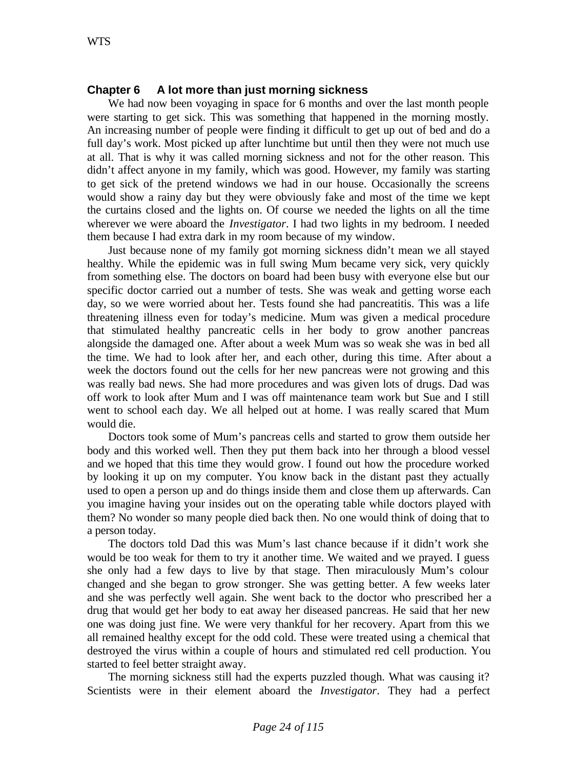## **Chapter 6 A lot more than just morning sickness**

We had now been voyaging in space for 6 months and over the last month people were starting to get sick. This was something that happened in the morning mostly. An increasing number of people were finding it difficult to get up out of bed and do a full day's work. Most picked up after lunchtime but until then they were not much use at all. That is why it was called morning sickness and not for the other reason. This didn't affect anyone in my family, which was good. However, my family was starting to get sick of the pretend windows we had in our house. Occasionally the screens would show a rainy day but they were obviously fake and most of the time we kept the curtains closed and the lights on. Of course we needed the lights on all the time wherever we were aboard the *Investigator*. I had two lights in my bedroom. I needed them because I had extra dark in my room because of my window.

Just because none of my family got morning sickness didn't mean we all stayed healthy. While the epidemic was in full swing Mum became very sick, very quickly from something else. The doctors on board had been busy with everyone else but our specific doctor carried out a number of tests. She was weak and getting worse each day, so we were worried about her. Tests found she had pancreatitis. This was a life threatening illness even for today's medicine. Mum was given a medical procedure that stimulated healthy pancreatic cells in her body to grow another pancreas alongside the damaged one. After about a week Mum was so weak she was in bed all the time. We had to look after her, and each other, during this time. After about a week the doctors found out the cells for her new pancreas were not growing and this was really bad news. She had more procedures and was given lots of drugs. Dad was off work to look after Mum and I was off maintenance team work but Sue and I still went to school each day. We all helped out at home. I was really scared that Mum would die.

Doctors took some of Mum's pancreas cells and started to grow them outside her body and this worked well. Then they put them back into her through a blood vessel and we hoped that this time they would grow. I found out how the procedure worked by looking it up on my computer. You know back in the distant past they actually used to open a person up and do things inside them and close them up afterwards. Can you imagine having your insides out on the operating table while doctors played with them? No wonder so many people died back then. No one would think of doing that to a person today.

The doctors told Dad this was Mum's last chance because if it didn't work she would be too weak for them to try it another time. We waited and we prayed. I guess she only had a few days to live by that stage. Then miraculously Mum's colour changed and she began to grow stronger. She was getting better. A few weeks later and she was perfectly well again. She went back to the doctor who prescribed her a drug that would get her body to eat away her diseased pancreas. He said that her new one was doing just fine. We were very thankful for her recovery. Apart from this we all remained healthy except for the odd cold. These were treated using a chemical that destroyed the virus within a couple of hours and stimulated red cell production. You started to feel better straight away.

The morning sickness still had the experts puzzled though. What was causing it? Scientists were in their element aboard the *Investigator*. They had a perfect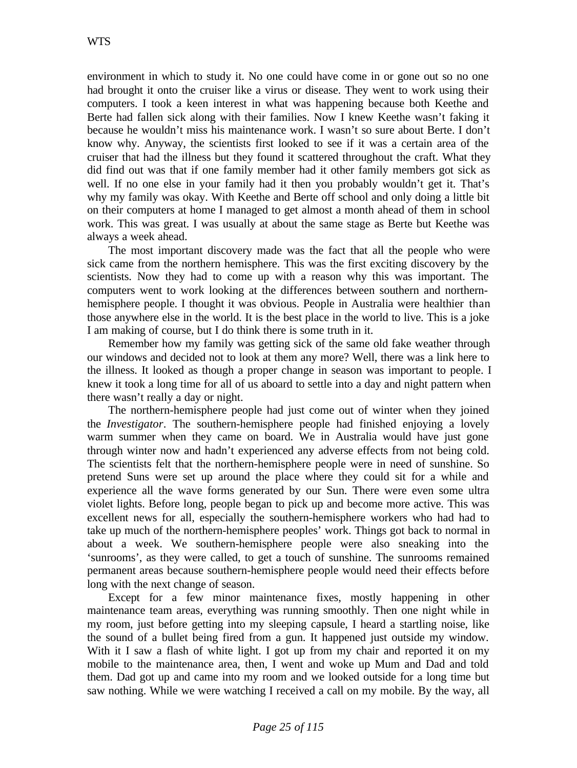environment in which to study it. No one could have come in or gone out so no one had brought it onto the cruiser like a virus or disease. They went to work using their computers. I took a keen interest in what was happening because both Keethe and Berte had fallen sick along with their families. Now I knew Keethe wasn't faking it because he wouldn't miss his maintenance work. I wasn't so sure about Berte. I don't know why. Anyway, the scientists first looked to see if it was a certain area of the cruiser that had the illness but they found it scattered throughout the craft. What they did find out was that if one family member had it other family members got sick as well. If no one else in your family had it then you probably wouldn't get it. That's why my family was okay. With Keethe and Berte off school and only doing a little bit on their computers at home I managed to get almost a month ahead of them in school work. This was great. I was usually at about the same stage as Berte but Keethe was always a week ahead.

The most important discovery made was the fact that all the people who were sick came from the northern hemisphere. This was the first exciting discovery by the scientists. Now they had to come up with a reason why this was important. The computers went to work looking at the differences between southern and northernhemisphere people. I thought it was obvious. People in Australia were healthier than those anywhere else in the world. It is the best place in the world to live. This is a joke I am making of course, but I do think there is some truth in it.

Remember how my family was getting sick of the same old fake weather through our windows and decided not to look at them any more? Well, there was a link here to the illness. It looked as though a proper change in season was important to people. I knew it took a long time for all of us aboard to settle into a day and night pattern when there wasn't really a day or night.

The northern-hemisphere people had just come out of winter when they joined the *Investigator*. The southern-hemisphere people had finished enjoying a lovely warm summer when they came on board. We in Australia would have just gone through winter now and hadn't experienced any adverse effects from not being cold. The scientists felt that the northern-hemisphere people were in need of sunshine. So pretend Suns were set up around the place where they could sit for a while and experience all the wave forms generated by our Sun. There were even some ultra violet lights. Before long, people began to pick up and become more active. This was excellent news for all, especially the southern-hemisphere workers who had had to take up much of the northern-hemisphere peoples' work. Things got back to normal in about a week. We southern-hemisphere people were also sneaking into the 'sunrooms', as they were called, to get a touch of sunshine. The sunrooms remained permanent areas because southern-hemisphere people would need their effects before long with the next change of season.

Except for a few minor maintenance fixes, mostly happening in other maintenance team areas, everything was running smoothly. Then one night while in my room, just before getting into my sleeping capsule, I heard a startling noise, like the sound of a bullet being fired from a gun. It happened just outside my window. With it I saw a flash of white light. I got up from my chair and reported it on my mobile to the maintenance area, then, I went and woke up Mum and Dad and told them. Dad got up and came into my room and we looked outside for a long time but saw nothing. While we were watching I received a call on my mobile. By the way, all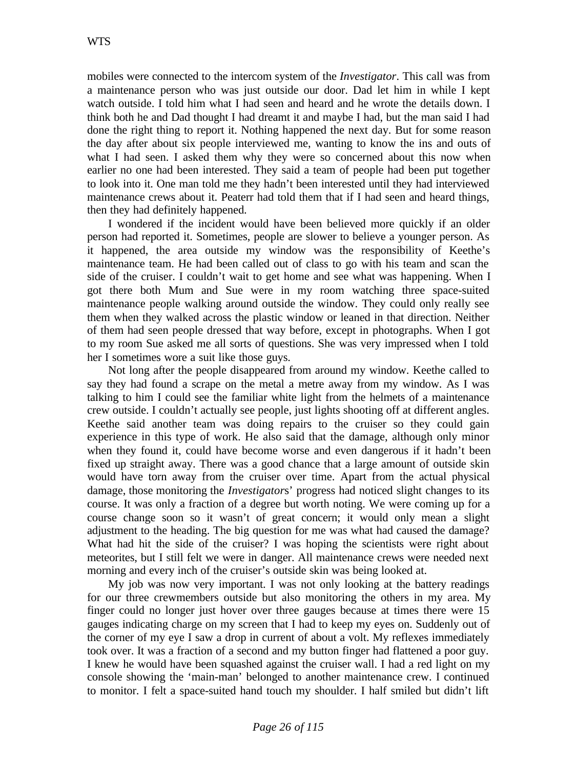mobiles were connected to the intercom system of the *Investigator*. This call was from a maintenance person who was just outside our door. Dad let him in while I kept watch outside. I told him what I had seen and heard and he wrote the details down. I think both he and Dad thought I had dreamt it and maybe I had, but the man said I had done the right thing to report it. Nothing happened the next day. But for some reason the day after about six people interviewed me, wanting to know the ins and outs of what I had seen. I asked them why they were so concerned about this now when earlier no one had been interested. They said a team of people had been put together to look into it. One man told me they hadn't been interested until they had interviewed maintenance crews about it. Peaterr had told them that if I had seen and heard things, then they had definitely happened.

I wondered if the incident would have been believed more quickly if an older person had reported it. Sometimes, people are slower to believe a younger person. As it happened, the area outside my window was the responsibility of Keethe's maintenance team. He had been called out of class to go with his team and scan the side of the cruiser. I couldn't wait to get home and see what was happening. When I got there both Mum and Sue were in my room watching three space-suited maintenance people walking around outside the window. They could only really see them when they walked across the plastic window or leaned in that direction. Neither of them had seen people dressed that way before, except in photographs. When I got to my room Sue asked me all sorts of questions. She was very impressed when I told her I sometimes wore a suit like those guys.

Not long after the people disappeared from around my window. Keethe called to say they had found a scrape on the metal a metre away from my window. As I was talking to him I could see the familiar white light from the helmets of a maintenance crew outside. I couldn't actually see people, just lights shooting off at different angles. Keethe said another team was doing repairs to the cruiser so they could gain experience in this type of work. He also said that the damage, although only minor when they found it, could have become worse and even dangerous if it hadn't been fixed up straight away. There was a good chance that a large amount of outside skin would have torn away from the cruiser over time. Apart from the actual physical damage, those monitoring the *Investigator*s' progress had noticed slight changes to its course. It was only a fraction of a degree but worth noting. We were coming up for a course change soon so it wasn't of great concern; it would only mean a slight adjustment to the heading. The big question for me was what had caused the damage? What had hit the side of the cruiser? I was hoping the scientists were right about meteorites, but I still felt we were in danger. All maintenance crews were needed next morning and every inch of the cruiser's outside skin was being looked at.

My job was now very important. I was not only looking at the battery readings for our three crewmembers outside but also monitoring the others in my area. My finger could no longer just hover over three gauges because at times there were 15 gauges indicating charge on my screen that I had to keep my eyes on. Suddenly out of the corner of my eye I saw a drop in current of about a volt. My reflexes immediately took over. It was a fraction of a second and my button finger had flattened a poor guy. I knew he would have been squashed against the cruiser wall. I had a red light on my console showing the 'main-man' belonged to another maintenance crew. I continued to monitor. I felt a space-suited hand touch my shoulder. I half smiled but didn't lift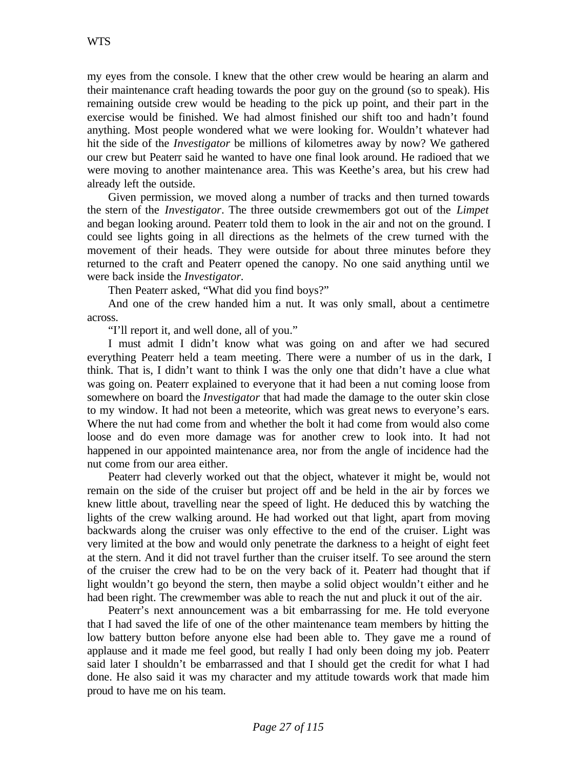my eyes from the console. I knew that the other crew would be hearing an alarm and their maintenance craft heading towards the poor guy on the ground (so to speak). His remaining outside crew would be heading to the pick up point, and their part in the exercise would be finished. We had almost finished our shift too and hadn't found anything. Most people wondered what we were looking for. Wouldn't whatever had hit the side of the *Investigator* be millions of kilometres away by now? We gathered our crew but Peaterr said he wanted to have one final look around. He radioed that we were moving to another maintenance area. This was Keethe's area, but his crew had already left the outside.

Given permission, we moved along a number of tracks and then turned towards the stern of the *Investigator*. The three outside crewmembers got out of the *Limpet* and began looking around. Peaterr told them to look in the air and not on the ground. I could see lights going in all directions as the helmets of the crew turned with the movement of their heads. They were outside for about three minutes before they returned to the craft and Peaterr opened the canopy. No one said anything until we were back inside the *Investigator.*

Then Peaterr asked, "What did you find boys?"

And one of the crew handed him a nut. It was only small, about a centimetre across.

"I'll report it, and well done, all of you."

I must admit I didn't know what was going on and after we had secured everything Peaterr held a team meeting. There were a number of us in the dark, I think. That is, I didn't want to think I was the only one that didn't have a clue what was going on. Peaterr explained to everyone that it had been a nut coming loose from somewhere on board the *Investigator* that had made the damage to the outer skin close to my window. It had not been a meteorite, which was great news to everyone's ears. Where the nut had come from and whether the bolt it had come from would also come loose and do even more damage was for another crew to look into. It had not happened in our appointed maintenance area, nor from the angle of incidence had the nut come from our area either.

Peaterr had cleverly worked out that the object, whatever it might be, would not remain on the side of the cruiser but project off and be held in the air by forces we knew little about, travelling near the speed of light. He deduced this by watching the lights of the crew walking around. He had worked out that light, apart from moving backwards along the cruiser was only effective to the end of the cruiser. Light was very limited at the bow and would only penetrate the darkness to a height of eight feet at the stern. And it did not travel further than the cruiser itself. To see around the stern of the cruiser the crew had to be on the very back of it. Peaterr had thought that if light wouldn't go beyond the stern, then maybe a solid object wouldn't either and he had been right. The crewmember was able to reach the nut and pluck it out of the air.

Peaterr's next announcement was a bit embarrassing for me. He told everyone that I had saved the life of one of the other maintenance team members by hitting the low battery button before anyone else had been able to. They gave me a round of applause and it made me feel good, but really I had only been doing my job. Peaterr said later I shouldn't be embarrassed and that I should get the credit for what I had done. He also said it was my character and my attitude towards work that made him proud to have me on his team.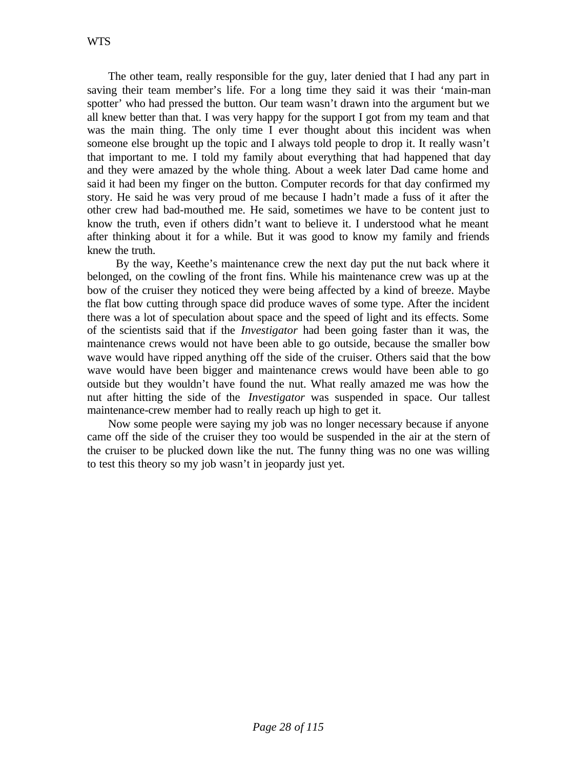The other team, really responsible for the guy, later denied that I had any part in saving their team member's life. For a long time they said it was their 'main-man spotter' who had pressed the button. Our team wasn't drawn into the argument but we all knew better than that. I was very happy for the support I got from my team and that was the main thing. The only time I ever thought about this incident was when someone else brought up the topic and I always told people to drop it. It really wasn't that important to me. I told my family about everything that had happened that day and they were amazed by the whole thing. About a week later Dad came home and said it had been my finger on the button. Computer records for that day confirmed my story. He said he was very proud of me because I hadn't made a fuss of it after the other crew had bad-mouthed me. He said, sometimes we have to be content just to know the truth, even if others didn't want to believe it. I understood what he meant after thinking about it for a while. But it was good to know my family and friends knew the truth.

 By the way, Keethe's maintenance crew the next day put the nut back where it belonged, on the cowling of the front fins. While his maintenance crew was up at the bow of the cruiser they noticed they were being affected by a kind of breeze. Maybe the flat bow cutting through space did produce waves of some type. After the incident there was a lot of speculation about space and the speed of light and its effects. Some of the scientists said that if the *Investigator* had been going faster than it was, the maintenance crews would not have been able to go outside, because the smaller bow wave would have ripped anything off the side of the cruiser. Others said that the bow wave would have been bigger and maintenance crews would have been able to go outside but they wouldn't have found the nut. What really amazed me was how the nut after hitting the side of the *Investigator* was suspended in space. Our tallest maintenance-crew member had to really reach up high to get it.

Now some people were saying my job was no longer necessary because if anyone came off the side of the cruiser they too would be suspended in the air at the stern of the cruiser to be plucked down like the nut. The funny thing was no one was willing to test this theory so my job wasn't in jeopardy just yet.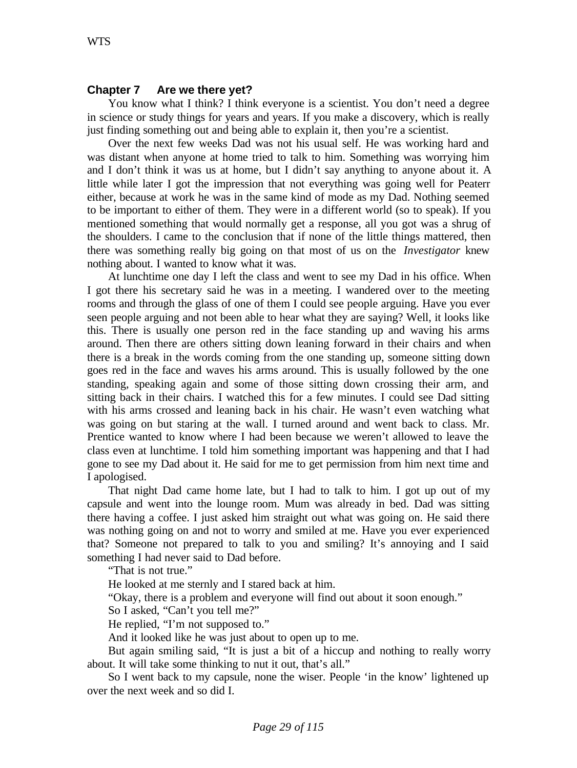#### **Chapter 7 Are we there yet?**

You know what I think? I think everyone is a scientist. You don't need a degree in science or study things for years and years. If you make a discovery, which is really just finding something out and being able to explain it, then you're a scientist.

Over the next few weeks Dad was not his usual self. He was working hard and was distant when anyone at home tried to talk to him. Something was worrying him and I don't think it was us at home, but I didn't say anything to anyone about it. A little while later I got the impression that not everything was going well for Peaterr either, because at work he was in the same kind of mode as my Dad. Nothing seemed to be important to either of them. They were in a different world (so to speak). If you mentioned something that would normally get a response, all you got was a shrug of the shoulders. I came to the conclusion that if none of the little things mattered, then there was something really big going on that most of us on the *Investigator* knew nothing about. I wanted to know what it was.

At lunchtime one day I left the class and went to see my Dad in his office. When I got there his secretary said he was in a meeting. I wandered over to the meeting rooms and through the glass of one of them I could see people arguing. Have you ever seen people arguing and not been able to hear what they are saying? Well, it looks like this. There is usually one person red in the face standing up and waving his arms around. Then there are others sitting down leaning forward in their chairs and when there is a break in the words coming from the one standing up, someone sitting down goes red in the face and waves his arms around. This is usually followed by the one standing, speaking again and some of those sitting down crossing their arm, and sitting back in their chairs. I watched this for a few minutes. I could see Dad sitting with his arms crossed and leaning back in his chair. He wasn't even watching what was going on but staring at the wall. I turned around and went back to class. Mr. Prentice wanted to know where I had been because we weren't allowed to leave the class even at lunchtime. I told him something important was happening and that I had gone to see my Dad about it. He said for me to get permission from him next time and I apologised.

That night Dad came home late, but I had to talk to him. I got up out of my capsule and went into the lounge room. Mum was already in bed. Dad was sitting there having a coffee. I just asked him straight out what was going on. He said there was nothing going on and not to worry and smiled at me. Have you ever experienced that? Someone not prepared to talk to you and smiling? It's annoying and I said something I had never said to Dad before.

"That is not true."

He looked at me sternly and I stared back at him.

"Okay, there is a problem and everyone will find out about it soon enough."

So I asked, "Can't you tell me?"

He replied, "I'm not supposed to."

And it looked like he was just about to open up to me.

But again smiling said, "It is just a bit of a hiccup and nothing to really worry about. It will take some thinking to nut it out, that's all."

So I went back to my capsule, none the wiser. People 'in the know' lightened up over the next week and so did I.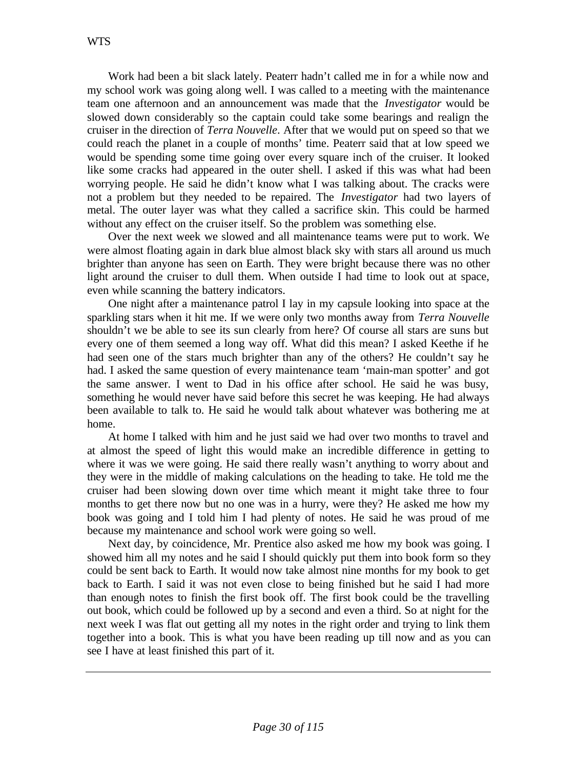Work had been a bit slack lately. Peaterr hadn't called me in for a while now and my school work was going along well. I was called to a meeting with the maintenance team one afternoon and an announcement was made that the *Investigator* would be slowed down considerably so the captain could take some bearings and realign the cruiser in the direction of *Terra Nouvelle*. After that we would put on speed so that we could reach the planet in a couple of months' time. Peaterr said that at low speed we would be spending some time going over every square inch of the cruiser. It looked like some cracks had appeared in the outer shell. I asked if this was what had been worrying people. He said he didn't know what I was talking about. The cracks were not a problem but they needed to be repaired. The *Investigator* had two layers of metal. The outer layer was what they called a sacrifice skin. This could be harmed without any effect on the cruiser itself. So the problem was something else.

Over the next week we slowed and all maintenance teams were put to work. We were almost floating again in dark blue almost black sky with stars all around us much brighter than anyone has seen on Earth. They were bright because there was no other light around the cruiser to dull them. When outside I had time to look out at space, even while scanning the battery indicators.

One night after a maintenance patrol I lay in my capsule looking into space at the sparkling stars when it hit me. If we were only two months away from *Terra Nouvelle* shouldn't we be able to see its sun clearly from here? Of course all stars are suns but every one of them seemed a long way off. What did this mean? I asked Keethe if he had seen one of the stars much brighter than any of the others? He couldn't say he had. I asked the same question of every maintenance team 'main-man spotter' and got the same answer. I went to Dad in his office after school. He said he was busy, something he would never have said before this secret he was keeping. He had always been available to talk to. He said he would talk about whatever was bothering me at home.

At home I talked with him and he just said we had over two months to travel and at almost the speed of light this would make an incredible difference in getting to where it was we were going. He said there really wasn't anything to worry about and they were in the middle of making calculations on the heading to take. He told me the cruiser had been slowing down over time which meant it might take three to four months to get there now but no one was in a hurry, were they? He asked me how my book was going and I told him I had plenty of notes. He said he was proud of me because my maintenance and school work were going so well.

Next day, by coincidence, Mr. Prentice also asked me how my book was going. I showed him all my notes and he said I should quickly put them into book form so they could be sent back to Earth. It would now take almost nine months for my book to get back to Earth. I said it was not even close to being finished but he said I had more than enough notes to finish the first book off. The first book could be the travelling out book, which could be followed up by a second and even a third. So at night for the next week I was flat out getting all my notes in the right order and trying to link them together into a book. This is what you have been reading up till now and as you can see I have at least finished this part of it.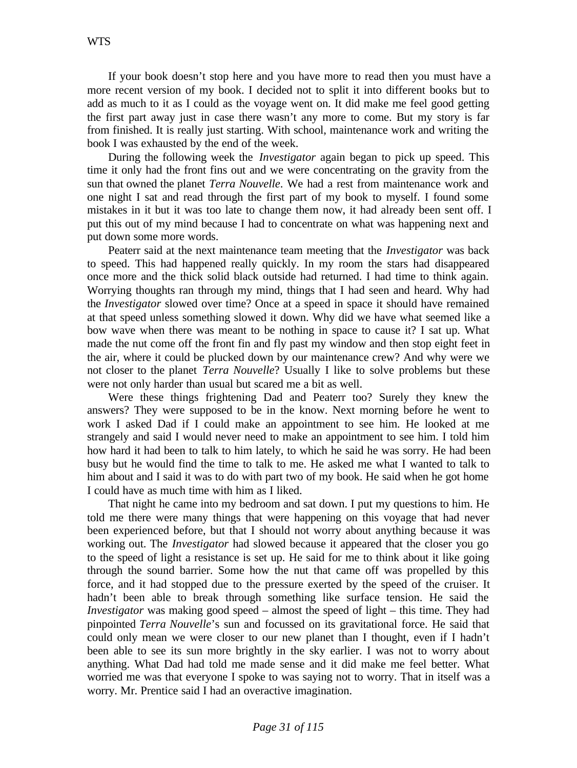If your book doesn't stop here and you have more to read then you must have a more recent version of my book. I decided not to split it into different books but to add as much to it as I could as the voyage went on. It did make me feel good getting the first part away just in case there wasn't any more to come. But my story is far from finished. It is really just starting. With school, maintenance work and writing the book I was exhausted by the end of the week.

During the following week the *Investigator* again began to pick up speed. This time it only had the front fins out and we were concentrating on the gravity from the sun that owned the planet *Terra Nouvelle*. We had a rest from maintenance work and one night I sat and read through the first part of my book to myself. I found some mistakes in it but it was too late to change them now, it had already been sent off. I put this out of my mind because I had to concentrate on what was happening next and put down some more words.

Peaterr said at the next maintenance team meeting that the *Investigator* was back to speed. This had happened really quickly. In my room the stars had disappeared once more and the thick solid black outside had returned. I had time to think again. Worrying thoughts ran through my mind, things that I had seen and heard. Why had the *Investigator* slowed over time? Once at a speed in space it should have remained at that speed unless something slowed it down. Why did we have what seemed like a bow wave when there was meant to be nothing in space to cause it? I sat up. What made the nut come off the front fin and fly past my window and then stop eight feet in the air, where it could be plucked down by our maintenance crew? And why were we not closer to the planet *Terra Nouvelle*? Usually I like to solve problems but these were not only harder than usual but scared me a bit as well.

Were these things frightening Dad and Peaterr too? Surely they knew the answers? They were supposed to be in the know. Next morning before he went to work I asked Dad if I could make an appointment to see him. He looked at me strangely and said I would never need to make an appointment to see him. I told him how hard it had been to talk to him lately, to which he said he was sorry. He had been busy but he would find the time to talk to me. He asked me what I wanted to talk to him about and I said it was to do with part two of my book. He said when he got home I could have as much time with him as I liked.

That night he came into my bedroom and sat down. I put my questions to him. He told me there were many things that were happening on this voyage that had never been experienced before, but that I should not worry about anything because it was working out. The *Investigator* had slowed because it appeared that the closer you go to the speed of light a resistance is set up. He said for me to think about it like going through the sound barrier. Some how the nut that came off was propelled by this force, and it had stopped due to the pressure exerted by the speed of the cruiser. It hadn't been able to break through something like surface tension. He said the *Investigator* was making good speed – almost the speed of light – this time. They had pinpointed *Terra Nouvelle*'s sun and focussed on its gravitational force. He said that could only mean we were closer to our new planet than I thought, even if I hadn't been able to see its sun more brightly in the sky earlier. I was not to worry about anything. What Dad had told me made sense and it did make me feel better. What worried me was that everyone I spoke to was saying not to worry. That in itself was a worry. Mr. Prentice said I had an overactive imagination.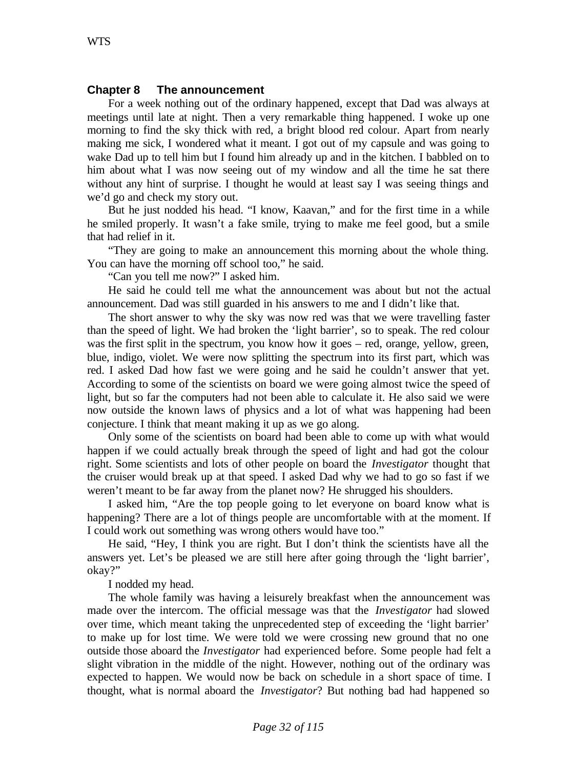#### **Chapter 8 The announcement**

For a week nothing out of the ordinary happened, except that Dad was always at meetings until late at night. Then a very remarkable thing happened. I woke up one morning to find the sky thick with red, a bright blood red colour. Apart from nearly making me sick, I wondered what it meant. I got out of my capsule and was going to wake Dad up to tell him but I found him already up and in the kitchen. I babbled on to him about what I was now seeing out of my window and all the time he sat there without any hint of surprise. I thought he would at least say I was seeing things and we'd go and check my story out.

But he just nodded his head. "I know, Kaavan," and for the first time in a while he smiled properly. It wasn't a fake smile, trying to make me feel good, but a smile that had relief in it.

"They are going to make an announcement this morning about the whole thing. You can have the morning off school too," he said.

"Can you tell me now?" I asked him.

He said he could tell me what the announcement was about but not the actual announcement. Dad was still guarded in his answers to me and I didn't like that.

The short answer to why the sky was now red was that we were travelling faster than the speed of light. We had broken the 'light barrier', so to speak. The red colour was the first split in the spectrum, you know how it goes – red, orange, yellow, green, blue, indigo, violet. We were now splitting the spectrum into its first part, which was red. I asked Dad how fast we were going and he said he couldn't answer that yet. According to some of the scientists on board we were going almost twice the speed of light, but so far the computers had not been able to calculate it. He also said we were now outside the known laws of physics and a lot of what was happening had been conjecture. I think that meant making it up as we go along.

Only some of the scientists on board had been able to come up with what would happen if we could actually break through the speed of light and had got the colour right. Some scientists and lots of other people on board the *Investigator* thought that the cruiser would break up at that speed. I asked Dad why we had to go so fast if we weren't meant to be far away from the planet now? He shrugged his shoulders.

I asked him, "Are the top people going to let everyone on board know what is happening? There are a lot of things people are uncomfortable with at the moment. If I could work out something was wrong others would have too."

He said, "Hey, I think you are right. But I don't think the scientists have all the answers yet. Let's be pleased we are still here after going through the 'light barrier', okay?"

I nodded my head.

The whole family was having a leisurely breakfast when the announcement was made over the intercom. The official message was that the *Investigator* had slowed over time, which meant taking the unprecedented step of exceeding the 'light barrier' to make up for lost time. We were told we were crossing new ground that no one outside those aboard the *Investigator* had experienced before. Some people had felt a slight vibration in the middle of the night. However, nothing out of the ordinary was expected to happen. We would now be back on schedule in a short space of time. I thought, what is normal aboard the *Investigator*? But nothing bad had happened so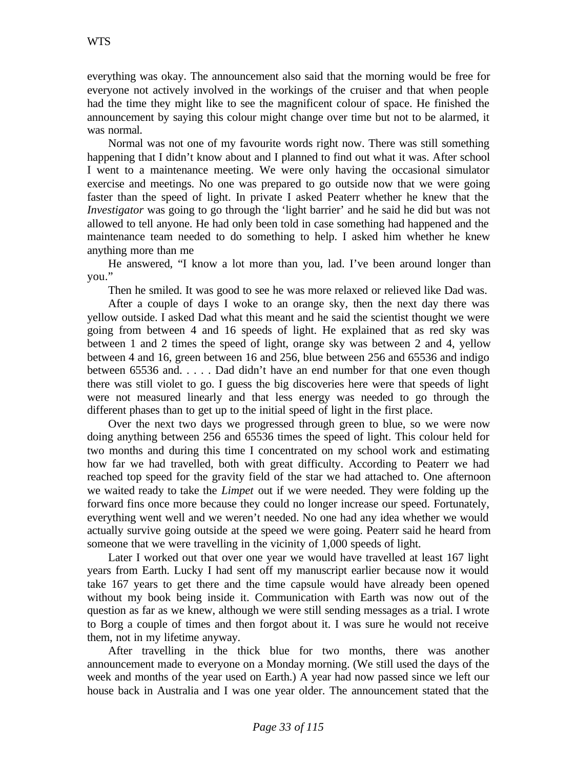everything was okay. The announcement also said that the morning would be free for everyone not actively involved in the workings of the cruiser and that when people had the time they might like to see the magnificent colour of space. He finished the announcement by saying this colour might change over time but not to be alarmed, it was normal.

Normal was not one of my favourite words right now. There was still something happening that I didn't know about and I planned to find out what it was. After school I went to a maintenance meeting. We were only having the occasional simulator exercise and meetings. No one was prepared to go outside now that we were going faster than the speed of light. In private I asked Peaterr whether he knew that the *Investigator* was going to go through the 'light barrier' and he said he did but was not allowed to tell anyone. He had only been told in case something had happened and the maintenance team needed to do something to help. I asked him whether he knew anything more than me

He answered, "I know a lot more than you, lad. I've been around longer than you."

Then he smiled. It was good to see he was more relaxed or relieved like Dad was.

After a couple of days I woke to an orange sky, then the next day there was yellow outside. I asked Dad what this meant and he said the scientist thought we were going from between 4 and 16 speeds of light. He explained that as red sky was between 1 and 2 times the speed of light, orange sky was between 2 and 4, yellow between 4 and 16, green between 16 and 256, blue between 256 and 65536 and indigo between 65536 and. . . . . Dad didn't have an end number for that one even though there was still violet to go. I guess the big discoveries here were that speeds of light were not measured linearly and that less energy was needed to go through the different phases than to get up to the initial speed of light in the first place.

Over the next two days we progressed through green to blue, so we were now doing anything between 256 and 65536 times the speed of light. This colour held for two months and during this time I concentrated on my school work and estimating how far we had travelled, both with great difficulty. According to Peaterr we had reached top speed for the gravity field of the star we had attached to. One afternoon we waited ready to take the *Limpet* out if we were needed. They were folding up the forward fins once more because they could no longer increase our speed. Fortunately, everything went well and we weren't needed. No one had any idea whether we would actually survive going outside at the speed we were going. Peaterr said he heard from someone that we were travelling in the vicinity of 1,000 speeds of light.

Later I worked out that over one year we would have travelled at least 167 light years from Earth. Lucky I had sent off my manuscript earlier because now it would take 167 years to get there and the time capsule would have already been opened without my book being inside it. Communication with Earth was now out of the question as far as we knew, although we were still sending messages as a trial. I wrote to Borg a couple of times and then forgot about it. I was sure he would not receive them, not in my lifetime anyway.

After travelling in the thick blue for two months, there was another announcement made to everyone on a Monday morning. (We still used the days of the week and months of the year used on Earth.) A year had now passed since we left our house back in Australia and I was one year older. The announcement stated that the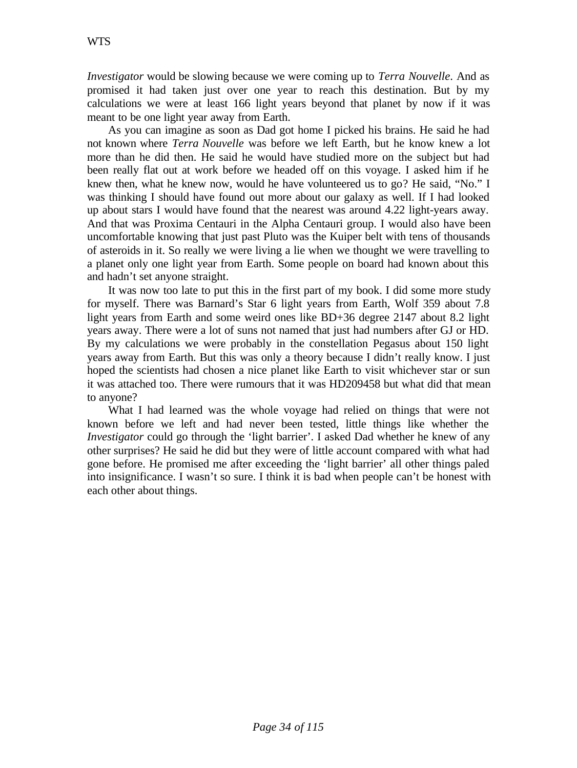*Investigator* would be slowing because we were coming up to *Terra Nouvelle*. And as promised it had taken just over one year to reach this destination. But by my calculations we were at least 166 light years beyond that planet by now if it was meant to be one light year away from Earth.

As you can imagine as soon as Dad got home I picked his brains. He said he had not known where *Terra Nouvelle* was before we left Earth, but he know knew a lot more than he did then. He said he would have studied more on the subject but had been really flat out at work before we headed off on this voyage. I asked him if he knew then, what he knew now, would he have volunteered us to go? He said, "No." I was thinking I should have found out more about our galaxy as well. If I had looked up about stars I would have found that the nearest was around 4.22 light-years away. And that was Proxima Centauri in the Alpha Centauri group. I would also have been uncomfortable knowing that just past Pluto was the Kuiper belt with tens of thousands of asteroids in it. So really we were living a lie when we thought we were travelling to a planet only one light year from Earth. Some people on board had known about this and hadn't set anyone straight.

It was now too late to put this in the first part of my book. I did some more study for myself. There was Barnard's Star 6 light years from Earth, Wolf 359 about 7.8 light years from Earth and some weird ones like BD+36 degree 2147 about 8.2 light years away. There were a lot of suns not named that just had numbers after GJ or HD. By my calculations we were probably in the constellation Pegasus about 150 light years away from Earth. But this was only a theory because I didn't really know. I just hoped the scientists had chosen a nice planet like Earth to visit whichever star or sun it was attached too. There were rumours that it was HD209458 but what did that mean to anyone?

What I had learned was the whole voyage had relied on things that were not known before we left and had never been tested, little things like whether the *Investigator* could go through the 'light barrier'. I asked Dad whether he knew of any other surprises? He said he did but they were of little account compared with what had gone before. He promised me after exceeding the 'light barrier' all other things paled into insignificance. I wasn't so sure. I think it is bad when people can't be honest with each other about things.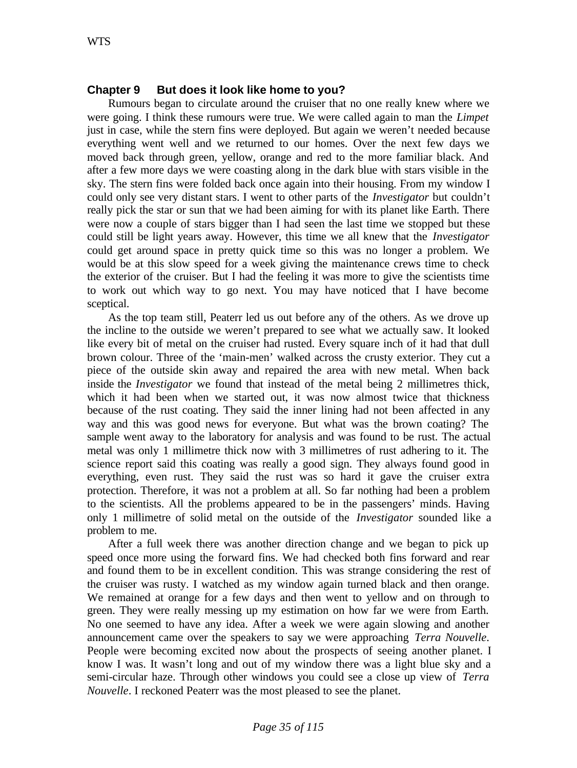## **Chapter 9 But does it look like home to you?**

Rumours began to circulate around the cruiser that no one really knew where we were going. I think these rumours were true. We were called again to man the *Limpet* just in case, while the stern fins were deployed. But again we weren't needed because everything went well and we returned to our homes. Over the next few days we moved back through green, yellow, orange and red to the more familiar black. And after a few more days we were coasting along in the dark blue with stars visible in the sky. The stern fins were folded back once again into their housing. From my window I could only see very distant stars. I went to other parts of the *Investigator* but couldn't really pick the star or sun that we had been aiming for with its planet like Earth. There were now a couple of stars bigger than I had seen the last time we stopped but these could still be light years away. However, this time we all knew that the *Investigator* could get around space in pretty quick time so this was no longer a problem. We would be at this slow speed for a week giving the maintenance crews time to check the exterior of the cruiser. But I had the feeling it was more to give the scientists time to work out which way to go next. You may have noticed that I have become sceptical.

As the top team still, Peaterr led us out before any of the others. As we drove up the incline to the outside we weren't prepared to see what we actually saw. It looked like every bit of metal on the cruiser had rusted. Every square inch of it had that dull brown colour. Three of the 'main-men' walked across the crusty exterior. They cut a piece of the outside skin away and repaired the area with new metal. When back inside the *Investigator* we found that instead of the metal being 2 millimetres thick, which it had been when we started out, it was now almost twice that thickness because of the rust coating. They said the inner lining had not been affected in any way and this was good news for everyone. But what was the brown coating? The sample went away to the laboratory for analysis and was found to be rust. The actual metal was only 1 millimetre thick now with 3 millimetres of rust adhering to it. The science report said this coating was really a good sign. They always found good in everything, even rust. They said the rust was so hard it gave the cruiser extra protection. Therefore, it was not a problem at all. So far nothing had been a problem to the scientists. All the problems appeared to be in the passengers' minds. Having only 1 millimetre of solid metal on the outside of the *Investigator* sounded like a problem to me.

After a full week there was another direction change and we began to pick up speed once more using the forward fins. We had checked both fins forward and rear and found them to be in excellent condition. This was strange considering the rest of the cruiser was rusty. I watched as my window again turned black and then orange. We remained at orange for a few days and then went to yellow and on through to green. They were really messing up my estimation on how far we were from Earth. No one seemed to have any idea. After a week we were again slowing and another announcement came over the speakers to say we were approaching *Terra Nouvelle*. People were becoming excited now about the prospects of seeing another planet. I know I was. It wasn't long and out of my window there was a light blue sky and a semi-circular haze. Through other windows you could see a close up view of *Terra Nouvelle*. I reckoned Peaterr was the most pleased to see the planet.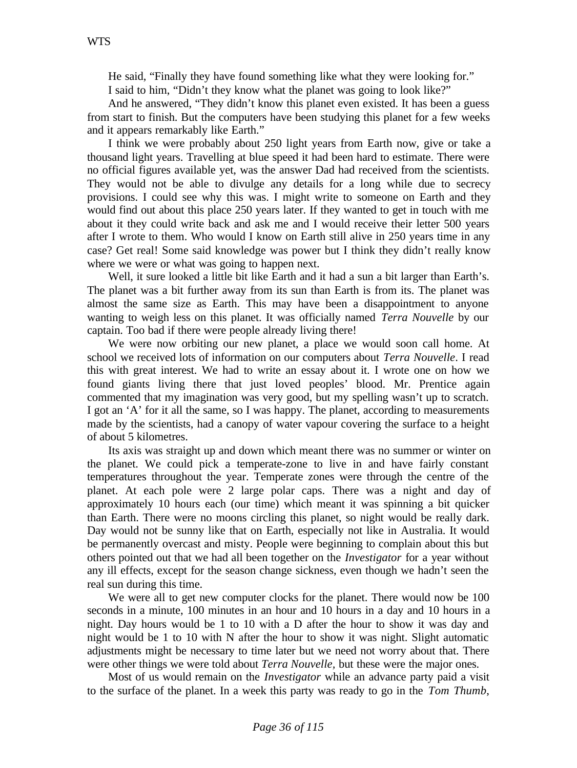He said, "Finally they have found something like what they were looking for." I said to him, "Didn't they know what the planet was going to look like?"

And he answered, "They didn't know this planet even existed. It has been a guess from start to finish. But the computers have been studying this planet for a few weeks and it appears remarkably like Earth."

I think we were probably about 250 light years from Earth now, give or take a thousand light years. Travelling at blue speed it had been hard to estimate. There were no official figures available yet, was the answer Dad had received from the scientists. They would not be able to divulge any details for a long while due to secrecy provisions. I could see why this was. I might write to someone on Earth and they would find out about this place 250 years later. If they wanted to get in touch with me about it they could write back and ask me and I would receive their letter 500 years after I wrote to them. Who would I know on Earth still alive in 250 years time in any case? Get real! Some said knowledge was power but I think they didn't really know where we were or what was going to happen next.

Well, it sure looked a little bit like Earth and it had a sun a bit larger than Earth's. The planet was a bit further away from its sun than Earth is from its. The planet was almost the same size as Earth. This may have been a disappointment to anyone wanting to weigh less on this planet. It was officially named *Terra Nouvelle* by our captain. Too bad if there were people already living there!

We were now orbiting our new planet, a place we would soon call home. At school we received lots of information on our computers about *Terra Nouvelle*. I read this with great interest. We had to write an essay about it. I wrote one on how we found giants living there that just loved peoples' blood. Mr. Prentice again commented that my imagination was very good, but my spelling wasn't up to scratch. I got an 'A' for it all the same, so I was happy. The planet, according to measurements made by the scientists, had a canopy of water vapour covering the surface to a height of about 5 kilometres.

Its axis was straight up and down which meant there was no summer or winter on the planet. We could pick a temperate-zone to live in and have fairly constant temperatures throughout the year. Temperate zones were through the centre of the planet. At each pole were 2 large polar caps. There was a night and day of approximately 10 hours each (our time) which meant it was spinning a bit quicker than Earth. There were no moons circling this planet, so night would be really dark. Day would not be sunny like that on Earth, especially not like in Australia. It would be permanently overcast and misty. People were beginning to complain about this but others pointed out that we had all been together on the *Investigator* for a year without any ill effects, except for the season change sickness, even though we hadn't seen the real sun during this time.

We were all to get new computer clocks for the planet. There would now be 100 seconds in a minute, 100 minutes in an hour and 10 hours in a day and 10 hours in a night. Day hours would be 1 to 10 with a D after the hour to show it was day and night would be 1 to 10 with N after the hour to show it was night. Slight automatic adjustments might be necessary to time later but we need not worry about that. There were other things we were told about *Terra Nouvelle,* but these were the major ones.

Most of us would remain on the *Investigator* while an advance party paid a visit to the surface of the planet. In a week this party was ready to go in the *Tom Thumb*,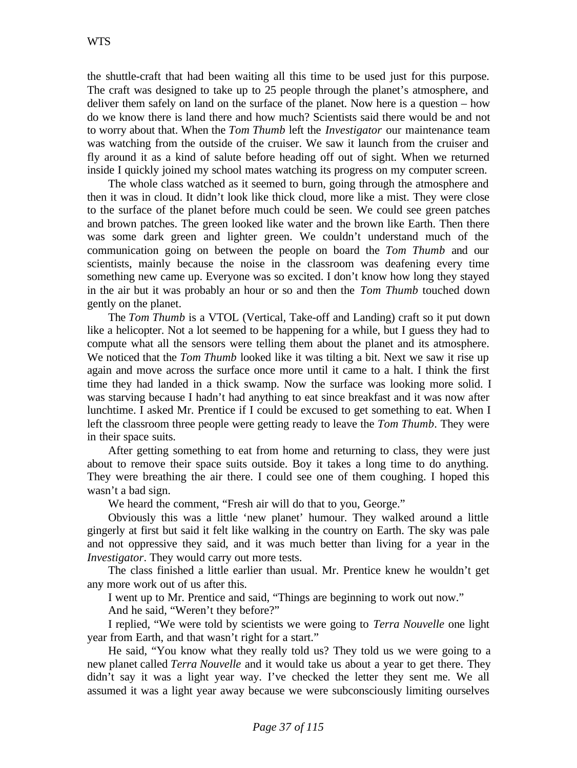the shuttle-craft that had been waiting all this time to be used just for this purpose. The craft was designed to take up to 25 people through the planet's atmosphere, and deliver them safely on land on the surface of the planet. Now here is a question – how do we know there is land there and how much? Scientists said there would be and not to worry about that. When the *Tom Thumb* left the *Investigator* our maintenance team was watching from the outside of the cruiser. We saw it launch from the cruiser and fly around it as a kind of salute before heading off out of sight. When we returned inside I quickly joined my school mates watching its progress on my computer screen.

The whole class watched as it seemed to burn, going through the atmosphere and then it was in cloud. It didn't look like thick cloud, more like a mist. They were close to the surface of the planet before much could be seen. We could see green patches and brown patches. The green looked like water and the brown like Earth. Then there was some dark green and lighter green. We couldn't understand much of the communication going on between the people on board the *Tom Thumb* and our scientists, mainly because the noise in the classroom was deafening every time something new came up. Everyone was so excited. I don't know how long they stayed in the air but it was probably an hour or so and then the *Tom Thumb* touched down gently on the planet.

The *Tom Thumb* is a VTOL (Vertical, Take-off and Landing) craft so it put down like a helicopter. Not a lot seemed to be happening for a while, but I guess they had to compute what all the sensors were telling them about the planet and its atmosphere. We noticed that the *Tom Thumb* looked like it was tilting a bit. Next we saw it rise up again and move across the surface once more until it came to a halt. I think the first time they had landed in a thick swamp. Now the surface was looking more solid. I was starving because I hadn't had anything to eat since breakfast and it was now after lunchtime. I asked Mr. Prentice if I could be excused to get something to eat. When I left the classroom three people were getting ready to leave the *Tom Thumb*. They were in their space suits.

After getting something to eat from home and returning to class, they were just about to remove their space suits outside. Boy it takes a long time to do anything. They were breathing the air there. I could see one of them coughing. I hoped this wasn't a bad sign.

We heard the comment, "Fresh air will do that to you, George."

Obviously this was a little 'new planet' humour. They walked around a little gingerly at first but said it felt like walking in the country on Earth. The sky was pale and not oppressive they said, and it was much better than living for a year in the *Investigator*. They would carry out more tests.

The class finished a little earlier than usual. Mr. Prentice knew he wouldn't get any more work out of us after this.

I went up to Mr. Prentice and said, "Things are beginning to work out now."

And he said, "Weren't they before?"

I replied, "We were told by scientists we were going to *Terra Nouvelle* one light year from Earth, and that wasn't right for a start."

He said, "You know what they really told us? They told us we were going to a new planet called *Terra Nouvelle* and it would take us about a year to get there. They didn't say it was a light year way. I've checked the letter they sent me. We all assumed it was a light year away because we were subconsciously limiting ourselves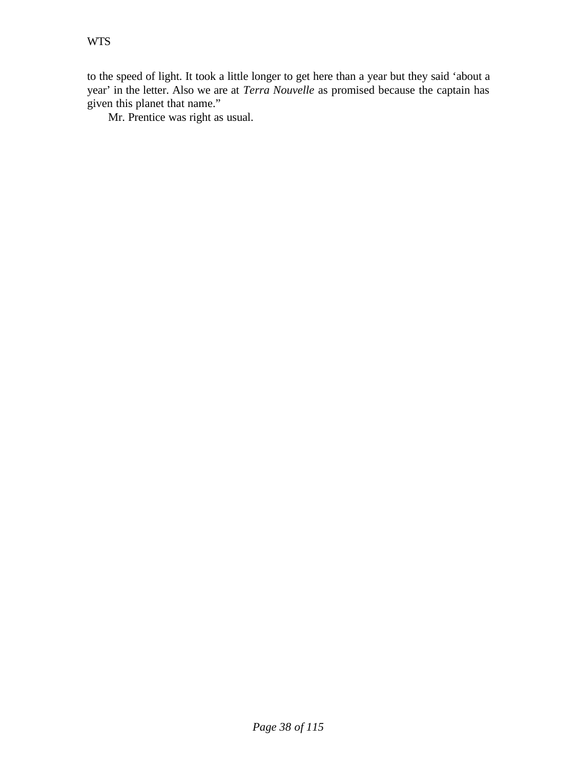to the speed of light. It took a little longer to get here than a year but they said 'about a year' in the letter. Also we are at *Terra Nouvelle* as promised because the captain has given this planet that name."

Mr. Prentice was right as usual.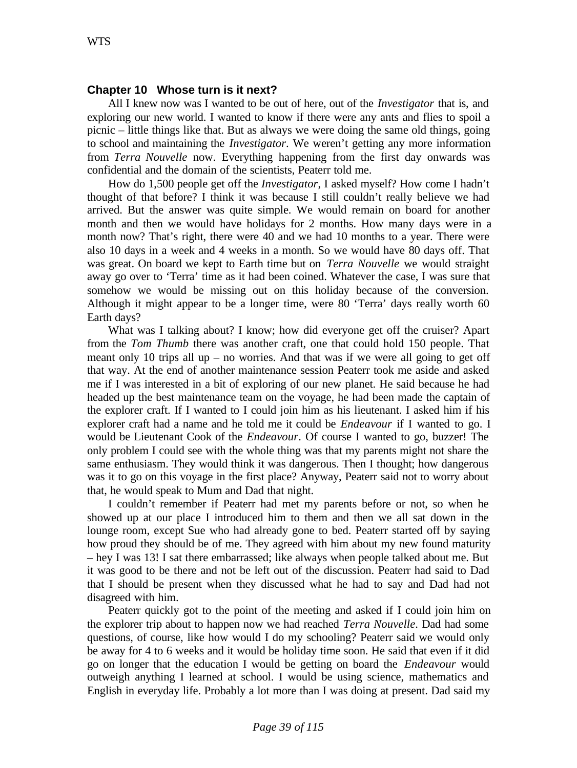#### **Chapter 10 Whose turn is it next?**

All I knew now was I wanted to be out of here, out of the *Investigator* that is, and exploring our new world. I wanted to know if there were any ants and flies to spoil a picnic – little things like that. But as always we were doing the same old things, going to school and maintaining the *Investigator*. We weren't getting any more information from *Terra Nouvelle* now. Everything happening from the first day onwards was confidential and the domain of the scientists, Peaterr told me.

How do 1,500 people get off the *Investigator*, I asked myself? How come I hadn't thought of that before? I think it was because I still couldn't really believe we had arrived. But the answer was quite simple. We would remain on board for another month and then we would have holidays for 2 months. How many days were in a month now? That's right, there were 40 and we had 10 months to a year. There were also 10 days in a week and 4 weeks in a month. So we would have 80 days off. That was great. On board we kept to Earth time but on *Terra Nouvelle* we would straight away go over to 'Terra' time as it had been coined. Whatever the case, I was sure that somehow we would be missing out on this holiday because of the conversion. Although it might appear to be a longer time, were 80 'Terra' days really worth 60 Earth days?

What was I talking about? I know; how did everyone get off the cruiser? Apart from the *Tom Thumb* there was another craft, one that could hold 150 people. That meant only 10 trips all  $up - no$  worries. And that was if we were all going to get off that way. At the end of another maintenance session Peaterr took me aside and asked me if I was interested in a bit of exploring of our new planet. He said because he had headed up the best maintenance team on the voyage, he had been made the captain of the explorer craft. If I wanted to I could join him as his lieutenant. I asked him if his explorer craft had a name and he told me it could be *Endeavour* if I wanted to go. I would be Lieutenant Cook of the *Endeavour*. Of course I wanted to go, buzzer! The only problem I could see with the whole thing was that my parents might not share the same enthusiasm. They would think it was dangerous. Then I thought; how dangerous was it to go on this voyage in the first place? Anyway, Peaterr said not to worry about that, he would speak to Mum and Dad that night.

I couldn't remember if Peaterr had met my parents before or not, so when he showed up at our place I introduced him to them and then we all sat down in the lounge room, except Sue who had already gone to bed. Peaterr started off by saying how proud they should be of me. They agreed with him about my new found maturity – hey I was 13! I sat there embarrassed; like always when people talked about me. But it was good to be there and not be left out of the discussion. Peaterr had said to Dad that I should be present when they discussed what he had to say and Dad had not disagreed with him.

Peaterr quickly got to the point of the meeting and asked if I could join him on the explorer trip about to happen now we had reached *Terra Nouvelle*. Dad had some questions, of course, like how would I do my schooling? Peaterr said we would only be away for 4 to 6 weeks and it would be holiday time soon. He said that even if it did go on longer that the education I would be getting on board the *Endeavour* would outweigh anything I learned at school. I would be using science, mathematics and English in everyday life. Probably a lot more than I was doing at present. Dad said my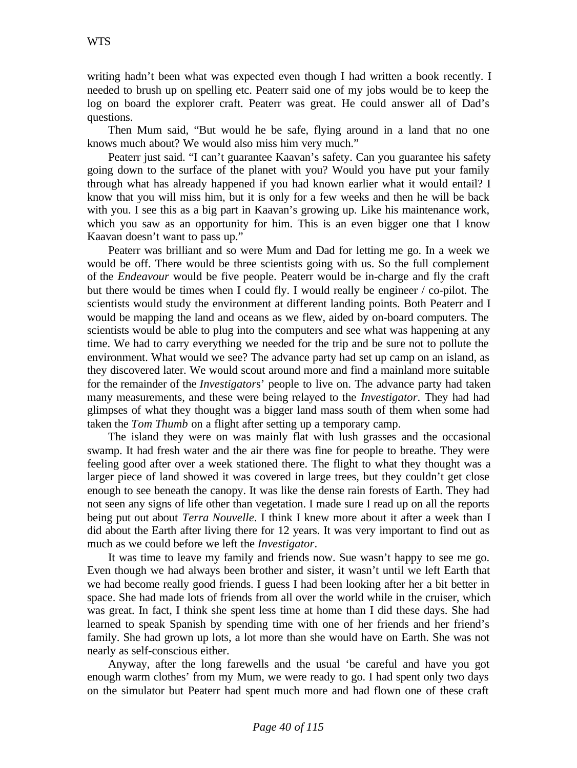writing hadn't been what was expected even though I had written a book recently. I needed to brush up on spelling etc. Peaterr said one of my jobs would be to keep the log on board the explorer craft. Peaterr was great. He could answer all of Dad's questions.

Then Mum said, "But would he be safe, flying around in a land that no one knows much about? We would also miss him very much."

Peaterr just said. "I can't guarantee Kaavan's safety. Can you guarantee his safety going down to the surface of the planet with you? Would you have put your family through what has already happened if you had known earlier what it would entail? I know that you will miss him, but it is only for a few weeks and then he will be back with you. I see this as a big part in Kaavan's growing up. Like his maintenance work, which you saw as an opportunity for him. This is an even bigger one that I know Kaavan doesn't want to pass up."

Peaterr was brilliant and so were Mum and Dad for letting me go. In a week we would be off. There would be three scientists going with us. So the full complement of the *Endeavour* would be five people. Peaterr would be in-charge and fly the craft but there would be times when I could fly. I would really be engineer / co-pilot. The scientists would study the environment at different landing points. Both Peaterr and I would be mapping the land and oceans as we flew, aided by on-board computers. The scientists would be able to plug into the computers and see what was happening at any time. We had to carry everything we needed for the trip and be sure not to pollute the environment. What would we see? The advance party had set up camp on an island, as they discovered later. We would scout around more and find a mainland more suitable for the remainder of the *Investigator*s' people to live on. The advance party had taken many measurements, and these were being relayed to the *Investigator*. They had had glimpses of what they thought was a bigger land mass south of them when some had taken the *Tom Thumb* on a flight after setting up a temporary camp.

The island they were on was mainly flat with lush grasses and the occasional swamp. It had fresh water and the air there was fine for people to breathe. They were feeling good after over a week stationed there. The flight to what they thought was a larger piece of land showed it was covered in large trees, but they couldn't get close enough to see beneath the canopy. It was like the dense rain forests of Earth. They had not seen any signs of life other than vegetation. I made sure I read up on all the reports being put out about *Terra Nouvelle*. I think I knew more about it after a week than I did about the Earth after living there for 12 years. It was very important to find out as much as we could before we left the *Investigator*.

It was time to leave my family and friends now. Sue wasn't happy to see me go. Even though we had always been brother and sister, it wasn't until we left Earth that we had become really good friends. I guess I had been looking after her a bit better in space. She had made lots of friends from all over the world while in the cruiser, which was great. In fact, I think she spent less time at home than I did these days. She had learned to speak Spanish by spending time with one of her friends and her friend's family. She had grown up lots, a lot more than she would have on Earth. She was not nearly as self-conscious either.

Anyway, after the long farewells and the usual 'be careful and have you got enough warm clothes' from my Mum, we were ready to go. I had spent only two days on the simulator but Peaterr had spent much more and had flown one of these craft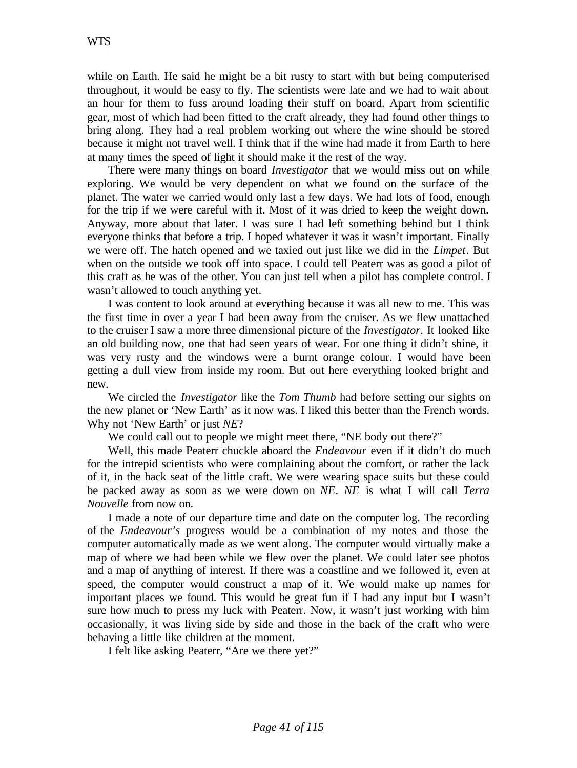while on Earth. He said he might be a bit rusty to start with but being computerised throughout, it would be easy to fly. The scientists were late and we had to wait about an hour for them to fuss around loading their stuff on board. Apart from scientific gear, most of which had been fitted to the craft already, they had found other things to bring along. They had a real problem working out where the wine should be stored because it might not travel well. I think that if the wine had made it from Earth to here at many times the speed of light it should make it the rest of the way.

There were many things on board *Investigator* that we would miss out on while exploring. We would be very dependent on what we found on the surface of the planet. The water we carried would only last a few days. We had lots of food, enough for the trip if we were careful with it. Most of it was dried to keep the weight down. Anyway, more about that later. I was sure I had left something behind but I think everyone thinks that before a trip. I hoped whatever it was it wasn't important. Finally we were off. The hatch opened and we taxied out just like we did in the *Limpet*. But when on the outside we took off into space. I could tell Peaterr was as good a pilot of this craft as he was of the other. You can just tell when a pilot has complete control. I wasn't allowed to touch anything yet.

I was content to look around at everything because it was all new to me. This was the first time in over a year I had been away from the cruiser. As we flew unattached to the cruiser I saw a more three dimensional picture of the *Investigator*. It looked like an old building now, one that had seen years of wear. For one thing it didn't shine, it was very rusty and the windows were a burnt orange colour. I would have been getting a dull view from inside my room. But out here everything looked bright and new.

We circled the *Investigator* like the *Tom Thumb* had before setting our sights on the new planet or 'New Earth' as it now was. I liked this better than the French words. Why not 'New Earth' or just *NE*?

We could call out to people we might meet there, "NE body out there?"

Well, this made Peaterr chuckle aboard the *Endeavour* even if it didn't do much for the intrepid scientists who were complaining about the comfort, or rather the lack of it, in the back seat of the little craft. We were wearing space suits but these could be packed away as soon as we were down on *NE*. *NE* is what I will call *Terra Nouvelle* from now on.

I made a note of our departure time and date on the computer log. The recording of the *Endeavour's* progress would be a combination of my notes and those the computer automatically made as we went along. The computer would virtually make a map of where we had been while we flew over the planet. We could later see photos and a map of anything of interest. If there was a coastline and we followed it, even at speed, the computer would construct a map of it. We would make up names for important places we found. This would be great fun if I had any input but I wasn't sure how much to press my luck with Peaterr. Now, it wasn't just working with him occasionally, it was living side by side and those in the back of the craft who were behaving a little like children at the moment.

I felt like asking Peaterr, "Are we there yet?"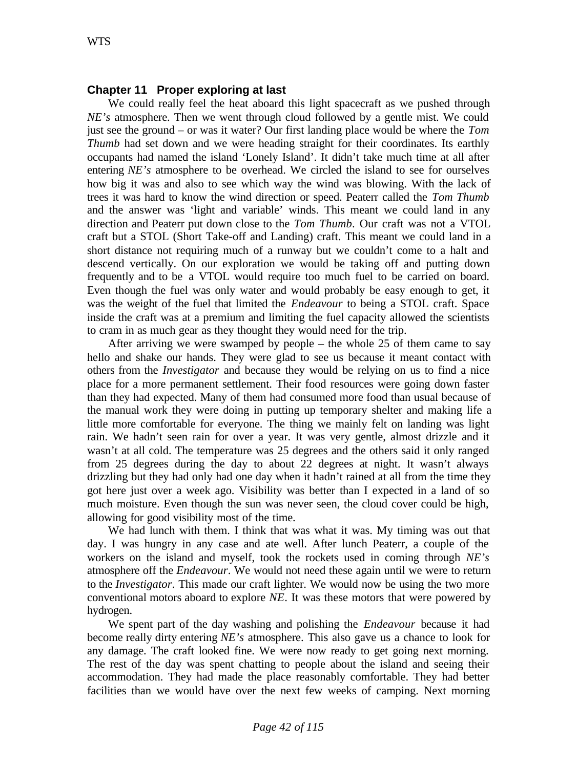## **Chapter 11 Proper exploring at last**

We could really feel the heat aboard this light spacecraft as we pushed through *NE's* atmosphere. Then we went through cloud followed by a gentle mist. We could just see the ground – or was it water? Our first landing place would be where the *Tom Thumb* had set down and we were heading straight for their coordinates. Its earthly occupants had named the island 'Lonely Island'. It didn't take much time at all after entering *NE's* atmosphere to be overhead. We circled the island to see for ourselves how big it was and also to see which way the wind was blowing. With the lack of trees it was hard to know the wind direction or speed. Peaterr called the *Tom Thumb* and the answer was 'light and variable' winds. This meant we could land in any direction and Peaterr put down close to the *Tom Thumb*. Our craft was not a VTOL craft but a STOL (Short Take-off and Landing) craft. This meant we could land in a short distance not requiring much of a runway but we couldn't come to a halt and descend vertically. On our exploration we would be taking off and putting down frequently and to be a VTOL would require too much fuel to be carried on board. Even though the fuel was only water and would probably be easy enough to get, it was the weight of the fuel that limited the *Endeavour* to being a STOL craft. Space inside the craft was at a premium and limiting the fuel capacity allowed the scientists to cram in as much gear as they thought they would need for the trip.

After arriving we were swamped by people – the whole 25 of them came to say hello and shake our hands. They were glad to see us because it meant contact with others from the *Investigator* and because they would be relying on us to find a nice place for a more permanent settlement. Their food resources were going down faster than they had expected. Many of them had consumed more food than usual because of the manual work they were doing in putting up temporary shelter and making life a little more comfortable for everyone. The thing we mainly felt on landing was light rain. We hadn't seen rain for over a year. It was very gentle, almost drizzle and it wasn't at all cold. The temperature was 25 degrees and the others said it only ranged from 25 degrees during the day to about 22 degrees at night. It wasn't always drizzling but they had only had one day when it hadn't rained at all from the time they got here just over a week ago. Visibility was better than I expected in a land of so much moisture. Even though the sun was never seen, the cloud cover could be high, allowing for good visibility most of the time.

We had lunch with them. I think that was what it was. My timing was out that day. I was hungry in any case and ate well. After lunch Peaterr, a couple of the workers on the island and myself, took the rockets used in coming through *NE's* atmosphere off the *Endeavour*. We would not need these again until we were to return to the *Investigator*. This made our craft lighter. We would now be using the two more conventional motors aboard to explore *NE*. It was these motors that were powered by hydrogen.

We spent part of the day washing and polishing the *Endeavour* because it had become really dirty entering *NE's* atmosphere. This also gave us a chance to look for any damage. The craft looked fine. We were now ready to get going next morning. The rest of the day was spent chatting to people about the island and seeing their accommodation. They had made the place reasonably comfortable. They had better facilities than we would have over the next few weeks of camping. Next morning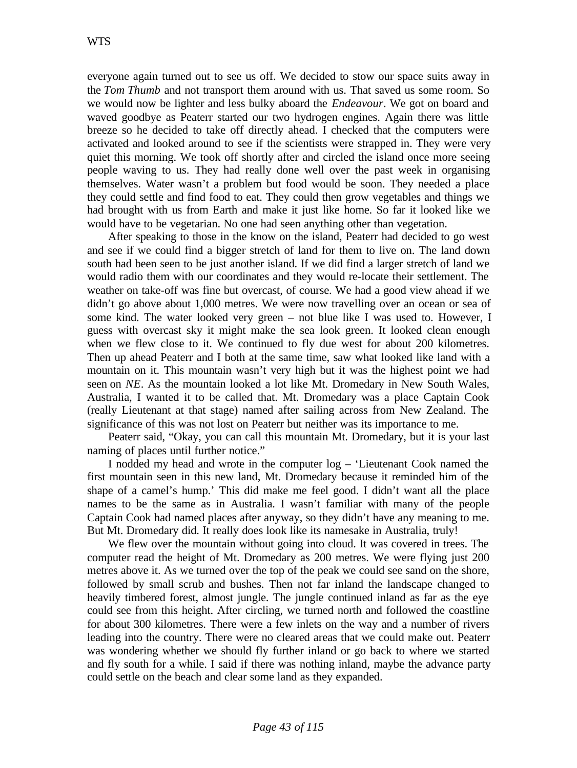everyone again turned out to see us off. We decided to stow our space suits away in the *Tom Thumb* and not transport them around with us. That saved us some room. So we would now be lighter and less bulky aboard the *Endeavour*. We got on board and waved goodbye as Peaterr started our two hydrogen engines. Again there was little breeze so he decided to take off directly ahead. I checked that the computers were activated and looked around to see if the scientists were strapped in. They were very quiet this morning. We took off shortly after and circled the island once more seeing people waving to us. They had really done well over the past week in organising themselves. Water wasn't a problem but food would be soon. They needed a place they could settle and find food to eat. They could then grow vegetables and things we had brought with us from Earth and make it just like home. So far it looked like we would have to be vegetarian. No one had seen anything other than vegetation.

After speaking to those in the know on the island, Peaterr had decided to go west and see if we could find a bigger stretch of land for them to live on. The land down south had been seen to be just another island. If we did find a larger stretch of land we would radio them with our coordinates and they would re-locate their settlement. The weather on take-off was fine but overcast, of course. We had a good view ahead if we didn't go above about 1,000 metres. We were now travelling over an ocean or sea of some kind. The water looked very green – not blue like I was used to. However, I guess with overcast sky it might make the sea look green. It looked clean enough when we flew close to it. We continued to fly due west for about 200 kilometres. Then up ahead Peaterr and I both at the same time, saw what looked like land with a mountain on it. This mountain wasn't very high but it was the highest point we had seen on *NE*. As the mountain looked a lot like Mt. Dromedary in New South Wales, Australia, I wanted it to be called that. Mt. Dromedary was a place Captain Cook (really Lieutenant at that stage) named after sailing across from New Zealand. The significance of this was not lost on Peaterr but neither was its importance to me.

Peaterr said, "Okay, you can call this mountain Mt. Dromedary, but it is your last naming of places until further notice."

I nodded my head and wrote in the computer log – 'Lieutenant Cook named the first mountain seen in this new land, Mt. Dromedary because it reminded him of the shape of a camel's hump.' This did make me feel good. I didn't want all the place names to be the same as in Australia. I wasn't familiar with many of the people Captain Cook had named places after anyway, so they didn't have any meaning to me. But Mt. Dromedary did. It really does look like its namesake in Australia, truly!

We flew over the mountain without going into cloud. It was covered in trees. The computer read the height of Mt. Dromedary as 200 metres. We were flying just 200 metres above it. As we turned over the top of the peak we could see sand on the shore, followed by small scrub and bushes. Then not far inland the landscape changed to heavily timbered forest, almost jungle. The jungle continued inland as far as the eye could see from this height. After circling, we turned north and followed the coastline for about 300 kilometres. There were a few inlets on the way and a number of rivers leading into the country. There were no cleared areas that we could make out. Peaterr was wondering whether we should fly further inland or go back to where we started and fly south for a while. I said if there was nothing inland, maybe the advance party could settle on the beach and clear some land as they expanded.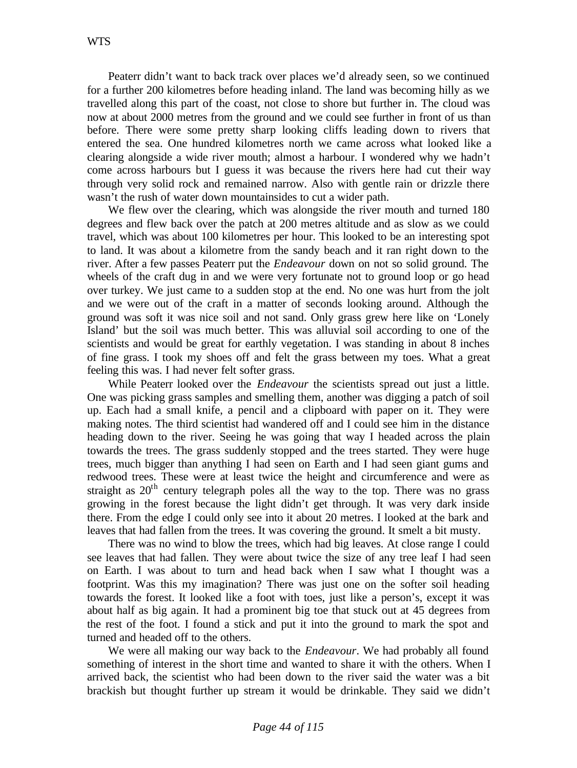Peaterr didn't want to back track over places we'd already seen, so we continued for a further 200 kilometres before heading inland. The land was becoming hilly as we travelled along this part of the coast, not close to shore but further in. The cloud was now at about 2000 metres from the ground and we could see further in front of us than before. There were some pretty sharp looking cliffs leading down to rivers that entered the sea. One hundred kilometres north we came across what looked like a clearing alongside a wide river mouth; almost a harbour. I wondered why we hadn't come across harbours but I guess it was because the rivers here had cut their way through very solid rock and remained narrow. Also with gentle rain or drizzle there wasn't the rush of water down mountainsides to cut a wider path.

We flew over the clearing, which was alongside the river mouth and turned 180 degrees and flew back over the patch at 200 metres altitude and as slow as we could travel, which was about 100 kilometres per hour. This looked to be an interesting spot to land. It was about a kilometre from the sandy beach and it ran right down to the river. After a few passes Peaterr put the *Endeavour* down on not so solid ground. The wheels of the craft dug in and we were very fortunate not to ground loop or go head over turkey. We just came to a sudden stop at the end. No one was hurt from the jolt and we were out of the craft in a matter of seconds looking around. Although the ground was soft it was nice soil and not sand. Only grass grew here like on 'Lonely Island' but the soil was much better. This was alluvial soil according to one of the scientists and would be great for earthly vegetation. I was standing in about 8 inches of fine grass. I took my shoes off and felt the grass between my toes. What a great feeling this was. I had never felt softer grass.

While Peaterr looked over the *Endeavour* the scientists spread out just a little. One was picking grass samples and smelling them, another was digging a patch of soil up. Each had a small knife, a pencil and a clipboard with paper on it. They were making notes. The third scientist had wandered off and I could see him in the distance heading down to the river. Seeing he was going that way I headed across the plain towards the trees. The grass suddenly stopped and the trees started. They were huge trees, much bigger than anything I had seen on Earth and I had seen giant gums and redwood trees. These were at least twice the height and circumference and were as straight as  $20<sup>th</sup>$  century telegraph poles all the way to the top. There was no grass growing in the forest because the light didn't get through. It was very dark inside there. From the edge I could only see into it about 20 metres. I looked at the bark and leaves that had fallen from the trees. It was covering the ground. It smelt a bit musty.

There was no wind to blow the trees, which had big leaves. At close range I could see leaves that had fallen. They were about twice the size of any tree leaf I had seen on Earth. I was about to turn and head back when I saw what I thought was a footprint. Was this my imagination? There was just one on the softer soil heading towards the forest. It looked like a foot with toes, just like a person's, except it was about half as big again. It had a prominent big toe that stuck out at 45 degrees from the rest of the foot. I found a stick and put it into the ground to mark the spot and turned and headed off to the others.

We were all making our way back to the *Endeavour*. We had probably all found something of interest in the short time and wanted to share it with the others. When I arrived back, the scientist who had been down to the river said the water was a bit brackish but thought further up stream it would be drinkable. They said we didn't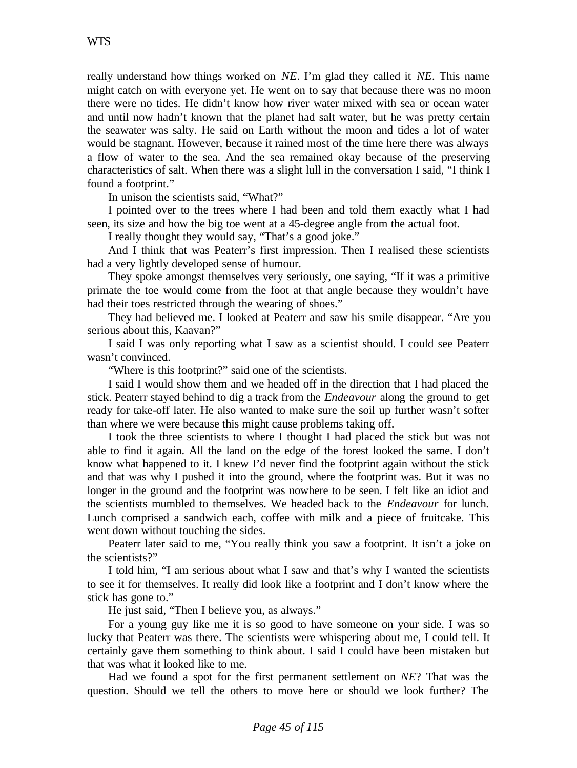really understand how things worked on *NE*. I'm glad they called it *NE*. This name might catch on with everyone yet. He went on to say that because there was no moon there were no tides. He didn't know how river water mixed with sea or ocean water and until now hadn't known that the planet had salt water, but he was pretty certain the seawater was salty. He said on Earth without the moon and tides a lot of water would be stagnant. However, because it rained most of the time here there was always a flow of water to the sea. And the sea remained okay because of the preserving characteristics of salt. When there was a slight lull in the conversation I said, "I think I found a footprint."

In unison the scientists said, "What?"

I pointed over to the trees where I had been and told them exactly what I had seen, its size and how the big toe went at a 45-degree angle from the actual foot.

I really thought they would say, "That's a good joke."

And I think that was Peaterr's first impression. Then I realised these scientists had a very lightly developed sense of humour.

They spoke amongst themselves very seriously, one saying, "If it was a primitive primate the toe would come from the foot at that angle because they wouldn't have had their toes restricted through the wearing of shoes."

They had believed me. I looked at Peaterr and saw his smile disappear. "Are you serious about this, Kaavan?"

I said I was only reporting what I saw as a scientist should. I could see Peaterr wasn't convinced.

"Where is this footprint?" said one of the scientists.

I said I would show them and we headed off in the direction that I had placed the stick. Peaterr stayed behind to dig a track from the *Endeavour* along the ground to get ready for take-off later. He also wanted to make sure the soil up further wasn't softer than where we were because this might cause problems taking off.

I took the three scientists to where I thought I had placed the stick but was not able to find it again. All the land on the edge of the forest looked the same. I don't know what happened to it. I knew I'd never find the footprint again without the stick and that was why I pushed it into the ground, where the footprint was. But it was no longer in the ground and the footprint was nowhere to be seen. I felt like an idiot and the scientists mumbled to themselves. We headed back to the *Endeavour* for lunch. Lunch comprised a sandwich each, coffee with milk and a piece of fruitcake. This went down without touching the sides.

Peaterr later said to me, "You really think you saw a footprint. It isn't a joke on the scientists?"

I told him, "I am serious about what I saw and that's why I wanted the scientists to see it for themselves. It really did look like a footprint and I don't know where the stick has gone to."

He just said, "Then I believe you, as always."

For a young guy like me it is so good to have someone on your side. I was so lucky that Peaterr was there. The scientists were whispering about me, I could tell. It certainly gave them something to think about. I said I could have been mistaken but that was what it looked like to me.

Had we found a spot for the first permanent settlement on *NE*? That was the question. Should we tell the others to move here or should we look further? The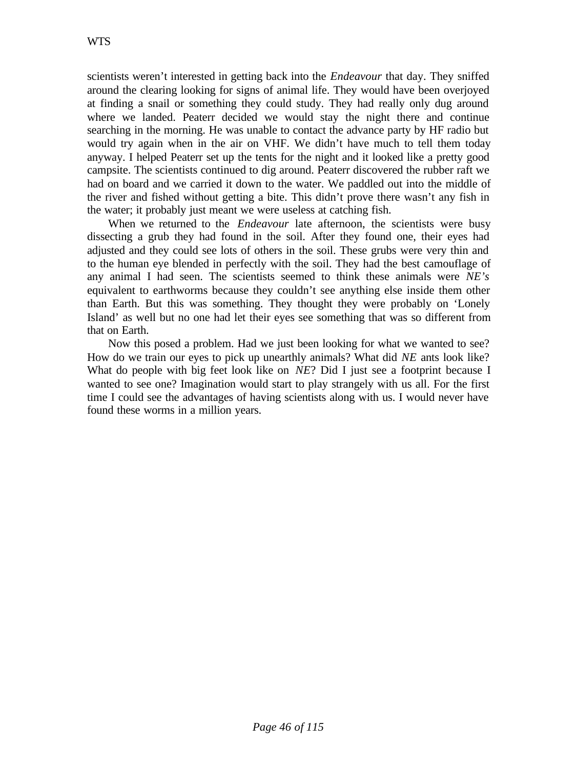scientists weren't interested in getting back into the *Endeavour* that day. They sniffed around the clearing looking for signs of animal life. They would have been overjoyed at finding a snail or something they could study. They had really only dug around where we landed. Peaterr decided we would stay the night there and continue searching in the morning. He was unable to contact the advance party by HF radio but would try again when in the air on VHF. We didn't have much to tell them today anyway. I helped Peaterr set up the tents for the night and it looked like a pretty good campsite. The scientists continued to dig around. Peaterr discovered the rubber raft we had on board and we carried it down to the water. We paddled out into the middle of the river and fished without getting a bite. This didn't prove there wasn't any fish in the water; it probably just meant we were useless at catching fish.

When we returned to the *Endeavour* late afternoon, the scientists were busy dissecting a grub they had found in the soil. After they found one, their eyes had adjusted and they could see lots of others in the soil. These grubs were very thin and to the human eye blended in perfectly with the soil. They had the best camouflage of any animal I had seen. The scientists seemed to think these animals were *NE's* equivalent to earthworms because they couldn't see anything else inside them other than Earth. But this was something. They thought they were probably on 'Lonely Island' as well but no one had let their eyes see something that was so different from that on Earth.

Now this posed a problem. Had we just been looking for what we wanted to see? How do we train our eyes to pick up unearthly animals? What did *NE* ants look like? What do people with big feet look like on *NE*? Did I just see a footprint because I wanted to see one? Imagination would start to play strangely with us all. For the first time I could see the advantages of having scientists along with us. I would never have found these worms in a million years.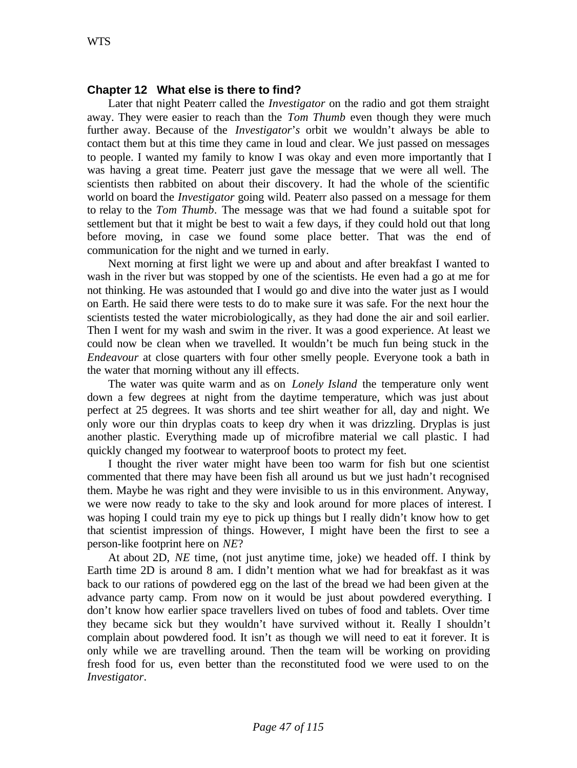# **Chapter 12 What else is there to find?**

Later that night Peaterr called the *Investigator* on the radio and got them straight away. They were easier to reach than the *Tom Thumb* even though they were much further away. Because of the *Investigator*'*s* orbit we wouldn't always be able to contact them but at this time they came in loud and clear. We just passed on messages to people. I wanted my family to know I was okay and even more importantly that I was having a great time. Peaterr just gave the message that we were all well. The scientists then rabbited on about their discovery. It had the whole of the scientific world on board the *Investigator* going wild. Peaterr also passed on a message for them to relay to the *Tom Thumb*. The message was that we had found a suitable spot for settlement but that it might be best to wait a few days, if they could hold out that long before moving, in case we found some place better. That was the end of communication for the night and we turned in early.

Next morning at first light we were up and about and after breakfast I wanted to wash in the river but was stopped by one of the scientists. He even had a go at me for not thinking. He was astounded that I would go and dive into the water just as I would on Earth. He said there were tests to do to make sure it was safe. For the next hour the scientists tested the water microbiologically, as they had done the air and soil earlier. Then I went for my wash and swim in the river. It was a good experience. At least we could now be clean when we travelled. It wouldn't be much fun being stuck in the *Endeavour* at close quarters with four other smelly people. Everyone took a bath in the water that morning without any ill effects.

The water was quite warm and as on *Lonely Island* the temperature only went down a few degrees at night from the daytime temperature, which was just about perfect at 25 degrees. It was shorts and tee shirt weather for all, day and night. We only wore our thin dryplas coats to keep dry when it was drizzling. Dryplas is just another plastic. Everything made up of microfibre material we call plastic. I had quickly changed my footwear to waterproof boots to protect my feet.

I thought the river water might have been too warm for fish but one scientist commented that there may have been fish all around us but we just hadn't recognised them. Maybe he was right and they were invisible to us in this environment. Anyway, we were now ready to take to the sky and look around for more places of interest. I was hoping I could train my eye to pick up things but I really didn't know how to get that scientist impression of things. However, I might have been the first to see a person-like footprint here on *NE*?

At about 2D, *NE* time, (not just anytime time, joke) we headed off. I think by Earth time 2D is around 8 am. I didn't mention what we had for breakfast as it was back to our rations of powdered egg on the last of the bread we had been given at the advance party camp. From now on it would be just about powdered everything. I don't know how earlier space travellers lived on tubes of food and tablets. Over time they became sick but they wouldn't have survived without it. Really I shouldn't complain about powdered food. It isn't as though we will need to eat it forever. It is only while we are travelling around. Then the team will be working on providing fresh food for us, even better than the reconstituted food we were used to on the *Investigator*.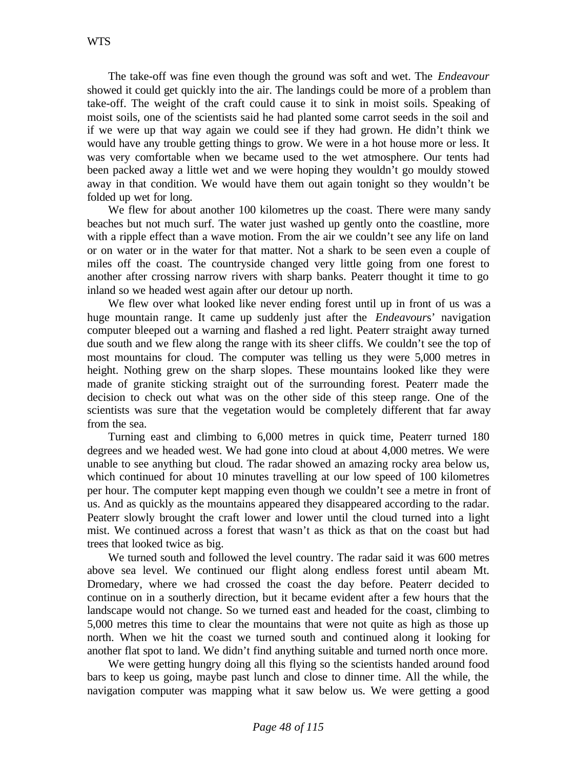The take-off was fine even though the ground was soft and wet. The *Endeavour* showed it could get quickly into the air. The landings could be more of a problem than take-off. The weight of the craft could cause it to sink in moist soils. Speaking of moist soils, one of the scientists said he had planted some carrot seeds in the soil and if we were up that way again we could see if they had grown. He didn't think we would have any trouble getting things to grow. We were in a hot house more or less. It was very comfortable when we became used to the wet atmosphere. Our tents had been packed away a little wet and we were hoping they wouldn't go mouldy stowed away in that condition. We would have them out again tonight so they wouldn't be folded up wet for long.

We flew for about another 100 kilometres up the coast. There were many sandy beaches but not much surf. The water just washed up gently onto the coastline, more with a ripple effect than a wave motion. From the air we couldn't see any life on land or on water or in the water for that matter. Not a shark to be seen even a couple of miles off the coast. The countryside changed very little going from one forest to another after crossing narrow rivers with sharp banks. Peaterr thought it time to go inland so we headed west again after our detour up north.

We flew over what looked like never ending forest until up in front of us was a huge mountain range. It came up suddenly just after the *Endeavour*s' navigation computer bleeped out a warning and flashed a red light. Peaterr straight away turned due south and we flew along the range with its sheer cliffs. We couldn't see the top of most mountains for cloud. The computer was telling us they were 5,000 metres in height. Nothing grew on the sharp slopes. These mountains looked like they were made of granite sticking straight out of the surrounding forest. Peaterr made the decision to check out what was on the other side of this steep range. One of the scientists was sure that the vegetation would be completely different that far away from the sea.

Turning east and climbing to 6,000 metres in quick time, Peaterr turned 180 degrees and we headed west. We had gone into cloud at about 4,000 metres. We were unable to see anything but cloud. The radar showed an amazing rocky area below us, which continued for about 10 minutes travelling at our low speed of 100 kilometres per hour. The computer kept mapping even though we couldn't see a metre in front of us. And as quickly as the mountains appeared they disappeared according to the radar. Peaterr slowly brought the craft lower and lower until the cloud turned into a light mist. We continued across a forest that wasn't as thick as that on the coast but had trees that looked twice as big.

We turned south and followed the level country. The radar said it was 600 metres above sea level. We continued our flight along endless forest until abeam Mt. Dromedary, where we had crossed the coast the day before. Peaterr decided to continue on in a southerly direction, but it became evident after a few hours that the landscape would not change. So we turned east and headed for the coast, climbing to 5,000 metres this time to clear the mountains that were not quite as high as those up north. When we hit the coast we turned south and continued along it looking for another flat spot to land. We didn't find anything suitable and turned north once more.

We were getting hungry doing all this flying so the scientists handed around food bars to keep us going, maybe past lunch and close to dinner time. All the while, the navigation computer was mapping what it saw below us. We were getting a good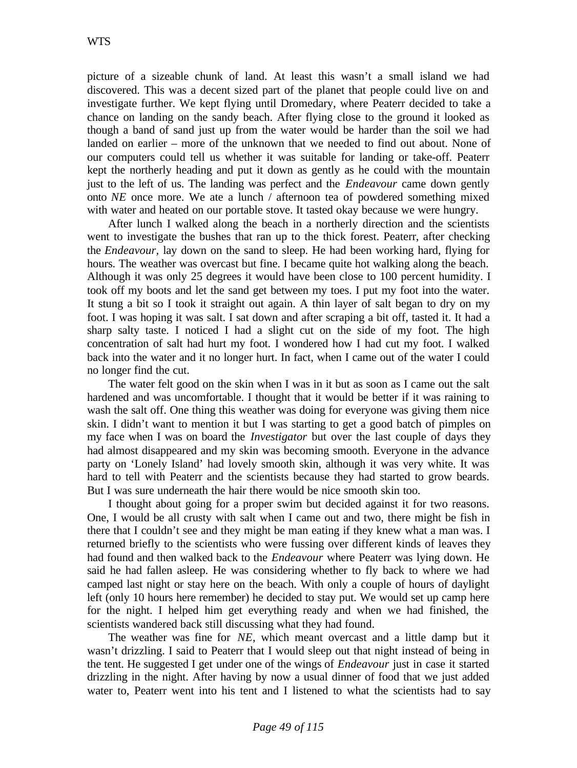picture of a sizeable chunk of land. At least this wasn't a small island we had discovered. This was a decent sized part of the planet that people could live on and investigate further. We kept flying until Dromedary, where Peaterr decided to take a chance on landing on the sandy beach. After flying close to the ground it looked as though a band of sand just up from the water would be harder than the soil we had landed on earlier – more of the unknown that we needed to find out about. None of our computers could tell us whether it was suitable for landing or take-off. Peaterr kept the northerly heading and put it down as gently as he could with the mountain just to the left of us. The landing was perfect and the *Endeavour* came down gently onto *NE* once more. We ate a lunch / afternoon tea of powdered something mixed with water and heated on our portable stove. It tasted okay because we were hungry.

After lunch I walked along the beach in a northerly direction and the scientists went to investigate the bushes that ran up to the thick forest. Peaterr, after checking the *Endeavour,* lay down on the sand to sleep. He had been working hard, flying for hours. The weather was overcast but fine. I became quite hot walking along the beach. Although it was only 25 degrees it would have been close to 100 percent humidity. I took off my boots and let the sand get between my toes. I put my foot into the water. It stung a bit so I took it straight out again. A thin layer of salt began to dry on my foot. I was hoping it was salt. I sat down and after scraping a bit off, tasted it. It had a sharp salty taste. I noticed I had a slight cut on the side of my foot. The high concentration of salt had hurt my foot. I wondered how I had cut my foot. I walked back into the water and it no longer hurt. In fact, when I came out of the water I could no longer find the cut.

The water felt good on the skin when I was in it but as soon as I came out the salt hardened and was uncomfortable. I thought that it would be better if it was raining to wash the salt off. One thing this weather was doing for everyone was giving them nice skin. I didn't want to mention it but I was starting to get a good batch of pimples on my face when I was on board the *Investigator* but over the last couple of days they had almost disappeared and my skin was becoming smooth. Everyone in the advance party on 'Lonely Island' had lovely smooth skin, although it was very white. It was hard to tell with Peaterr and the scientists because they had started to grow beards. But I was sure underneath the hair there would be nice smooth skin too.

I thought about going for a proper swim but decided against it for two reasons. One, I would be all crusty with salt when I came out and two, there might be fish in there that I couldn't see and they might be man eating if they knew what a man was. I returned briefly to the scientists who were fussing over different kinds of leaves they had found and then walked back to the *Endeavour* where Peaterr was lying down. He said he had fallen asleep. He was considering whether to fly back to where we had camped last night or stay here on the beach. With only a couple of hours of daylight left (only 10 hours here remember) he decided to stay put. We would set up camp here for the night. I helped him get everything ready and when we had finished, the scientists wandered back still discussing what they had found.

The weather was fine for *NE*, which meant overcast and a little damp but it wasn't drizzling. I said to Peaterr that I would sleep out that night instead of being in the tent. He suggested I get under one of the wings of *Endeavour* just in case it started drizzling in the night. After having by now a usual dinner of food that we just added water to, Peaterr went into his tent and I listened to what the scientists had to say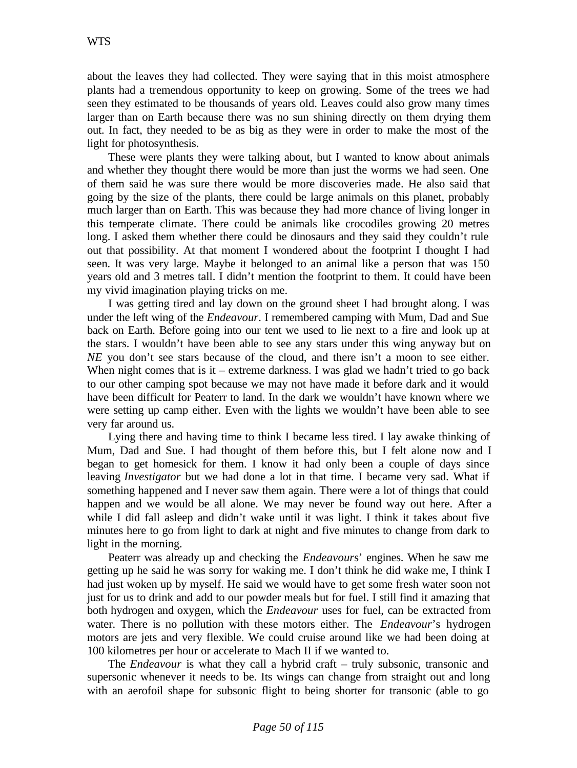about the leaves they had collected. They were saying that in this moist atmosphere plants had a tremendous opportunity to keep on growing. Some of the trees we had seen they estimated to be thousands of years old. Leaves could also grow many times larger than on Earth because there was no sun shining directly on them drying them out. In fact, they needed to be as big as they were in order to make the most of the light for photosynthesis.

These were plants they were talking about, but I wanted to know about animals and whether they thought there would be more than just the worms we had seen. One of them said he was sure there would be more discoveries made. He also said that going by the size of the plants, there could be large animals on this planet, probably much larger than on Earth. This was because they had more chance of living longer in this temperate climate. There could be animals like crocodiles growing 20 metres long. I asked them whether there could be dinosaurs and they said they couldn't rule out that possibility. At that moment I wondered about the footprint I thought I had seen. It was very large. Maybe it belonged to an animal like a person that was 150 years old and 3 metres tall. I didn't mention the footprint to them. It could have been my vivid imagination playing tricks on me.

I was getting tired and lay down on the ground sheet I had brought along. I was under the left wing of the *Endeavour*. I remembered camping with Mum, Dad and Sue back on Earth. Before going into our tent we used to lie next to a fire and look up at the stars. I wouldn't have been able to see any stars under this wing anyway but on *NE* you don't see stars because of the cloud, and there isn't a moon to see either. When night comes that is it – extreme darkness. I was glad we hadn't tried to go back to our other camping spot because we may not have made it before dark and it would have been difficult for Peaterr to land. In the dark we wouldn't have known where we were setting up camp either. Even with the lights we wouldn't have been able to see very far around us.

Lying there and having time to think I became less tired. I lay awake thinking of Mum, Dad and Sue. I had thought of them before this, but I felt alone now and I began to get homesick for them. I know it had only been a couple of days since leaving *Investigator* but we had done a lot in that time. I became very sad. What if something happened and I never saw them again. There were a lot of things that could happen and we would be all alone. We may never be found way out here. After a while I did fall asleep and didn't wake until it was light. I think it takes about five minutes here to go from light to dark at night and five minutes to change from dark to light in the morning.

Peaterr was already up and checking the *Endeavour*s' engines. When he saw me getting up he said he was sorry for waking me. I don't think he did wake me, I think I had just woken up by myself. He said we would have to get some fresh water soon not just for us to drink and add to our powder meals but for fuel. I still find it amazing that both hydrogen and oxygen, which the *Endeavour* uses for fuel, can be extracted from water. There is no pollution with these motors either. The *Endeavour*'s hydrogen motors are jets and very flexible. We could cruise around like we had been doing at 100 kilometres per hour or accelerate to Mach II if we wanted to.

The *Endeavour* is what they call a hybrid craft – truly subsonic, transonic and supersonic whenever it needs to be. Its wings can change from straight out and long with an aerofoil shape for subsonic flight to being shorter for transonic (able to go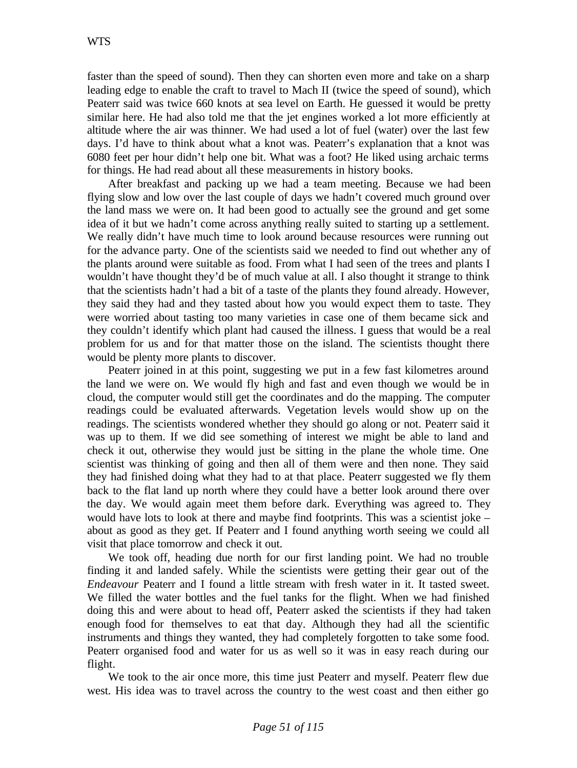faster than the speed of sound). Then they can shorten even more and take on a sharp leading edge to enable the craft to travel to Mach II (twice the speed of sound), which Peaterr said was twice 660 knots at sea level on Earth. He guessed it would be pretty similar here. He had also told me that the jet engines worked a lot more efficiently at altitude where the air was thinner. We had used a lot of fuel (water) over the last few days. I'd have to think about what a knot was. Peaterr's explanation that a knot was 6080 feet per hour didn't help one bit. What was a foot? He liked using archaic terms for things. He had read about all these measurements in history books.

After breakfast and packing up we had a team meeting. Because we had been flying slow and low over the last couple of days we hadn't covered much ground over the land mass we were on. It had been good to actually see the ground and get some idea of it but we hadn't come across anything really suited to starting up a settlement. We really didn't have much time to look around because resources were running out for the advance party. One of the scientists said we needed to find out whether any of the plants around were suitable as food. From what I had seen of the trees and plants I wouldn't have thought they'd be of much value at all. I also thought it strange to think that the scientists hadn't had a bit of a taste of the plants they found already. However, they said they had and they tasted about how you would expect them to taste. They were worried about tasting too many varieties in case one of them became sick and they couldn't identify which plant had caused the illness. I guess that would be a real problem for us and for that matter those on the island. The scientists thought there would be plenty more plants to discover.

Peaterr joined in at this point, suggesting we put in a few fast kilometres around the land we were on. We would fly high and fast and even though we would be in cloud, the computer would still get the coordinates and do the mapping. The computer readings could be evaluated afterwards. Vegetation levels would show up on the readings. The scientists wondered whether they should go along or not. Peaterr said it was up to them. If we did see something of interest we might be able to land and check it out, otherwise they would just be sitting in the plane the whole time. One scientist was thinking of going and then all of them were and then none. They said they had finished doing what they had to at that place. Peaterr suggested we fly them back to the flat land up north where they could have a better look around there over the day. We would again meet them before dark. Everything was agreed to. They would have lots to look at there and maybe find footprints. This was a scientist joke – about as good as they get. If Peaterr and I found anything worth seeing we could all visit that place tomorrow and check it out.

We took off, heading due north for our first landing point. We had no trouble finding it and landed safely. While the scientists were getting their gear out of the *Endeavour* Peaterr and I found a little stream with fresh water in it. It tasted sweet. We filled the water bottles and the fuel tanks for the flight. When we had finished doing this and were about to head off, Peaterr asked the scientists if they had taken enough food for themselves to eat that day. Although they had all the scientific instruments and things they wanted, they had completely forgotten to take some food. Peaterr organised food and water for us as well so it was in easy reach during our flight.

We took to the air once more, this time just Peaterr and myself. Peaterr flew due west. His idea was to travel across the country to the west coast and then either go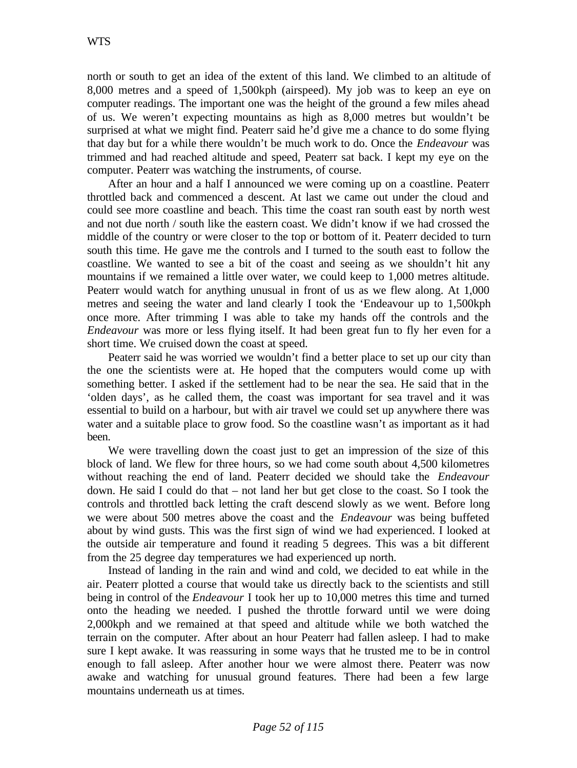north or south to get an idea of the extent of this land. We climbed to an altitude of 8,000 metres and a speed of 1,500kph (airspeed). My job was to keep an eye on computer readings. The important one was the height of the ground a few miles ahead of us. We weren't expecting mountains as high as 8,000 metres but wouldn't be surprised at what we might find. Peaterr said he'd give me a chance to do some flying that day but for a while there wouldn't be much work to do. Once the *Endeavour* was trimmed and had reached altitude and speed, Peaterr sat back. I kept my eye on the computer. Peaterr was watching the instruments, of course.

After an hour and a half I announced we were coming up on a coastline. Peaterr throttled back and commenced a descent. At last we came out under the cloud and could see more coastline and beach. This time the coast ran south east by north west and not due north / south like the eastern coast. We didn't know if we had crossed the middle of the country or were closer to the top or bottom of it. Peaterr decided to turn south this time. He gave me the controls and I turned to the south east to follow the coastline. We wanted to see a bit of the coast and seeing as we shouldn't hit any mountains if we remained a little over water, we could keep to 1,000 metres altitude. Peaterr would watch for anything unusual in front of us as we flew along. At 1,000 metres and seeing the water and land clearly I took the 'Endeavour up to 1,500kph once more. After trimming I was able to take my hands off the controls and the *Endeavour* was more or less flying itself. It had been great fun to fly her even for a short time. We cruised down the coast at speed.

Peaterr said he was worried we wouldn't find a better place to set up our city than the one the scientists were at. He hoped that the computers would come up with something better. I asked if the settlement had to be near the sea. He said that in the 'olden days', as he called them, the coast was important for sea travel and it was essential to build on a harbour, but with air travel we could set up anywhere there was water and a suitable place to grow food. So the coastline wasn't as important as it had been.

We were travelling down the coast just to get an impression of the size of this block of land. We flew for three hours, so we had come south about 4,500 kilometres without reaching the end of land. Peaterr decided we should take the *Endeavour* down. He said I could do that – not land her but get close to the coast. So I took the controls and throttled back letting the craft descend slowly as we went. Before long we were about 500 metres above the coast and the *Endeavour* was being buffeted about by wind gusts. This was the first sign of wind we had experienced. I looked at the outside air temperature and found it reading 5 degrees. This was a bit different from the 25 degree day temperatures we had experienced up north.

Instead of landing in the rain and wind and cold, we decided to eat while in the air. Peaterr plotted a course that would take us directly back to the scientists and still being in control of the *Endeavour* I took her up to 10,000 metres this time and turned onto the heading we needed. I pushed the throttle forward until we were doing 2,000kph and we remained at that speed and altitude while we both watched the terrain on the computer. After about an hour Peaterr had fallen asleep. I had to make sure I kept awake. It was reassuring in some ways that he trusted me to be in control enough to fall asleep. After another hour we were almost there. Peaterr was now awake and watching for unusual ground features. There had been a few large mountains underneath us at times.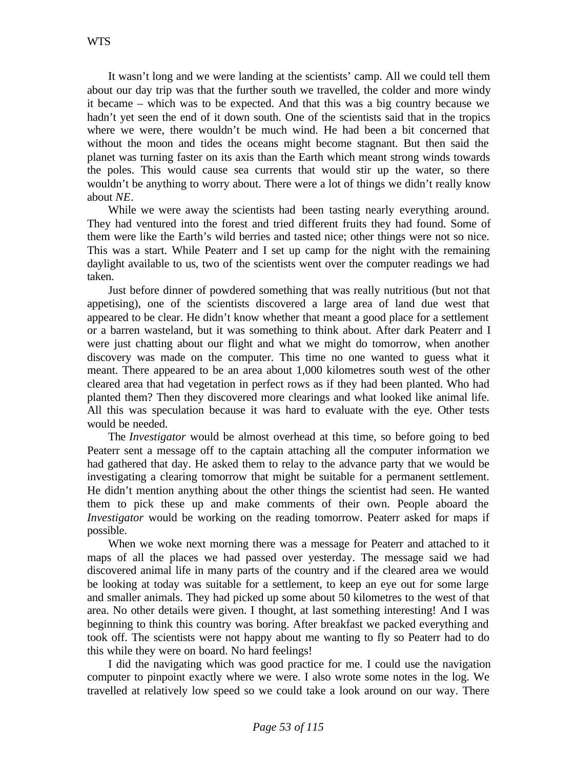It wasn't long and we were landing at the scientists' camp. All we could tell them about our day trip was that the further south we travelled, the colder and more windy it became – which was to be expected. And that this was a big country because we hadn't yet seen the end of it down south. One of the scientists said that in the tropics where we were, there wouldn't be much wind. He had been a bit concerned that without the moon and tides the oceans might become stagnant. But then said the planet was turning faster on its axis than the Earth which meant strong winds towards the poles. This would cause sea currents that would stir up the water, so there wouldn't be anything to worry about. There were a lot of things we didn't really know about *NE*.

While we were away the scientists had been tasting nearly everything around. They had ventured into the forest and tried different fruits they had found. Some of them were like the Earth's wild berries and tasted nice; other things were not so nice. This was a start. While Peaterr and I set up camp for the night with the remaining daylight available to us, two of the scientists went over the computer readings we had taken.

Just before dinner of powdered something that was really nutritious (but not that appetising), one of the scientists discovered a large area of land due west that appeared to be clear. He didn't know whether that meant a good place for a settlement or a barren wasteland, but it was something to think about. After dark Peaterr and I were just chatting about our flight and what we might do tomorrow, when another discovery was made on the computer. This time no one wanted to guess what it meant. There appeared to be an area about 1,000 kilometres south west of the other cleared area that had vegetation in perfect rows as if they had been planted. Who had planted them? Then they discovered more clearings and what looked like animal life. All this was speculation because it was hard to evaluate with the eye. Other tests would be needed.

The *Investigator* would be almost overhead at this time, so before going to bed Peaterr sent a message off to the captain attaching all the computer information we had gathered that day. He asked them to relay to the advance party that we would be investigating a clearing tomorrow that might be suitable for a permanent settlement. He didn't mention anything about the other things the scientist had seen. He wanted them to pick these up and make comments of their own. People aboard the *Investigator* would be working on the reading tomorrow. Peaterr asked for maps if possible.

When we woke next morning there was a message for Peaterr and attached to it maps of all the places we had passed over yesterday. The message said we had discovered animal life in many parts of the country and if the cleared area we would be looking at today was suitable for a settlement, to keep an eye out for some large and smaller animals. They had picked up some about 50 kilometres to the west of that area. No other details were given. I thought, at last something interesting! And I was beginning to think this country was boring. After breakfast we packed everything and took off. The scientists were not happy about me wanting to fly so Peaterr had to do this while they were on board. No hard feelings!

I did the navigating which was good practice for me. I could use the navigation computer to pinpoint exactly where we were. I also wrote some notes in the log. We travelled at relatively low speed so we could take a look around on our way. There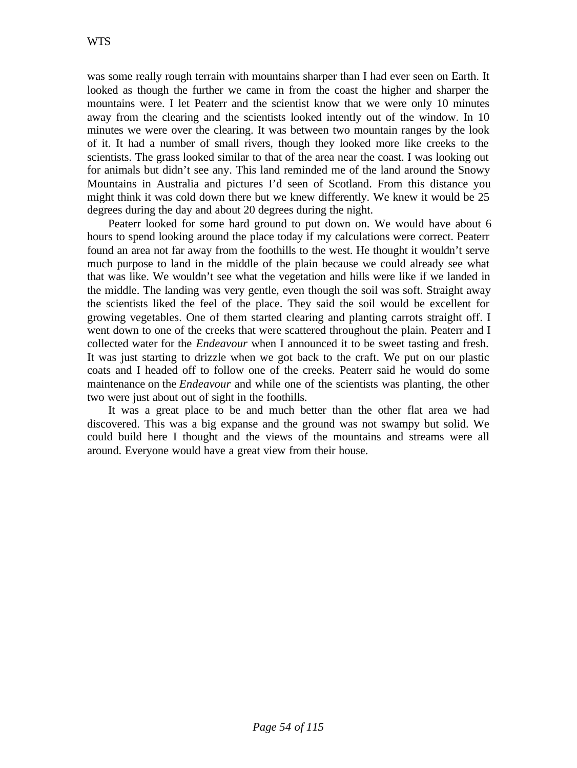was some really rough terrain with mountains sharper than I had ever seen on Earth. It looked as though the further we came in from the coast the higher and sharper the mountains were. I let Peaterr and the scientist know that we were only 10 minutes away from the clearing and the scientists looked intently out of the window. In 10 minutes we were over the clearing. It was between two mountain ranges by the look of it. It had a number of small rivers, though they looked more like creeks to the scientists. The grass looked similar to that of the area near the coast. I was looking out for animals but didn't see any. This land reminded me of the land around the Snowy Mountains in Australia and pictures I'd seen of Scotland. From this distance you might think it was cold down there but we knew differently. We knew it would be 25 degrees during the day and about 20 degrees during the night.

Peaterr looked for some hard ground to put down on. We would have about 6 hours to spend looking around the place today if my calculations were correct. Peaterr found an area not far away from the foothills to the west. He thought it wouldn't serve much purpose to land in the middle of the plain because we could already see what that was like. We wouldn't see what the vegetation and hills were like if we landed in the middle. The landing was very gentle, even though the soil was soft. Straight away the scientists liked the feel of the place. They said the soil would be excellent for growing vegetables. One of them started clearing and planting carrots straight off. I went down to one of the creeks that were scattered throughout the plain. Peaterr and I collected water for the *Endeavour* when I announced it to be sweet tasting and fresh. It was just starting to drizzle when we got back to the craft. We put on our plastic coats and I headed off to follow one of the creeks. Peaterr said he would do some maintenance on the *Endeavour* and while one of the scientists was planting, the other two were just about out of sight in the foothills.

It was a great place to be and much better than the other flat area we had discovered. This was a big expanse and the ground was not swampy but solid. We could build here I thought and the views of the mountains and streams were all around. Everyone would have a great view from their house.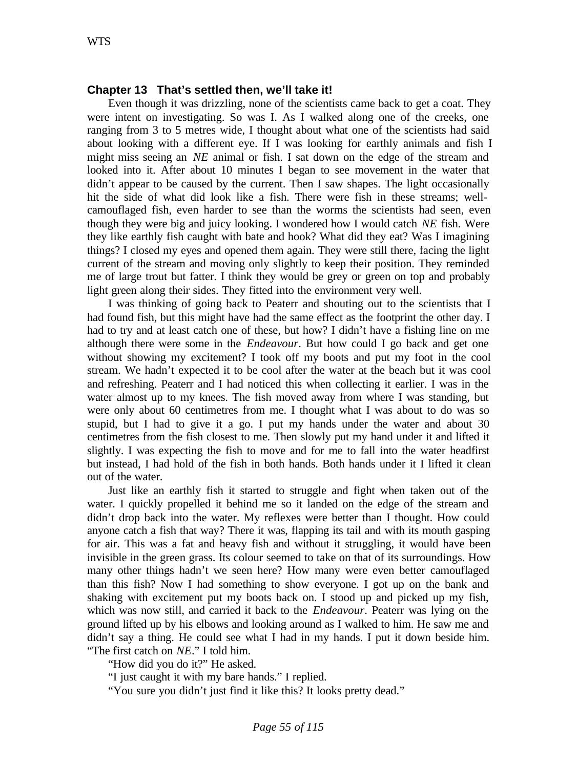### **Chapter 13 That's settled then, we'll take it!**

Even though it was drizzling, none of the scientists came back to get a coat. They were intent on investigating. So was I. As I walked along one of the creeks, one ranging from 3 to 5 metres wide, I thought about what one of the scientists had said about looking with a different eye. If I was looking for earthly animals and fish I might miss seeing an *NE* animal or fish. I sat down on the edge of the stream and looked into it. After about 10 minutes I began to see movement in the water that didn't appear to be caused by the current. Then I saw shapes. The light occasionally hit the side of what did look like a fish. There were fish in these streams; wellcamouflaged fish, even harder to see than the worms the scientists had seen, even though they were big and juicy looking. I wondered how I would catch *NE* fish. Were they like earthly fish caught with bate and hook? What did they eat? Was I imagining things? I closed my eyes and opened them again. They were still there, facing the light current of the stream and moving only slightly to keep their position. They reminded me of large trout but fatter. I think they would be grey or green on top and probably light green along their sides. They fitted into the environment very well.

I was thinking of going back to Peaterr and shouting out to the scientists that I had found fish, but this might have had the same effect as the footprint the other day. I had to try and at least catch one of these, but how? I didn't have a fishing line on me although there were some in the *Endeavour*. But how could I go back and get one without showing my excitement? I took off my boots and put my foot in the cool stream. We hadn't expected it to be cool after the water at the beach but it was cool and refreshing. Peaterr and I had noticed this when collecting it earlier. I was in the water almost up to my knees. The fish moved away from where I was standing, but were only about 60 centimetres from me. I thought what I was about to do was so stupid, but I had to give it a go. I put my hands under the water and about 30 centimetres from the fish closest to me. Then slowly put my hand under it and lifted it slightly. I was expecting the fish to move and for me to fall into the water headfirst but instead, I had hold of the fish in both hands. Both hands under it I lifted it clean out of the water.

Just like an earthly fish it started to struggle and fight when taken out of the water. I quickly propelled it behind me so it landed on the edge of the stream and didn't drop back into the water. My reflexes were better than I thought. How could anyone catch a fish that way? There it was, flapping its tail and with its mouth gasping for air. This was a fat and heavy fish and without it struggling, it would have been invisible in the green grass. Its colour seemed to take on that of its surroundings. How many other things hadn't we seen here? How many were even better camouflaged than this fish? Now I had something to show everyone. I got up on the bank and shaking with excitement put my boots back on. I stood up and picked up my fish, which was now still, and carried it back to the *Endeavour*. Peaterr was lying on the ground lifted up by his elbows and looking around as I walked to him. He saw me and didn't say a thing. He could see what I had in my hands. I put it down beside him. "The first catch on *NE*." I told him.

"How did you do it?" He asked.

"I just caught it with my bare hands." I replied.

"You sure you didn't just find it like this? It looks pretty dead."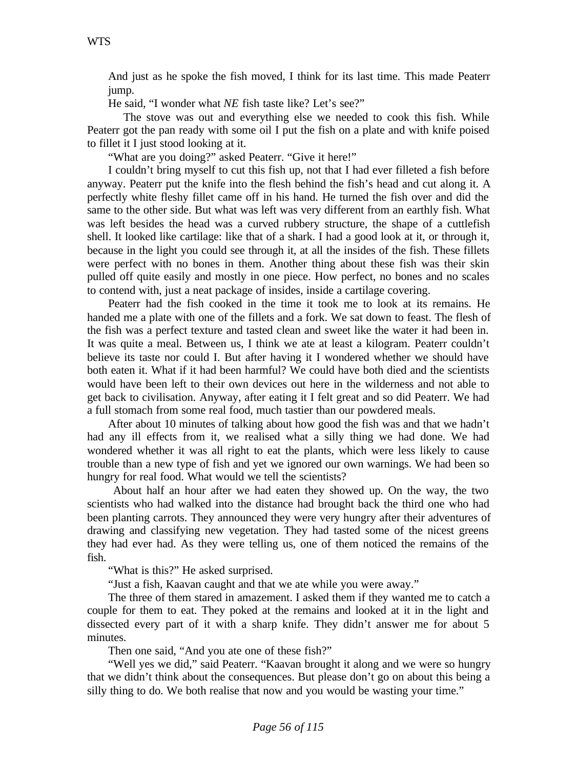And just as he spoke the fish moved, I think for its last time. This made Peaterr jump.

He said, "I wonder what *NE* fish taste like? Let's see?"

 The stove was out and everything else we needed to cook this fish. While Peaterr got the pan ready with some oil I put the fish on a plate and with knife poised to fillet it I just stood looking at it.

"What are you doing?" asked Peaterr. "Give it here!"

I couldn't bring myself to cut this fish up, not that I had ever filleted a fish before anyway. Peaterr put the knife into the flesh behind the fish's head and cut along it. A perfectly white fleshy fillet came off in his hand. He turned the fish over and did the same to the other side. But what was left was very different from an earthly fish. What was left besides the head was a curved rubbery structure, the shape of a cuttlefish shell. It looked like cartilage: like that of a shark. I had a good look at it, or through it, because in the light you could see through it, at all the insides of the fish. These fillets were perfect with no bones in them. Another thing about these fish was their skin pulled off quite easily and mostly in one piece. How perfect, no bones and no scales to contend with, just a neat package of insides, inside a cartilage covering.

Peaterr had the fish cooked in the time it took me to look at its remains. He handed me a plate with one of the fillets and a fork. We sat down to feast. The flesh of the fish was a perfect texture and tasted clean and sweet like the water it had been in. It was quite a meal. Between us, I think we ate at least a kilogram. Peaterr couldn't believe its taste nor could I. But after having it I wondered whether we should have both eaten it. What if it had been harmful? We could have both died and the scientists would have been left to their own devices out here in the wilderness and not able to get back to civilisation. Anyway, after eating it I felt great and so did Peaterr. We had a full stomach from some real food, much tastier than our powdered meals.

After about 10 minutes of talking about how good the fish was and that we hadn't had any ill effects from it, we realised what a silly thing we had done. We had wondered whether it was all right to eat the plants, which were less likely to cause trouble than a new type of fish and yet we ignored our own warnings. We had been so hungry for real food. What would we tell the scientists?

 About half an hour after we had eaten they showed up. On the way, the two scientists who had walked into the distance had brought back the third one who had been planting carrots. They announced they were very hungry after their adventures of drawing and classifying new vegetation. They had tasted some of the nicest greens they had ever had. As they were telling us, one of them noticed the remains of the fish.

"What is this?" He asked surprised.

"Just a fish, Kaavan caught and that we ate while you were away."

The three of them stared in amazement. I asked them if they wanted me to catch a couple for them to eat. They poked at the remains and looked at it in the light and dissected every part of it with a sharp knife. They didn't answer me for about 5 minutes.

Then one said, "And you ate one of these fish?"

"Well yes we did," said Peaterr. "Kaavan brought it along and we were so hungry that we didn't think about the consequences. But please don't go on about this being a silly thing to do. We both realise that now and you would be wasting your time."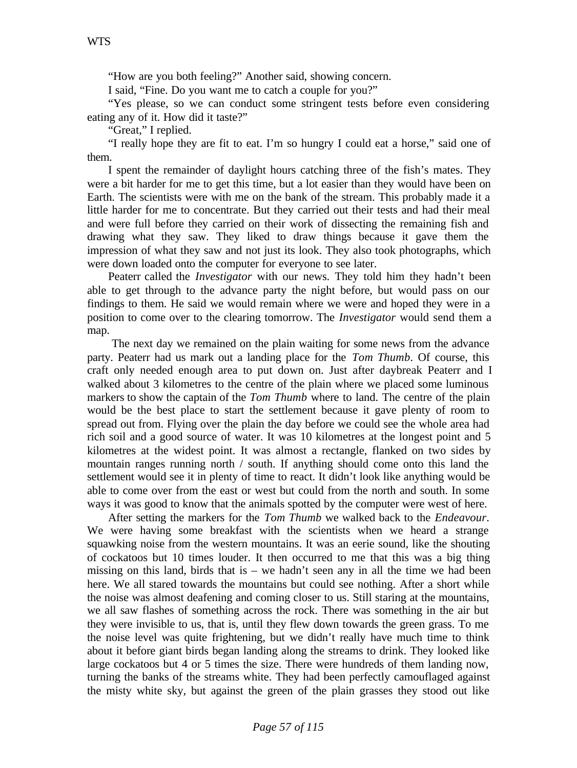"How are you both feeling?" Another said, showing concern.

I said, "Fine. Do you want me to catch a couple for you?"

"Yes please, so we can conduct some stringent tests before even considering eating any of it. How did it taste?"

"Great," I replied.

"I really hope they are fit to eat. I'm so hungry I could eat a horse," said one of them.

I spent the remainder of daylight hours catching three of the fish's mates. They were a bit harder for me to get this time, but a lot easier than they would have been on Earth. The scientists were with me on the bank of the stream. This probably made it a little harder for me to concentrate. But they carried out their tests and had their meal and were full before they carried on their work of dissecting the remaining fish and drawing what they saw. They liked to draw things because it gave them the impression of what they saw and not just its look. They also took photographs, which were down loaded onto the computer for everyone to see later.

Peaterr called the *Investigator* with our news. They told him they hadn't been able to get through to the advance party the night before, but would pass on our findings to them. He said we would remain where we were and hoped they were in a position to come over to the clearing tomorrow. The *Investigator* would send them a map.

 The next day we remained on the plain waiting for some news from the advance party. Peaterr had us mark out a landing place for the *Tom Thumb*. Of course, this craft only needed enough area to put down on. Just after daybreak Peaterr and I walked about 3 kilometres to the centre of the plain where we placed some luminous markers to show the captain of the *Tom Thumb* where to land. The centre of the plain would be the best place to start the settlement because it gave plenty of room to spread out from. Flying over the plain the day before we could see the whole area had rich soil and a good source of water. It was 10 kilometres at the longest point and 5 kilometres at the widest point. It was almost a rectangle, flanked on two sides by mountain ranges running north / south. If anything should come onto this land the settlement would see it in plenty of time to react. It didn't look like anything would be able to come over from the east or west but could from the north and south. In some ways it was good to know that the animals spotted by the computer were west of here.

After setting the markers for the *Tom Thumb* we walked back to the *Endeavour*. We were having some breakfast with the scientists when we heard a strange squawking noise from the western mountains. It was an eerie sound, like the shouting of cockatoos but 10 times louder. It then occurred to me that this was a big thing missing on this land, birds that is – we hadn't seen any in all the time we had been here. We all stared towards the mountains but could see nothing. After a short while the noise was almost deafening and coming closer to us. Still staring at the mountains, we all saw flashes of something across the rock. There was something in the air but they were invisible to us, that is, until they flew down towards the green grass. To me the noise level was quite frightening, but we didn't really have much time to think about it before giant birds began landing along the streams to drink. They looked like large cockatoos but 4 or 5 times the size. There were hundreds of them landing now, turning the banks of the streams white. They had been perfectly camouflaged against the misty white sky, but against the green of the plain grasses they stood out like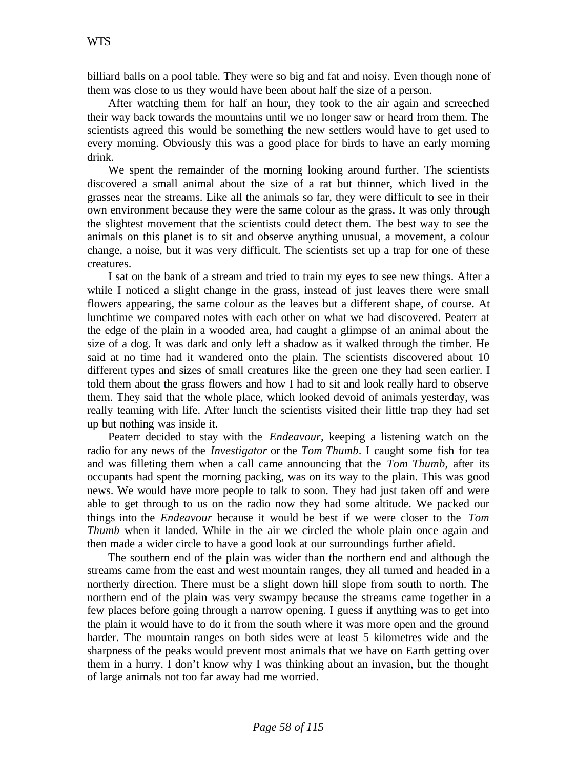billiard balls on a pool table. They were so big and fat and noisy. Even though none of them was close to us they would have been about half the size of a person.

After watching them for half an hour, they took to the air again and screeched their way back towards the mountains until we no longer saw or heard from them. The scientists agreed this would be something the new settlers would have to get used to every morning. Obviously this was a good place for birds to have an early morning drink.

We spent the remainder of the morning looking around further. The scientists discovered a small animal about the size of a rat but thinner, which lived in the grasses near the streams. Like all the animals so far, they were difficult to see in their own environment because they were the same colour as the grass. It was only through the slightest movement that the scientists could detect them. The best way to see the animals on this planet is to sit and observe anything unusual, a movement, a colour change, a noise, but it was very difficult. The scientists set up a trap for one of these creatures.

I sat on the bank of a stream and tried to train my eyes to see new things. After a while I noticed a slight change in the grass, instead of just leaves there were small flowers appearing, the same colour as the leaves but a different shape, of course. At lunchtime we compared notes with each other on what we had discovered. Peaterr at the edge of the plain in a wooded area, had caught a glimpse of an animal about the size of a dog. It was dark and only left a shadow as it walked through the timber. He said at no time had it wandered onto the plain. The scientists discovered about 10 different types and sizes of small creatures like the green one they had seen earlier. I told them about the grass flowers and how I had to sit and look really hard to observe them. They said that the whole place, which looked devoid of animals yesterday, was really teaming with life. After lunch the scientists visited their little trap they had set up but nothing was inside it.

Peaterr decided to stay with the *Endeavour,* keeping a listening watch on the radio for any news of the *Investigator* or the *Tom Thumb*. I caught some fish for tea and was filleting them when a call came announcing that the *Tom Thumb*, after its occupants had spent the morning packing, was on its way to the plain. This was good news. We would have more people to talk to soon. They had just taken off and were able to get through to us on the radio now they had some altitude. We packed our things into the *Endeavour* because it would be best if we were closer to the *Tom Thumb* when it landed. While in the air we circled the whole plain once again and then made a wider circle to have a good look at our surroundings further afield.

The southern end of the plain was wider than the northern end and although the streams came from the east and west mountain ranges, they all turned and headed in a northerly direction. There must be a slight down hill slope from south to north. The northern end of the plain was very swampy because the streams came together in a few places before going through a narrow opening. I guess if anything was to get into the plain it would have to do it from the south where it was more open and the ground harder. The mountain ranges on both sides were at least 5 kilometres wide and the sharpness of the peaks would prevent most animals that we have on Earth getting over them in a hurry. I don't know why I was thinking about an invasion, but the thought of large animals not too far away had me worried.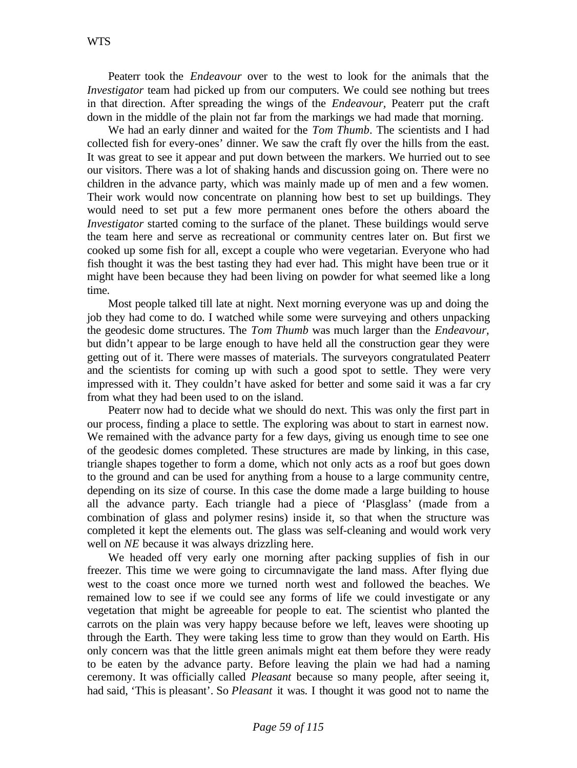Peaterr took the *Endeavour* over to the west to look for the animals that the *Investigator* team had picked up from our computers. We could see nothing but trees in that direction. After spreading the wings of the *Endeavour,* Peaterr put the craft down in the middle of the plain not far from the markings we had made that morning.

We had an early dinner and waited for the *Tom Thumb*. The scientists and I had collected fish for every-ones' dinner. We saw the craft fly over the hills from the east. It was great to see it appear and put down between the markers. We hurried out to see our visitors. There was a lot of shaking hands and discussion going on. There were no children in the advance party, which was mainly made up of men and a few women. Their work would now concentrate on planning how best to set up buildings. They would need to set put a few more permanent ones before the others aboard the *Investigator* started coming to the surface of the planet. These buildings would serve the team here and serve as recreational or community centres later on. But first we cooked up some fish for all, except a couple who were vegetarian. Everyone who had fish thought it was the best tasting they had ever had. This might have been true or it might have been because they had been living on powder for what seemed like a long time.

Most people talked till late at night. Next morning everyone was up and doing the job they had come to do. I watched while some were surveying and others unpacking the geodesic dome structures. The *Tom Thumb* was much larger than the *Endeavour,* but didn't appear to be large enough to have held all the construction gear they were getting out of it. There were masses of materials. The surveyors congratulated Peaterr and the scientists for coming up with such a good spot to settle. They were very impressed with it. They couldn't have asked for better and some said it was a far cry from what they had been used to on the island.

Peaterr now had to decide what we should do next. This was only the first part in our process, finding a place to settle. The exploring was about to start in earnest now. We remained with the advance party for a few days, giving us enough time to see one of the geodesic domes completed. These structures are made by linking, in this case, triangle shapes together to form a dome, which not only acts as a roof but goes down to the ground and can be used for anything from a house to a large community centre, depending on its size of course. In this case the dome made a large building to house all the advance party. Each triangle had a piece of 'Plasglass' (made from a combination of glass and polymer resins) inside it, so that when the structure was completed it kept the elements out. The glass was self-cleaning and would work very well on *NE* because it was always drizzling here.

We headed off very early one morning after packing supplies of fish in our freezer. This time we were going to circumnavigate the land mass. After flying due west to the coast once more we turned north west and followed the beaches. We remained low to see if we could see any forms of life we could investigate or any vegetation that might be agreeable for people to eat. The scientist who planted the carrots on the plain was very happy because before we left, leaves were shooting up through the Earth. They were taking less time to grow than they would on Earth. His only concern was that the little green animals might eat them before they were ready to be eaten by the advance party. Before leaving the plain we had had a naming ceremony. It was officially called *Pleasant* because so many people, after seeing it, had said, 'This is pleasant'. So *Pleasant* it was. I thought it was good not to name the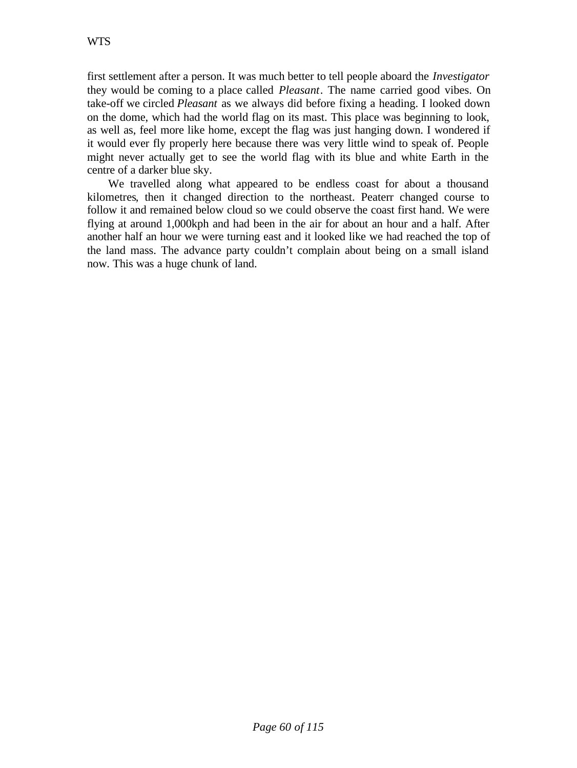first settlement after a person. It was much better to tell people aboard the *Investigator* they would be coming to a place called *Pleasant*. The name carried good vibes. On take-off we circled *Pleasant* as we always did before fixing a heading. I looked down on the dome, which had the world flag on its mast. This place was beginning to look, as well as, feel more like home, except the flag was just hanging down. I wondered if it would ever fly properly here because there was very little wind to speak of. People might never actually get to see the world flag with its blue and white Earth in the centre of a darker blue sky.

We travelled along what appeared to be endless coast for about a thousand kilometres, then it changed direction to the northeast. Peaterr changed course to follow it and remained below cloud so we could observe the coast first hand. We were flying at around 1,000kph and had been in the air for about an hour and a half. After another half an hour we were turning east and it looked like we had reached the top of the land mass. The advance party couldn't complain about being on a small island now. This was a huge chunk of land.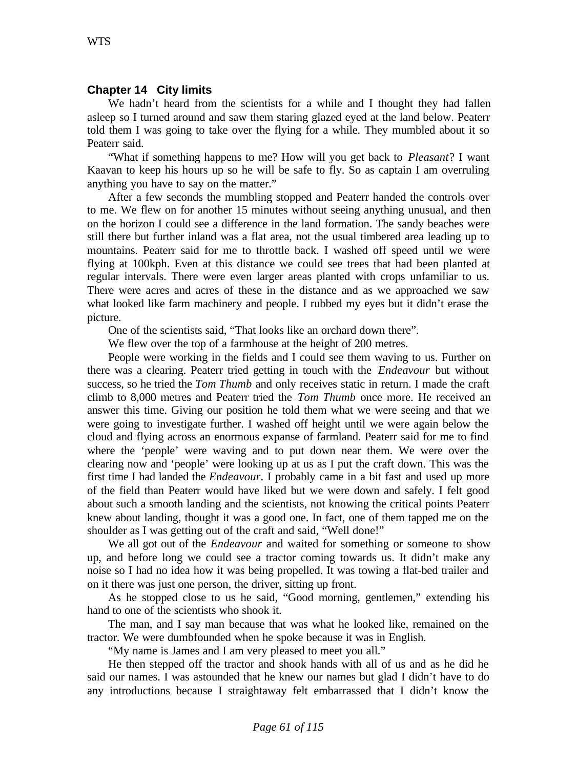## **Chapter 14 City limits**

We hadn't heard from the scientists for a while and I thought they had fallen asleep so I turned around and saw them staring glazed eyed at the land below. Peaterr told them I was going to take over the flying for a while. They mumbled about it so Peaterr said.

"What if something happens to me? How will you get back to *Pleasant*? I want Kaavan to keep his hours up so he will be safe to fly. So as captain I am overruling anything you have to say on the matter."

After a few seconds the mumbling stopped and Peaterr handed the controls over to me. We flew on for another 15 minutes without seeing anything unusual, and then on the horizon I could see a difference in the land formation. The sandy beaches were still there but further inland was a flat area, not the usual timbered area leading up to mountains. Peaterr said for me to throttle back. I washed off speed until we were flying at 100kph. Even at this distance we could see trees that had been planted at regular intervals. There were even larger areas planted with crops unfamiliar to us. There were acres and acres of these in the distance and as we approached we saw what looked like farm machinery and people. I rubbed my eyes but it didn't erase the picture.

One of the scientists said, "That looks like an orchard down there".

We flew over the top of a farmhouse at the height of 200 metres.

People were working in the fields and I could see them waving to us. Further on there was a clearing. Peaterr tried getting in touch with the *Endeavour* but without success, so he tried the *Tom Thumb* and only receives static in return. I made the craft climb to 8,000 metres and Peaterr tried the *Tom Thumb* once more. He received an answer this time. Giving our position he told them what we were seeing and that we were going to investigate further. I washed off height until we were again below the cloud and flying across an enormous expanse of farmland. Peaterr said for me to find where the 'people' were waving and to put down near them. We were over the clearing now and 'people' were looking up at us as I put the craft down. This was the first time I had landed the *Endeavour*. I probably came in a bit fast and used up more of the field than Peaterr would have liked but we were down and safely. I felt good about such a smooth landing and the scientists, not knowing the critical points Peaterr knew about landing, thought it was a good one. In fact, one of them tapped me on the shoulder as I was getting out of the craft and said, "Well done!"

We all got out of the *Endeavour* and waited for something or someone to show up, and before long we could see a tractor coming towards us. It didn't make any noise so I had no idea how it was being propelled. It was towing a flat-bed trailer and on it there was just one person, the driver, sitting up front.

As he stopped close to us he said, "Good morning, gentlemen," extending his hand to one of the scientists who shook it.

The man, and I say man because that was what he looked like, remained on the tractor. We were dumbfounded when he spoke because it was in English.

"My name is James and I am very pleased to meet you all."

He then stepped off the tractor and shook hands with all of us and as he did he said our names. I was astounded that he knew our names but glad I didn't have to do any introductions because I straightaway felt embarrassed that I didn't know the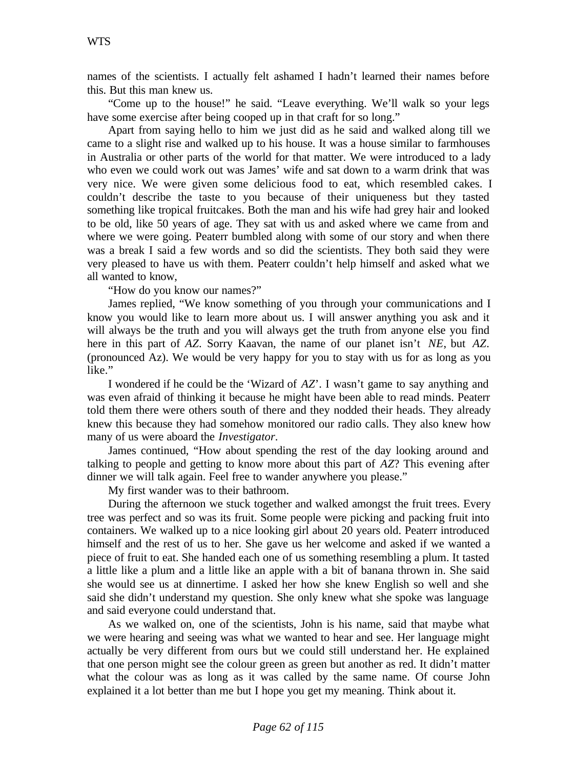names of the scientists. I actually felt ashamed I hadn't learned their names before this. But this man knew us.

"Come up to the house!" he said. "Leave everything. We'll walk so your legs have some exercise after being cooped up in that craft for so long."

Apart from saying hello to him we just did as he said and walked along till we came to a slight rise and walked up to his house. It was a house similar to farmhouses in Australia or other parts of the world for that matter. We were introduced to a lady who even we could work out was James' wife and sat down to a warm drink that was very nice. We were given some delicious food to eat, which resembled cakes. I couldn't describe the taste to you because of their uniqueness but they tasted something like tropical fruitcakes. Both the man and his wife had grey hair and looked to be old, like 50 years of age. They sat with us and asked where we came from and where we were going. Peaterr bumbled along with some of our story and when there was a break I said a few words and so did the scientists. They both said they were very pleased to have us with them. Peaterr couldn't help himself and asked what we all wanted to know,

"How do you know our names?"

James replied, "We know something of you through your communications and I know you would like to learn more about us. I will answer anything you ask and it will always be the truth and you will always get the truth from anyone else you find here in this part of *AZ*. Sorry Kaavan, the name of our planet isn't *NE*, but *AZ*. (pronounced Az). We would be very happy for you to stay with us for as long as you like."

I wondered if he could be the 'Wizard of *AZ*'. I wasn't game to say anything and was even afraid of thinking it because he might have been able to read minds. Peaterr told them there were others south of there and they nodded their heads. They already knew this because they had somehow monitored our radio calls. They also knew how many of us were aboard the *Investigator*.

James continued, "How about spending the rest of the day looking around and talking to people and getting to know more about this part of *AZ*? This evening after dinner we will talk again. Feel free to wander anywhere you please."

My first wander was to their bathroom.

During the afternoon we stuck together and walked amongst the fruit trees. Every tree was perfect and so was its fruit. Some people were picking and packing fruit into containers. We walked up to a nice looking girl about 20 years old. Peaterr introduced himself and the rest of us to her. She gave us her welcome and asked if we wanted a piece of fruit to eat. She handed each one of us something resembling a plum. It tasted a little like a plum and a little like an apple with a bit of banana thrown in. She said she would see us at dinnertime. I asked her how she knew English so well and she said she didn't understand my question. She only knew what she spoke was language and said everyone could understand that.

As we walked on, one of the scientists, John is his name, said that maybe what we were hearing and seeing was what we wanted to hear and see. Her language might actually be very different from ours but we could still understand her. He explained that one person might see the colour green as green but another as red. It didn't matter what the colour was as long as it was called by the same name. Of course John explained it a lot better than me but I hope you get my meaning. Think about it.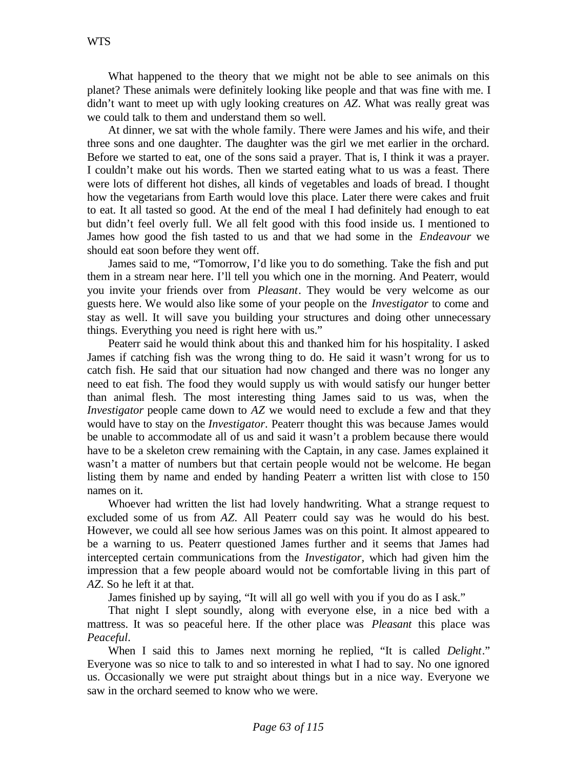What happened to the theory that we might not be able to see animals on this planet? These animals were definitely looking like people and that was fine with me. I didn't want to meet up with ugly looking creatures on *AZ*. What was really great was we could talk to them and understand them so well.

At dinner, we sat with the whole family. There were James and his wife, and their three sons and one daughter. The daughter was the girl we met earlier in the orchard. Before we started to eat, one of the sons said a prayer. That is, I think it was a prayer. I couldn't make out his words. Then we started eating what to us was a feast. There were lots of different hot dishes, all kinds of vegetables and loads of bread. I thought how the vegetarians from Earth would love this place. Later there were cakes and fruit to eat. It all tasted so good. At the end of the meal I had definitely had enough to eat but didn't feel overly full. We all felt good with this food inside us. I mentioned to James how good the fish tasted to us and that we had some in the *Endeavour* we should eat soon before they went off.

James said to me, "Tomorrow, I'd like you to do something. Take the fish and put them in a stream near here. I'll tell you which one in the morning. And Peaterr, would you invite your friends over from *Pleasant*. They would be very welcome as our guests here. We would also like some of your people on the *Investigator* to come and stay as well. It will save you building your structures and doing other unnecessary things. Everything you need is right here with us."

Peaterr said he would think about this and thanked him for his hospitality. I asked James if catching fish was the wrong thing to do. He said it wasn't wrong for us to catch fish. He said that our situation had now changed and there was no longer any need to eat fish. The food they would supply us with would satisfy our hunger better than animal flesh. The most interesting thing James said to us was, when the *Investigator* people came down to *AZ* we would need to exclude a few and that they would have to stay on the *Investigator*. Peaterr thought this was because James would be unable to accommodate all of us and said it wasn't a problem because there would have to be a skeleton crew remaining with the Captain, in any case. James explained it wasn't a matter of numbers but that certain people would not be welcome. He began listing them by name and ended by handing Peaterr a written list with close to 150 names on it.

Whoever had written the list had lovely handwriting. What a strange request to excluded some of us from *AZ*. All Peaterr could say was he would do his best. However, we could all see how serious James was on this point. It almost appeared to be a warning to us. Peaterr questioned James further and it seems that James had intercepted certain communications from the *Investigator,* which had given him the impression that a few people aboard would not be comfortable living in this part of *AZ*. So he left it at that.

James finished up by saying, "It will all go well with you if you do as I ask."

That night I slept soundly, along with everyone else, in a nice bed with a mattress. It was so peaceful here. If the other place was *Pleasant* this place was *Peaceful*.

When I said this to James next morning he replied, "It is called *Delight*." Everyone was so nice to talk to and so interested in what I had to say. No one ignored us. Occasionally we were put straight about things but in a nice way. Everyone we saw in the orchard seemed to know who we were.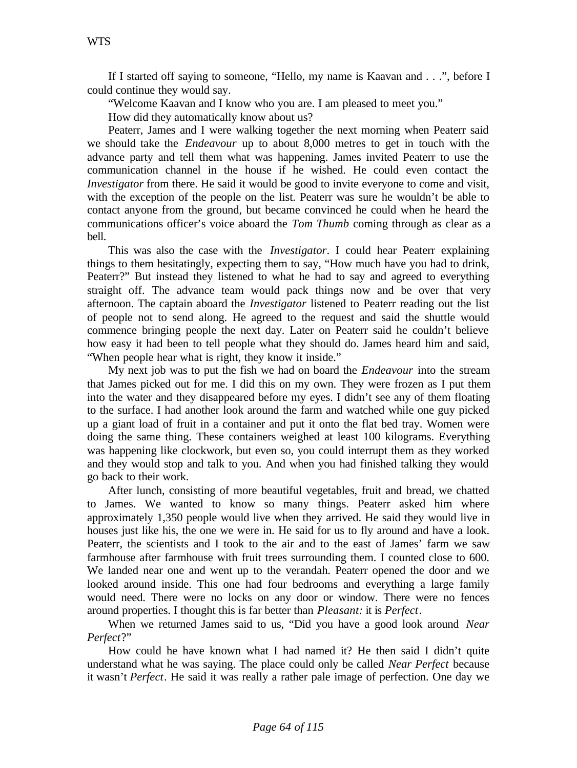If I started off saying to someone, "Hello, my name is Kaavan and . . .", before I could continue they would say.

"Welcome Kaavan and I know who you are. I am pleased to meet you."

How did they automatically know about us?

Peaterr, James and I were walking together the next morning when Peaterr said we should take the *Endeavour* up to about 8,000 metres to get in touch with the advance party and tell them what was happening. James invited Peaterr to use the communication channel in the house if he wished. He could even contact the *Investigator* from there. He said it would be good to invite everyone to come and visit, with the exception of the people on the list. Peaterr was sure he wouldn't be able to contact anyone from the ground, but became convinced he could when he heard the communications officer's voice aboard the *Tom Thumb* coming through as clear as a bell.

This was also the case with the *Investigator*. I could hear Peaterr explaining things to them hesitatingly, expecting them to say, "How much have you had to drink, Peaterr?" But instead they listened to what he had to say and agreed to everything straight off. The advance team would pack things now and be over that very afternoon. The captain aboard the *Investigator* listened to Peaterr reading out the list of people not to send along. He agreed to the request and said the shuttle would commence bringing people the next day. Later on Peaterr said he couldn't believe how easy it had been to tell people what they should do. James heard him and said, "When people hear what is right, they know it inside."

My next job was to put the fish we had on board the *Endeavour* into the stream that James picked out for me. I did this on my own. They were frozen as I put them into the water and they disappeared before my eyes. I didn't see any of them floating to the surface. I had another look around the farm and watched while one guy picked up a giant load of fruit in a container and put it onto the flat bed tray. Women were doing the same thing. These containers weighed at least 100 kilograms. Everything was happening like clockwork, but even so, you could interrupt them as they worked and they would stop and talk to you. And when you had finished talking they would go back to their work.

After lunch, consisting of more beautiful vegetables, fruit and bread, we chatted to James. We wanted to know so many things. Peaterr asked him where approximately 1,350 people would live when they arrived. He said they would live in houses just like his, the one we were in. He said for us to fly around and have a look. Peaterr, the scientists and I took to the air and to the east of James' farm we saw farmhouse after farmhouse with fruit trees surrounding them. I counted close to 600. We landed near one and went up to the verandah. Peaterr opened the door and we looked around inside. This one had four bedrooms and everything a large family would need. There were no locks on any door or window. There were no fences around properties. I thought this is far better than *Pleasant:* it is *Perfect*.

When we returned James said to us, "Did you have a good look around *Near Perfect*?"

How could he have known what I had named it? He then said I didn't quite understand what he was saying. The place could only be called *Near Perfect* because it wasn't *Perfect*. He said it was really a rather pale image of perfection. One day we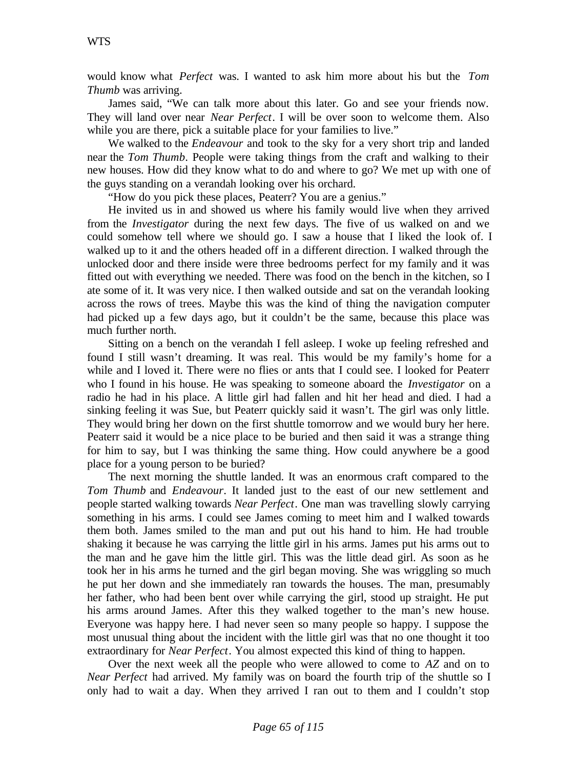would know what *Perfect* was. I wanted to ask him more about his but the *Tom Thumb* was arriving.

James said, "We can talk more about this later. Go and see your friends now. They will land over near *Near Perfect*. I will be over soon to welcome them. Also while you are there, pick a suitable place for your families to live."

We walked to the *Endeavour* and took to the sky for a very short trip and landed near the *Tom Thumb*. People were taking things from the craft and walking to their new houses. How did they know what to do and where to go? We met up with one of the guys standing on a verandah looking over his orchard.

"How do you pick these places, Peaterr? You are a genius."

He invited us in and showed us where his family would live when they arrived from the *Investigator* during the next few days. The five of us walked on and we could somehow tell where we should go. I saw a house that I liked the look of. I walked up to it and the others headed off in a different direction. I walked through the unlocked door and there inside were three bedrooms perfect for my family and it was fitted out with everything we needed. There was food on the bench in the kitchen, so I ate some of it. It was very nice. I then walked outside and sat on the verandah looking across the rows of trees. Maybe this was the kind of thing the navigation computer had picked up a few days ago, but it couldn't be the same, because this place was much further north.

Sitting on a bench on the verandah I fell asleep. I woke up feeling refreshed and found I still wasn't dreaming. It was real. This would be my family's home for a while and I loved it. There were no flies or ants that I could see. I looked for Peaterr who I found in his house. He was speaking to someone aboard the *Investigator* on a radio he had in his place. A little girl had fallen and hit her head and died. I had a sinking feeling it was Sue, but Peaterr quickly said it wasn't. The girl was only little. They would bring her down on the first shuttle tomorrow and we would bury her here. Peaterr said it would be a nice place to be buried and then said it was a strange thing for him to say, but I was thinking the same thing. How could anywhere be a good place for a young person to be buried?

The next morning the shuttle landed. It was an enormous craft compared to the *Tom Thumb* and *Endeavour*. It landed just to the east of our new settlement and people started walking towards *Near Perfect*. One man was travelling slowly carrying something in his arms. I could see James coming to meet him and I walked towards them both. James smiled to the man and put out his hand to him. He had trouble shaking it because he was carrying the little girl in his arms. James put his arms out to the man and he gave him the little girl. This was the little dead girl. As soon as he took her in his arms he turned and the girl began moving. She was wriggling so much he put her down and she immediately ran towards the houses. The man, presumably her father, who had been bent over while carrying the girl, stood up straight. He put his arms around James. After this they walked together to the man's new house. Everyone was happy here. I had never seen so many people so happy. I suppose the most unusual thing about the incident with the little girl was that no one thought it too extraordinary for *Near Perfect*. You almost expected this kind of thing to happen.

Over the next week all the people who were allowed to come to *AZ* and on to *Near Perfect* had arrived. My family was on board the fourth trip of the shuttle so I only had to wait a day. When they arrived I ran out to them and I couldn't stop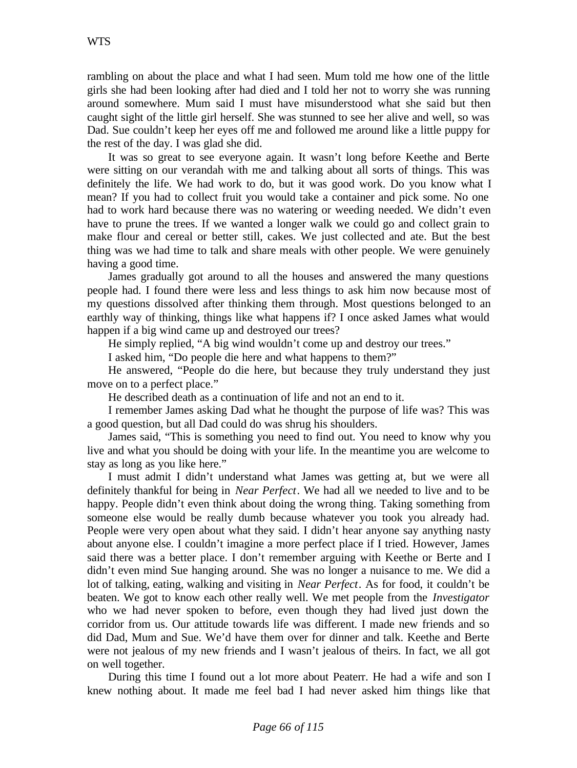rambling on about the place and what I had seen. Mum told me how one of the little girls she had been looking after had died and I told her not to worry she was running around somewhere. Mum said I must have misunderstood what she said but then caught sight of the little girl herself. She was stunned to see her alive and well, so was Dad. Sue couldn't keep her eyes off me and followed me around like a little puppy for the rest of the day. I was glad she did.

It was so great to see everyone again. It wasn't long before Keethe and Berte were sitting on our verandah with me and talking about all sorts of things. This was definitely the life. We had work to do, but it was good work. Do you know what I mean? If you had to collect fruit you would take a container and pick some. No one had to work hard because there was no watering or weeding needed. We didn't even have to prune the trees. If we wanted a longer walk we could go and collect grain to make flour and cereal or better still, cakes. We just collected and ate. But the best thing was we had time to talk and share meals with other people. We were genuinely having a good time.

James gradually got around to all the houses and answered the many questions people had. I found there were less and less things to ask him now because most of my questions dissolved after thinking them through. Most questions belonged to an earthly way of thinking, things like what happens if? I once asked James what would happen if a big wind came up and destroyed our trees?

He simply replied, "A big wind wouldn't come up and destroy our trees."

I asked him, "Do people die here and what happens to them?"

He answered, "People do die here, but because they truly understand they just move on to a perfect place."

He described death as a continuation of life and not an end to it.

I remember James asking Dad what he thought the purpose of life was? This was a good question, but all Dad could do was shrug his shoulders.

James said, "This is something you need to find out. You need to know why you live and what you should be doing with your life. In the meantime you are welcome to stay as long as you like here."

I must admit I didn't understand what James was getting at, but we were all definitely thankful for being in *Near Perfect*. We had all we needed to live and to be happy. People didn't even think about doing the wrong thing. Taking something from someone else would be really dumb because whatever you took you already had. People were very open about what they said. I didn't hear anyone say anything nasty about anyone else. I couldn't imagine a more perfect place if I tried. However, James said there was a better place. I don't remember arguing with Keethe or Berte and I didn't even mind Sue hanging around. She was no longer a nuisance to me. We did a lot of talking, eating, walking and visiting in *Near Perfect*. As for food, it couldn't be beaten. We got to know each other really well. We met people from the *Investigator* who we had never spoken to before, even though they had lived just down the corridor from us. Our attitude towards life was different. I made new friends and so did Dad, Mum and Sue. We'd have them over for dinner and talk. Keethe and Berte were not jealous of my new friends and I wasn't jealous of theirs. In fact, we all got on well together.

During this time I found out a lot more about Peaterr. He had a wife and son I knew nothing about. It made me feel bad I had never asked him things like that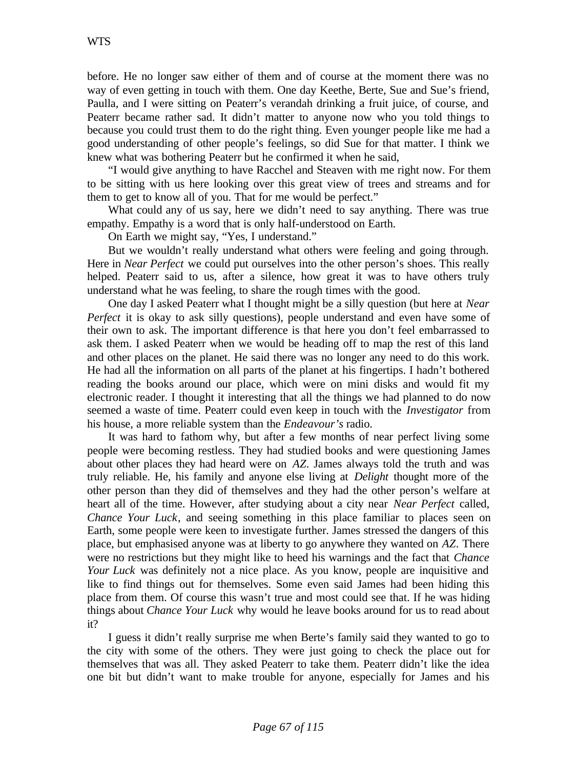before. He no longer saw either of them and of course at the moment there was no way of even getting in touch with them. One day Keethe, Berte, Sue and Sue's friend, Paulla, and I were sitting on Peaterr's verandah drinking a fruit juice, of course, and Peaterr became rather sad. It didn't matter to anyone now who you told things to because you could trust them to do the right thing. Even younger people like me had a good understanding of other people's feelings, so did Sue for that matter. I think we knew what was bothering Peaterr but he confirmed it when he said,

"I would give anything to have Racchel and Steaven with me right now. For them to be sitting with us here looking over this great view of trees and streams and for them to get to know all of you. That for me would be perfect."

What could any of us say, here we didn't need to say anything. There was true empathy. Empathy is a word that is only half-understood on Earth.

On Earth we might say, "Yes, I understand."

But we wouldn't really understand what others were feeling and going through. Here in *Near Perfect* we could put ourselves into the other person's shoes. This really helped. Peaterr said to us, after a silence, how great it was to have others truly understand what he was feeling, to share the rough times with the good.

One day I asked Peaterr what I thought might be a silly question (but here at *Near Perfect* it is okay to ask silly questions), people understand and even have some of their own to ask. The important difference is that here you don't feel embarrassed to ask them. I asked Peaterr when we would be heading off to map the rest of this land and other places on the planet. He said there was no longer any need to do this work. He had all the information on all parts of the planet at his fingertips. I hadn't bothered reading the books around our place, which were on mini disks and would fit my electronic reader. I thought it interesting that all the things we had planned to do now seemed a waste of time. Peaterr could even keep in touch with the *Investigator* from his house, a more reliable system than the *Endeavour's* radio.

It was hard to fathom why, but after a few months of near perfect living some people were becoming restless. They had studied books and were questioning James about other places they had heard were on *AZ*. James always told the truth and was truly reliable. He, his family and anyone else living at *Delight* thought more of the other person than they did of themselves and they had the other person's welfare at heart all of the time. However, after studying about a city near *Near Perfect* called, *Chance Your Luck*, and seeing something in this place familiar to places seen on Earth, some people were keen to investigate further. James stressed the dangers of this place, but emphasised anyone was at liberty to go anywhere they wanted on *AZ*. There were no restrictions but they might like to heed his warnings and the fact that *Chance Your Luck* was definitely not a nice place. As you know, people are inquisitive and like to find things out for themselves. Some even said James had been hiding this place from them. Of course this wasn't true and most could see that. If he was hiding things about *Chance Your Luck* why would he leave books around for us to read about it?

I guess it didn't really surprise me when Berte's family said they wanted to go to the city with some of the others. They were just going to check the place out for themselves that was all. They asked Peaterr to take them. Peaterr didn't like the idea one bit but didn't want to make trouble for anyone, especially for James and his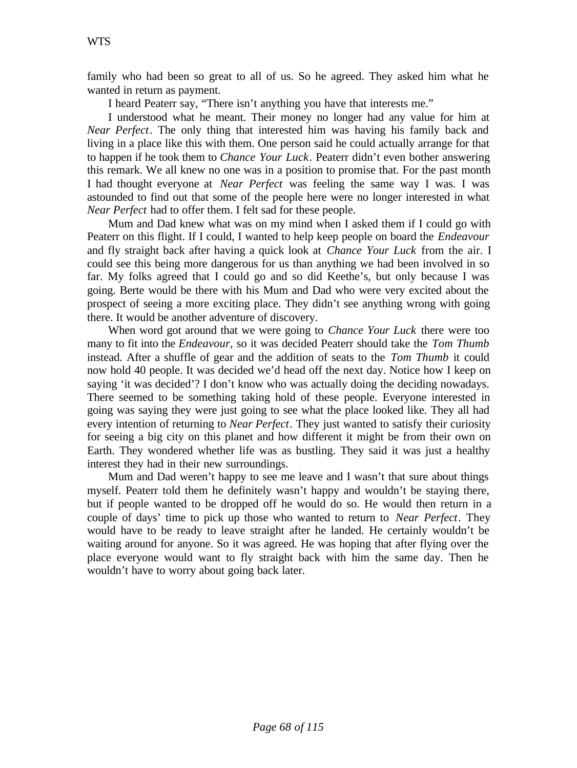family who had been so great to all of us. So he agreed. They asked him what he wanted in return as payment.

I heard Peaterr say, "There isn't anything you have that interests me."

I understood what he meant. Their money no longer had any value for him at *Near Perfect*. The only thing that interested him was having his family back and living in a place like this with them. One person said he could actually arrange for that to happen if he took them to *Chance Your Luck*. Peaterr didn't even bother answering this remark. We all knew no one was in a position to promise that. For the past month I had thought everyone at *Near Perfect* was feeling the same way I was. I was astounded to find out that some of the people here were no longer interested in what *Near Perfect* had to offer them. I felt sad for these people.

Mum and Dad knew what was on my mind when I asked them if I could go with Peaterr on this flight. If I could, I wanted to help keep people on board the *Endeavour* and fly straight back after having a quick look at *Chance Your Luck* from the air. I could see this being more dangerous for us than anything we had been involved in so far. My folks agreed that I could go and so did Keethe's, but only because I was going. Berte would be there with his Mum and Dad who were very excited about the prospect of seeing a more exciting place. They didn't see anything wrong with going there. It would be another adventure of discovery.

When word got around that we were going to *Chance Your Luck* there were too many to fit into the *Endeavour,* so it was decided Peaterr should take the *Tom Thumb* instead. After a shuffle of gear and the addition of seats to the *Tom Thumb* it could now hold 40 people. It was decided we'd head off the next day. Notice how I keep on saying 'it was decided'? I don't know who was actually doing the deciding nowadays. There seemed to be something taking hold of these people. Everyone interested in going was saying they were just going to see what the place looked like. They all had every intention of returning to *Near Perfect*. They just wanted to satisfy their curiosity for seeing a big city on this planet and how different it might be from their own on Earth. They wondered whether life was as bustling. They said it was just a healthy interest they had in their new surroundings.

Mum and Dad weren't happy to see me leave and I wasn't that sure about things myself. Peaterr told them he definitely wasn't happy and wouldn't be staying there, but if people wanted to be dropped off he would do so. He would then return in a couple of days' time to pick up those who wanted to return to *Near Perfect*. They would have to be ready to leave straight after he landed. He certainly wouldn't be waiting around for anyone. So it was agreed. He was hoping that after flying over the place everyone would want to fly straight back with him the same day. Then he wouldn't have to worry about going back later.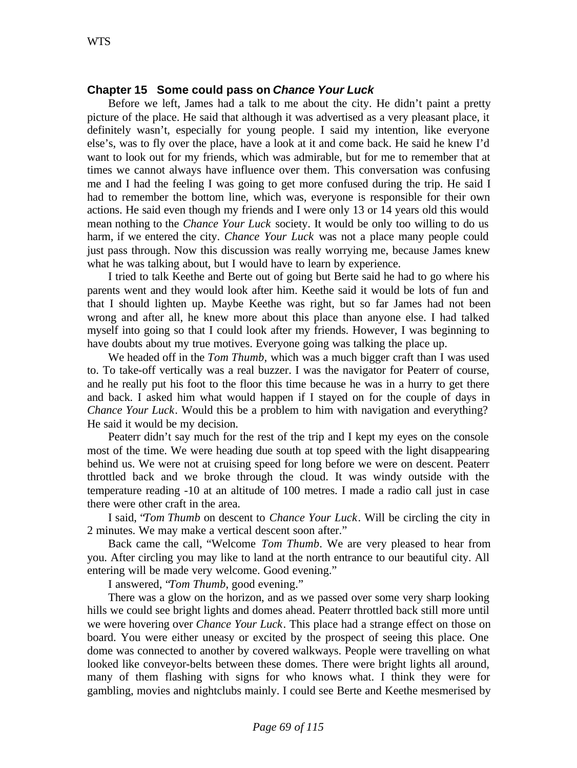## **Chapter 15 Some could pass on** *Chance Your Luck*

Before we left, James had a talk to me about the city. He didn't paint a pretty picture of the place. He said that although it was advertised as a very pleasant place, it definitely wasn't, especially for young people. I said my intention, like everyone else's, was to fly over the place, have a look at it and come back. He said he knew I'd want to look out for my friends, which was admirable, but for me to remember that at times we cannot always have influence over them. This conversation was confusing me and I had the feeling I was going to get more confused during the trip. He said I had to remember the bottom line, which was, everyone is responsible for their own actions. He said even though my friends and I were only 13 or 14 years old this would mean nothing to the *Chance Your Luck* society. It would be only too willing to do us harm, if we entered the city. *Chance Your Luck* was not a place many people could just pass through. Now this discussion was really worrying me, because James knew what he was talking about, but I would have to learn by experience.

I tried to talk Keethe and Berte out of going but Berte said he had to go where his parents went and they would look after him. Keethe said it would be lots of fun and that I should lighten up. Maybe Keethe was right, but so far James had not been wrong and after all, he knew more about this place than anyone else. I had talked myself into going so that I could look after my friends. However, I was beginning to have doubts about my true motives. Everyone going was talking the place up.

We headed off in the *Tom Thumb,* which was a much bigger craft than I was used to. To take-off vertically was a real buzzer. I was the navigator for Peaterr of course, and he really put his foot to the floor this time because he was in a hurry to get there and back. I asked him what would happen if I stayed on for the couple of days in *Chance Your Luck*. Would this be a problem to him with navigation and everything? He said it would be my decision.

Peaterr didn't say much for the rest of the trip and I kept my eyes on the console most of the time. We were heading due south at top speed with the light disappearing behind us. We were not at cruising speed for long before we were on descent. Peaterr throttled back and we broke through the cloud. It was windy outside with the temperature reading -10 at an altitude of 100 metres. I made a radio call just in case there were other craft in the area.

I said, "*Tom Thumb* on descent to *Chance Your Luck*. Will be circling the city in 2 minutes. We may make a vertical descent soon after."

Back came the call, "Welcome *Tom Thumb*. We are very pleased to hear from you. After circling you may like to land at the north entrance to our beautiful city. All entering will be made very welcome. Good evening."

I answered, "*Tom Thumb*, good evening."

There was a glow on the horizon, and as we passed over some very sharp looking hills we could see bright lights and domes ahead. Peaterr throttled back still more until we were hovering over *Chance Your Luck*. This place had a strange effect on those on board. You were either uneasy or excited by the prospect of seeing this place. One dome was connected to another by covered walkways. People were travelling on what looked like conveyor-belts between these domes. There were bright lights all around, many of them flashing with signs for who knows what. I think they were for gambling, movies and nightclubs mainly. I could see Berte and Keethe mesmerised by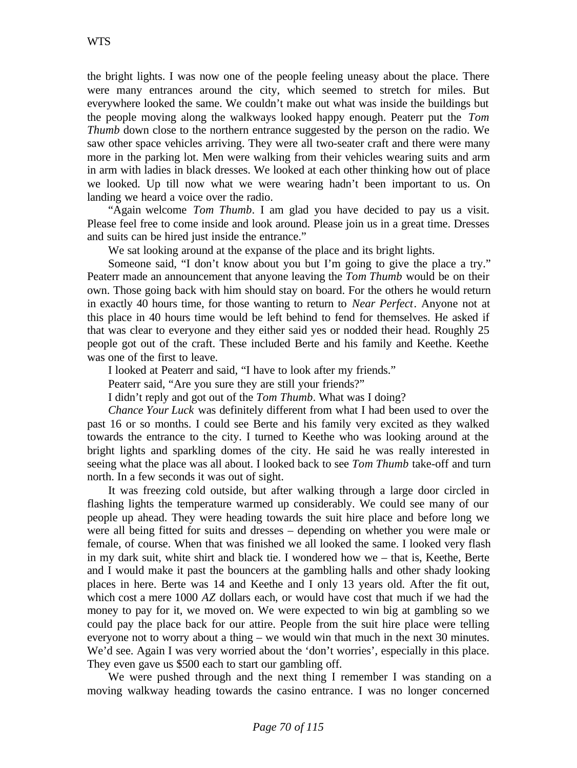the bright lights. I was now one of the people feeling uneasy about the place. There were many entrances around the city, which seemed to stretch for miles. But everywhere looked the same. We couldn't make out what was inside the buildings but the people moving along the walkways looked happy enough. Peaterr put the *Tom Thumb* down close to the northern entrance suggested by the person on the radio. We saw other space vehicles arriving. They were all two-seater craft and there were many more in the parking lot. Men were walking from their vehicles wearing suits and arm in arm with ladies in black dresses. We looked at each other thinking how out of place we looked. Up till now what we were wearing hadn't been important to us. On landing we heard a voice over the radio.

"Again welcome *Tom Thumb*. I am glad you have decided to pay us a visit. Please feel free to come inside and look around. Please join us in a great time. Dresses and suits can be hired just inside the entrance."

We sat looking around at the expanse of the place and its bright lights.

Someone said, "I don't know about you but I'm going to give the place a try." Peaterr made an announcement that anyone leaving the *Tom Thumb* would be on their own. Those going back with him should stay on board. For the others he would return in exactly 40 hours time, for those wanting to return to *Near Perfect*. Anyone not at this place in 40 hours time would be left behind to fend for themselves. He asked if that was clear to everyone and they either said yes or nodded their head. Roughly 25 people got out of the craft. These included Berte and his family and Keethe. Keethe was one of the first to leave.

I looked at Peaterr and said, "I have to look after my friends."

Peaterr said, "Are you sure they are still your friends?"

I didn't reply and got out of the *Tom Thumb*. What was I doing?

*Chance Your Luck* was definitely different from what I had been used to over the past 16 or so months. I could see Berte and his family very excited as they walked towards the entrance to the city. I turned to Keethe who was looking around at the bright lights and sparkling domes of the city. He said he was really interested in seeing what the place was all about. I looked back to see *Tom Thumb* take-off and turn north. In a few seconds it was out of sight.

It was freezing cold outside, but after walking through a large door circled in flashing lights the temperature warmed up considerably. We could see many of our people up ahead. They were heading towards the suit hire place and before long we were all being fitted for suits and dresses – depending on whether you were male or female, of course. When that was finished we all looked the same. I looked very flash in my dark suit, white shirt and black tie. I wondered how we – that is, Keethe, Berte and I would make it past the bouncers at the gambling halls and other shady looking places in here. Berte was 14 and Keethe and I only 13 years old. After the fit out, which cost a mere 1000 *AZ* dollars each, or would have cost that much if we had the money to pay for it, we moved on. We were expected to win big at gambling so we could pay the place back for our attire. People from the suit hire place were telling everyone not to worry about a thing – we would win that much in the next 30 minutes. We'd see. Again I was very worried about the 'don't worries', especially in this place. They even gave us \$500 each to start our gambling off.

We were pushed through and the next thing I remember I was standing on a moving walkway heading towards the casino entrance. I was no longer concerned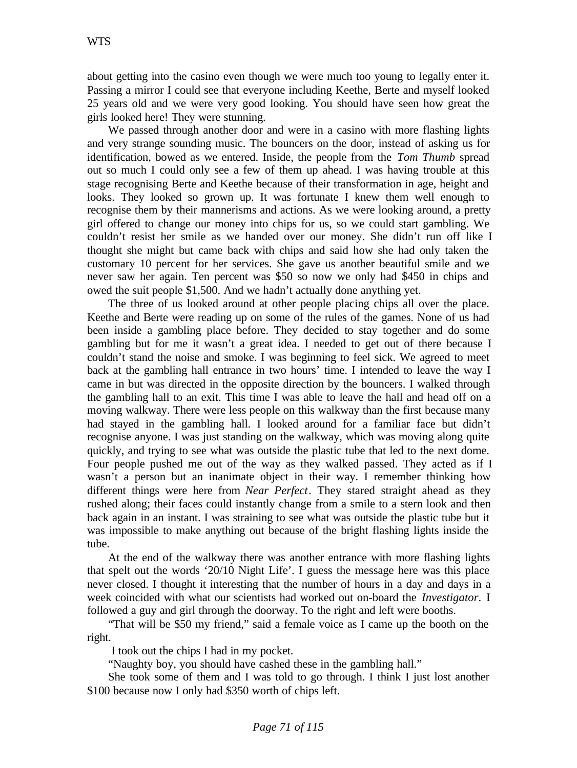about getting into the casino even though we were much too young to legally enter it. Passing a mirror I could see that everyone including Keethe, Berte and myself looked 25 years old and we were very good looking. You should have seen how great the girls looked here! They were stunning.

We passed through another door and were in a casino with more flashing lights and very strange sounding music. The bouncers on the door, instead of asking us for identification, bowed as we entered. Inside, the people from the *Tom Thumb* spread out so much I could only see a few of them up ahead. I was having trouble at this stage recognising Berte and Keethe because of their transformation in age, height and looks. They looked so grown up. It was fortunate I knew them well enough to recognise them by their mannerisms and actions. As we were looking around, a pretty girl offered to change our money into chips for us, so we could start gambling. We couldn't resist her smile as we handed over our money. She didn't run off like I thought she might but came back with chips and said how she had only taken the customary 10 percent for her services. She gave us another beautiful smile and we never saw her again. Ten percent was \$50 so now we only had \$450 in chips and owed the suit people \$1,500. And we hadn't actually done anything yet.

The three of us looked around at other people placing chips all over the place. Keethe and Berte were reading up on some of the rules of the games. None of us had been inside a gambling place before. They decided to stay together and do some gambling but for me it wasn't a great idea. I needed to get out of there because I couldn't stand the noise and smoke. I was beginning to feel sick. We agreed to meet back at the gambling hall entrance in two hours' time. I intended to leave the way I came in but was directed in the opposite direction by the bouncers. I walked through the gambling hall to an exit. This time I was able to leave the hall and head off on a moving walkway. There were less people on this walkway than the first because many had stayed in the gambling hall. I looked around for a familiar face but didn't recognise anyone. I was just standing on the walkway, which was moving along quite quickly, and trying to see what was outside the plastic tube that led to the next dome. Four people pushed me out of the way as they walked passed. They acted as if I wasn't a person but an inanimate object in their way. I remember thinking how different things were here from *Near Perfect*. They stared straight ahead as they rushed along; their faces could instantly change from a smile to a stern look and then back again in an instant. I was straining to see what was outside the plastic tube but it was impossible to make anything out because of the bright flashing lights inside the tube.

At the end of the walkway there was another entrance with more flashing lights that spelt out the words '20/10 Night Life'. I guess the message here was this place never closed. I thought it interesting that the number of hours in a day and days in a week coincided with what our scientists had worked out on-board the *Investigator*. I followed a guy and girl through the doorway. To the right and left were booths.

"That will be \$50 my friend," said a female voice as I came up the booth on the right.

I took out the chips I had in my pocket.

"Naughty boy, you should have cashed these in the gambling hall."

She took some of them and I was told to go through. I think I just lost another \$100 because now I only had \$350 worth of chips left.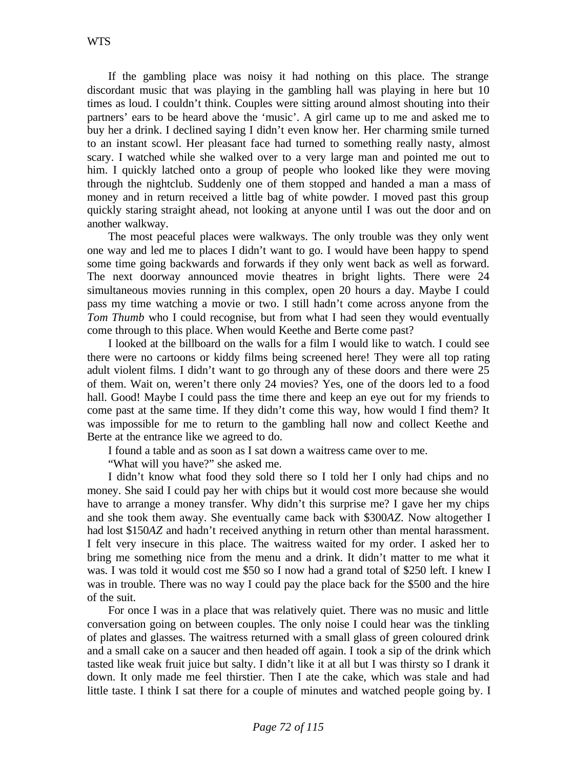If the gambling place was noisy it had nothing on this place. The strange discordant music that was playing in the gambling hall was playing in here but 10 times as loud. I couldn't think. Couples were sitting around almost shouting into their partners' ears to be heard above the 'music'. A girl came up to me and asked me to buy her a drink. I declined saying I didn't even know her. Her charming smile turned to an instant scowl. Her pleasant face had turned to something really nasty, almost scary. I watched while she walked over to a very large man and pointed me out to him. I quickly latched onto a group of people who looked like they were moving through the nightclub. Suddenly one of them stopped and handed a man a mass of money and in return received a little bag of white powder. I moved past this group quickly staring straight ahead, not looking at anyone until I was out the door and on another walkway.

The most peaceful places were walkways. The only trouble was they only went one way and led me to places I didn't want to go. I would have been happy to spend some time going backwards and forwards if they only went back as well as forward. The next doorway announced movie theatres in bright lights. There were 24 simultaneous movies running in this complex, open 20 hours a day. Maybe I could pass my time watching a movie or two. I still hadn't come across anyone from the *Tom Thumb* who I could recognise, but from what I had seen they would eventually come through to this place. When would Keethe and Berte come past?

I looked at the billboard on the walls for a film I would like to watch. I could see there were no cartoons or kiddy films being screened here! They were all top rating adult violent films. I didn't want to go through any of these doors and there were 25 of them. Wait on, weren't there only 24 movies? Yes, one of the doors led to a food hall. Good! Maybe I could pass the time there and keep an eye out for my friends to come past at the same time. If they didn't come this way, how would I find them? It was impossible for me to return to the gambling hall now and collect Keethe and Berte at the entrance like we agreed to do.

I found a table and as soon as I sat down a waitress came over to me.

"What will you have?" she asked me.

I didn't know what food they sold there so I told her I only had chips and no money. She said I could pay her with chips but it would cost more because she would have to arrange a money transfer. Why didn't this surprise me? I gave her my chips and she took them away. She eventually came back with \$300*AZ*. Now altogether I had lost \$150*AZ* and hadn't received anything in return other than mental harassment. I felt very insecure in this place. The waitress waited for my order. I asked her to bring me something nice from the menu and a drink. It didn't matter to me what it was. I was told it would cost me \$50 so I now had a grand total of \$250 left. I knew I was in trouble. There was no way I could pay the place back for the \$500 and the hire of the suit.

For once I was in a place that was relatively quiet. There was no music and little conversation going on between couples. The only noise I could hear was the tinkling of plates and glasses. The waitress returned with a small glass of green coloured drink and a small cake on a saucer and then headed off again. I took a sip of the drink which tasted like weak fruit juice but salty. I didn't like it at all but I was thirsty so I drank it down. It only made me feel thirstier. Then I ate the cake, which was stale and had little taste. I think I sat there for a couple of minutes and watched people going by. I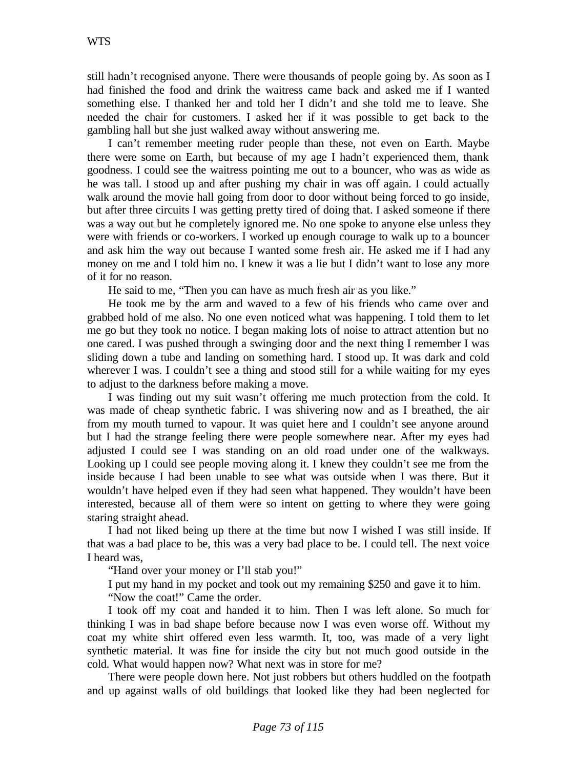still hadn't recognised anyone. There were thousands of people going by. As soon as I had finished the food and drink the waitress came back and asked me if I wanted something else. I thanked her and told her I didn't and she told me to leave. She needed the chair for customers. I asked her if it was possible to get back to the gambling hall but she just walked away without answering me.

I can't remember meeting ruder people than these, not even on Earth. Maybe there were some on Earth, but because of my age I hadn't experienced them, thank goodness. I could see the waitress pointing me out to a bouncer, who was as wide as he was tall. I stood up and after pushing my chair in was off again. I could actually walk around the movie hall going from door to door without being forced to go inside, but after three circuits I was getting pretty tired of doing that. I asked someone if there was a way out but he completely ignored me. No one spoke to anyone else unless they were with friends or co-workers. I worked up enough courage to walk up to a bouncer and ask him the way out because I wanted some fresh air. He asked me if I had any money on me and I told him no. I knew it was a lie but I didn't want to lose any more of it for no reason.

He said to me, "Then you can have as much fresh air as you like."

He took me by the arm and waved to a few of his friends who came over and grabbed hold of me also. No one even noticed what was happening. I told them to let me go but they took no notice. I began making lots of noise to attract attention but no one cared. I was pushed through a swinging door and the next thing I remember I was sliding down a tube and landing on something hard. I stood up. It was dark and cold wherever I was. I couldn't see a thing and stood still for a while waiting for my eyes to adjust to the darkness before making a move.

I was finding out my suit wasn't offering me much protection from the cold. It was made of cheap synthetic fabric. I was shivering now and as I breathed, the air from my mouth turned to vapour. It was quiet here and I couldn't see anyone around but I had the strange feeling there were people somewhere near. After my eyes had adjusted I could see I was standing on an old road under one of the walkways. Looking up I could see people moving along it. I knew they couldn't see me from the inside because I had been unable to see what was outside when I was there. But it wouldn't have helped even if they had seen what happened. They wouldn't have been interested, because all of them were so intent on getting to where they were going staring straight ahead.

I had not liked being up there at the time but now I wished I was still inside. If that was a bad place to be, this was a very bad place to be. I could tell. The next voice I heard was,

"Hand over your money or I'll stab you!"

I put my hand in my pocket and took out my remaining \$250 and gave it to him.

"Now the coat!" Came the order.

I took off my coat and handed it to him. Then I was left alone. So much for thinking I was in bad shape before because now I was even worse off. Without my coat my white shirt offered even less warmth. It, too, was made of a very light synthetic material. It was fine for inside the city but not much good outside in the cold. What would happen now? What next was in store for me?

There were people down here. Not just robbers but others huddled on the footpath and up against walls of old buildings that looked like they had been neglected for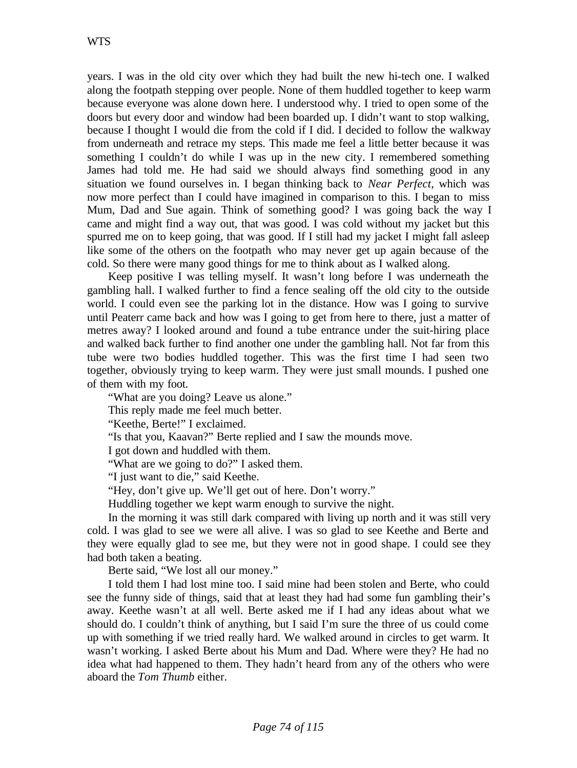years. I was in the old city over which they had built the new hi-tech one. I walked along the footpath stepping over people. None of them huddled together to keep warm because everyone was alone down here. I understood why. I tried to open some of the doors but every door and window had been boarded up. I didn't want to stop walking, because I thought I would die from the cold if I did. I decided to follow the walkway from underneath and retrace my steps. This made me feel a little better because it was something I couldn't do while I was up in the new city. I remembered something James had told me. He had said we should always find something good in any situation we found ourselves in. I began thinking back to *Near Perfect,* which was now more perfect than I could have imagined in comparison to this. I began to miss Mum, Dad and Sue again. Think of something good? I was going back the way I came and might find a way out, that was good. I was cold without my jacket but this spurred me on to keep going, that was good. If I still had my jacket I might fall asleep like some of the others on the footpath who may never get up again because of the cold. So there were many good things for me to think about as I walked along.

Keep positive I was telling myself. It wasn't long before I was underneath the gambling hall. I walked further to find a fence sealing off the old city to the outside world. I could even see the parking lot in the distance. How was I going to survive until Peaterr came back and how was I going to get from here to there, just a matter of metres away? I looked around and found a tube entrance under the suit-hiring place and walked back further to find another one under the gambling hall. Not far from this tube were two bodies huddled together. This was the first time I had seen two together, obviously trying to keep warm. They were just small mounds. I pushed one of them with my foot.

"What are you doing? Leave us alone."

This reply made me feel much better.

"Keethe, Berte!" I exclaimed.

"Is that you, Kaavan?" Berte replied and I saw the mounds move.

I got down and huddled with them.

"What are we going to do?" I asked them.

"I just want to die," said Keethe.

"Hey, don't give up. We'll get out of here. Don't worry."

Huddling together we kept warm enough to survive the night.

In the morning it was still dark compared with living up north and it was still very cold. I was glad to see we were all alive. I was so glad to see Keethe and Berte and they were equally glad to see me, but they were not in good shape. I could see they had both taken a beating.

Berte said, "We lost all our money."

I told them I had lost mine too. I said mine had been stolen and Berte, who could see the funny side of things, said that at least they had had some fun gambling their's away. Keethe wasn't at all well. Berte asked me if I had any ideas about what we should do. I couldn't think of anything, but I said I'm sure the three of us could come up with something if we tried really hard. We walked around in circles to get warm. It wasn't working. I asked Berte about his Mum and Dad. Where were they? He had no idea what had happened to them. They hadn't heard from any of the others who were aboard the *Tom Thumb* either.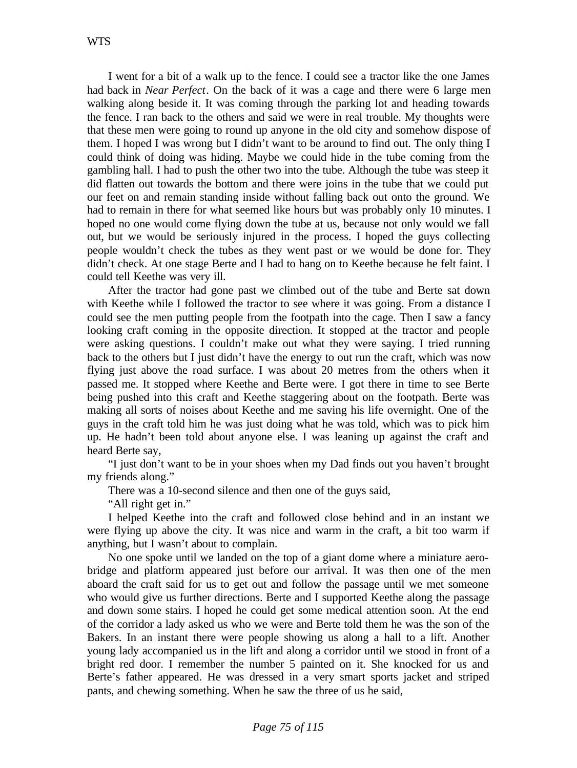I went for a bit of a walk up to the fence. I could see a tractor like the one James had back in *Near Perfect*. On the back of it was a cage and there were 6 large men walking along beside it. It was coming through the parking lot and heading towards the fence. I ran back to the others and said we were in real trouble. My thoughts were that these men were going to round up anyone in the old city and somehow dispose of them. I hoped I was wrong but I didn't want to be around to find out. The only thing I could think of doing was hiding. Maybe we could hide in the tube coming from the gambling hall. I had to push the other two into the tube. Although the tube was steep it did flatten out towards the bottom and there were joins in the tube that we could put our feet on and remain standing inside without falling back out onto the ground. We had to remain in there for what seemed like hours but was probably only 10 minutes. I hoped no one would come flying down the tube at us, because not only would we fall out, but we would be seriously injured in the process. I hoped the guys collecting people wouldn't check the tubes as they went past or we would be done for. They didn't check. At one stage Berte and I had to hang on to Keethe because he felt faint. I could tell Keethe was very ill.

After the tractor had gone past we climbed out of the tube and Berte sat down with Keethe while I followed the tractor to see where it was going. From a distance I could see the men putting people from the footpath into the cage. Then I saw a fancy looking craft coming in the opposite direction. It stopped at the tractor and people were asking questions. I couldn't make out what they were saying. I tried running back to the others but I just didn't have the energy to out run the craft, which was now flying just above the road surface. I was about 20 metres from the others when it passed me. It stopped where Keethe and Berte were. I got there in time to see Berte being pushed into this craft and Keethe staggering about on the footpath. Berte was making all sorts of noises about Keethe and me saving his life overnight. One of the guys in the craft told him he was just doing what he was told, which was to pick him up. He hadn't been told about anyone else. I was leaning up against the craft and heard Berte say,

"I just don't want to be in your shoes when my Dad finds out you haven't brought my friends along."

There was a 10-second silence and then one of the guys said,

"All right get in."

I helped Keethe into the craft and followed close behind and in an instant we were flying up above the city. It was nice and warm in the craft, a bit too warm if anything, but I wasn't about to complain.

No one spoke until we landed on the top of a giant dome where a miniature aerobridge and platform appeared just before our arrival. It was then one of the men aboard the craft said for us to get out and follow the passage until we met someone who would give us further directions. Berte and I supported Keethe along the passage and down some stairs. I hoped he could get some medical attention soon. At the end of the corridor a lady asked us who we were and Berte told them he was the son of the Bakers. In an instant there were people showing us along a hall to a lift. Another young lady accompanied us in the lift and along a corridor until we stood in front of a bright red door. I remember the number 5 painted on it. She knocked for us and Berte's father appeared. He was dressed in a very smart sports jacket and striped pants, and chewing something. When he saw the three of us he said,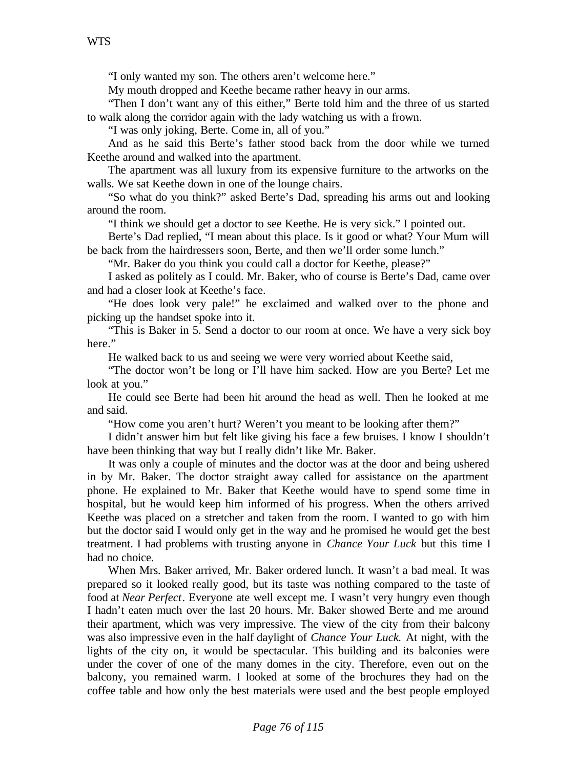"I only wanted my son. The others aren't welcome here."

My mouth dropped and Keethe became rather heavy in our arms.

"Then I don't want any of this either," Berte told him and the three of us started to walk along the corridor again with the lady watching us with a frown.

"I was only joking, Berte. Come in, all of you."

And as he said this Berte's father stood back from the door while we turned Keethe around and walked into the apartment.

The apartment was all luxury from its expensive furniture to the artworks on the walls. We sat Keethe down in one of the lounge chairs.

"So what do you think?" asked Berte's Dad, spreading his arms out and looking around the room.

"I think we should get a doctor to see Keethe. He is very sick." I pointed out.

Berte's Dad replied, "I mean about this place. Is it good or what? Your Mum will be back from the hairdressers soon, Berte, and then we'll order some lunch."

"Mr. Baker do you think you could call a doctor for Keethe, please?"

I asked as politely as I could. Mr. Baker, who of course is Berte's Dad, came over and had a closer look at Keethe's face.

"He does look very pale!" he exclaimed and walked over to the phone and picking up the handset spoke into it.

"This is Baker in 5. Send a doctor to our room at once. We have a very sick boy here."

He walked back to us and seeing we were very worried about Keethe said,

"The doctor won't be long or I'll have him sacked. How are you Berte? Let me look at you."

He could see Berte had been hit around the head as well. Then he looked at me and said.

"How come you aren't hurt? Weren't you meant to be looking after them?"

I didn't answer him but felt like giving his face a few bruises. I know I shouldn't have been thinking that way but I really didn't like Mr. Baker.

It was only a couple of minutes and the doctor was at the door and being ushered in by Mr. Baker. The doctor straight away called for assistance on the apartment phone. He explained to Mr. Baker that Keethe would have to spend some time in hospital, but he would keep him informed of his progress. When the others arrived Keethe was placed on a stretcher and taken from the room. I wanted to go with him but the doctor said I would only get in the way and he promised he would get the best treatment. I had problems with trusting anyone in *Chance Your Luck* but this time I had no choice.

When Mrs. Baker arrived, Mr. Baker ordered lunch. It wasn't a bad meal. It was prepared so it looked really good, but its taste was nothing compared to the taste of food at *Near Perfect*. Everyone ate well except me. I wasn't very hungry even though I hadn't eaten much over the last 20 hours. Mr. Baker showed Berte and me around their apartment, which was very impressive. The view of the city from their balcony was also impressive even in the half daylight of *Chance Your Luck.* At night, with the lights of the city on, it would be spectacular. This building and its balconies were under the cover of one of the many domes in the city. Therefore, even out on the balcony, you remained warm. I looked at some of the brochures they had on the coffee table and how only the best materials were used and the best people employed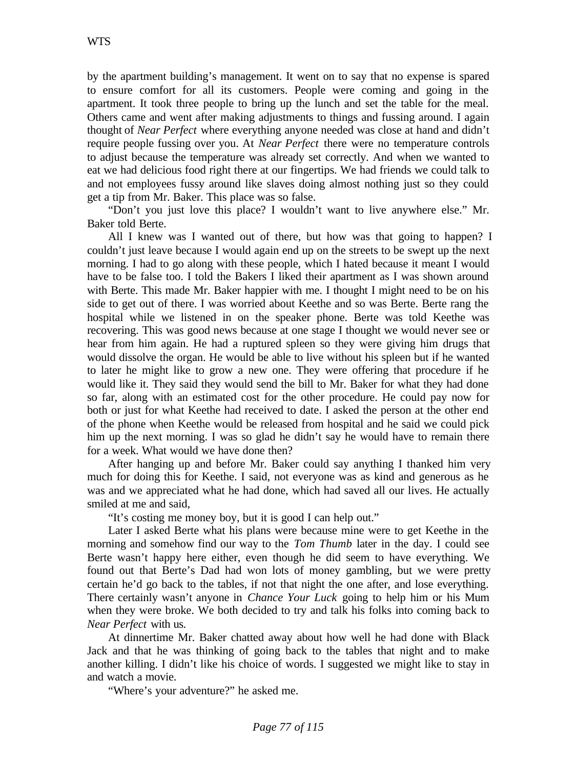by the apartment building's management. It went on to say that no expense is spared to ensure comfort for all its customers. People were coming and going in the apartment. It took three people to bring up the lunch and set the table for the meal. Others came and went after making adjustments to things and fussing around. I again thought of *Near Perfect* where everything anyone needed was close at hand and didn't require people fussing over you. At *Near Perfect* there were no temperature controls to adjust because the temperature was already set correctly. And when we wanted to eat we had delicious food right there at our fingertips. We had friends we could talk to and not employees fussy around like slaves doing almost nothing just so they could get a tip from Mr. Baker. This place was so false.

"Don't you just love this place? I wouldn't want to live anywhere else." Mr. Baker told Berte.

All I knew was I wanted out of there, but how was that going to happen? I couldn't just leave because I would again end up on the streets to be swept up the next morning. I had to go along with these people, which I hated because it meant I would have to be false too. I told the Bakers I liked their apartment as I was shown around with Berte. This made Mr. Baker happier with me. I thought I might need to be on his side to get out of there. I was worried about Keethe and so was Berte. Berte rang the hospital while we listened in on the speaker phone. Berte was told Keethe was recovering. This was good news because at one stage I thought we would never see or hear from him again. He had a ruptured spleen so they were giving him drugs that would dissolve the organ. He would be able to live without his spleen but if he wanted to later he might like to grow a new one. They were offering that procedure if he would like it. They said they would send the bill to Mr. Baker for what they had done so far, along with an estimated cost for the other procedure. He could pay now for both or just for what Keethe had received to date. I asked the person at the other end of the phone when Keethe would be released from hospital and he said we could pick him up the next morning. I was so glad he didn't say he would have to remain there for a week. What would we have done then?

After hanging up and before Mr. Baker could say anything I thanked him very much for doing this for Keethe. I said, not everyone was as kind and generous as he was and we appreciated what he had done, which had saved all our lives. He actually smiled at me and said,

"It's costing me money boy, but it is good I can help out."

Later I asked Berte what his plans were because mine were to get Keethe in the morning and somehow find our way to the *Tom Thumb* later in the day. I could see Berte wasn't happy here either, even though he did seem to have everything. We found out that Berte's Dad had won lots of money gambling, but we were pretty certain he'd go back to the tables, if not that night the one after, and lose everything. There certainly wasn't anyone in *Chance Your Luck* going to help him or his Mum when they were broke. We both decided to try and talk his folks into coming back to *Near Perfect* with us.

At dinnertime Mr. Baker chatted away about how well he had done with Black Jack and that he was thinking of going back to the tables that night and to make another killing. I didn't like his choice of words. I suggested we might like to stay in and watch a movie.

"Where's your adventure?" he asked me.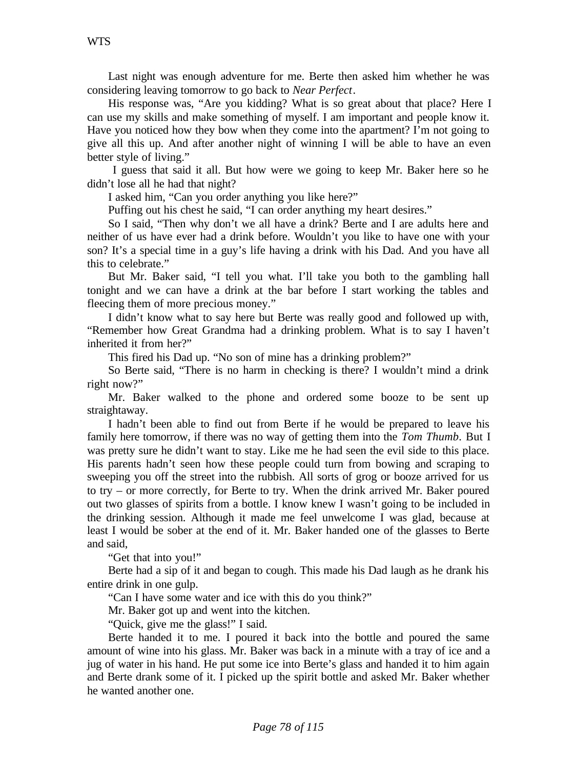Last night was enough adventure for me. Berte then asked him whether he was considering leaving tomorrow to go back to *Near Perfect*.

His response was, "Are you kidding? What is so great about that place? Here I can use my skills and make something of myself. I am important and people know it. Have you noticed how they bow when they come into the apartment? I'm not going to give all this up. And after another night of winning I will be able to have an even better style of living."

 I guess that said it all. But how were we going to keep Mr. Baker here so he didn't lose all he had that night?

I asked him, "Can you order anything you like here?"

Puffing out his chest he said, "I can order anything my heart desires."

So I said, "Then why don't we all have a drink? Berte and I are adults here and neither of us have ever had a drink before. Wouldn't you like to have one with your son? It's a special time in a guy's life having a drink with his Dad. And you have all this to celebrate."

But Mr. Baker said, "I tell you what. I'll take you both to the gambling hall tonight and we can have a drink at the bar before I start working the tables and fleecing them of more precious money."

I didn't know what to say here but Berte was really good and followed up with, "Remember how Great Grandma had a drinking problem. What is to say I haven't inherited it from her?"

This fired his Dad up. "No son of mine has a drinking problem?"

So Berte said, "There is no harm in checking is there? I wouldn't mind a drink right now?"

Mr. Baker walked to the phone and ordered some booze to be sent up straightaway.

I hadn't been able to find out from Berte if he would be prepared to leave his family here tomorrow, if there was no way of getting them into the *Tom Thumb*. But I was pretty sure he didn't want to stay. Like me he had seen the evil side to this place. His parents hadn't seen how these people could turn from bowing and scraping to sweeping you off the street into the rubbish. All sorts of grog or booze arrived for us to try – or more correctly, for Berte to try. When the drink arrived Mr. Baker poured out two glasses of spirits from a bottle. I know knew I wasn't going to be included in the drinking session. Although it made me feel unwelcome I was glad, because at least I would be sober at the end of it. Mr. Baker handed one of the glasses to Berte and said,

"Get that into you!"

Berte had a sip of it and began to cough. This made his Dad laugh as he drank his entire drink in one gulp.

"Can I have some water and ice with this do you think?"

Mr. Baker got up and went into the kitchen.

"Quick, give me the glass!" I said.

Berte handed it to me. I poured it back into the bottle and poured the same amount of wine into his glass. Mr. Baker was back in a minute with a tray of ice and a jug of water in his hand. He put some ice into Berte's glass and handed it to him again and Berte drank some of it. I picked up the spirit bottle and asked Mr. Baker whether he wanted another one.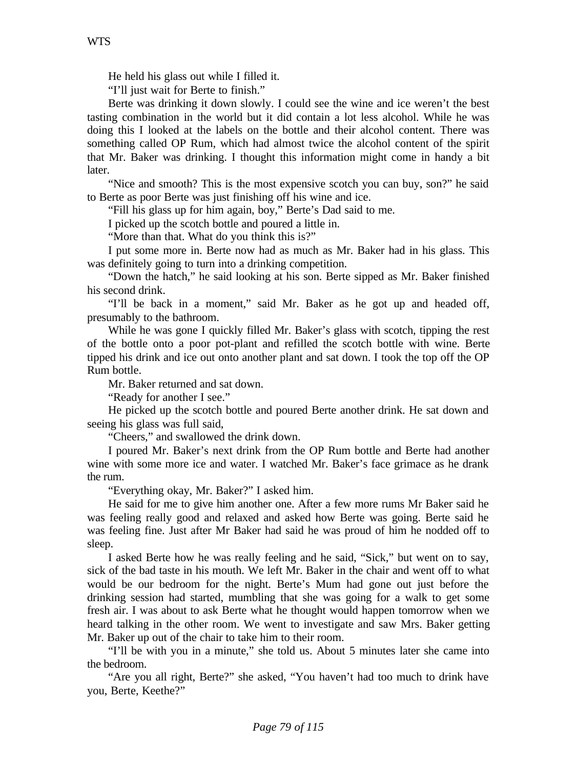He held his glass out while I filled it.

"I'll just wait for Berte to finish."

Berte was drinking it down slowly. I could see the wine and ice weren't the best tasting combination in the world but it did contain a lot less alcohol. While he was doing this I looked at the labels on the bottle and their alcohol content. There was something called OP Rum, which had almost twice the alcohol content of the spirit that Mr. Baker was drinking. I thought this information might come in handy a bit later.

"Nice and smooth? This is the most expensive scotch you can buy, son?" he said to Berte as poor Berte was just finishing off his wine and ice.

"Fill his glass up for him again, boy," Berte's Dad said to me.

I picked up the scotch bottle and poured a little in.

"More than that. What do you think this is?"

I put some more in. Berte now had as much as Mr. Baker had in his glass. This was definitely going to turn into a drinking competition.

"Down the hatch," he said looking at his son. Berte sipped as Mr. Baker finished his second drink.

"I'll be back in a moment," said Mr. Baker as he got up and headed off, presumably to the bathroom.

While he was gone I quickly filled Mr. Baker's glass with scotch, tipping the rest of the bottle onto a poor pot-plant and refilled the scotch bottle with wine. Berte tipped his drink and ice out onto another plant and sat down. I took the top off the OP Rum bottle.

Mr. Baker returned and sat down.

"Ready for another I see."

He picked up the scotch bottle and poured Berte another drink. He sat down and seeing his glass was full said,

"Cheers," and swallowed the drink down.

I poured Mr. Baker's next drink from the OP Rum bottle and Berte had another wine with some more ice and water. I watched Mr. Baker's face grimace as he drank the rum.

"Everything okay, Mr. Baker?" I asked him.

He said for me to give him another one. After a few more rums Mr Baker said he was feeling really good and relaxed and asked how Berte was going. Berte said he was feeling fine. Just after Mr Baker had said he was proud of him he nodded off to sleep.

I asked Berte how he was really feeling and he said, "Sick," but went on to say, sick of the bad taste in his mouth. We left Mr. Baker in the chair and went off to what would be our bedroom for the night. Berte's Mum had gone out just before the drinking session had started, mumbling that she was going for a walk to get some fresh air. I was about to ask Berte what he thought would happen tomorrow when we heard talking in the other room. We went to investigate and saw Mrs. Baker getting Mr. Baker up out of the chair to take him to their room.

"I'll be with you in a minute," she told us. About 5 minutes later she came into the bedroom.

"Are you all right, Berte?" she asked, "You haven't had too much to drink have you, Berte, Keethe?"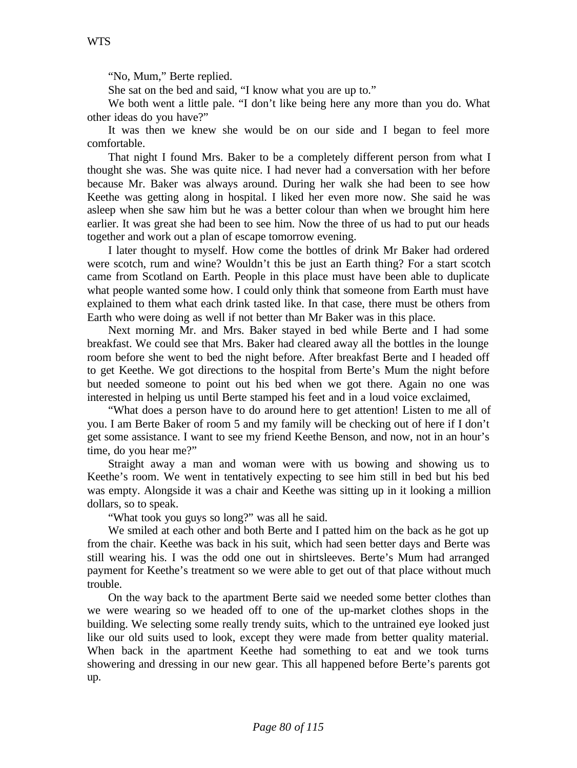"No, Mum," Berte replied.

She sat on the bed and said, "I know what you are up to."

We both went a little pale. "I don't like being here any more than you do. What other ideas do you have?"

It was then we knew she would be on our side and I began to feel more comfortable.

That night I found Mrs. Baker to be a completely different person from what I thought she was. She was quite nice. I had never had a conversation with her before because Mr. Baker was always around. During her walk she had been to see how Keethe was getting along in hospital. I liked her even more now. She said he was asleep when she saw him but he was a better colour than when we brought him here earlier. It was great she had been to see him. Now the three of us had to put our heads together and work out a plan of escape tomorrow evening.

I later thought to myself. How come the bottles of drink Mr Baker had ordered were scotch, rum and wine? Wouldn't this be just an Earth thing? For a start scotch came from Scotland on Earth. People in this place must have been able to duplicate what people wanted some how. I could only think that someone from Earth must have explained to them what each drink tasted like. In that case, there must be others from Earth who were doing as well if not better than Mr Baker was in this place.

Next morning Mr. and Mrs. Baker stayed in bed while Berte and I had some breakfast. We could see that Mrs. Baker had cleared away all the bottles in the lounge room before she went to bed the night before. After breakfast Berte and I headed off to get Keethe. We got directions to the hospital from Berte's Mum the night before but needed someone to point out his bed when we got there. Again no one was interested in helping us until Berte stamped his feet and in a loud voice exclaimed,

"What does a person have to do around here to get attention! Listen to me all of you. I am Berte Baker of room 5 and my family will be checking out of here if I don't get some assistance. I want to see my friend Keethe Benson, and now, not in an hour's time, do you hear me?"

Straight away a man and woman were with us bowing and showing us to Keethe's room. We went in tentatively expecting to see him still in bed but his bed was empty. Alongside it was a chair and Keethe was sitting up in it looking a million dollars, so to speak.

"What took you guys so long?" was all he said.

We smiled at each other and both Berte and I patted him on the back as he got up from the chair. Keethe was back in his suit, which had seen better days and Berte was still wearing his. I was the odd one out in shirtsleeves. Berte's Mum had arranged payment for Keethe's treatment so we were able to get out of that place without much trouble.

On the way back to the apartment Berte said we needed some better clothes than we were wearing so we headed off to one of the up-market clothes shops in the building. We selecting some really trendy suits, which to the untrained eye looked just like our old suits used to look, except they were made from better quality material. When back in the apartment Keethe had something to eat and we took turns showering and dressing in our new gear. This all happened before Berte's parents got up.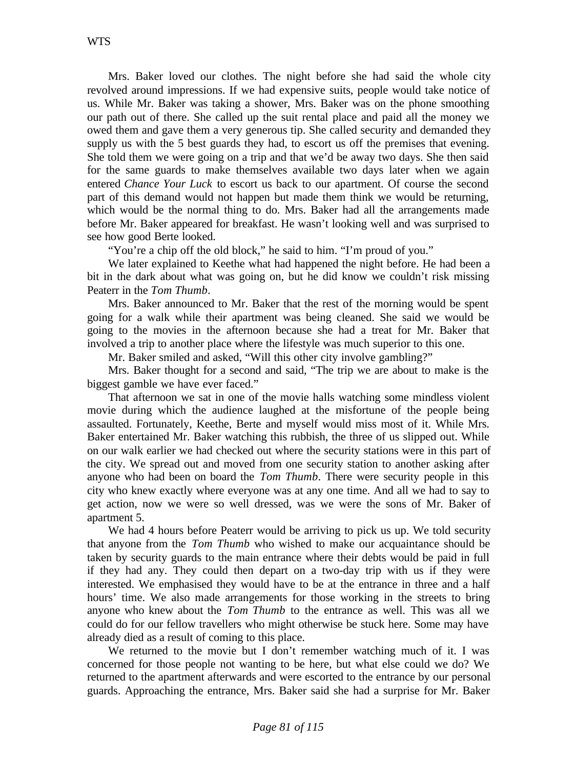Mrs. Baker loved our clothes. The night before she had said the whole city revolved around impressions. If we had expensive suits, people would take notice of us. While Mr. Baker was taking a shower, Mrs. Baker was on the phone smoothing our path out of there. She called up the suit rental place and paid all the money we owed them and gave them a very generous tip. She called security and demanded they supply us with the 5 best guards they had, to escort us off the premises that evening. She told them we were going on a trip and that we'd be away two days. She then said for the same guards to make themselves available two days later when we again entered *Chance Your Luck* to escort us back to our apartment. Of course the second part of this demand would not happen but made them think we would be returning, which would be the normal thing to do. Mrs. Baker had all the arrangements made before Mr. Baker appeared for breakfast. He wasn't looking well and was surprised to see how good Berte looked.

"You're a chip off the old block," he said to him. "I'm proud of you."

We later explained to Keethe what had happened the night before. He had been a bit in the dark about what was going on, but he did know we couldn't risk missing Peaterr in the *Tom Thumb*.

Mrs. Baker announced to Mr. Baker that the rest of the morning would be spent going for a walk while their apartment was being cleaned. She said we would be going to the movies in the afternoon because she had a treat for Mr. Baker that involved a trip to another place where the lifestyle was much superior to this one.

Mr. Baker smiled and asked, "Will this other city involve gambling?"

Mrs. Baker thought for a second and said, "The trip we are about to make is the biggest gamble we have ever faced."

That afternoon we sat in one of the movie halls watching some mindless violent movie during which the audience laughed at the misfortune of the people being assaulted. Fortunately, Keethe, Berte and myself would miss most of it. While Mrs. Baker entertained Mr. Baker watching this rubbish, the three of us slipped out. While on our walk earlier we had checked out where the security stations were in this part of the city. We spread out and moved from one security station to another asking after anyone who had been on board the *Tom Thumb*. There were security people in this city who knew exactly where everyone was at any one time. And all we had to say to get action, now we were so well dressed, was we were the sons of Mr. Baker of apartment 5.

We had 4 hours before Peaterr would be arriving to pick us up. We told security that anyone from the *Tom Thumb* who wished to make our acquaintance should be taken by security guards to the main entrance where their debts would be paid in full if they had any. They could then depart on a two-day trip with us if they were interested. We emphasised they would have to be at the entrance in three and a half hours' time. We also made arrangements for those working in the streets to bring anyone who knew about the *Tom Thumb* to the entrance as well. This was all we could do for our fellow travellers who might otherwise be stuck here. Some may have already died as a result of coming to this place.

We returned to the movie but I don't remember watching much of it. I was concerned for those people not wanting to be here, but what else could we do? We returned to the apartment afterwards and were escorted to the entrance by our personal guards. Approaching the entrance, Mrs. Baker said she had a surprise for Mr. Baker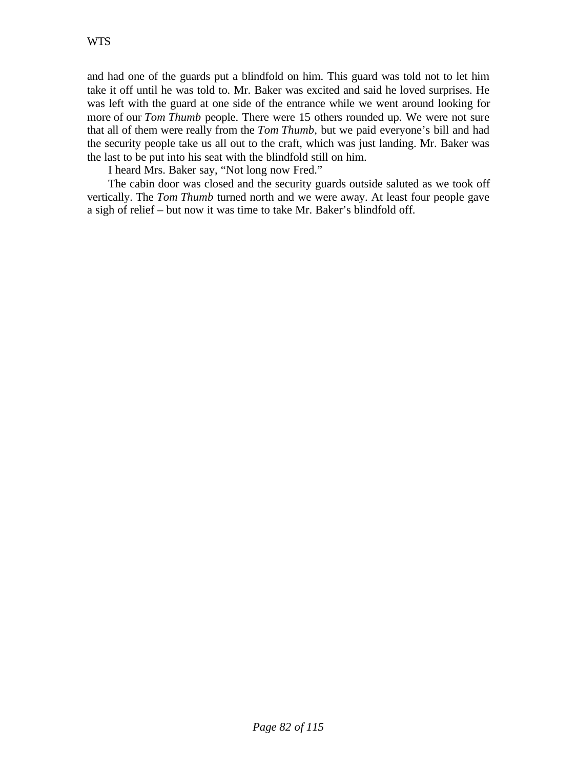and had one of the guards put a blindfold on him. This guard was told not to let him take it off until he was told to. Mr. Baker was excited and said he loved surprises. He was left with the guard at one side of the entrance while we went around looking for more of our *Tom Thumb* people. There were 15 others rounded up. We were not sure that all of them were really from the *Tom Thumb,* but we paid everyone's bill and had the security people take us all out to the craft, which was just landing. Mr. Baker was the last to be put into his seat with the blindfold still on him.

I heard Mrs. Baker say, "Not long now Fred."

The cabin door was closed and the security guards outside saluted as we took off vertically. The *Tom Thumb* turned north and we were away. At least four people gave a sigh of relief – but now it was time to take Mr. Baker's blindfold off.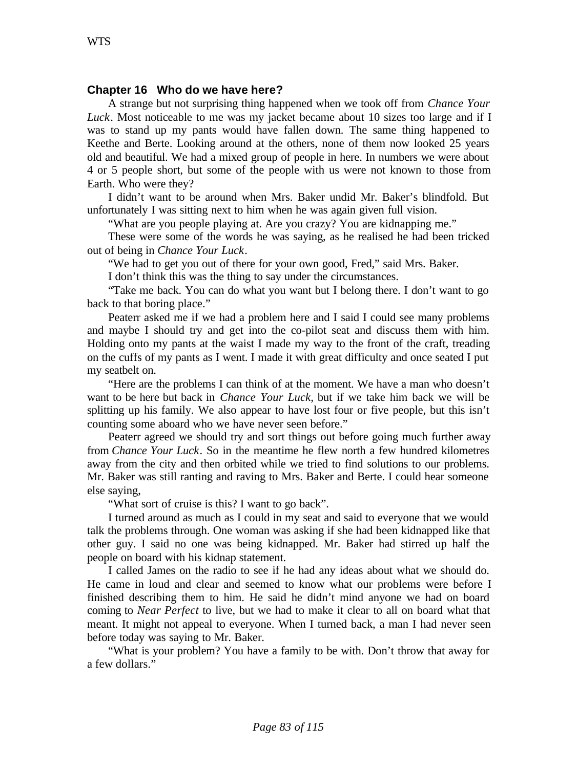### **Chapter 16 Who do we have here?**

A strange but not surprising thing happened when we took off from *Chance Your Luck*. Most noticeable to me was my jacket became about 10 sizes too large and if I was to stand up my pants would have fallen down. The same thing happened to Keethe and Berte. Looking around at the others, none of them now looked 25 years old and beautiful. We had a mixed group of people in here. In numbers we were about 4 or 5 people short, but some of the people with us were not known to those from Earth. Who were they?

I didn't want to be around when Mrs. Baker undid Mr. Baker's blindfold. But unfortunately I was sitting next to him when he was again given full vision.

"What are you people playing at. Are you crazy? You are kidnapping me."

These were some of the words he was saying, as he realised he had been tricked out of being in *Chance Your Luck*.

"We had to get you out of there for your own good, Fred," said Mrs. Baker.

I don't think this was the thing to say under the circumstances.

"Take me back. You can do what you want but I belong there. I don't want to go back to that boring place."

Peaterr asked me if we had a problem here and I said I could see many problems and maybe I should try and get into the co-pilot seat and discuss them with him. Holding onto my pants at the waist I made my way to the front of the craft, treading on the cuffs of my pants as I went. I made it with great difficulty and once seated I put my seatbelt on.

"Here are the problems I can think of at the moment. We have a man who doesn't want to be here but back in *Chance Your Luck,* but if we take him back we will be splitting up his family. We also appear to have lost four or five people, but this isn't counting some aboard who we have never seen before."

Peaterr agreed we should try and sort things out before going much further away from *Chance Your Luck*. So in the meantime he flew north a few hundred kilometres away from the city and then orbited while we tried to find solutions to our problems. Mr. Baker was still ranting and raving to Mrs. Baker and Berte. I could hear someone else saying,

"What sort of cruise is this? I want to go back".

I turned around as much as I could in my seat and said to everyone that we would talk the problems through. One woman was asking if she had been kidnapped like that other guy. I said no one was being kidnapped. Mr. Baker had stirred up half the people on board with his kidnap statement.

I called James on the radio to see if he had any ideas about what we should do. He came in loud and clear and seemed to know what our problems were before I finished describing them to him. He said he didn't mind anyone we had on board coming to *Near Perfect* to live, but we had to make it clear to all on board what that meant. It might not appeal to everyone. When I turned back, a man I had never seen before today was saying to Mr. Baker.

"What is your problem? You have a family to be with. Don't throw that away for a few dollars."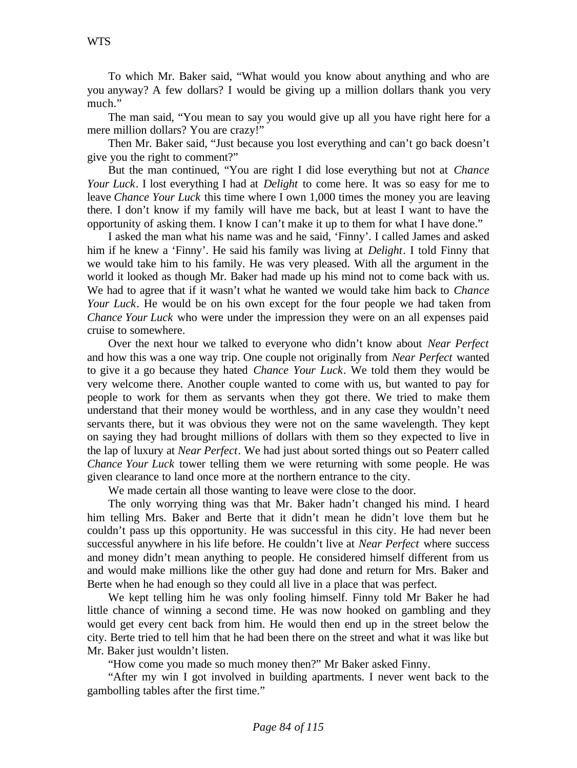To which Mr. Baker said, "What would you know about anything and who are you anyway? A few dollars? I would be giving up a million dollars thank you very much."

The man said, "You mean to say you would give up all you have right here for a mere million dollars? You are crazy!"

Then Mr. Baker said, "Just because you lost everything and can't go back doesn't give you the right to comment?"

But the man continued, "You are right I did lose everything but not at *Chance Your Luck*. I lost everything I had at *Delight* to come here. It was so easy for me to leave *Chance Your Luck* this time where I own 1,000 times the money you are leaving there. I don't know if my family will have me back, but at least I want to have the opportunity of asking them. I know I can't make it up to them for what I have done."

I asked the man what his name was and he said, 'Finny'. I called James and asked him if he knew a 'Finny'. He said his family was living at *Delight*. I told Finny that we would take him to his family. He was very pleased. With all the argument in the world it looked as though Mr. Baker had made up his mind not to come back with us. We had to agree that if it wasn't what he wanted we would take him back to *Chance Your Luck*. He would be on his own except for the four people we had taken from *Chance Your Luck* who were under the impression they were on an all expenses paid cruise to somewhere.

Over the next hour we talked to everyone who didn't know about *Near Perfect* and how this was a one way trip. One couple not originally from *Near Perfect* wanted to give it a go because they hated *Chance Your Luck*. We told them they would be very welcome there. Another couple wanted to come with us, but wanted to pay for people to work for them as servants when they got there. We tried to make them understand that their money would be worthless, and in any case they wouldn't need servants there, but it was obvious they were not on the same wavelength. They kept on saying they had brought millions of dollars with them so they expected to live in the lap of luxury at *Near Perfect*. We had just about sorted things out so Peaterr called *Chance Your Luck* tower telling them we were returning with some people. He was given clearance to land once more at the northern entrance to the city.

We made certain all those wanting to leave were close to the door.

The only worrying thing was that Mr. Baker hadn't changed his mind. I heard him telling Mrs. Baker and Berte that it didn't mean he didn't love them but he couldn't pass up this opportunity. He was successful in this city. He had never been successful anywhere in his life before. He couldn't live at *Near Perfect* where success and money didn't mean anything to people. He considered himself different from us and would make millions like the other guy had done and return for Mrs. Baker and Berte when he had enough so they could all live in a place that was perfect.

We kept telling him he was only fooling himself. Finny told Mr Baker he had little chance of winning a second time. He was now hooked on gambling and they would get every cent back from him. He would then end up in the street below the city. Berte tried to tell him that he had been there on the street and what it was like but Mr. Baker just wouldn't listen.

"How come you made so much money then?" Mr Baker asked Finny.

"After my win I got involved in building apartments. I never went back to the gambolling tables after the first time."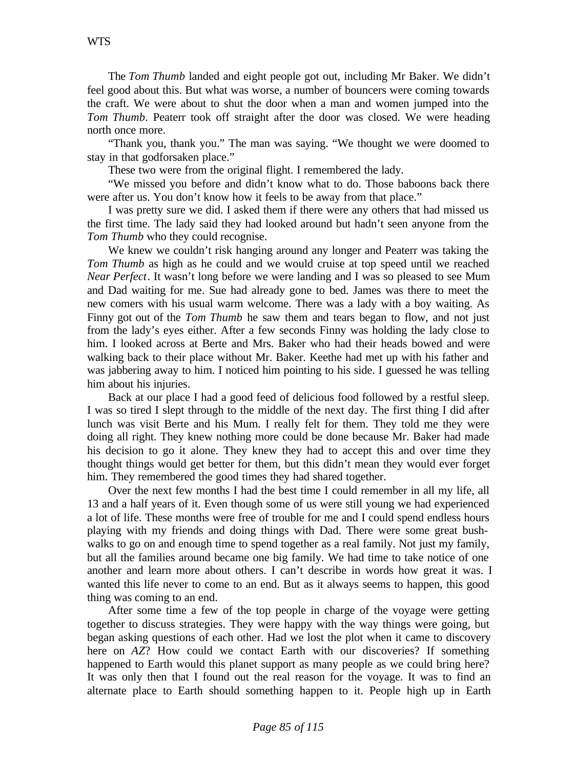The *Tom Thumb* landed and eight people got out, including Mr Baker. We didn't feel good about this. But what was worse, a number of bouncers were coming towards the craft. We were about to shut the door when a man and women jumped into the *Tom Thumb*. Peaterr took off straight after the door was closed. We were heading north once more.

"Thank you, thank you." The man was saying. "We thought we were doomed to stay in that godforsaken place."

These two were from the original flight. I remembered the lady.

"We missed you before and didn't know what to do. Those baboons back there were after us. You don't know how it feels to be away from that place."

I was pretty sure we did. I asked them if there were any others that had missed us the first time. The lady said they had looked around but hadn't seen anyone from the *Tom Thumb* who they could recognise.

We knew we couldn't risk hanging around any longer and Peaterr was taking the *Tom Thumb* as high as he could and we would cruise at top speed until we reached *Near Perfect*. It wasn't long before we were landing and I was so pleased to see Mum and Dad waiting for me. Sue had already gone to bed. James was there to meet the new comers with his usual warm welcome. There was a lady with a boy waiting. As Finny got out of the *Tom Thumb* he saw them and tears began to flow, and not just from the lady's eyes either. After a few seconds Finny was holding the lady close to him. I looked across at Berte and Mrs. Baker who had their heads bowed and were walking back to their place without Mr. Baker. Keethe had met up with his father and was jabbering away to him. I noticed him pointing to his side. I guessed he was telling him about his injuries.

Back at our place I had a good feed of delicious food followed by a restful sleep. I was so tired I slept through to the middle of the next day. The first thing I did after lunch was visit Berte and his Mum. I really felt for them. They told me they were doing all right. They knew nothing more could be done because Mr. Baker had made his decision to go it alone. They knew they had to accept this and over time they thought things would get better for them, but this didn't mean they would ever forget him. They remembered the good times they had shared together.

Over the next few months I had the best time I could remember in all my life, all 13 and a half years of it. Even though some of us were still young we had experienced a lot of life. These months were free of trouble for me and I could spend endless hours playing with my friends and doing things with Dad. There were some great bushwalks to go on and enough time to spend together as a real family. Not just my family, but all the families around became one big family. We had time to take notice of one another and learn more about others. I can't describe in words how great it was. I wanted this life never to come to an end. But as it always seems to happen, this good thing was coming to an end.

After some time a few of the top people in charge of the voyage were getting together to discuss strategies. They were happy with the way things were going, but began asking questions of each other. Had we lost the plot when it came to discovery here on *AZ*? How could we contact Earth with our discoveries? If something happened to Earth would this planet support as many people as we could bring here? It was only then that I found out the real reason for the voyage. It was to find an alternate place to Earth should something happen to it. People high up in Earth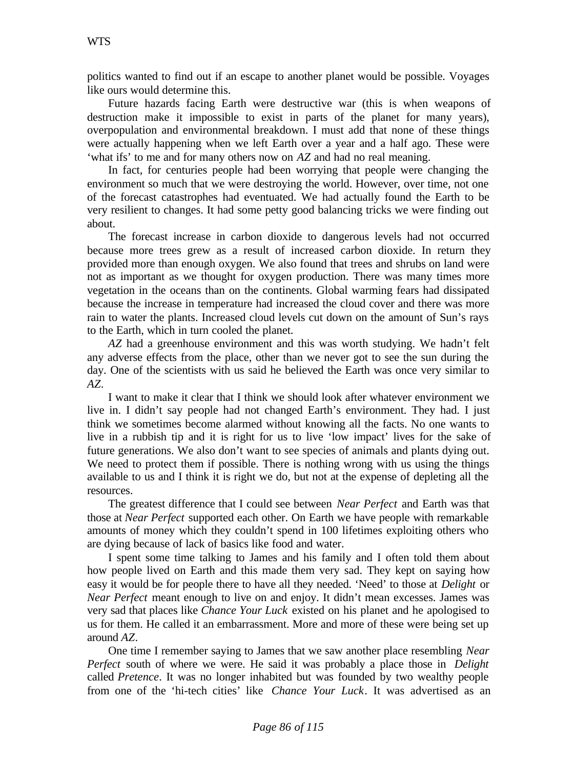politics wanted to find out if an escape to another planet would be possible. Voyages like ours would determine this.

Future hazards facing Earth were destructive war (this is when weapons of destruction make it impossible to exist in parts of the planet for many years), overpopulation and environmental breakdown. I must add that none of these things were actually happening when we left Earth over a year and a half ago. These were 'what ifs' to me and for many others now on *AZ* and had no real meaning.

In fact, for centuries people had been worrying that people were changing the environment so much that we were destroying the world. However, over time, not one of the forecast catastrophes had eventuated. We had actually found the Earth to be very resilient to changes. It had some petty good balancing tricks we were finding out about.

The forecast increase in carbon dioxide to dangerous levels had not occurred because more trees grew as a result of increased carbon dioxide. In return they provided more than enough oxygen. We also found that trees and shrubs on land were not as important as we thought for oxygen production. There was many times more vegetation in the oceans than on the continents. Global warming fears had dissipated because the increase in temperature had increased the cloud cover and there was more rain to water the plants. Increased cloud levels cut down on the amount of Sun's rays to the Earth, which in turn cooled the planet.

*AZ* had a greenhouse environment and this was worth studying. We hadn't felt any adverse effects from the place, other than we never got to see the sun during the day. One of the scientists with us said he believed the Earth was once very similar to *AZ*.

I want to make it clear that I think we should look after whatever environment we live in. I didn't say people had not changed Earth's environment. They had. I just think we sometimes become alarmed without knowing all the facts. No one wants to live in a rubbish tip and it is right for us to live 'low impact' lives for the sake of future generations. We also don't want to see species of animals and plants dying out. We need to protect them if possible. There is nothing wrong with us using the things available to us and I think it is right we do, but not at the expense of depleting all the resources.

The greatest difference that I could see between *Near Perfect* and Earth was that those at *Near Perfect* supported each other. On Earth we have people with remarkable amounts of money which they couldn't spend in 100 lifetimes exploiting others who are dying because of lack of basics like food and water.

I spent some time talking to James and his family and I often told them about how people lived on Earth and this made them very sad. They kept on saying how easy it would be for people there to have all they needed. 'Need' to those at *Delight* or *Near Perfect* meant enough to live on and enjoy. It didn't mean excesses. James was very sad that places like *Chance Your Luck* existed on his planet and he apologised to us for them. He called it an embarrassment. More and more of these were being set up around *AZ*.

One time I remember saying to James that we saw another place resembling *Near Perfect* south of where we were. He said it was probably a place those in *Delight* called *Pretence*. It was no longer inhabited but was founded by two wealthy people from one of the 'hi-tech cities' like *Chance Your Luck*. It was advertised as an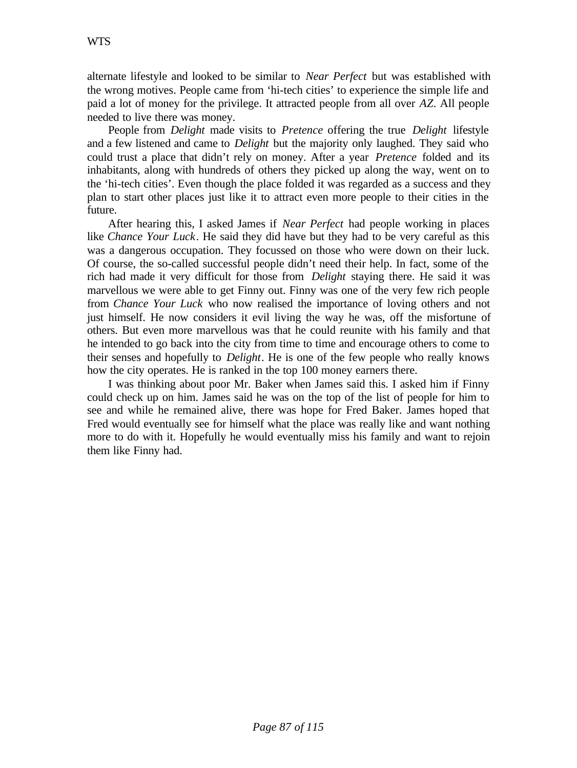alternate lifestyle and looked to be similar to *Near Perfect* but was established with the wrong motives. People came from 'hi-tech cities' to experience the simple life and paid a lot of money for the privilege. It attracted people from all over *AZ*. All people needed to live there was money.

People from *Delight* made visits to *Pretence* offering the true *Delight* lifestyle and a few listened and came to *Delight* but the majority only laughed. They said who could trust a place that didn't rely on money. After a year *Pretence* folded and its inhabitants, along with hundreds of others they picked up along the way, went on to the 'hi-tech cities'. Even though the place folded it was regarded as a success and they plan to start other places just like it to attract even more people to their cities in the future.

After hearing this, I asked James if *Near Perfect* had people working in places like *Chance Your Luck*. He said they did have but they had to be very careful as this was a dangerous occupation. They focussed on those who were down on their luck. Of course, the so-called successful people didn't need their help. In fact, some of the rich had made it very difficult for those from *Delight* staying there. He said it was marvellous we were able to get Finny out. Finny was one of the very few rich people from *Chance Your Luck* who now realised the importance of loving others and not just himself. He now considers it evil living the way he was, off the misfortune of others. But even more marvellous was that he could reunite with his family and that he intended to go back into the city from time to time and encourage others to come to their senses and hopefully to *Delight*. He is one of the few people who really knows how the city operates. He is ranked in the top 100 money earners there.

I was thinking about poor Mr. Baker when James said this. I asked him if Finny could check up on him. James said he was on the top of the list of people for him to see and while he remained alive, there was hope for Fred Baker. James hoped that Fred would eventually see for himself what the place was really like and want nothing more to do with it. Hopefully he would eventually miss his family and want to rejoin them like Finny had.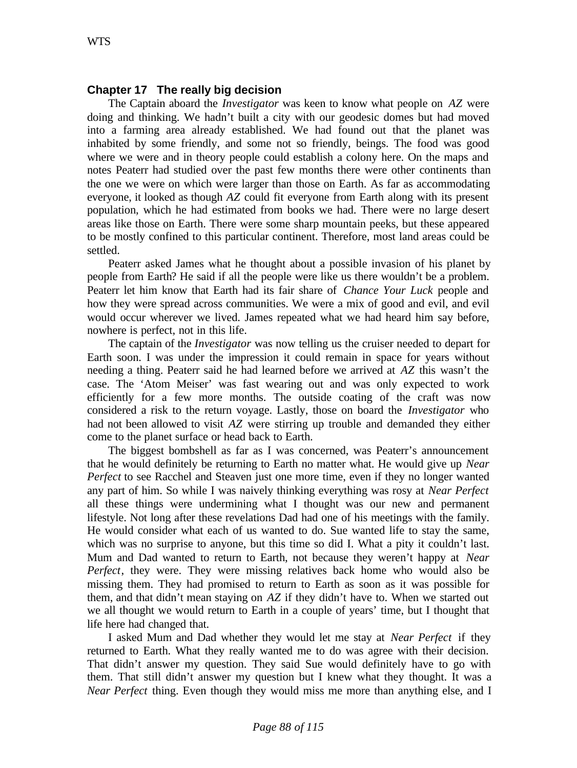# **Chapter 17 The really big decision**

The Captain aboard the *Investigator* was keen to know what people on *AZ* were doing and thinking. We hadn't built a city with our geodesic domes but had moved into a farming area already established. We had found out that the planet was inhabited by some friendly, and some not so friendly, beings. The food was good where we were and in theory people could establish a colony here. On the maps and notes Peaterr had studied over the past few months there were other continents than the one we were on which were larger than those on Earth. As far as accommodating everyone, it looked as though *AZ* could fit everyone from Earth along with its present population, which he had estimated from books we had. There were no large desert areas like those on Earth. There were some sharp mountain peeks, but these appeared to be mostly confined to this particular continent. Therefore, most land areas could be settled.

Peaterr asked James what he thought about a possible invasion of his planet by people from Earth? He said if all the people were like us there wouldn't be a problem. Peaterr let him know that Earth had its fair share of *Chance Your Luck* people and how they were spread across communities. We were a mix of good and evil, and evil would occur wherever we lived. James repeated what we had heard him say before, nowhere is perfect, not in this life.

The captain of the *Investigator* was now telling us the cruiser needed to depart for Earth soon. I was under the impression it could remain in space for years without needing a thing. Peaterr said he had learned before we arrived at *AZ* this wasn't the case. The 'Atom Meiser' was fast wearing out and was only expected to work efficiently for a few more months. The outside coating of the craft was now considered a risk to the return voyage. Lastly, those on board the *Investigator* who had not been allowed to visit *AZ* were stirring up trouble and demanded they either come to the planet surface or head back to Earth.

The biggest bombshell as far as I was concerned, was Peaterr's announcement that he would definitely be returning to Earth no matter what. He would give up *Near Perfect* to see Racchel and Steaven just one more time, even if they no longer wanted any part of him. So while I was naively thinking everything was rosy at *Near Perfect* all these things were undermining what I thought was our new and permanent lifestyle. Not long after these revelations Dad had one of his meetings with the family. He would consider what each of us wanted to do. Sue wanted life to stay the same, which was no surprise to anyone, but this time so did I. What a pity it couldn't last. Mum and Dad wanted to return to Earth, not because they weren't happy at *Near Perfect*, they were. They were missing relatives back home who would also be missing them. They had promised to return to Earth as soon as it was possible for them, and that didn't mean staying on *AZ* if they didn't have to. When we started out we all thought we would return to Earth in a couple of years' time, but I thought that life here had changed that.

I asked Mum and Dad whether they would let me stay at *Near Perfect* if they returned to Earth. What they really wanted me to do was agree with their decision. That didn't answer my question. They said Sue would definitely have to go with them. That still didn't answer my question but I knew what they thought. It was a *Near Perfect* thing. Even though they would miss me more than anything else, and I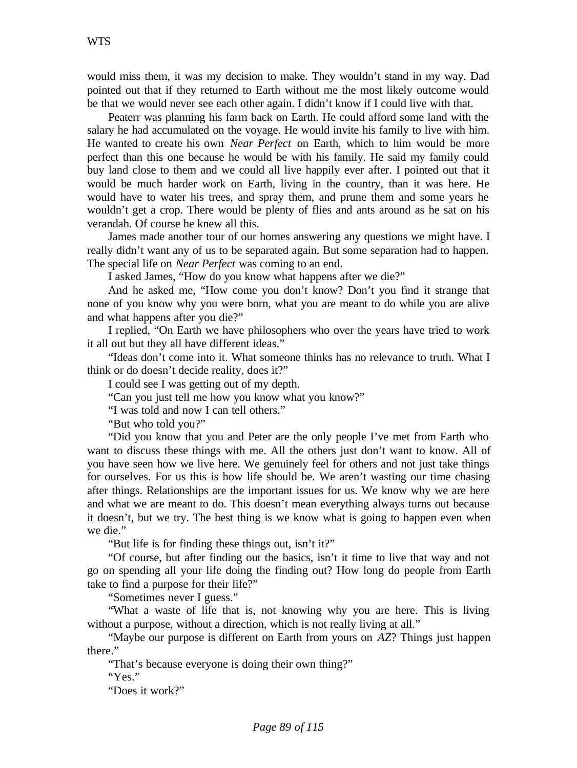would miss them, it was my decision to make. They wouldn't stand in my way. Dad pointed out that if they returned to Earth without me the most likely outcome would be that we would never see each other again. I didn't know if I could live with that.

Peaterr was planning his farm back on Earth. He could afford some land with the salary he had accumulated on the voyage. He would invite his family to live with him. He wanted to create his own *Near Perfect* on Earth, which to him would be more perfect than this one because he would be with his family. He said my family could buy land close to them and we could all live happily ever after. I pointed out that it would be much harder work on Earth, living in the country, than it was here. He would have to water his trees, and spray them, and prune them and some years he wouldn't get a crop. There would be plenty of flies and ants around as he sat on his verandah. Of course he knew all this.

James made another tour of our homes answering any questions we might have. I really didn't want any of us to be separated again. But some separation had to happen. The special life on *Near Perfect* was coming to an end.

I asked James, "How do you know what happens after we die?"

And he asked me, "How come you don't know? Don't you find it strange that none of you know why you were born, what you are meant to do while you are alive and what happens after you die?"

I replied, "On Earth we have philosophers who over the years have tried to work it all out but they all have different ideas."

"Ideas don't come into it. What someone thinks has no relevance to truth. What I think or do doesn't decide reality, does it?"

I could see I was getting out of my depth.

"Can you just tell me how you know what you know?"

"I was told and now I can tell others."

"But who told you?"

"Did you know that you and Peter are the only people I've met from Earth who want to discuss these things with me. All the others just don't want to know. All of you have seen how we live here. We genuinely feel for others and not just take things for ourselves. For us this is how life should be. We aren't wasting our time chasing after things. Relationships are the important issues for us. We know why we are here and what we are meant to do. This doesn't mean everything always turns out because it doesn't, but we try. The best thing is we know what is going to happen even when we die."

"But life is for finding these things out, isn't it?"

"Of course, but after finding out the basics, isn't it time to live that way and not go on spending all your life doing the finding out? How long do people from Earth take to find a purpose for their life?"

"Sometimes never I guess."

"What a waste of life that is, not knowing why you are here. This is living without a purpose, without a direction, which is not really living at all."

"Maybe our purpose is different on Earth from yours on *AZ*? Things just happen there."

"That's because everyone is doing their own thing?"

"Yes."

"Does it work?"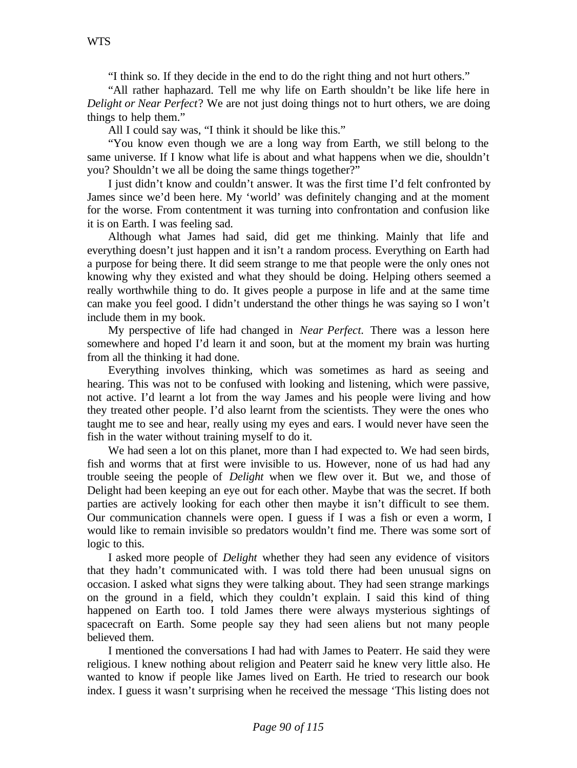"I think so. If they decide in the end to do the right thing and not hurt others."

"All rather haphazard. Tell me why life on Earth shouldn't be like life here in *Delight or Near Perfect*? We are not just doing things not to hurt others, we are doing things to help them."

All I could say was, "I think it should be like this."

"You know even though we are a long way from Earth, we still belong to the same universe. If I know what life is about and what happens when we die, shouldn't you? Shouldn't we all be doing the same things together?"

I just didn't know and couldn't answer. It was the first time I'd felt confronted by James since we'd been here. My 'world' was definitely changing and at the moment for the worse. From contentment it was turning into confrontation and confusion like it is on Earth. I was feeling sad.

Although what James had said, did get me thinking. Mainly that life and everything doesn't just happen and it isn't a random process. Everything on Earth had a purpose for being there. It did seem strange to me that people were the only ones not knowing why they existed and what they should be doing. Helping others seemed a really worthwhile thing to do. It gives people a purpose in life and at the same time can make you feel good. I didn't understand the other things he was saying so I won't include them in my book.

My perspective of life had changed in *Near Perfect.* There was a lesson here somewhere and hoped I'd learn it and soon, but at the moment my brain was hurting from all the thinking it had done.

Everything involves thinking, which was sometimes as hard as seeing and hearing. This was not to be confused with looking and listening, which were passive, not active. I'd learnt a lot from the way James and his people were living and how they treated other people. I'd also learnt from the scientists. They were the ones who taught me to see and hear, really using my eyes and ears. I would never have seen the fish in the water without training myself to do it.

We had seen a lot on this planet, more than I had expected to. We had seen birds, fish and worms that at first were invisible to us. However, none of us had had any trouble seeing the people of *Delight* when we flew over it. But we, and those of Delight had been keeping an eye out for each other. Maybe that was the secret. If both parties are actively looking for each other then maybe it isn't difficult to see them. Our communication channels were open. I guess if I was a fish or even a worm, I would like to remain invisible so predators wouldn't find me. There was some sort of logic to this.

I asked more people of *Delight* whether they had seen any evidence of visitors that they hadn't communicated with. I was told there had been unusual signs on occasion. I asked what signs they were talking about. They had seen strange markings on the ground in a field, which they couldn't explain. I said this kind of thing happened on Earth too. I told James there were always mysterious sightings of spacecraft on Earth. Some people say they had seen aliens but not many people believed them.

I mentioned the conversations I had had with James to Peaterr. He said they were religious. I knew nothing about religion and Peaterr said he knew very little also. He wanted to know if people like James lived on Earth. He tried to research our book index. I guess it wasn't surprising when he received the message 'This listing does not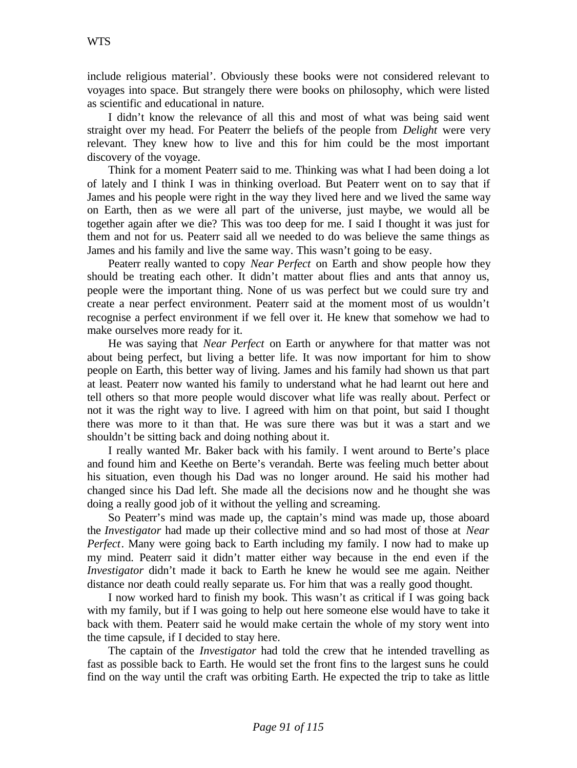include religious material'. Obviously these books were not considered relevant to voyages into space. But strangely there were books on philosophy, which were listed as scientific and educational in nature.

I didn't know the relevance of all this and most of what was being said went straight over my head. For Peaterr the beliefs of the people from *Delight* were very relevant. They knew how to live and this for him could be the most important discovery of the voyage.

Think for a moment Peaterr said to me. Thinking was what I had been doing a lot of lately and I think I was in thinking overload. But Peaterr went on to say that if James and his people were right in the way they lived here and we lived the same way on Earth, then as we were all part of the universe, just maybe, we would all be together again after we die? This was too deep for me. I said I thought it was just for them and not for us. Peaterr said all we needed to do was believe the same things as James and his family and live the same way. This wasn't going to be easy.

Peaterr really wanted to copy *Near Perfect* on Earth and show people how they should be treating each other. It didn't matter about flies and ants that annoy us, people were the important thing. None of us was perfect but we could sure try and create a near perfect environment. Peaterr said at the moment most of us wouldn't recognise a perfect environment if we fell over it. He knew that somehow we had to make ourselves more ready for it.

He was saying that *Near Perfect* on Earth or anywhere for that matter was not about being perfect, but living a better life. It was now important for him to show people on Earth, this better way of living. James and his family had shown us that part at least. Peaterr now wanted his family to understand what he had learnt out here and tell others so that more people would discover what life was really about. Perfect or not it was the right way to live. I agreed with him on that point, but said I thought there was more to it than that. He was sure there was but it was a start and we shouldn't be sitting back and doing nothing about it.

I really wanted Mr. Baker back with his family. I went around to Berte's place and found him and Keethe on Berte's verandah. Berte was feeling much better about his situation, even though his Dad was no longer around. He said his mother had changed since his Dad left. She made all the decisions now and he thought she was doing a really good job of it without the yelling and screaming.

So Peaterr's mind was made up, the captain's mind was made up, those aboard the *Investigator* had made up their collective mind and so had most of those at *Near Perfect*. Many were going back to Earth including my family. I now had to make up my mind. Peaterr said it didn't matter either way because in the end even if the *Investigator* didn't made it back to Earth he knew he would see me again. Neither distance nor death could really separate us. For him that was a really good thought.

I now worked hard to finish my book. This wasn't as critical if I was going back with my family, but if I was going to help out here someone else would have to take it back with them. Peaterr said he would make certain the whole of my story went into the time capsule, if I decided to stay here.

The captain of the *Investigator* had told the crew that he intended travelling as fast as possible back to Earth. He would set the front fins to the largest suns he could find on the way until the craft was orbiting Earth. He expected the trip to take as little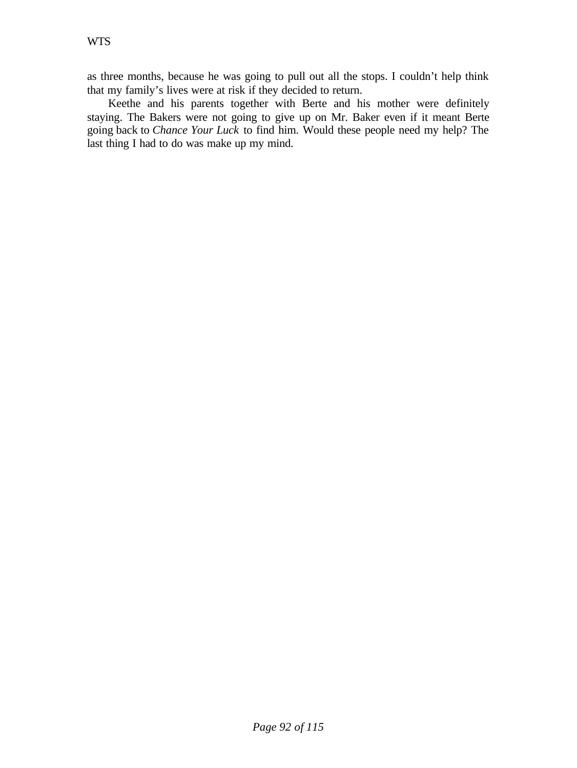as three months, because he was going to pull out all the stops. I couldn't help think that my family's lives were at risk if they decided to return.

Keethe and his parents together with Berte and his mother were definitely staying. The Bakers were not going to give up on Mr. Baker even if it meant Berte going back to *Chance Your Luck* to find him. Would these people need my help? The last thing I had to do was make up my mind.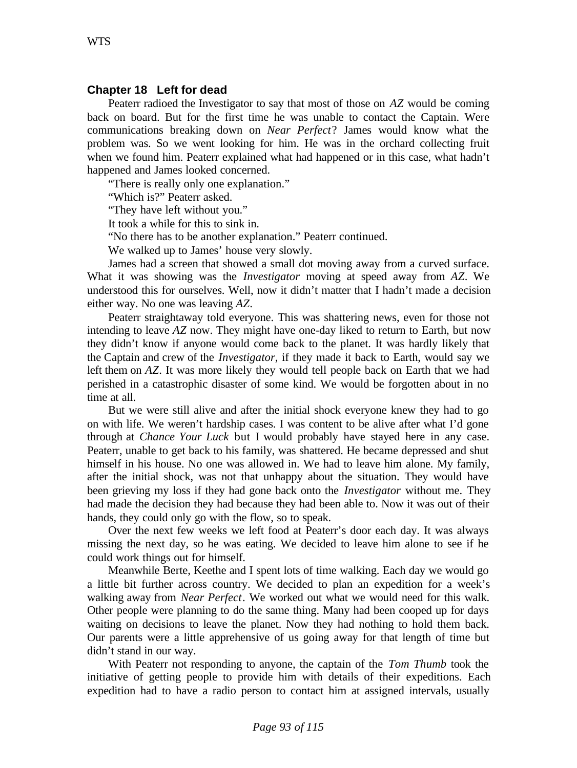### **Chapter 18 Left for dead**

Peaterr radioed the Investigator to say that most of those on *AZ* would be coming back on board. But for the first time he was unable to contact the Captain. Were communications breaking down on *Near Perfect*? James would know what the problem was. So we went looking for him. He was in the orchard collecting fruit when we found him. Peaterr explained what had happened or in this case, what hadn't happened and James looked concerned.

"There is really only one explanation."

"Which is?" Peaterr asked.

"They have left without you."

It took a while for this to sink in.

"No there has to be another explanation." Peaterr continued.

We walked up to James' house very slowly.

James had a screen that showed a small dot moving away from a curved surface. What it was showing was the *Investigator* moving at speed away from *AZ*. We understood this for ourselves. Well, now it didn't matter that I hadn't made a decision either way. No one was leaving *AZ*.

Peaterr straightaway told everyone. This was shattering news, even for those not intending to leave *AZ* now. They might have one-day liked to return to Earth, but now they didn't know if anyone would come back to the planet. It was hardly likely that the Captain and crew of the *Investigator*, if they made it back to Earth, would say we left them on *AZ*. It was more likely they would tell people back on Earth that we had perished in a catastrophic disaster of some kind. We would be forgotten about in no time at all.

But we were still alive and after the initial shock everyone knew they had to go on with life. We weren't hardship cases. I was content to be alive after what I'd gone through at *Chance Your Luck* but I would probably have stayed here in any case. Peaterr, unable to get back to his family, was shattered. He became depressed and shut himself in his house. No one was allowed in. We had to leave him alone. My family, after the initial shock, was not that unhappy about the situation. They would have been grieving my loss if they had gone back onto the *Investigator* without me. They had made the decision they had because they had been able to. Now it was out of their hands, they could only go with the flow, so to speak.

Over the next few weeks we left food at Peaterr's door each day. It was always missing the next day, so he was eating. We decided to leave him alone to see if he could work things out for himself.

Meanwhile Berte, Keethe and I spent lots of time walking. Each day we would go a little bit further across country. We decided to plan an expedition for a week's walking away from *Near Perfect*. We worked out what we would need for this walk. Other people were planning to do the same thing. Many had been cooped up for days waiting on decisions to leave the planet. Now they had nothing to hold them back. Our parents were a little apprehensive of us going away for that length of time but didn't stand in our way.

With Peaterr not responding to anyone, the captain of the *Tom Thumb* took the initiative of getting people to provide him with details of their expeditions. Each expedition had to have a radio person to contact him at assigned intervals, usually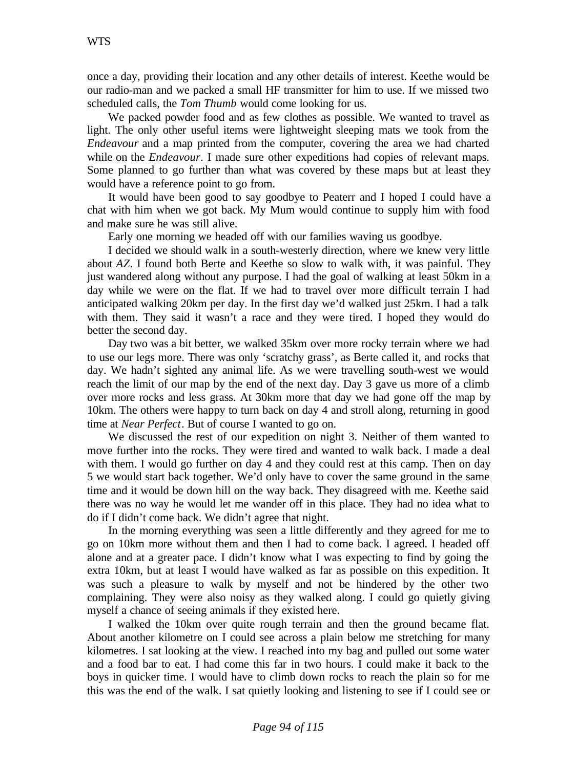once a day, providing their location and any other details of interest. Keethe would be our radio-man and we packed a small HF transmitter for him to use. If we missed two scheduled calls, the *Tom Thumb* would come looking for us.

We packed powder food and as few clothes as possible. We wanted to travel as light. The only other useful items were lightweight sleeping mats we took from the *Endeavour* and a map printed from the computer, covering the area we had charted while on the *Endeavour*. I made sure other expeditions had copies of relevant maps. Some planned to go further than what was covered by these maps but at least they would have a reference point to go from.

It would have been good to say goodbye to Peaterr and I hoped I could have a chat with him when we got back. My Mum would continue to supply him with food and make sure he was still alive.

Early one morning we headed off with our families waving us goodbye.

I decided we should walk in a south-westerly direction, where we knew very little about *AZ*. I found both Berte and Keethe so slow to walk with, it was painful. They just wandered along without any purpose. I had the goal of walking at least 50km in a day while we were on the flat. If we had to travel over more difficult terrain I had anticipated walking 20km per day. In the first day we'd walked just 25km. I had a talk with them. They said it wasn't a race and they were tired. I hoped they would do better the second day.

Day two was a bit better, we walked 35km over more rocky terrain where we had to use our legs more. There was only 'scratchy grass', as Berte called it, and rocks that day. We hadn't sighted any animal life. As we were travelling south-west we would reach the limit of our map by the end of the next day. Day 3 gave us more of a climb over more rocks and less grass. At 30km more that day we had gone off the map by 10km. The others were happy to turn back on day 4 and stroll along, returning in good time at *Near Perfect*. But of course I wanted to go on.

We discussed the rest of our expedition on night 3. Neither of them wanted to move further into the rocks. They were tired and wanted to walk back. I made a deal with them. I would go further on day 4 and they could rest at this camp. Then on day 5 we would start back together. We'd only have to cover the same ground in the same time and it would be down hill on the way back. They disagreed with me. Keethe said there was no way he would let me wander off in this place. They had no idea what to do if I didn't come back. We didn't agree that night.

In the morning everything was seen a little differently and they agreed for me to go on 10km more without them and then I had to come back. I agreed. I headed off alone and at a greater pace. I didn't know what I was expecting to find by going the extra 10km, but at least I would have walked as far as possible on this expedition. It was such a pleasure to walk by myself and not be hindered by the other two complaining. They were also noisy as they walked along. I could go quietly giving myself a chance of seeing animals if they existed here.

I walked the 10km over quite rough terrain and then the ground became flat. About another kilometre on I could see across a plain below me stretching for many kilometres. I sat looking at the view. I reached into my bag and pulled out some water and a food bar to eat. I had come this far in two hours. I could make it back to the boys in quicker time. I would have to climb down rocks to reach the plain so for me this was the end of the walk. I sat quietly looking and listening to see if I could see or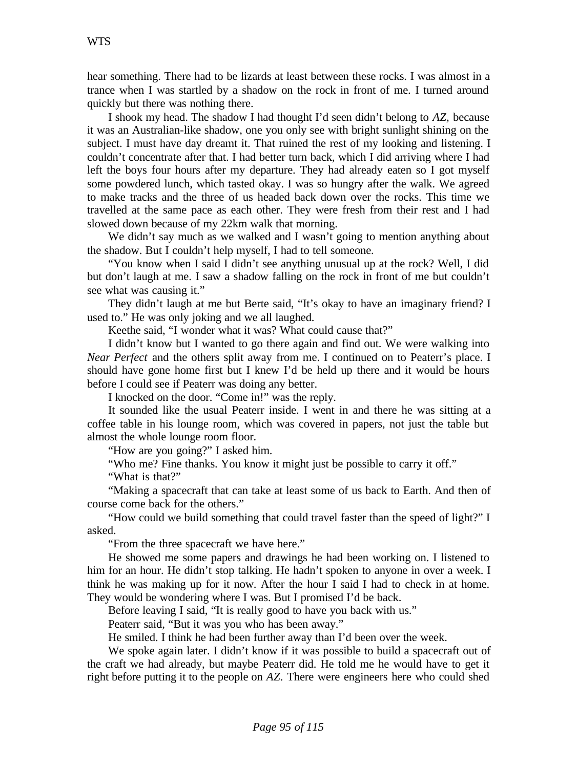hear something. There had to be lizards at least between these rocks. I was almost in a trance when I was startled by a shadow on the rock in front of me. I turned around quickly but there was nothing there.

I shook my head. The shadow I had thought I'd seen didn't belong to *AZ,* because it was an Australian-like shadow, one you only see with bright sunlight shining on the subject. I must have day dreamt it. That ruined the rest of my looking and listening. I couldn't concentrate after that. I had better turn back, which I did arriving where I had left the boys four hours after my departure. They had already eaten so I got myself some powdered lunch, which tasted okay. I was so hungry after the walk. We agreed to make tracks and the three of us headed back down over the rocks. This time we travelled at the same pace as each other. They were fresh from their rest and I had slowed down because of my 22km walk that morning.

We didn't say much as we walked and I wasn't going to mention anything about the shadow. But I couldn't help myself, I had to tell someone.

"You know when I said I didn't see anything unusual up at the rock? Well, I did but don't laugh at me. I saw a shadow falling on the rock in front of me but couldn't see what was causing it."

They didn't laugh at me but Berte said, "It's okay to have an imaginary friend? I used to." He was only joking and we all laughed.

Keethe said, "I wonder what it was? What could cause that?"

I didn't know but I wanted to go there again and find out. We were walking into *Near Perfect* and the others split away from me. I continued on to Peaterr's place. I should have gone home first but I knew I'd be held up there and it would be hours before I could see if Peaterr was doing any better.

I knocked on the door. "Come in!" was the reply.

It sounded like the usual Peaterr inside. I went in and there he was sitting at a coffee table in his lounge room, which was covered in papers, not just the table but almost the whole lounge room floor.

"How are you going?" I asked him.

"Who me? Fine thanks. You know it might just be possible to carry it off."

"What is that?"

"Making a spacecraft that can take at least some of us back to Earth. And then of course come back for the others."

"How could we build something that could travel faster than the speed of light?" I asked.

"From the three spacecraft we have here."

He showed me some papers and drawings he had been working on. I listened to him for an hour. He didn't stop talking. He hadn't spoken to anyone in over a week. I think he was making up for it now. After the hour I said I had to check in at home. They would be wondering where I was. But I promised I'd be back.

Before leaving I said, "It is really good to have you back with us."

Peaterr said, "But it was you who has been away."

He smiled. I think he had been further away than I'd been over the week.

We spoke again later. I didn't know if it was possible to build a spacecraft out of the craft we had already, but maybe Peaterr did. He told me he would have to get it right before putting it to the people on *AZ*. There were engineers here who could shed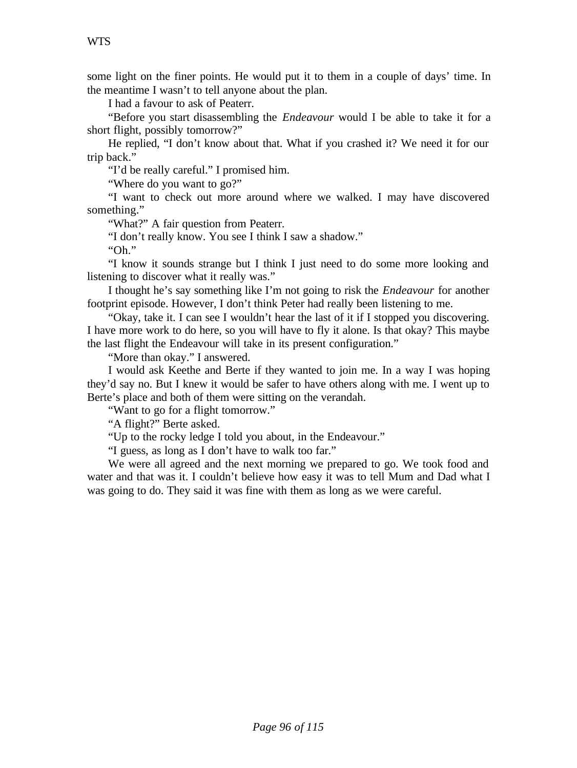some light on the finer points. He would put it to them in a couple of days' time. In the meantime I wasn't to tell anyone about the plan.

I had a favour to ask of Peaterr.

"Before you start disassembling the *Endeavour* would I be able to take it for a short flight, possibly tomorrow?"

He replied, "I don't know about that. What if you crashed it? We need it for our trip back."

"I'd be really careful." I promised him.

"Where do you want to go?"

"I want to check out more around where we walked. I may have discovered something."

"What?" A fair question from Peaterr.

"I don't really know. You see I think I saw a shadow."

"Oh."

"I know it sounds strange but I think I just need to do some more looking and listening to discover what it really was."

I thought he's say something like I'm not going to risk the *Endeavour* for another footprint episode. However, I don't think Peter had really been listening to me.

"Okay, take it. I can see I wouldn't hear the last of it if I stopped you discovering. I have more work to do here, so you will have to fly it alone. Is that okay? This maybe the last flight the Endeavour will take in its present configuration."

"More than okay." I answered.

I would ask Keethe and Berte if they wanted to join me. In a way I was hoping they'd say no. But I knew it would be safer to have others along with me. I went up to Berte's place and both of them were sitting on the verandah.

"Want to go for a flight tomorrow."

"A flight?" Berte asked.

"Up to the rocky ledge I told you about, in the Endeavour."

"I guess, as long as I don't have to walk too far."

We were all agreed and the next morning we prepared to go. We took food and water and that was it. I couldn't believe how easy it was to tell Mum and Dad what I was going to do. They said it was fine with them as long as we were careful.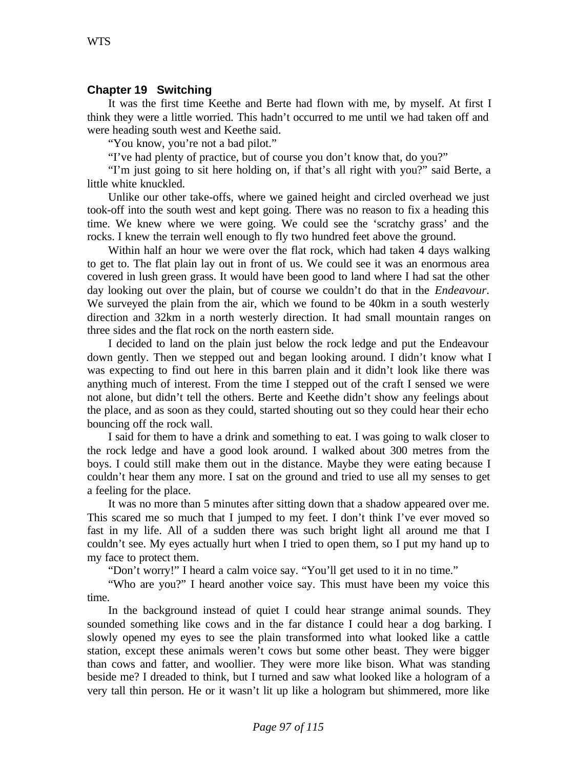#### **Chapter 19 Switching**

It was the first time Keethe and Berte had flown with me, by myself. At first I think they were a little worried. This hadn't occurred to me until we had taken off and were heading south west and Keethe said.

"You know, you're not a bad pilot."

"I've had plenty of practice, but of course you don't know that, do you?"

"I'm just going to sit here holding on, if that's all right with you?" said Berte, a little white knuckled.

Unlike our other take-offs, where we gained height and circled overhead we just took-off into the south west and kept going. There was no reason to fix a heading this time. We knew where we were going. We could see the 'scratchy grass' and the rocks. I knew the terrain well enough to fly two hundred feet above the ground.

Within half an hour we were over the flat rock, which had taken 4 days walking to get to. The flat plain lay out in front of us. We could see it was an enormous area covered in lush green grass. It would have been good to land where I had sat the other day looking out over the plain, but of course we couldn't do that in the *Endeavour*. We surveyed the plain from the air, which we found to be 40km in a south westerly direction and 32km in a north westerly direction. It had small mountain ranges on three sides and the flat rock on the north eastern side.

I decided to land on the plain just below the rock ledge and put the Endeavour down gently. Then we stepped out and began looking around. I didn't know what I was expecting to find out here in this barren plain and it didn't look like there was anything much of interest. From the time I stepped out of the craft I sensed we were not alone, but didn't tell the others. Berte and Keethe didn't show any feelings about the place, and as soon as they could, started shouting out so they could hear their echo bouncing off the rock wall.

I said for them to have a drink and something to eat. I was going to walk closer to the rock ledge and have a good look around. I walked about 300 metres from the boys. I could still make them out in the distance. Maybe they were eating because I couldn't hear them any more. I sat on the ground and tried to use all my senses to get a feeling for the place.

It was no more than 5 minutes after sitting down that a shadow appeared over me. This scared me so much that I jumped to my feet. I don't think I've ever moved so fast in my life. All of a sudden there was such bright light all around me that I couldn't see. My eyes actually hurt when I tried to open them, so I put my hand up to my face to protect them.

"Don't worry!" I heard a calm voice say. "You'll get used to it in no time."

"Who are you?" I heard another voice say. This must have been my voice this time.

In the background instead of quiet I could hear strange animal sounds. They sounded something like cows and in the far distance I could hear a dog barking. I slowly opened my eyes to see the plain transformed into what looked like a cattle station, except these animals weren't cows but some other beast. They were bigger than cows and fatter, and woollier. They were more like bison. What was standing beside me? I dreaded to think, but I turned and saw what looked like a hologram of a very tall thin person. He or it wasn't lit up like a hologram but shimmered, more like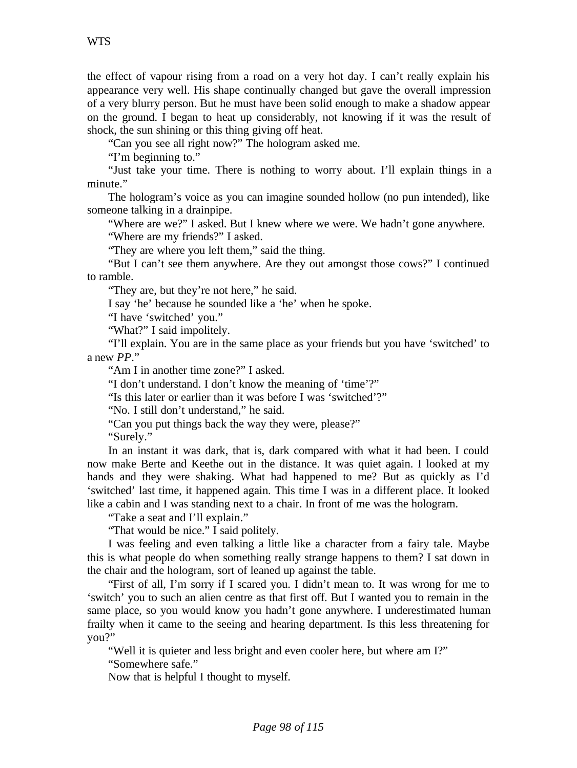the effect of vapour rising from a road on a very hot day. I can't really explain his appearance very well. His shape continually changed but gave the overall impression of a very blurry person. But he must have been solid enough to make a shadow appear on the ground. I began to heat up considerably, not knowing if it was the result of shock, the sun shining or this thing giving off heat.

"Can you see all right now?" The hologram asked me.

"I'm beginning to."

"Just take your time. There is nothing to worry about. I'll explain things in a minute."

The hologram's voice as you can imagine sounded hollow (no pun intended), like someone talking in a drainpipe.

"Where are we?" I asked. But I knew where we were. We hadn't gone anywhere.

"Where are my friends?" I asked.

"They are where you left them," said the thing.

"But I can't see them anywhere. Are they out amongst those cows?" I continued to ramble.

"They are, but they're not here," he said.

I say 'he' because he sounded like a 'he' when he spoke.

"I have 'switched' you."

"What?" I said impolitely.

"I'll explain. You are in the same place as your friends but you have 'switched' to a new *PP*."

"Am I in another time zone?" I asked.

"I don't understand. I don't know the meaning of 'time'?"

"Is this later or earlier than it was before I was 'switched'?"

"No. I still don't understand," he said.

"Can you put things back the way they were, please?"

"Surely."

In an instant it was dark, that is, dark compared with what it had been. I could now make Berte and Keethe out in the distance. It was quiet again. I looked at my hands and they were shaking. What had happened to me? But as quickly as I'd 'switched' last time, it happened again. This time I was in a different place. It looked like a cabin and I was standing next to a chair. In front of me was the hologram.

"Take a seat and I'll explain."

"That would be nice." I said politely.

I was feeling and even talking a little like a character from a fairy tale. Maybe this is what people do when something really strange happens to them? I sat down in the chair and the hologram, sort of leaned up against the table.

"First of all, I'm sorry if I scared you. I didn't mean to. It was wrong for me to 'switch' you to such an alien centre as that first off. But I wanted you to remain in the same place, so you would know you hadn't gone anywhere. I underestimated human frailty when it came to the seeing and hearing department. Is this less threatening for you?"

"Well it is quieter and less bright and even cooler here, but where am I?"

"Somewhere safe."

Now that is helpful I thought to myself.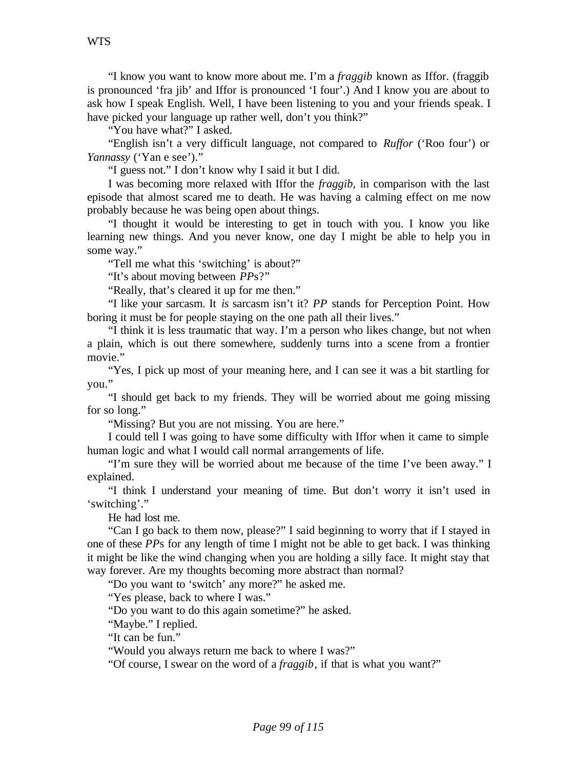"I know you want to know more about me. I'm a *fraggib* known as Iffor. (fraggib is pronounced 'fra jib' and Iffor is pronounced 'I four'.) And I know you are about to ask how I speak English. Well, I have been listening to you and your friends speak. I have picked your language up rather well, don't you think?"

"You have what?" I asked.

"English isn't a very difficult language, not compared to *Ruffor* ('Roo four') or *Yannassy* ('Yan e see')."

"I guess not." I don't know why I said it but I did.

I was becoming more relaxed with Iffor the *fraggib*, in comparison with the last episode that almost scared me to death. He was having a calming effect on me now probably because he was being open about things.

"I thought it would be interesting to get in touch with you. I know you like learning new things. And you never know, one day I might be able to help you in some way."

"Tell me what this 'switching' is about?"

"It's about moving between *PP*s?"

"Really, that's cleared it up for me then."

"I like your sarcasm. It *is* sarcasm isn't it? *PP* stands for Perception Point. How boring it must be for people staying on the one path all their lives."

"I think it is less traumatic that way. I'm a person who likes change, but not when a plain, which is out there somewhere, suddenly turns into a scene from a frontier movie."

"Yes, I pick up most of your meaning here, and I can see it was a bit startling for you."

"I should get back to my friends. They will be worried about me going missing for so long."

"Missing? But you are not missing. You are here."

I could tell I was going to have some difficulty with Iffor when it came to simple human logic and what I would call normal arrangements of life.

"I'm sure they will be worried about me because of the time I've been away." I explained.

"I think I understand your meaning of time. But don't worry it isn't used in 'switching'."

He had lost me.

"Can I go back to them now, please?" I said beginning to worry that if I stayed in one of these *PP*s for any length of time I might not be able to get back. I was thinking it might be like the wind changing when you are holding a silly face. It might stay that way forever. Are my thoughts becoming more abstract than normal?

"Do you want to 'switch' any more?" he asked me.

"Yes please, back to where I was."

"Do you want to do this again sometime?" he asked.

"Maybe." I replied.

"It can be fun."

"Would you always return me back to where I was?"

"Of course, I swear on the word of a *fraggib*, if that is what you want?"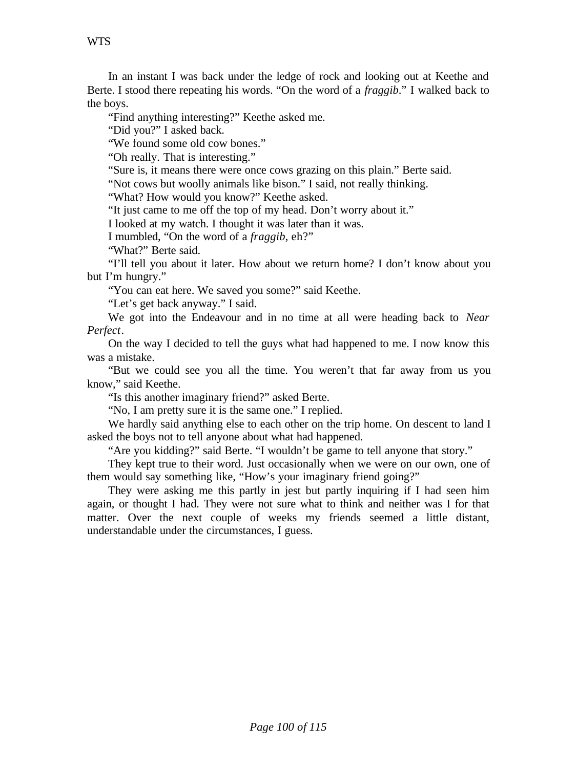In an instant I was back under the ledge of rock and looking out at Keethe and Berte. I stood there repeating his words. "On the word of a *fraggib*." I walked back to the boys.

"Find anything interesting?" Keethe asked me.

"Did you?" I asked back.

"We found some old cow bones."

"Oh really. That is interesting."

"Sure is, it means there were once cows grazing on this plain." Berte said.

"Not cows but woolly animals like bison." I said, not really thinking.

"What? How would you know?" Keethe asked.

"It just came to me off the top of my head. Don't worry about it."

I looked at my watch. I thought it was later than it was.

I mumbled, "On the word of a *fraggib*, eh?"

"What?" Berte said.

"I'll tell you about it later. How about we return home? I don't know about you but I'm hungry."

"You can eat here. We saved you some?" said Keethe.

"Let's get back anyway." I said.

We got into the Endeavour and in no time at all were heading back to *Near Perfect*.

On the way I decided to tell the guys what had happened to me. I now know this was a mistake.

"But we could see you all the time. You weren't that far away from us you know," said Keethe.

"Is this another imaginary friend?" asked Berte.

"No, I am pretty sure it is the same one." I replied.

We hardly said anything else to each other on the trip home. On descent to land I asked the boys not to tell anyone about what had happened.

"Are you kidding?" said Berte. "I wouldn't be game to tell anyone that story."

They kept true to their word. Just occasionally when we were on our own, one of them would say something like, "How's your imaginary friend going?"

They were asking me this partly in jest but partly inquiring if I had seen him again, or thought I had. They were not sure what to think and neither was I for that matter. Over the next couple of weeks my friends seemed a little distant, understandable under the circumstances, I guess.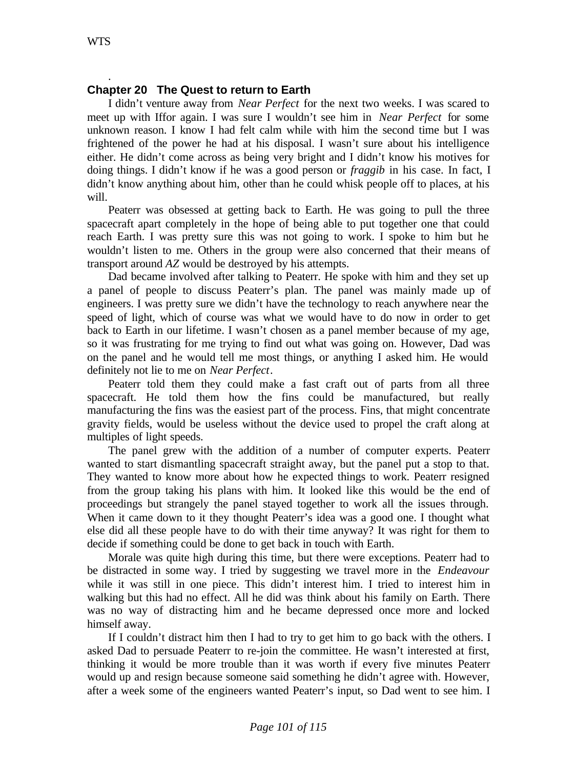.

## **Chapter 20 The Quest to return to Earth**

I didn't venture away from *Near Perfect* for the next two weeks. I was scared to meet up with Iffor again. I was sure I wouldn't see him in *Near Perfect* for some unknown reason. I know I had felt calm while with him the second time but I was frightened of the power he had at his disposal. I wasn't sure about his intelligence either. He didn't come across as being very bright and I didn't know his motives for doing things. I didn't know if he was a good person or *fraggib* in his case. In fact, I didn't know anything about him, other than he could whisk people off to places, at his will.

Peaterr was obsessed at getting back to Earth. He was going to pull the three spacecraft apart completely in the hope of being able to put together one that could reach Earth. I was pretty sure this was not going to work. I spoke to him but he wouldn't listen to me. Others in the group were also concerned that their means of transport around *AZ* would be destroyed by his attempts.

Dad became involved after talking to Peaterr. He spoke with him and they set up a panel of people to discuss Peaterr's plan. The panel was mainly made up of engineers. I was pretty sure we didn't have the technology to reach anywhere near the speed of light, which of course was what we would have to do now in order to get back to Earth in our lifetime. I wasn't chosen as a panel member because of my age, so it was frustrating for me trying to find out what was going on. However, Dad was on the panel and he would tell me most things, or anything I asked him. He would definitely not lie to me on *Near Perfect*.

Peaterr told them they could make a fast craft out of parts from all three spacecraft. He told them how the fins could be manufactured, but really manufacturing the fins was the easiest part of the process. Fins, that might concentrate gravity fields, would be useless without the device used to propel the craft along at multiples of light speeds.

The panel grew with the addition of a number of computer experts. Peaterr wanted to start dismantling spacecraft straight away, but the panel put a stop to that. They wanted to know more about how he expected things to work. Peaterr resigned from the group taking his plans with him. It looked like this would be the end of proceedings but strangely the panel stayed together to work all the issues through. When it came down to it they thought Peaterr's idea was a good one. I thought what else did all these people have to do with their time anyway? It was right for them to decide if something could be done to get back in touch with Earth.

Morale was quite high during this time, but there were exceptions. Peaterr had to be distracted in some way. I tried by suggesting we travel more in the *Endeavour* while it was still in one piece. This didn't interest him. I tried to interest him in walking but this had no effect. All he did was think about his family on Earth. There was no way of distracting him and he became depressed once more and locked himself away.

If I couldn't distract him then I had to try to get him to go back with the others. I asked Dad to persuade Peaterr to re-join the committee. He wasn't interested at first, thinking it would be more trouble than it was worth if every five minutes Peaterr would up and resign because someone said something he didn't agree with. However, after a week some of the engineers wanted Peaterr's input, so Dad went to see him. I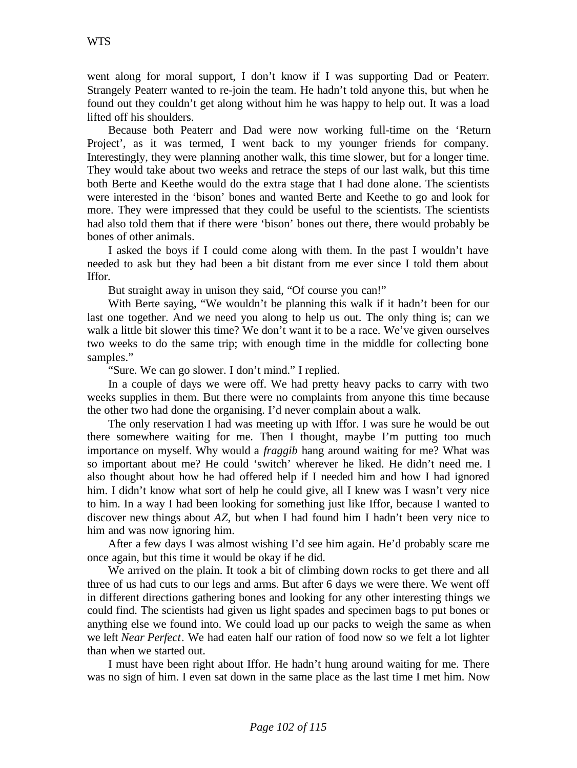went along for moral support, I don't know if I was supporting Dad or Peaterr. Strangely Peaterr wanted to re-join the team. He hadn't told anyone this, but when he found out they couldn't get along without him he was happy to help out. It was a load lifted off his shoulders.

Because both Peaterr and Dad were now working full-time on the 'Return Project', as it was termed, I went back to my younger friends for company. Interestingly, they were planning another walk, this time slower, but for a longer time. They would take about two weeks and retrace the steps of our last walk, but this time both Berte and Keethe would do the extra stage that I had done alone. The scientists were interested in the 'bison' bones and wanted Berte and Keethe to go and look for more. They were impressed that they could be useful to the scientists. The scientists had also told them that if there were 'bison' bones out there, there would probably be bones of other animals.

I asked the boys if I could come along with them. In the past I wouldn't have needed to ask but they had been a bit distant from me ever since I told them about Iffor.

But straight away in unison they said, "Of course you can!"

With Berte saying, "We wouldn't be planning this walk if it hadn't been for our last one together. And we need you along to help us out. The only thing is; can we walk a little bit slower this time? We don't want it to be a race. We've given ourselves two weeks to do the same trip; with enough time in the middle for collecting bone samples."

"Sure. We can go slower. I don't mind." I replied.

In a couple of days we were off. We had pretty heavy packs to carry with two weeks supplies in them. But there were no complaints from anyone this time because the other two had done the organising. I'd never complain about a walk.

The only reservation I had was meeting up with Iffor. I was sure he would be out there somewhere waiting for me. Then I thought, maybe I'm putting too much importance on myself. Why would a *fraggib* hang around waiting for me? What was so important about me? He could 'switch' wherever he liked. He didn't need me. I also thought about how he had offered help if I needed him and how I had ignored him. I didn't know what sort of help he could give, all I knew was I wasn't very nice to him. In a way I had been looking for something just like Iffor, because I wanted to discover new things about AZ, but when I had found him I hadn't been very nice to him and was now ignoring him.

After a few days I was almost wishing I'd see him again. He'd probably scare me once again, but this time it would be okay if he did.

We arrived on the plain. It took a bit of climbing down rocks to get there and all three of us had cuts to our legs and arms. But after 6 days we were there. We went off in different directions gathering bones and looking for any other interesting things we could find. The scientists had given us light spades and specimen bags to put bones or anything else we found into. We could load up our packs to weigh the same as when we left *Near Perfect*. We had eaten half our ration of food now so we felt a lot lighter than when we started out.

I must have been right about Iffor. He hadn't hung around waiting for me. There was no sign of him. I even sat down in the same place as the last time I met him. Now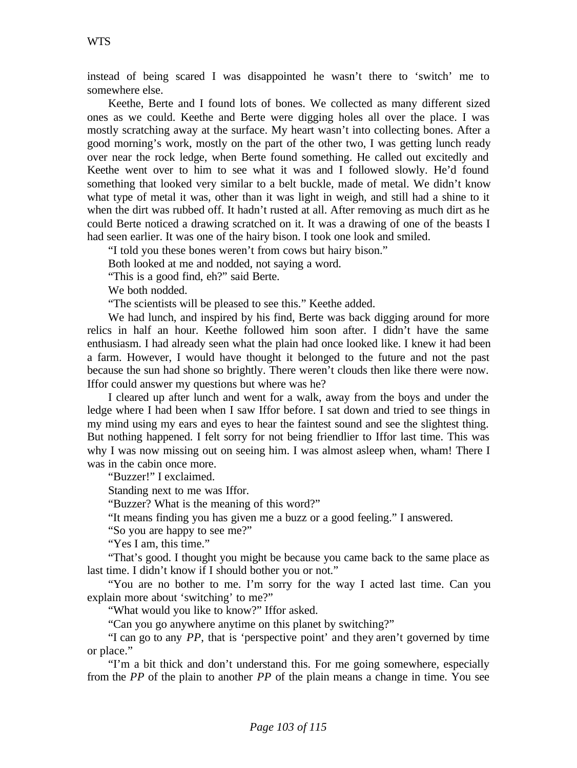instead of being scared I was disappointed he wasn't there to 'switch' me to somewhere else.

Keethe, Berte and I found lots of bones. We collected as many different sized ones as we could. Keethe and Berte were digging holes all over the place. I was mostly scratching away at the surface. My heart wasn't into collecting bones. After a good morning's work, mostly on the part of the other two, I was getting lunch ready over near the rock ledge, when Berte found something. He called out excitedly and Keethe went over to him to see what it was and I followed slowly. He'd found something that looked very similar to a belt buckle, made of metal. We didn't know what type of metal it was, other than it was light in weigh, and still had a shine to it when the dirt was rubbed off. It hadn't rusted at all. After removing as much dirt as he could Berte noticed a drawing scratched on it. It was a drawing of one of the beasts I had seen earlier. It was one of the hairy bison. I took one look and smiled.

"I told you these bones weren't from cows but hairy bison."

Both looked at me and nodded, not saying a word.

"This is a good find, eh?" said Berte.

We both nodded.

"The scientists will be pleased to see this." Keethe added.

We had lunch, and inspired by his find, Berte was back digging around for more relics in half an hour. Keethe followed him soon after. I didn't have the same enthusiasm. I had already seen what the plain had once looked like. I knew it had been a farm. However, I would have thought it belonged to the future and not the past because the sun had shone so brightly. There weren't clouds then like there were now. Iffor could answer my questions but where was he?

I cleared up after lunch and went for a walk, away from the boys and under the ledge where I had been when I saw Iffor before. I sat down and tried to see things in my mind using my ears and eyes to hear the faintest sound and see the slightest thing. But nothing happened. I felt sorry for not being friendlier to Iffor last time. This was why I was now missing out on seeing him. I was almost asleep when, wham! There I was in the cabin once more.

"Buzzer!" I exclaimed.

Standing next to me was Iffor.

"Buzzer? What is the meaning of this word?"

"It means finding you has given me a buzz or a good feeling." I answered.

"So you are happy to see me?"

"Yes I am, this time."

"That's good. I thought you might be because you came back to the same place as last time. I didn't know if I should bother you or not."

"You are no bother to me. I'm sorry for the way I acted last time. Can you explain more about 'switching' to me?"

"What would you like to know?" Iffor asked.

"Can you go anywhere anytime on this planet by switching?"

"I can go to any *PP*, that is 'perspective point' and they aren't governed by time or place."

"I'm a bit thick and don't understand this. For me going somewhere, especially from the *PP* of the plain to another *PP* of the plain means a change in time. You see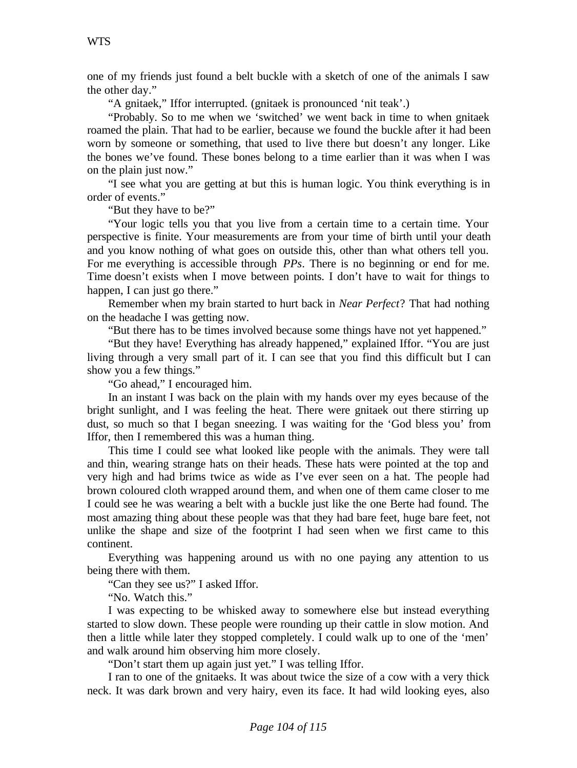one of my friends just found a belt buckle with a sketch of one of the animals I saw the other day."

"A gnitaek," Iffor interrupted. (gnitaek is pronounced 'nit teak'.)

"Probably. So to me when we 'switched' we went back in time to when gnitaek roamed the plain. That had to be earlier, because we found the buckle after it had been worn by someone or something, that used to live there but doesn't any longer. Like the bones we've found. These bones belong to a time earlier than it was when I was on the plain just now."

"I see what you are getting at but this is human logic. You think everything is in order of events."

"But they have to be?"

"Your logic tells you that you live from a certain time to a certain time. Your perspective is finite. Your measurements are from your time of birth until your death and you know nothing of what goes on outside this, other than what others tell you. For me everything is accessible through *PPs*. There is no beginning or end for me. Time doesn't exists when I move between points. I don't have to wait for things to happen, I can just go there."

Remember when my brain started to hurt back in *Near Perfect*? That had nothing on the headache I was getting now.

"But there has to be times involved because some things have not yet happened."

"But they have! Everything has already happened," explained Iffor. "You are just living through a very small part of it. I can see that you find this difficult but I can show you a few things."

"Go ahead," I encouraged him.

In an instant I was back on the plain with my hands over my eyes because of the bright sunlight, and I was feeling the heat. There were gnitaek out there stirring up dust, so much so that I began sneezing. I was waiting for the 'God bless you' from Iffor, then I remembered this was a human thing.

This time I could see what looked like people with the animals. They were tall and thin, wearing strange hats on their heads. These hats were pointed at the top and very high and had brims twice as wide as I've ever seen on a hat. The people had brown coloured cloth wrapped around them, and when one of them came closer to me I could see he was wearing a belt with a buckle just like the one Berte had found. The most amazing thing about these people was that they had bare feet, huge bare feet, not unlike the shape and size of the footprint I had seen when we first came to this continent.

Everything was happening around us with no one paying any attention to us being there with them.

"Can they see us?" I asked Iffor.

"No. Watch this."

I was expecting to be whisked away to somewhere else but instead everything started to slow down. These people were rounding up their cattle in slow motion. And then a little while later they stopped completely. I could walk up to one of the 'men' and walk around him observing him more closely.

"Don't start them up again just yet." I was telling Iffor.

I ran to one of the gnitaeks. It was about twice the size of a cow with a very thick neck. It was dark brown and very hairy, even its face. It had wild looking eyes, also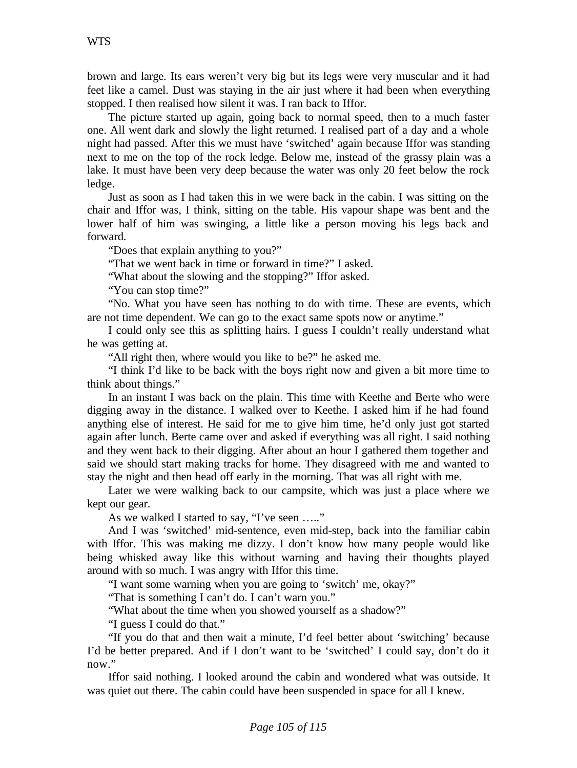brown and large. Its ears weren't very big but its legs were very muscular and it had feet like a camel. Dust was staying in the air just where it had been when everything stopped. I then realised how silent it was. I ran back to Iffor.

The picture started up again, going back to normal speed, then to a much faster one. All went dark and slowly the light returned. I realised part of a day and a whole night had passed. After this we must have 'switched' again because Iffor was standing next to me on the top of the rock ledge. Below me, instead of the grassy plain was a lake. It must have been very deep because the water was only 20 feet below the rock ledge.

Just as soon as I had taken this in we were back in the cabin. I was sitting on the chair and Iffor was, I think, sitting on the table. His vapour shape was bent and the lower half of him was swinging, a little like a person moving his legs back and forward.

"Does that explain anything to you?"

"That we went back in time or forward in time?" I asked.

"What about the slowing and the stopping?" Iffor asked.

"You can stop time?"

"No. What you have seen has nothing to do with time. These are events, which are not time dependent. We can go to the exact same spots now or anytime."

I could only see this as splitting hairs. I guess I couldn't really understand what he was getting at.

"All right then, where would you like to be?" he asked me.

"I think I'd like to be back with the boys right now and given a bit more time to think about things."

In an instant I was back on the plain. This time with Keethe and Berte who were digging away in the distance. I walked over to Keethe. I asked him if he had found anything else of interest. He said for me to give him time, he'd only just got started again after lunch. Berte came over and asked if everything was all right. I said nothing and they went back to their digging. After about an hour I gathered them together and said we should start making tracks for home. They disagreed with me and wanted to stay the night and then head off early in the morning. That was all right with me.

Later we were walking back to our campsite, which was just a place where we kept our gear.

As we walked I started to say, "I've seen ....."

And I was 'switched' mid-sentence, even mid-step, back into the familiar cabin with Iffor. This was making me dizzy. I don't know how many people would like being whisked away like this without warning and having their thoughts played around with so much. I was angry with Iffor this time.

"I want some warning when you are going to 'switch' me, okay?"

"That is something I can't do. I can't warn you."

"What about the time when you showed yourself as a shadow?"

"I guess I could do that."

"If you do that and then wait a minute, I'd feel better about 'switching' because I'd be better prepared. And if I don't want to be 'switched' I could say, don't do it now."

Iffor said nothing. I looked around the cabin and wondered what was outside. It was quiet out there. The cabin could have been suspended in space for all I knew.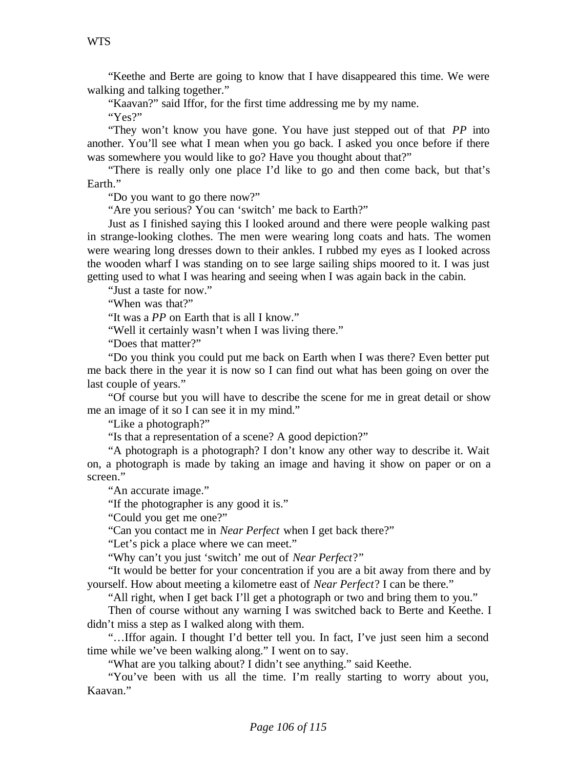"Keethe and Berte are going to know that I have disappeared this time. We were walking and talking together."

"Kaavan?" said Iffor, for the first time addressing me by my name.

"Yes?"

"They won't know you have gone. You have just stepped out of that *PP* into another. You'll see what I mean when you go back. I asked you once before if there was somewhere you would like to go? Have you thought about that?"

"There is really only one place I'd like to go and then come back, but that's Earth."

"Do you want to go there now?"

"Are you serious? You can 'switch' me back to Earth?"

Just as I finished saying this I looked around and there were people walking past in strange-looking clothes. The men were wearing long coats and hats. The women were wearing long dresses down to their ankles. I rubbed my eyes as I looked across the wooden wharf I was standing on to see large sailing ships moored to it. I was just getting used to what I was hearing and seeing when I was again back in the cabin.

"Just a taste for now."

"When was that?"

"It was a *PP* on Earth that is all I know."

"Well it certainly wasn't when I was living there."

"Does that matter?"

"Do you think you could put me back on Earth when I was there? Even better put me back there in the year it is now so I can find out what has been going on over the last couple of years."

"Of course but you will have to describe the scene for me in great detail or show me an image of it so I can see it in my mind."

"Like a photograph?"

"Is that a representation of a scene? A good depiction?"

"A photograph is a photograph? I don't know any other way to describe it. Wait on, a photograph is made by taking an image and having it show on paper or on a screen."

"An accurate image."

"If the photographer is any good it is."

"Could you get me one?"

"Can you contact me in *Near Perfect* when I get back there?"

"Let's pick a place where we can meet."

"Why can't you just 'switch' me out of *Near Perfect*?"

"It would be better for your concentration if you are a bit away from there and by yourself. How about meeting a kilometre east of *Near Perfect*? I can be there."

"All right, when I get back I'll get a photograph or two and bring them to you."

Then of course without any warning I was switched back to Berte and Keethe. I didn't miss a step as I walked along with them.

"…Iffor again. I thought I'd better tell you. In fact, I've just seen him a second time while we've been walking along." I went on to say.

"What are you talking about? I didn't see anything." said Keethe.

"You've been with us all the time. I'm really starting to worry about you, Kaavan."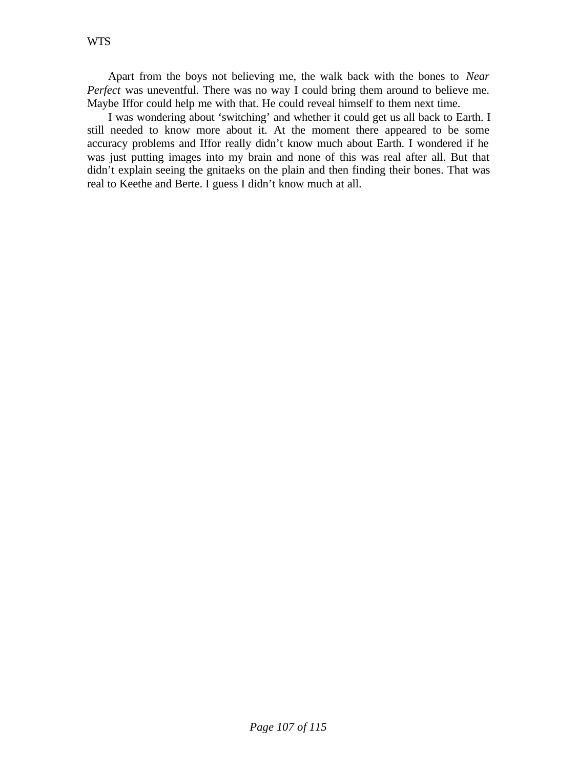Apart from the boys not believing me, the walk back with the bones to *Near Perfect* was uneventful. There was no way I could bring them around to believe me. Maybe Iffor could help me with that. He could reveal himself to them next time.

I was wondering about 'switching' and whether it could get us all back to Earth. I still needed to know more about it. At the moment there appeared to be some accuracy problems and Iffor really didn't know much about Earth. I wondered if he was just putting images into my brain and none of this was real after all. But that didn't explain seeing the gnitaeks on the plain and then finding their bones. That was real to Keethe and Berte. I guess I didn't know much at all.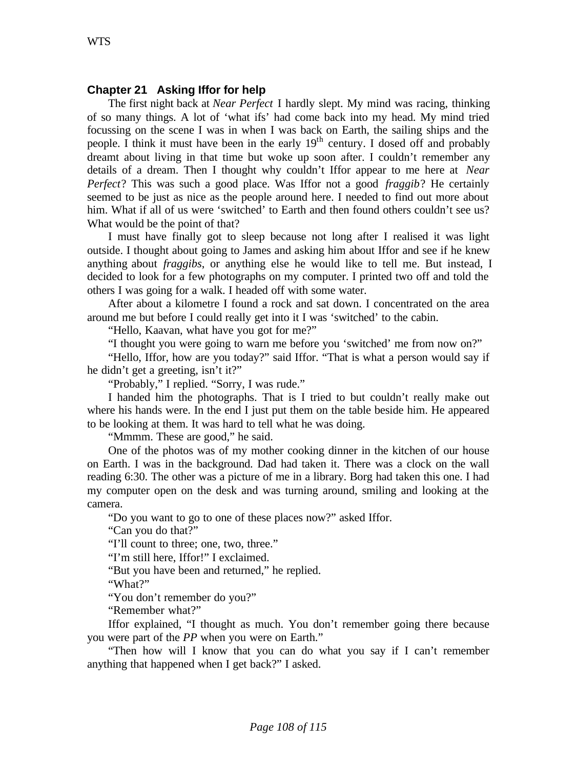# **Chapter 21 Asking Iffor for help**

The first night back at *Near Perfect* I hardly slept. My mind was racing, thinking of so many things. A lot of 'what ifs' had come back into my head. My mind tried focussing on the scene I was in when I was back on Earth, the sailing ships and the people. I think it must have been in the early  $19<sup>th</sup>$  century. I dosed off and probably dreamt about living in that time but woke up soon after. I couldn't remember any details of a dream. Then I thought why couldn't Iffor appear to me here at *Near Perfect*? This was such a good place. Was Iffor not a good *fraggib*? He certainly seemed to be just as nice as the people around here. I needed to find out more about him. What if all of us were 'switched' to Earth and then found others couldn't see us? What would be the point of that?

I must have finally got to sleep because not long after I realised it was light outside. I thought about going to James and asking him about Iffor and see if he knew anything about *fraggibs*, or anything else he would like to tell me. But instead, I decided to look for a few photographs on my computer. I printed two off and told the others I was going for a walk. I headed off with some water.

After about a kilometre I found a rock and sat down. I concentrated on the area around me but before I could really get into it I was 'switched' to the cabin.

"Hello, Kaavan, what have you got for me?"

"I thought you were going to warn me before you 'switched' me from now on?"

"Hello, Iffor, how are you today?" said Iffor. "That is what a person would say if he didn't get a greeting, isn't it?"

"Probably," I replied. "Sorry, I was rude."

I handed him the photographs. That is I tried to but couldn't really make out where his hands were. In the end I just put them on the table beside him. He appeared to be looking at them. It was hard to tell what he was doing.

"Mmmm. These are good," he said.

One of the photos was of my mother cooking dinner in the kitchen of our house on Earth. I was in the background. Dad had taken it. There was a clock on the wall reading 6:30. The other was a picture of me in a library. Borg had taken this one. I had my computer open on the desk and was turning around, smiling and looking at the camera.

"Do you want to go to one of these places now?" asked Iffor.

"Can you do that?"

"I'll count to three; one, two, three."

"I'm still here, Iffor!" I exclaimed.

"But you have been and returned," he replied.

"What?"

"You don't remember do you?"

"Remember what?"

Iffor explained, "I thought as much. You don't remember going there because you were part of the *PP* when you were on Earth."

"Then how will I know that you can do what you say if I can't remember anything that happened when I get back?" I asked.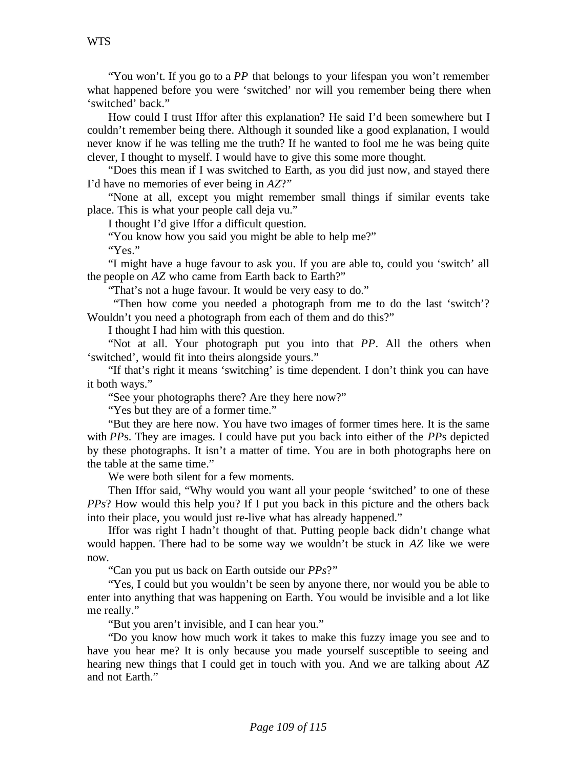"You won't. If you go to a *PP* that belongs to your lifespan you won't remember what happened before you were 'switched' nor will you remember being there when 'switched' back."

How could I trust Iffor after this explanation? He said I'd been somewhere but I couldn't remember being there. Although it sounded like a good explanation, I would never know if he was telling me the truth? If he wanted to fool me he was being quite clever, I thought to myself. I would have to give this some more thought.

"Does this mean if I was switched to Earth, as you did just now, and stayed there I'd have no memories of ever being in *AZ*?"

"None at all, except you might remember small things if similar events take place. This is what your people call deja vu."

I thought I'd give Iffor a difficult question.

"You know how you said you might be able to help me?"

"Yes."

"I might have a huge favour to ask you. If you are able to, could you 'switch' all the people on *AZ* who came from Earth back to Earth?"

"That's not a huge favour. It would be very easy to do."

 "Then how come you needed a photograph from me to do the last 'switch'? Wouldn't you need a photograph from each of them and do this?"

I thought I had him with this question.

"Not at all. Your photograph put you into that *PP*. All the others when 'switched', would fit into theirs alongside yours."

"If that's right it means 'switching' is time dependent. I don't think you can have it both ways."

"See your photographs there? Are they here now?"

"Yes but they are of a former time."

"But they are here now. You have two images of former times here. It is the same with *PP*s. They are images. I could have put you back into either of the *PP*s depicted by these photographs. It isn't a matter of time. You are in both photographs here on the table at the same time."

We were both silent for a few moments.

Then Iffor said, "Why would you want all your people 'switched' to one of these *PPs*? How would this help you? If I put you back in this picture and the others back into their place, you would just re-live what has already happened."

Iffor was right I hadn't thought of that. Putting people back didn't change what would happen. There had to be some way we wouldn't be stuck in *AZ* like we were now.

"Can you put us back on Earth outside our *PPs*?"

"Yes, I could but you wouldn't be seen by anyone there, nor would you be able to enter into anything that was happening on Earth. You would be invisible and a lot like me really."

"But you aren't invisible, and I can hear you."

"Do you know how much work it takes to make this fuzzy image you see and to have you hear me? It is only because you made yourself susceptible to seeing and hearing new things that I could get in touch with you. And we are talking about *AZ* and not Earth."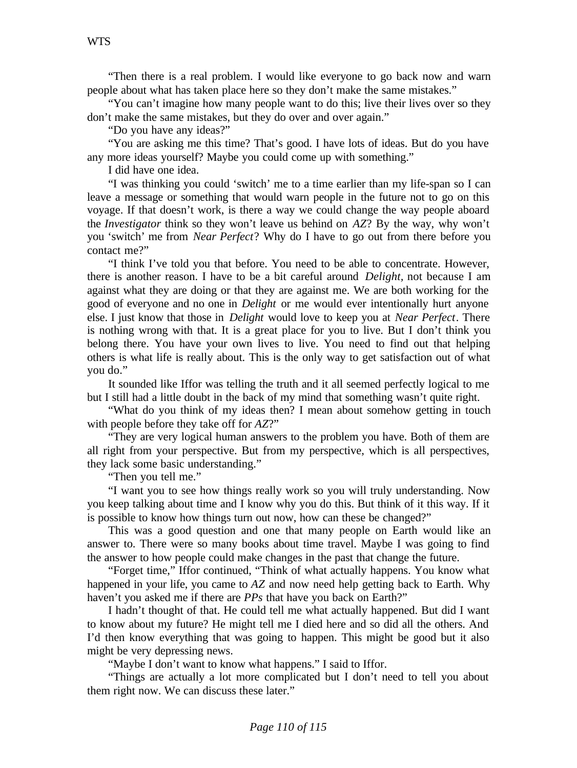"Then there is a real problem. I would like everyone to go back now and warn people about what has taken place here so they don't make the same mistakes."

"You can't imagine how many people want to do this; live their lives over so they don't make the same mistakes, but they do over and over again."

"Do you have any ideas?"

"You are asking me this time? That's good. I have lots of ideas. But do you have any more ideas yourself? Maybe you could come up with something."

I did have one idea.

"I was thinking you could 'switch' me to a time earlier than my life-span so I can leave a message or something that would warn people in the future not to go on this voyage. If that doesn't work, is there a way we could change the way people aboard the *Investigator* think so they won't leave us behind on *AZ*? By the way, why won't you 'switch' me from *Near Perfect*? Why do I have to go out from there before you contact me?"

"I think I've told you that before. You need to be able to concentrate. However, there is another reason. I have to be a bit careful around *Delight,* not because I am against what they are doing or that they are against me. We are both working for the good of everyone and no one in *Delight* or me would ever intentionally hurt anyone else. I just know that those in *Delight* would love to keep you at *Near Perfect*. There is nothing wrong with that. It is a great place for you to live. But I don't think you belong there. You have your own lives to live. You need to find out that helping others is what life is really about. This is the only way to get satisfaction out of what you do."

It sounded like Iffor was telling the truth and it all seemed perfectly logical to me but I still had a little doubt in the back of my mind that something wasn't quite right.

"What do you think of my ideas then? I mean about somehow getting in touch with people before they take off for *AZ*?"

"They are very logical human answers to the problem you have. Both of them are all right from your perspective. But from my perspective, which is all perspectives, they lack some basic understanding."

"Then you tell me."

"I want you to see how things really work so you will truly understanding. Now you keep talking about time and I know why you do this. But think of it this way. If it is possible to know how things turn out now, how can these be changed?"

This was a good question and one that many people on Earth would like an answer to. There were so many books about time travel. Maybe I was going to find the answer to how people could make changes in the past that change the future.

"Forget time," Iffor continued, "Think of what actually happens. You know what happened in your life, you came to *AZ* and now need help getting back to Earth. Why haven't you asked me if there are *PPs* that have you back on Earth?"

I hadn't thought of that. He could tell me what actually happened. But did I want to know about my future? He might tell me I died here and so did all the others. And I'd then know everything that was going to happen. This might be good but it also might be very depressing news.

"Maybe I don't want to know what happens." I said to Iffor.

"Things are actually a lot more complicated but I don't need to tell you about them right now. We can discuss these later."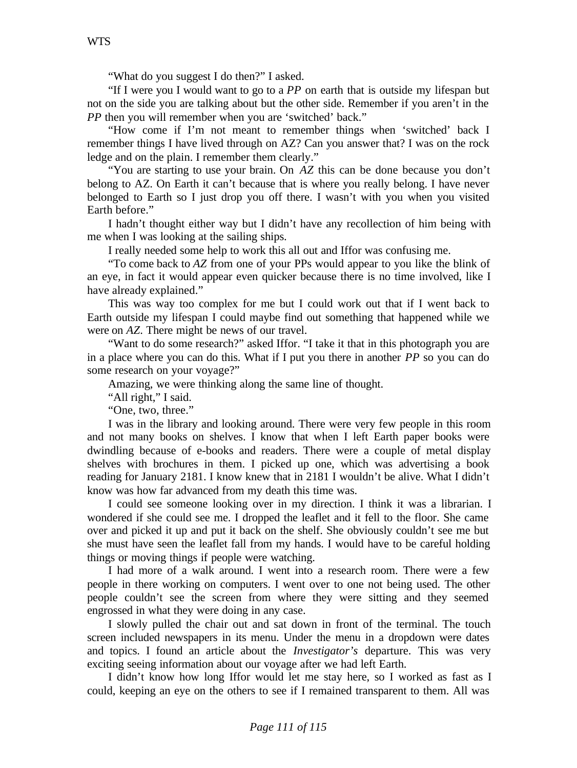"What do you suggest I do then?" I asked.

"If I were you I would want to go to a *PP* on earth that is outside my lifespan but not on the side you are talking about but the other side. Remember if you aren't in the *PP* then you will remember when you are 'switched' back."

"How come if I'm not meant to remember things when 'switched' back I remember things I have lived through on AZ? Can you answer that? I was on the rock ledge and on the plain. I remember them clearly."

"You are starting to use your brain. On *AZ* this can be done because you don't belong to AZ. On Earth it can't because that is where you really belong. I have never belonged to Earth so I just drop you off there. I wasn't with you when you visited Earth before."

I hadn't thought either way but I didn't have any recollection of him being with me when I was looking at the sailing ships.

I really needed some help to work this all out and Iffor was confusing me.

"To come back to *AZ* from one of your PPs would appear to you like the blink of an eye, in fact it would appear even quicker because there is no time involved, like I have already explained."

This was way too complex for me but I could work out that if I went back to Earth outside my lifespan I could maybe find out something that happened while we were on *AZ*. There might be news of our travel.

"Want to do some research?" asked Iffor. "I take it that in this photograph you are in a place where you can do this. What if I put you there in another *PP* so you can do some research on your voyage?"

Amazing, we were thinking along the same line of thought.

"All right," I said.

"One, two, three."

I was in the library and looking around. There were very few people in this room and not many books on shelves. I know that when I left Earth paper books were dwindling because of e-books and readers. There were a couple of metal display shelves with brochures in them. I picked up one, which was advertising a book reading for January 2181. I know knew that in 2181 I wouldn't be alive. What I didn't know was how far advanced from my death this time was.

I could see someone looking over in my direction. I think it was a librarian. I wondered if she could see me. I dropped the leaflet and it fell to the floor. She came over and picked it up and put it back on the shelf. She obviously couldn't see me but she must have seen the leaflet fall from my hands. I would have to be careful holding things or moving things if people were watching.

I had more of a walk around. I went into a research room. There were a few people in there working on computers. I went over to one not being used. The other people couldn't see the screen from where they were sitting and they seemed engrossed in what they were doing in any case.

I slowly pulled the chair out and sat down in front of the terminal. The touch screen included newspapers in its menu. Under the menu in a dropdown were dates and topics. I found an article about the *Investigator's* departure. This was very exciting seeing information about our voyage after we had left Earth.

I didn't know how long Iffor would let me stay here, so I worked as fast as I could, keeping an eye on the others to see if I remained transparent to them. All was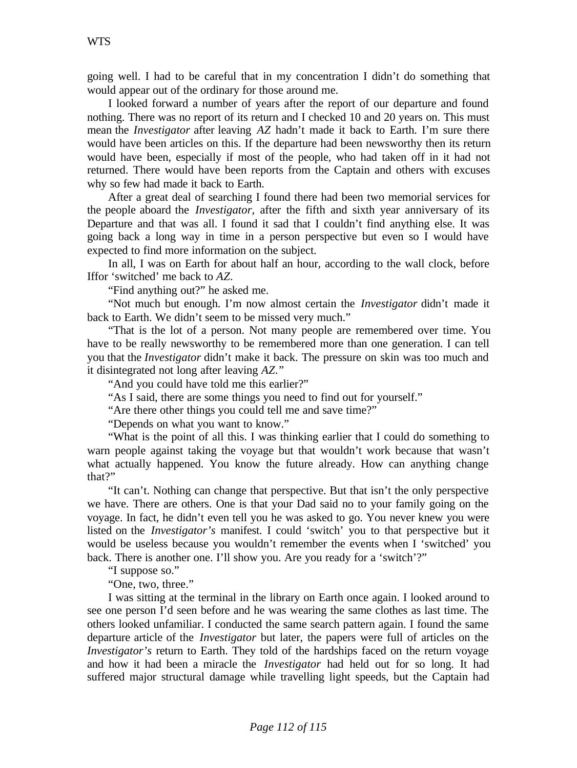going well. I had to be careful that in my concentration I didn't do something that would appear out of the ordinary for those around me.

I looked forward a number of years after the report of our departure and found nothing. There was no report of its return and I checked 10 and 20 years on. This must mean the *Investigator* after leaving *AZ* hadn't made it back to Earth. I'm sure there would have been articles on this. If the departure had been newsworthy then its return would have been, especially if most of the people, who had taken off in it had not returned. There would have been reports from the Captain and others with excuses why so few had made it back to Earth.

After a great deal of searching I found there had been two memorial services for the people aboard the *Investigator*, after the fifth and sixth year anniversary of its Departure and that was all. I found it sad that I couldn't find anything else. It was going back a long way in time in a person perspective but even so I would have expected to find more information on the subject.

In all, I was on Earth for about half an hour, according to the wall clock, before Iffor 'switched' me back to *AZ*.

"Find anything out?" he asked me.

"Not much but enough. I'm now almost certain the *Investigator* didn't made it back to Earth. We didn't seem to be missed very much."

"That is the lot of a person. Not many people are remembered over time. You have to be really newsworthy to be remembered more than one generation. I can tell you that the *Investigator* didn't make it back. The pressure on skin was too much and it disintegrated not long after leaving *AZ*."

"And you could have told me this earlier?"

"As I said, there are some things you need to find out for yourself."

"Are there other things you could tell me and save time?"

"Depends on what you want to know."

"What is the point of all this. I was thinking earlier that I could do something to warn people against taking the voyage but that wouldn't work because that wasn't what actually happened. You know the future already. How can anything change that?"

"It can't. Nothing can change that perspective. But that isn't the only perspective we have. There are others. One is that your Dad said no to your family going on the voyage. In fact, he didn't even tell you he was asked to go. You never knew you were listed on the *Investigator's* manifest. I could 'switch' you to that perspective but it would be useless because you wouldn't remember the events when I 'switched' you back. There is another one. I'll show you. Are you ready for a 'switch'?"

"I suppose so."

"One, two, three."

I was sitting at the terminal in the library on Earth once again. I looked around to see one person I'd seen before and he was wearing the same clothes as last time. The others looked unfamiliar. I conducted the same search pattern again. I found the same departure article of the *Investigator* but later, the papers were full of articles on the *Investigator's* return to Earth. They told of the hardships faced on the return voyage and how it had been a miracle the *Investigator* had held out for so long. It had suffered major structural damage while travelling light speeds, but the Captain had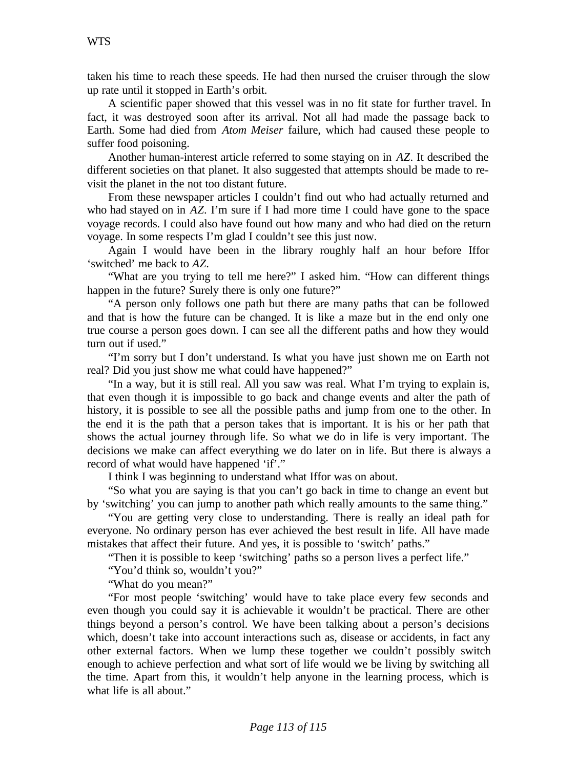taken his time to reach these speeds. He had then nursed the cruiser through the slow up rate until it stopped in Earth's orbit.

A scientific paper showed that this vessel was in no fit state for further travel. In fact, it was destroyed soon after its arrival. Not all had made the passage back to Earth. Some had died from *Atom Meiser* failure, which had caused these people to suffer food poisoning.

Another human-interest article referred to some staying on in *AZ*. It described the different societies on that planet. It also suggested that attempts should be made to revisit the planet in the not too distant future.

From these newspaper articles I couldn't find out who had actually returned and who had stayed on in *AZ*. I'm sure if I had more time I could have gone to the space voyage records. I could also have found out how many and who had died on the return voyage. In some respects I'm glad I couldn't see this just now.

Again I would have been in the library roughly half an hour before Iffor 'switched' me back to *AZ*.

"What are you trying to tell me here?" I asked him. "How can different things happen in the future? Surely there is only one future?"

"A person only follows one path but there are many paths that can be followed and that is how the future can be changed. It is like a maze but in the end only one true course a person goes down. I can see all the different paths and how they would turn out if used."

"I'm sorry but I don't understand. Is what you have just shown me on Earth not real? Did you just show me what could have happened?"

"In a way, but it is still real. All you saw was real. What I'm trying to explain is, that even though it is impossible to go back and change events and alter the path of history, it is possible to see all the possible paths and jump from one to the other. In the end it is the path that a person takes that is important. It is his or her path that shows the actual journey through life. So what we do in life is very important. The decisions we make can affect everything we do later on in life. But there is always a record of what would have happened 'if'."

I think I was beginning to understand what Iffor was on about.

"So what you are saying is that you can't go back in time to change an event but by 'switching' you can jump to another path which really amounts to the same thing."

"You are getting very close to understanding. There is really an ideal path for everyone. No ordinary person has ever achieved the best result in life. All have made mistakes that affect their future. And yes, it is possible to 'switch' paths."

"Then it is possible to keep 'switching' paths so a person lives a perfect life."

"You'd think so, wouldn't you?"

"What do you mean?"

"For most people 'switching' would have to take place every few seconds and even though you could say it is achievable it wouldn't be practical. There are other things beyond a person's control. We have been talking about a person's decisions which, doesn't take into account interactions such as, disease or accidents, in fact any other external factors. When we lump these together we couldn't possibly switch enough to achieve perfection and what sort of life would we be living by switching all the time. Apart from this, it wouldn't help anyone in the learning process, which is what life is all about."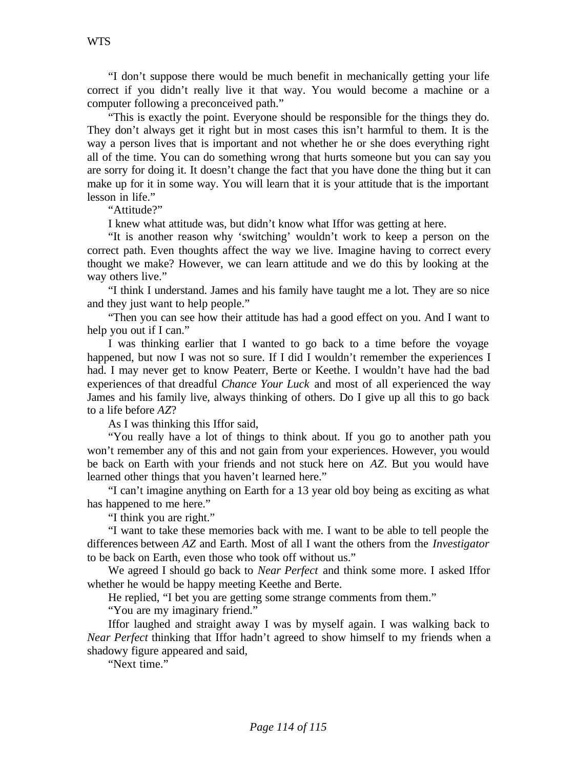"I don't suppose there would be much benefit in mechanically getting your life correct if you didn't really live it that way. You would become a machine or a computer following a preconceived path."

"This is exactly the point. Everyone should be responsible for the things they do. They don't always get it right but in most cases this isn't harmful to them. It is the way a person lives that is important and not whether he or she does everything right all of the time. You can do something wrong that hurts someone but you can say you are sorry for doing it. It doesn't change the fact that you have done the thing but it can make up for it in some way. You will learn that it is your attitude that is the important lesson in life."

"Attitude?"

I knew what attitude was, but didn't know what Iffor was getting at here.

"It is another reason why 'switching' wouldn't work to keep a person on the correct path. Even thoughts affect the way we live. Imagine having to correct every thought we make? However, we can learn attitude and we do this by looking at the way others live."

"I think I understand. James and his family have taught me a lot. They are so nice and they just want to help people."

"Then you can see how their attitude has had a good effect on you. And I want to help you out if I can."

I was thinking earlier that I wanted to go back to a time before the voyage happened, but now I was not so sure. If I did I wouldn't remember the experiences I had. I may never get to know Peaterr, Berte or Keethe. I wouldn't have had the bad experiences of that dreadful *Chance Your Luck* and most of all experienced the way James and his family live, always thinking of others. Do I give up all this to go back to a life before *AZ*?

As I was thinking this Iffor said,

"You really have a lot of things to think about. If you go to another path you won't remember any of this and not gain from your experiences. However, you would be back on Earth with your friends and not stuck here on *AZ*. But you would have learned other things that you haven't learned here."

"I can't imagine anything on Earth for a 13 year old boy being as exciting as what has happened to me here."

"I think you are right."

"I want to take these memories back with me. I want to be able to tell people the differences between *AZ* and Earth. Most of all I want the others from the *Investigator* to be back on Earth, even those who took off without us."

We agreed I should go back to *Near Perfect* and think some more. I asked Iffor whether he would be happy meeting Keethe and Berte.

He replied, "I bet you are getting some strange comments from them."

"You are my imaginary friend."

Iffor laughed and straight away I was by myself again. I was walking back to *Near Perfect* thinking that Iffor hadn't agreed to show himself to my friends when a shadowy figure appeared and said,

"Next time."